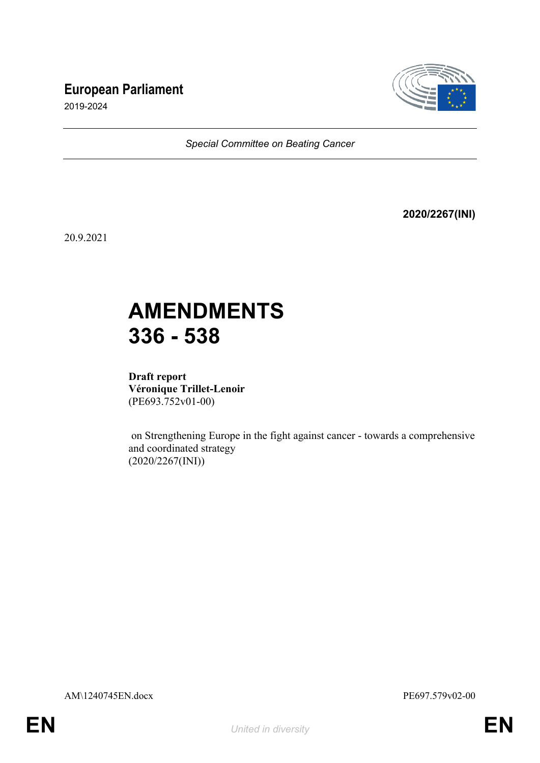## **European Parliament**



2019-2024

*Special Committee on Beating Cancer*

**2020/2267(INI)**

20.9.2021

# **AMENDMENTS 336 - 538**

**Draft report Véronique Trillet-Lenoir** (PE693.752v01-00)

 on Strengthening Europe in the fight against cancer - towards a comprehensive and coordinated strategy (2020/2267(INI))

AM\1240745EN.docx PE697.579v02-00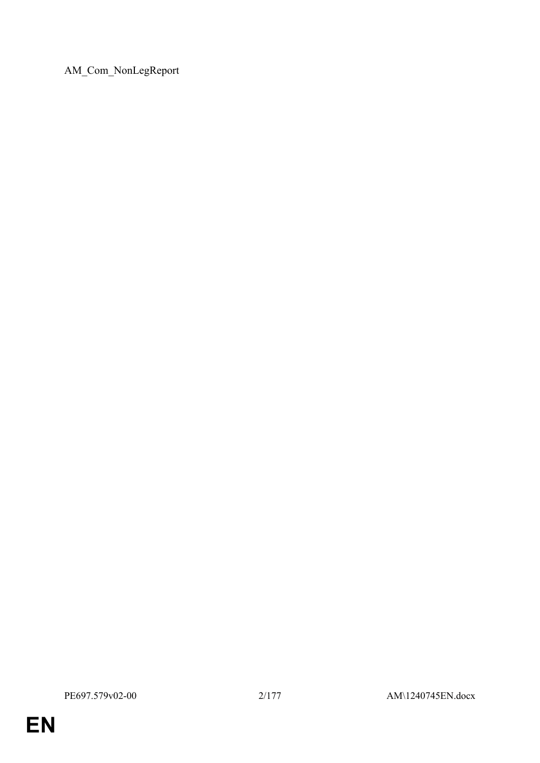AM\_Com\_NonLegReport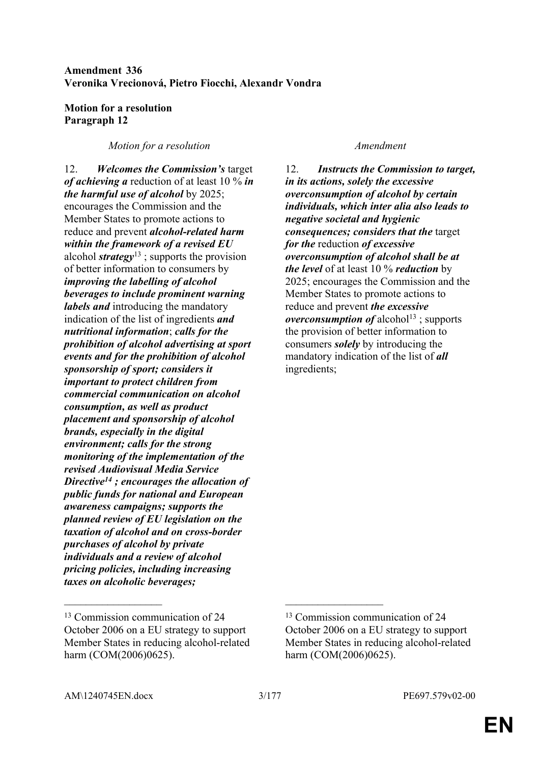### **Amendment 336 Veronika Vrecionová, Pietro Fiocchi, Alexandr Vondra**

### **Motion for a resolution Paragraph 12**

### *Motion for a resolution Amendment*

12. *Welcomes the Commission's* target *of achieving a* reduction of at least 10 % *in the harmful use of alcohol* by 2025; encourages the Commission and the Member States to promote actions to reduce and prevent *alcohol-related harm within the framework of a revised EU* alcohol *strategy*<sup>13</sup> ; supports the provision of better information to consumers by *improving the labelling of alcohol beverages to include prominent warning labels and* introducing the mandatory indication of the list of ingredients *and nutritional information*; *calls for the prohibition of alcohol advertising at sport events and for the prohibition of alcohol sponsorship of sport; considers it important to protect children from commercial communication on alcohol consumption, as well as product placement and sponsorship of alcohol brands, especially in the digital environment; calls for the strong monitoring of the implementation of the revised Audiovisual Media Service Directive<sup>14</sup> ; encourages the allocation of public funds for national and European awareness campaigns; supports the planned review of EU legislation on the taxation of alcohol and on cross-border purchases of alcohol by private individuals and a review of alcohol pricing policies, including increasing taxes on alcoholic beverages;*

12. *Instructs the Commission to target, in its actions, solely the excessive overconsumption of alcohol by certain individuals, which inter alia also leads to negative societal and hygienic consequences; considers that the* target *for the* reduction *of excessive overconsumption of alcohol shall be at the level* of at least 10 % *reduction* by 2025; encourages the Commission and the Member States to promote actions to reduce and prevent *the excessive overconsumption of* alcohol<sup>13</sup>; supports the provision of better information to consumers *solely* by introducing the mandatory indication of the list of *all* ingredients;

 $\mathcal{L}_\text{max}$  and  $\mathcal{L}_\text{max}$  and  $\mathcal{L}_\text{max}$  and  $\mathcal{L}_\text{max}$ 

<sup>13</sup> Commission communication of 24 October 2006 on a EU strategy to support Member States in reducing alcohol-related harm (COM(2006)0625).

<sup>13</sup> Commission communication of 24 October 2006 on a EU strategy to support Member States in reducing alcohol-related harm (COM(2006)0625).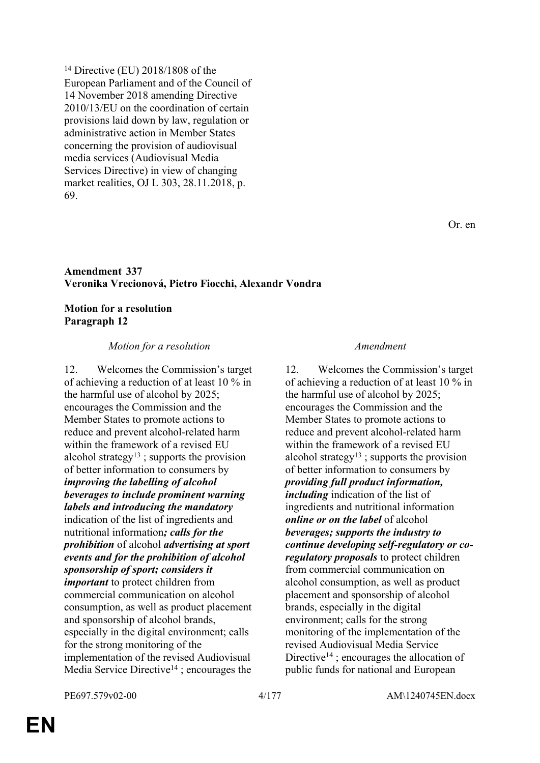<sup>14</sup> Directive (EU) 2018/1808 of the European Parliament and of the Council of 14 November 2018 amending Directive 2010/13/EU on the coordination of certain provisions laid down by law, regulation or administrative action in Member States concerning the provision of audiovisual media services (Audiovisual Media Services Directive) in view of changing market realities, OJ L 303, 28.11.2018, p. 69.

#### **Amendment 337 Veronika Vrecionová, Pietro Fiocchi, Alexandr Vondra**

#### **Motion for a resolution Paragraph 12**

#### *Motion for a resolution Amendment*

12. Welcomes the Commission's target of achieving a reduction of at least 10 % in the harmful use of alcohol by 2025; encourages the Commission and the Member States to promote actions to reduce and prevent alcohol-related harm within the framework of a revised EU alcohol strategy<sup>13</sup> ; supports the provision of better information to consumers by *improving the labelling of alcohol beverages to include prominent warning labels and introducing the mandatory* indication of the list of ingredients and nutritional information*; calls for the prohibition* of alcohol *advertising at sport events and for the prohibition of alcohol sponsorship of sport; considers it important* to protect children from commercial communication on alcohol consumption, as well as product placement and sponsorship of alcohol brands, especially in the digital environment; calls for the strong monitoring of the implementation of the revised Audiovisual Media Service Directive<sup>14</sup>; encourages the

12. Welcomes the Commission's target of achieving a reduction of at least 10 % in the harmful use of alcohol by 2025; encourages the Commission and the Member States to promote actions to reduce and prevent alcohol-related harm within the framework of a revised EU alcohol strategy<sup>13</sup> ; supports the provision of better information to consumers by *providing full product information, including* indication of the list of ingredients and nutritional information *online or on the label* of alcohol *beverages; supports the industry to continue developing self-regulatory or coregulatory proposals* to protect children from commercial communication on alcohol consumption, as well as product placement and sponsorship of alcohol brands, especially in the digital environment; calls for the strong monitoring of the implementation of the revised Audiovisual Media Service Directive<sup>14</sup>; encourages the allocation of public funds for national and European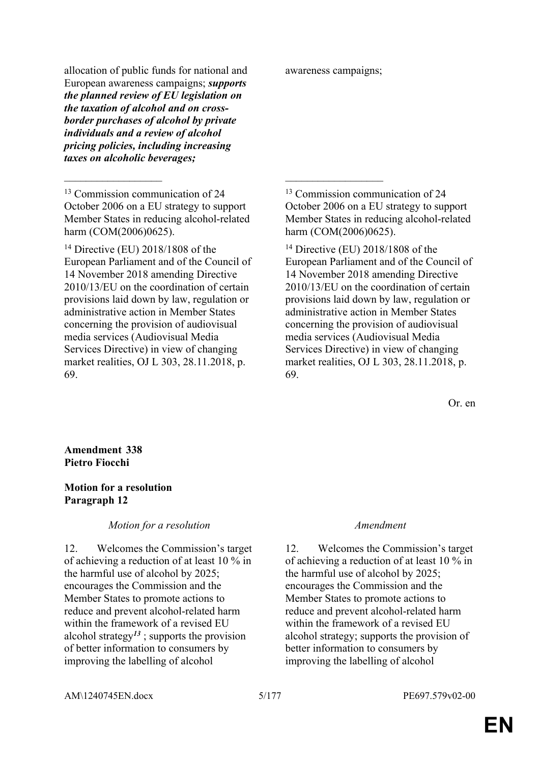allocation of public funds for national and European awareness campaigns; *supports the planned review of EU legislation on the taxation of alcohol and on crossborder purchases of alcohol by private individuals and a review of alcohol pricing policies, including increasing taxes on alcoholic beverages;*

<sup>13</sup> Commission communication of 24 October 2006 on a EU strategy to support Member States in reducing alcohol-related harm (COM(2006)0625).

 $\mathcal{L}_\mathcal{L}$  , and the contribution of the contribution of the contribution of the contribution of the contribution of the contribution of the contribution of the contribution of the contribution of the contribution of

<sup>14</sup> Directive (EU) 2018/1808 of the European Parliament and of the Council of 14 November 2018 amending Directive 2010/13/EU on the coordination of certain provisions laid down by law, regulation or administrative action in Member States concerning the provision of audiovisual media services (Audiovisual Media Services Directive) in view of changing market realities, OJ L 303, 28.11.2018, p. 69.

awareness campaigns;

<sup>13</sup> Commission communication of 24 October 2006 on a EU strategy to support Member States in reducing alcohol-related harm (COM(2006)0625).

<sup>14</sup> Directive (EU) 2018/1808 of the European Parliament and of the Council of 14 November 2018 amending Directive 2010/13/EU on the coordination of certain provisions laid down by law, regulation or administrative action in Member States concerning the provision of audiovisual media services (Audiovisual Media Services Directive) in view of changing market realities, OJ L 303, 28.11.2018, p. 69.

Or. en

**Amendment 338 Pietro Fiocchi**

### **Motion for a resolution Paragraph 12**

#### *Motion for a resolution Amendment*

12. Welcomes the Commission's target of achieving a reduction of at least 10 % in the harmful use of alcohol by 2025; encourages the Commission and the Member States to promote actions to reduce and prevent alcohol-related harm within the framework of a revised EU alcohol strategy*<sup>13</sup>* ; supports the provision of better information to consumers by improving the labelling of alcohol

12. Welcomes the Commission's target of achieving a reduction of at least 10 % in the harmful use of alcohol by 2025; encourages the Commission and the Member States to promote actions to reduce and prevent alcohol-related harm within the framework of a revised EU alcohol strategy; supports the provision of better information to consumers by improving the labelling of alcohol

AM\1240745EN.docx 5/177 PE697.579v02-00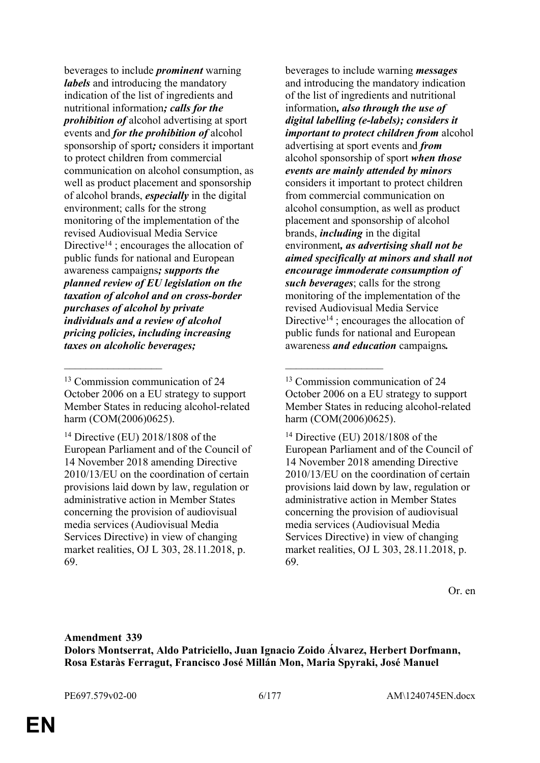beverages to include *prominent* warning *labels* and introducing the mandatory indication of the list of ingredients and nutritional information*; calls for the prohibition of* alcohol advertising at sport events and *for the prohibition of* alcohol sponsorship of sport*;* considers it important to protect children from commercial communication on alcohol consumption, as well as product placement and sponsorship of alcohol brands, *especially* in the digital environment; calls for the strong monitoring of the implementation of the revised Audiovisual Media Service Directive<sup>14</sup>; encourages the allocation of public funds for national and European awareness campaigns*; supports the planned review of EU legislation on the taxation of alcohol and on cross-border purchases of alcohol by private individuals and a review of alcohol pricing policies, including increasing taxes on alcoholic beverages;*

 $\mathcal{L}_\mathcal{L}$  , and the contribution of the contribution of the contribution of the contribution of the contribution of the contribution of the contribution of the contribution of the contribution of the contribution of

beverages to include warning *messages* and introducing the mandatory indication of the list of ingredients and nutritional information*, also through the use of digital labelling (e-labels); considers it important to protect children from* alcohol advertising at sport events and *from* alcohol sponsorship of sport *when those events are mainly attended by minors* considers it important to protect children from commercial communication on alcohol consumption, as well as product placement and sponsorship of alcohol brands, *including* in the digital environment*, as advertising shall not be aimed specifically at minors and shall not encourage immoderate consumption of such beverages*; calls for the strong monitoring of the implementation of the revised Audiovisual Media Service Directive<sup>14</sup>; encourages the allocation of public funds for national and European awareness *and education* campaigns*.*

Or. en

<sup>13</sup> Commission communication of 24 October 2006 on a EU strategy to support Member States in reducing alcohol-related harm (COM(2006)0625).

<sup>14</sup> Directive (EU) 2018/1808 of the European Parliament and of the Council of 14 November 2018 amending Directive 2010/13/EU on the coordination of certain provisions laid down by law, regulation or administrative action in Member States concerning the provision of audiovisual media services (Audiovisual Media Services Directive) in view of changing market realities, OJ L 303, 28.11.2018, p. 69.

<sup>13</sup> Commission communication of 24 October 2006 on a EU strategy to support Member States in reducing alcohol-related harm (COM(2006)0625).

<sup>14</sup> Directive (EU) 2018/1808 of the European Parliament and of the Council of 14 November 2018 amending Directive 2010/13/EU on the coordination of certain provisions laid down by law, regulation or administrative action in Member States concerning the provision of audiovisual media services (Audiovisual Media Services Directive) in view of changing market realities, OJ L 303, 28.11.2018, p. 69.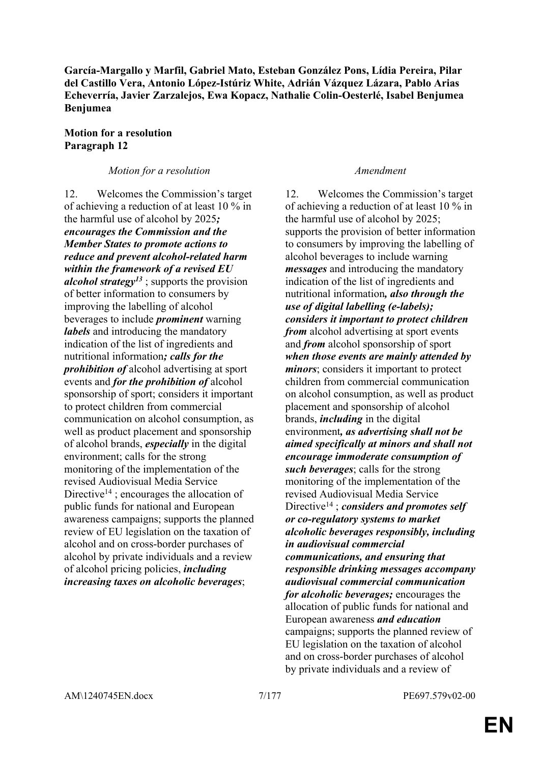**García-Margallo y Marfil, Gabriel Mato, Esteban González Pons, Lídia Pereira, Pilar del Castillo Vera, Antonio López-Istúriz White, Adrián Vázquez Lázara, Pablo Arias Echeverría, Javier Zarzalejos, Ewa Kopacz, Nathalie Colin-Oesterlé, Isabel Benjumea Benjumea**

### **Motion for a resolution Paragraph 12**

### *Motion for a resolution Amendment*

12. Welcomes the Commission's target of achieving a reduction of at least 10 % in the harmful use of alcohol by 2025*; encourages the Commission and the Member States to promote actions to reduce and prevent alcohol-related harm within the framework of a revised EU alcohol strategy<sup>13</sup>* ; supports the provision of better information to consumers by improving the labelling of alcohol beverages to include *prominent* warning *labels* and introducing the mandatory indication of the list of ingredients and nutritional information*; calls for the prohibition of* alcohol advertising at sport events and *for the prohibition of* alcohol sponsorship of sport; considers it important to protect children from commercial communication on alcohol consumption, as well as product placement and sponsorship of alcohol brands, *especially* in the digital environment; calls for the strong monitoring of the implementation of the revised Audiovisual Media Service Directive<sup>14</sup>; encourages the allocation of public funds for national and European awareness campaigns; supports the planned review of EU legislation on the taxation of alcohol and on cross-border purchases of alcohol by private individuals and a review of alcohol pricing policies, *including increasing taxes on alcoholic beverages*;

12. Welcomes the Commission's target of achieving a reduction of at least 10 % in the harmful use of alcohol by 2025; supports the provision of better information to consumers by improving the labelling of alcohol beverages to include warning *messages* and introducing the mandatory indication of the list of ingredients and nutritional information*, also through the use of digital labelling (e-labels); considers it important to protect children from* alcohol advertising at sport events and *from* alcohol sponsorship of sport *when those events are mainly attended by minors*; considers it important to protect children from commercial communication on alcohol consumption, as well as product placement and sponsorship of alcohol brands, *including* in the digital environment*, as advertising shall not be aimed specifically at minors and shall not encourage immoderate consumption of such beverages*; calls for the strong monitoring of the implementation of the revised Audiovisual Media Service Directive<sup>14</sup> ; *considers and promotes self or co-regulatory systems to market alcoholic beverages responsibly, including in audiovisual commercial communications, and ensuring that responsible drinking messages accompany audiovisual commercial communication for alcoholic beverages;* encourages the allocation of public funds for national and European awareness *and education* campaigns; supports the planned review of EU legislation on the taxation of alcohol and on cross-border purchases of alcohol by private individuals and a review of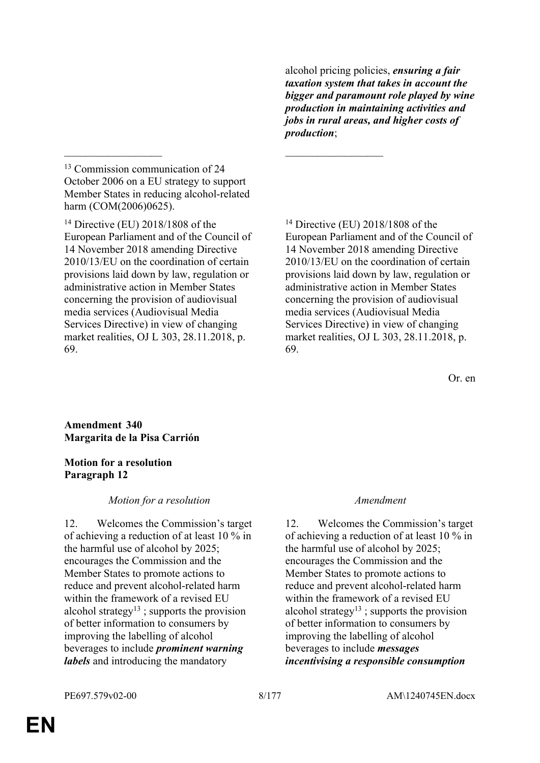alcohol pricing policies, *ensuring a fair taxation system that takes in account the bigger and paramount role played by wine production in maintaining activities and jobs in rural areas, and higher costs of production*;

<sup>13</sup> Commission communication of 24 October 2006 on a EU strategy to support Member States in reducing alcohol-related harm (COM(2006)0625).

 $\mathcal{L}_\mathcal{L}$  , and the contribution of the contribution of the contribution of the contribution of the contribution of the contribution of the contribution of the contribution of the contribution of the contribution of

<sup>14</sup> Directive (EU) 2018/1808 of the European Parliament and of the Council of 14 November 2018 amending Directive 2010/13/EU on the coordination of certain provisions laid down by law, regulation or administrative action in Member States concerning the provision of audiovisual media services (Audiovisual Media Services Directive) in view of changing market realities, OJ L 303, 28.11.2018, p. 69.

<sup>14</sup> Directive (EU) 2018/1808 of the European Parliament and of the Council of 14 November 2018 amending Directive 2010/13/EU on the coordination of certain provisions laid down by law, regulation or administrative action in Member States concerning the provision of audiovisual media services (Audiovisual Media Services Directive) in view of changing market realities, OJ L 303, 28.11.2018, p. 69.

Or. en

### **Amendment 340 Margarita de la Pisa Carrión**

### **Motion for a resolution Paragraph 12**

### *Motion for a resolution Amendment*

12. Welcomes the Commission's target of achieving a reduction of at least 10 % in the harmful use of alcohol by 2025; encourages the Commission and the Member States to promote actions to reduce and prevent alcohol-related harm within the framework of a revised EU alcohol strategy<sup>13</sup> ; supports the provision of better information to consumers by improving the labelling of alcohol beverages to include *prominent warning labels* and introducing the mandatory

12. Welcomes the Commission's target of achieving a reduction of at least 10 % in the harmful use of alcohol by 2025; encourages the Commission and the Member States to promote actions to reduce and prevent alcohol-related harm within the framework of a revised EU alcohol strategy<sup>13</sup>; supports the provision of better information to consumers by improving the labelling of alcohol beverages to include *messages incentivising a responsible consumption*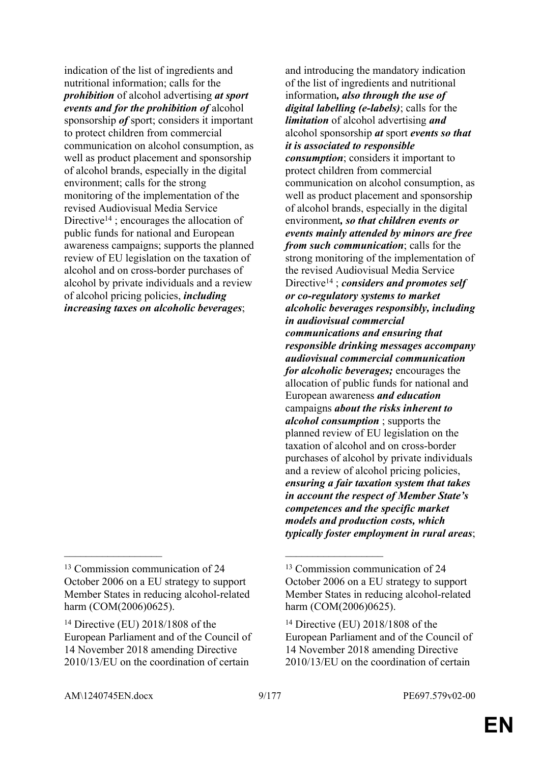indication of the list of ingredients and nutritional information; calls for the *prohibition* of alcohol advertising *at sport events and for the prohibition of* alcohol sponsorship *of* sport; considers it important to protect children from commercial communication on alcohol consumption, as well as product placement and sponsorship of alcohol brands, especially in the digital environment; calls for the strong monitoring of the implementation of the revised Audiovisual Media Service Directive<sup>14</sup>; encourages the allocation of public funds for national and European awareness campaigns; supports the planned review of EU legislation on the taxation of alcohol and on cross-border purchases of alcohol by private individuals and a review of alcohol pricing policies, *including increasing taxes on alcoholic beverages*;

 $\mathcal{L}_\mathcal{L}$  , and the contribution of the contribution of the contribution of the contribution of the contribution of the contribution of the contribution of the contribution of the contribution of the contribution of

and introducing the mandatory indication of the list of ingredients and nutritional information*, also through the use of digital labelling (e-labels)*; calls for the *limitation* of alcohol advertising *and* alcohol sponsorship *at* sport *events so that it is associated to responsible consumption*; considers it important to protect children from commercial communication on alcohol consumption, as well as product placement and sponsorship of alcohol brands, especially in the digital environment*, so that children events or events mainly attended by minors are free from such communication*; calls for the strong monitoring of the implementation of the revised Audiovisual Media Service Directive<sup>14</sup> ; *considers and promotes self or co-regulatory systems to market alcoholic beverages responsibly, including in audiovisual commercial communications and ensuring that responsible drinking messages accompany audiovisual commercial communication for alcoholic beverages;* encourages the allocation of public funds for national and European awareness *and education* campaigns *about the risks inherent to alcohol consumption* ; supports the planned review of EU legislation on the taxation of alcohol and on cross-border purchases of alcohol by private individuals and a review of alcohol pricing policies, *ensuring a fair taxation system that takes in account the respect of Member State's competences and the specific market models and production costs, which typically foster employment in rural areas*;

<sup>13</sup> Commission communication of 24 October 2006 on a EU strategy to support Member States in reducing alcohol-related harm (COM(2006)0625).

<sup>14</sup> Directive (EU) 2018/1808 of the European Parliament and of the Council of 14 November 2018 amending Directive 2010/13/EU on the coordination of certain

<sup>13</sup> Commission communication of 24 October 2006 on a EU strategy to support Member States in reducing alcohol-related harm (COM(2006)0625).

<sup>14</sup> Directive (EU) 2018/1808 of the European Parliament and of the Council of 14 November 2018 amending Directive 2010/13/EU on the coordination of certain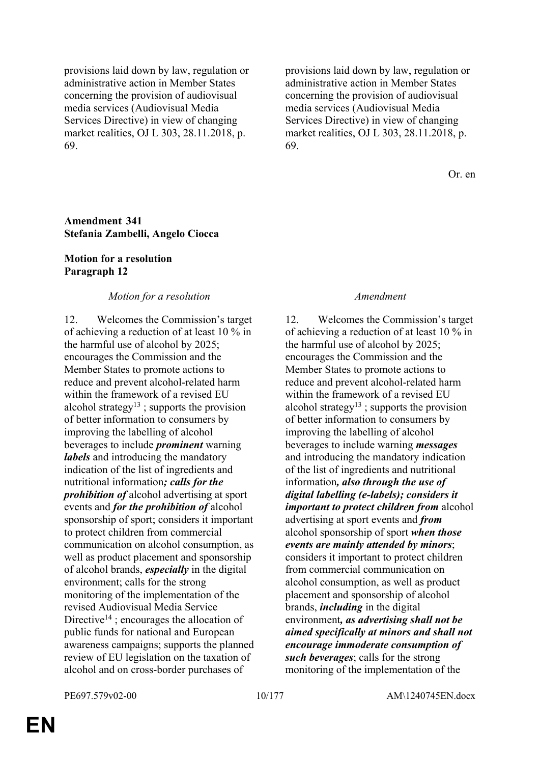provisions laid down by law, regulation or administrative action in Member States concerning the provision of audiovisual media services (Audiovisual Media Services Directive) in view of changing market realities, OJ L 303, 28.11.2018, p. 69.

provisions laid down by law, regulation or administrative action in Member States concerning the provision of audiovisual media services (Audiovisual Media Services Directive) in view of changing market realities, OJ L 303, 28.11.2018, p. 69.

Or. en

#### **Amendment 341 Stefania Zambelli, Angelo Ciocca**

#### **Motion for a resolution Paragraph 12**

#### *Motion for a resolution Amendment*

12. Welcomes the Commission's target of achieving a reduction of at least 10 % in the harmful use of alcohol by 2025; encourages the Commission and the Member States to promote actions to reduce and prevent alcohol-related harm within the framework of a revised EU alcohol strategy<sup>13</sup> ; supports the provision of better information to consumers by improving the labelling of alcohol beverages to include *prominent* warning *labels* and introducing the mandatory indication of the list of ingredients and nutritional information*; calls for the prohibition of* alcohol advertising at sport events and *for the prohibition of* alcohol sponsorship of sport; considers it important to protect children from commercial communication on alcohol consumption, as well as product placement and sponsorship of alcohol brands, *especially* in the digital environment; calls for the strong monitoring of the implementation of the revised Audiovisual Media Service Directive<sup>14</sup> ; encourages the allocation of public funds for national and European awareness campaigns; supports the planned review of EU legislation on the taxation of alcohol and on cross-border purchases of

12. Welcomes the Commission's target of achieving a reduction of at least 10 % in the harmful use of alcohol by 2025; encourages the Commission and the Member States to promote actions to reduce and prevent alcohol-related harm within the framework of a revised EU alcohol strategy<sup>13</sup>; supports the provision of better information to consumers by improving the labelling of alcohol beverages to include warning *messages* and introducing the mandatory indication of the list of ingredients and nutritional information*, also through the use of digital labelling (e-labels); considers it important to protect children from* alcohol advertising at sport events and *from* alcohol sponsorship of sport *when those events are mainly attended by minors*; considers it important to protect children from commercial communication on alcohol consumption, as well as product placement and sponsorship of alcohol brands, *including* in the digital environment*, as advertising shall not be aimed specifically at minors and shall not encourage immoderate consumption of such beverages*; calls for the strong monitoring of the implementation of the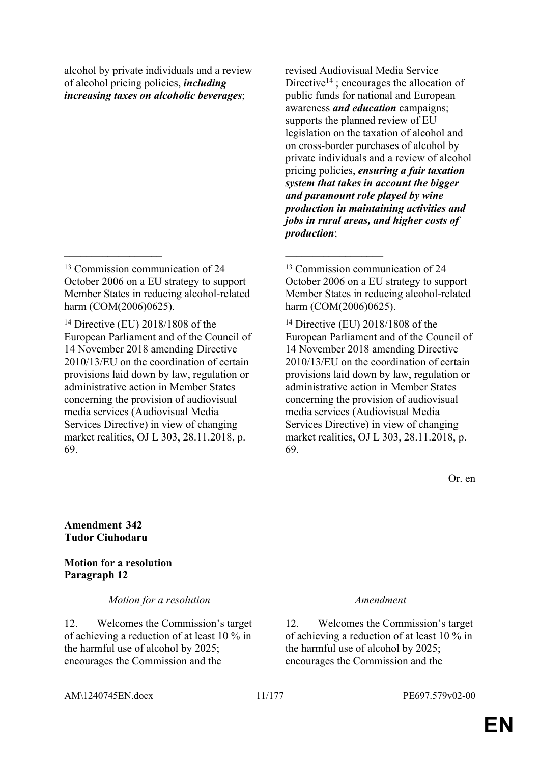alcohol by private individuals and a review of alcohol pricing policies, *including increasing taxes on alcoholic beverages*;

 $\mathcal{L}_\mathcal{L}$  , and the contribution of the contribution of the contribution of the contribution of the contribution of the contribution of the contribution of the contribution of the contribution of the contribution of

<sup>14</sup> Directive (EU) 2018/1808 of the European Parliament and of the Council of 14 November 2018 amending Directive 2010/13/EU on the coordination of certain provisions laid down by law, regulation or administrative action in Member States concerning the provision of audiovisual media services (Audiovisual Media Services Directive) in view of changing market realities, OJ L 303, 28.11.2018, p. 69.

revised Audiovisual Media Service Directive<sup>14</sup>; encourages the allocation of public funds for national and European awareness *and education* campaigns; supports the planned review of EU legislation on the taxation of alcohol and on cross-border purchases of alcohol by private individuals and a review of alcohol pricing policies, *ensuring a fair taxation system that takes in account the bigger and paramount role played by wine production in maintaining activities and jobs in rural areas, and higher costs of production*;

<sup>13</sup> Commission communication of 24 October 2006 on a EU strategy to support Member States in reducing alcohol-related harm (COM(2006)0625).

<sup>14</sup> Directive (EU) 2018/1808 of the European Parliament and of the Council of 14 November 2018 amending Directive 2010/13/EU on the coordination of certain provisions laid down by law, regulation or administrative action in Member States concerning the provision of audiovisual media services (Audiovisual Media Services Directive) in view of changing market realities, OJ L 303, 28.11.2018, p. 69.

Or. en

### **Amendment 342 Tudor Ciuhodaru**

### **Motion for a resolution Paragraph 12**

#### *Motion for a resolution Amendment*

12. Welcomes the Commission's target of achieving a reduction of at least 10 % in the harmful use of alcohol by 2025; encourages the Commission and the

12. Welcomes the Commission's target of achieving a reduction of at least 10 % in the harmful use of alcohol by 2025; encourages the Commission and the

AM\1240745EN.docx 11/177 PE697.579v02-00

<sup>&</sup>lt;sup>13</sup> Commission communication of 24 October 2006 on a EU strategy to support Member States in reducing alcohol-related harm (COM(2006)0625).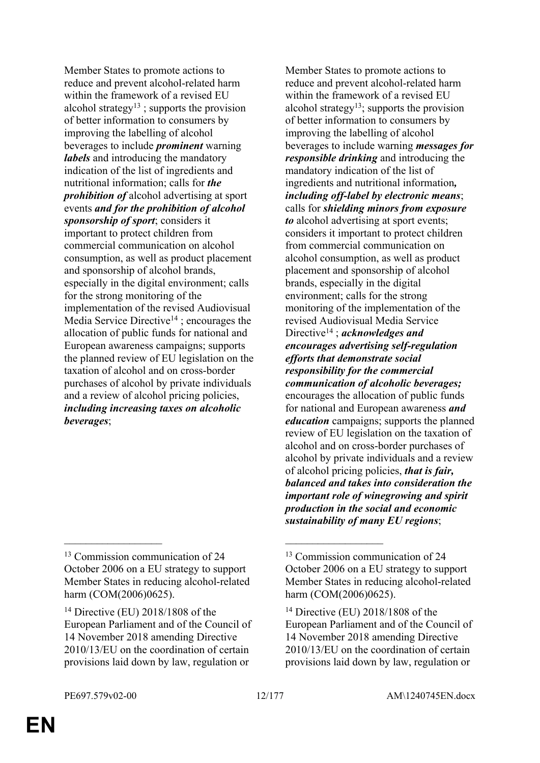Member States to promote actions to reduce and prevent alcohol-related harm within the framework of a revised EU alcohol strategy<sup>13</sup>; supports the provision of better information to consumers by improving the labelling of alcohol beverages to include *prominent* warning *labels* and introducing the mandatory indication of the list of ingredients and nutritional information; calls for *the prohibition of* alcohol advertising at sport events *and for the prohibition of alcohol sponsorship of sport*; considers it important to protect children from commercial communication on alcohol consumption, as well as product placement and sponsorship of alcohol brands, especially in the digital environment; calls for the strong monitoring of the implementation of the revised Audiovisual Media Service Directive<sup>14</sup>; encourages the allocation of public funds for national and European awareness campaigns; supports the planned review of EU legislation on the taxation of alcohol and on cross-border purchases of alcohol by private individuals and a review of alcohol pricing policies, *including increasing taxes on alcoholic beverages*;

 $\mathcal{L}_\mathcal{L}$  , and the contribution of the contribution of the contribution of the contribution of the contribution of the contribution of the contribution of the contribution of the contribution of the contribution of

Member States to promote actions to reduce and prevent alcohol-related harm within the framework of a revised EU alcohol strategy<sup>13</sup>; supports the provision of better information to consumers by improving the labelling of alcohol beverages to include warning *messages for responsible drinking* and introducing the mandatory indication of the list of ingredients and nutritional information*, including off-label by electronic means*; calls for *shielding minors from exposure to* alcohol advertising at sport events; considers it important to protect children from commercial communication on alcohol consumption, as well as product placement and sponsorship of alcohol brands, especially in the digital environment; calls for the strong monitoring of the implementation of the revised Audiovisual Media Service Directive<sup>14</sup> ; *acknowledges and encourages advertising self-regulation efforts that demonstrate social responsibility for the commercial communication of alcoholic beverages;* encourages the allocation of public funds for national and European awareness *and education* campaigns; supports the planned review of EU legislation on the taxation of alcohol and on cross-border purchases of alcohol by private individuals and a review of alcohol pricing policies, *that is fair, balanced and takes into consideration the important role of winegrowing and spirit production in the social and economic sustainability of many EU regions*;

<sup>&</sup>lt;sup>13</sup> Commission communication of 24 October 2006 on a EU strategy to support Member States in reducing alcohol-related harm (COM(2006)0625).

<sup>14</sup> Directive (EU) 2018/1808 of the European Parliament and of the Council of 14 November 2018 amending Directive 2010/13/EU on the coordination of certain provisions laid down by law, regulation or

<sup>13</sup> Commission communication of 24 October 2006 on a EU strategy to support Member States in reducing alcohol-related harm (COM(2006)0625).

<sup>14</sup> Directive (EU) 2018/1808 of the European Parliament and of the Council of 14 November 2018 amending Directive 2010/13/EU on the coordination of certain provisions laid down by law, regulation or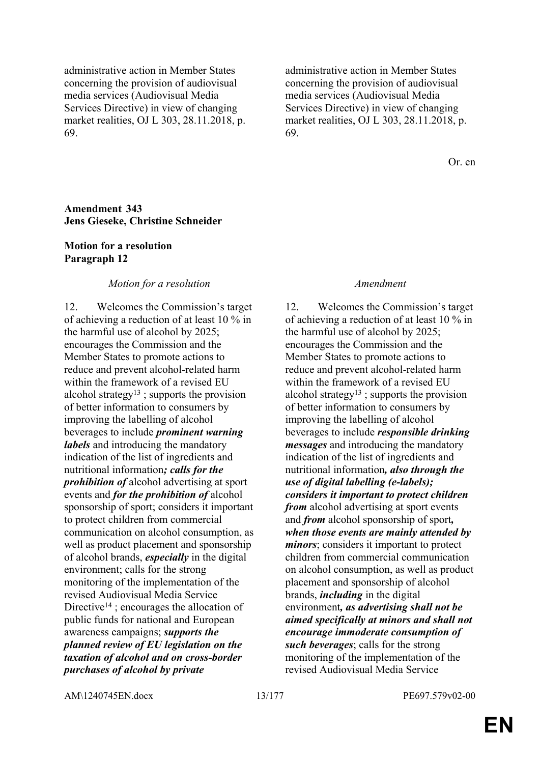administrative action in Member States concerning the provision of audiovisual media services (Audiovisual Media Services Directive) in view of changing market realities, OJ L 303, 28.11.2018, p. 69.

administrative action in Member States concerning the provision of audiovisual media services (Audiovisual Media Services Directive) in view of changing market realities, OJ L 303, 28.11.2018, p. 69.

Or. en

#### **Amendment 343 Jens Gieseke, Christine Schneider**

#### **Motion for a resolution Paragraph 12**

#### *Motion for a resolution Amendment*

12. Welcomes the Commission's target of achieving a reduction of at least 10 % in the harmful use of alcohol by 2025; encourages the Commission and the Member States to promote actions to reduce and prevent alcohol-related harm within the framework of a revised EU alcohol strategy<sup>13</sup>; supports the provision of better information to consumers by improving the labelling of alcohol beverages to include *prominent warning labels* and introducing the mandatory indication of the list of ingredients and nutritional information*; calls for the prohibition of* alcohol advertising at sport events and *for the prohibition of* alcohol sponsorship of sport; considers it important to protect children from commercial communication on alcohol consumption, as well as product placement and sponsorship of alcohol brands, *especially* in the digital environment; calls for the strong monitoring of the implementation of the revised Audiovisual Media Service Directive<sup>14</sup>; encourages the allocation of public funds for national and European awareness campaigns; *supports the planned review of EU legislation on the taxation of alcohol and on cross-border purchases of alcohol by private* 

12. Welcomes the Commission's target of achieving a reduction of at least 10 % in the harmful use of alcohol by 2025; encourages the Commission and the Member States to promote actions to reduce and prevent alcohol-related harm within the framework of a revised EU alcohol strategy<sup>13</sup>; supports the provision of better information to consumers by improving the labelling of alcohol beverages to include *responsible drinking messages* and introducing the mandatory indication of the list of ingredients and nutritional information*, also through the use of digital labelling (e-labels); considers it important to protect children from* alcohol advertising at sport events and *from* alcohol sponsorship of sport*, when those events are mainly attended by minors*; considers it important to protect children from commercial communication on alcohol consumption, as well as product placement and sponsorship of alcohol brands, *including* in the digital environment*, as advertising shall not be aimed specifically at minors and shall not encourage immoderate consumption of such beverages*; calls for the strong monitoring of the implementation of the revised Audiovisual Media Service

AM\1240745EN.docx 13/177 PE697.579v02-00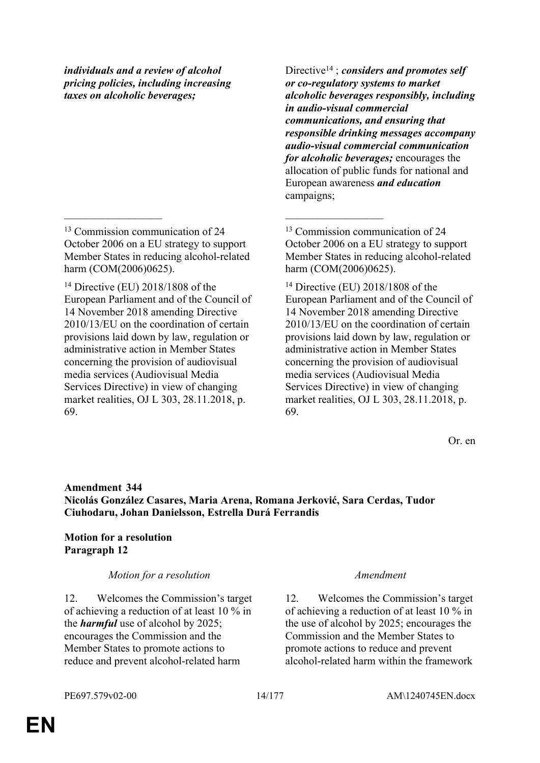*individuals and a review of alcohol pricing policies, including increasing taxes on alcoholic beverages;*

<sup>13</sup> Commission communication of 24 October 2006 on a EU strategy to support Member States in reducing alcohol-related harm (COM(2006)0625).

 $\mathcal{L}_\mathcal{L}$  , and the contribution of the contribution of the contribution of the contribution of the contribution of the contribution of the contribution of the contribution of the contribution of the contribution of

<sup>14</sup> Directive (EU) 2018/1808 of the European Parliament and of the Council of 14 November 2018 amending Directive 2010/13/EU on the coordination of certain provisions laid down by law, regulation or administrative action in Member States concerning the provision of audiovisual media services (Audiovisual Media Services Directive) in view of changing market realities, OJ L 303, 28.11.2018, p. 69.

Directive<sup>14</sup> ; *considers and promotes self or co-regulatory systems to market alcoholic beverages responsibly, including in audio-visual commercial communications, and ensuring that responsible drinking messages accompany audio-visual commercial communication for alcoholic beverages;* encourages the allocation of public funds for national and European awareness *and education* campaigns;

<sup>14</sup> Directive (EU) 2018/1808 of the European Parliament and of the Council of 14 November 2018 amending Directive 2010/13/EU on the coordination of certain provisions laid down by law, regulation or administrative action in Member States concerning the provision of audiovisual media services (Audiovisual Media Services Directive) in view of changing market realities, OJ L 303, 28.11.2018, p. 69.

Or. en

### **Amendment 344 Nicolás González Casares, Maria Arena, Romana Jerković, Sara Cerdas, Tudor Ciuhodaru, Johan Danielsson, Estrella Durá Ferrandis**

### **Motion for a resolution Paragraph 12**

*Motion for a resolution Amendment*

12. Welcomes the Commission's target of achieving a reduction of at least 10 % in the *harmful* use of alcohol by 2025; encourages the Commission and the Member States to promote actions to reduce and prevent alcohol-related harm

12. Welcomes the Commission's target of achieving a reduction of at least 10 % in the use of alcohol by 2025; encourages the Commission and the Member States to promote actions to reduce and prevent alcohol-related harm within the framework

<sup>13</sup> Commission communication of 24 October 2006 on a EU strategy to support Member States in reducing alcohol-related harm (COM(2006)0625).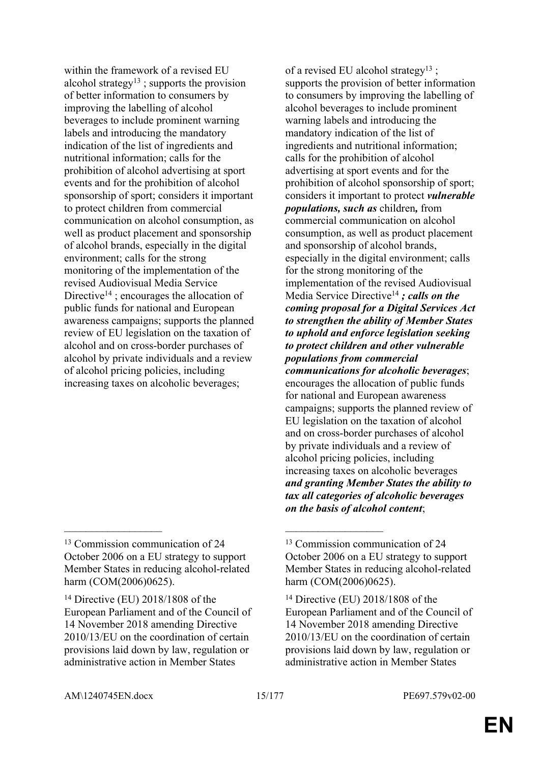within the framework of a revised EU alcohol strategy<sup>13</sup>; supports the provision of better information to consumers by improving the labelling of alcohol beverages to include prominent warning labels and introducing the mandatory indication of the list of ingredients and nutritional information; calls for the prohibition of alcohol advertising at sport events and for the prohibition of alcohol sponsorship of sport; considers it important to protect children from commercial communication on alcohol consumption, as well as product placement and sponsorship of alcohol brands, especially in the digital environment; calls for the strong monitoring of the implementation of the revised Audiovisual Media Service Directive<sup>14</sup>; encourages the allocation of public funds for national and European awareness campaigns; supports the planned review of EU legislation on the taxation of alcohol and on cross-border purchases of alcohol by private individuals and a review of alcohol pricing policies, including increasing taxes on alcoholic beverages;

 $\mathcal{L}_\text{max}$  and  $\mathcal{L}_\text{max}$  and  $\mathcal{L}_\text{max}$  and  $\mathcal{L}_\text{max}$ 

of a revised EU alcohol strategy<sup>13</sup>: supports the provision of better information to consumers by improving the labelling of alcohol beverages to include prominent warning labels and introducing the mandatory indication of the list of ingredients and nutritional information; calls for the prohibition of alcohol advertising at sport events and for the prohibition of alcohol sponsorship of sport; considers it important to protect *vulnerable populations, such as* children*,* from commercial communication on alcohol consumption, as well as product placement and sponsorship of alcohol brands, especially in the digital environment; calls for the strong monitoring of the implementation of the revised Audiovisual Media Service Directive<sup>14</sup> *; calls on the coming proposal for a Digital Services Act to strengthen the ability of Member States to uphold and enforce legislation seeking to protect children and other vulnerable populations from commercial communications for alcoholic beverages*; encourages the allocation of public funds for national and European awareness campaigns; supports the planned review of EU legislation on the taxation of alcohol and on cross-border purchases of alcohol by private individuals and a review of alcohol pricing policies, including increasing taxes on alcoholic beverages *and granting Member States the ability to tax all categories of alcoholic beverages on the basis of alcohol content*;

<sup>&</sup>lt;sup>13</sup> Commission communication of 24 October 2006 on a EU strategy to support Member States in reducing alcohol-related harm (COM(2006)0625).

<sup>14</sup> Directive (EU) 2018/1808 of the European Parliament and of the Council of 14 November 2018 amending Directive 2010/13/EU on the coordination of certain provisions laid down by law, regulation or administrative action in Member States

<sup>&</sup>lt;sup>13</sup> Commission communication of 24 October 2006 on a EU strategy to support Member States in reducing alcohol-related harm (COM(2006)0625).

<sup>14</sup> Directive (EU) 2018/1808 of the European Parliament and of the Council of 14 November 2018 amending Directive 2010/13/EU on the coordination of certain provisions laid down by law, regulation or administrative action in Member States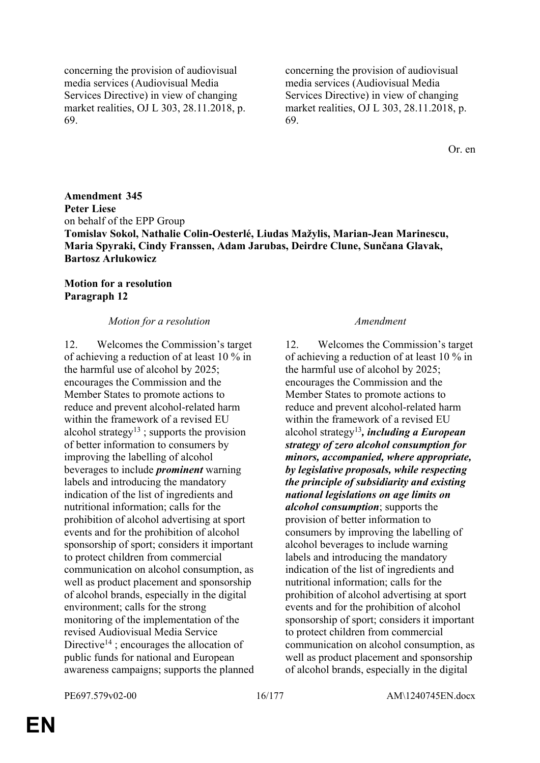concerning the provision of audiovisual media services (Audiovisual Media Services Directive) in view of changing market realities, OJ L 303, 28.11.2018, p. 69.

concerning the provision of audiovisual media services (Audiovisual Media Services Directive) in view of changing market realities, OJ L 303, 28.11.2018, p. 69.

Or. en

**Amendment 345 Peter Liese** on behalf of the EPP Group **Tomislav Sokol, Nathalie Colin-Oesterlé, Liudas Mažylis, Marian-Jean Marinescu, Maria Spyraki, Cindy Franssen, Adam Jarubas, Deirdre Clune, Sunčana Glavak, Bartosz Arłukowicz**

### **Motion for a resolution Paragraph 12**

#### *Motion for a resolution Amendment*

12. Welcomes the Commission's target of achieving a reduction of at least 10 % in the harmful use of alcohol by 2025; encourages the Commission and the Member States to promote actions to reduce and prevent alcohol-related harm within the framework of a revised EU alcohol strategy<sup>13</sup>; supports the provision of better information to consumers by improving the labelling of alcohol beverages to include *prominent* warning labels and introducing the mandatory indication of the list of ingredients and nutritional information; calls for the prohibition of alcohol advertising at sport events and for the prohibition of alcohol sponsorship of sport; considers it important to protect children from commercial communication on alcohol consumption, as well as product placement and sponsorship of alcohol brands, especially in the digital environment; calls for the strong monitoring of the implementation of the revised Audiovisual Media Service Directive<sup>14</sup>; encourages the allocation of public funds for national and European awareness campaigns; supports the planned

12. Welcomes the Commission's target of achieving a reduction of at least 10 % in the harmful use of alcohol by 2025; encourages the Commission and the Member States to promote actions to reduce and prevent alcohol-related harm within the framework of a revised EU alcohol strategy<sup>13</sup>*, including a European strategy of zero alcohol consumption for minors, accompanied, where appropriate, by legislative proposals, while respecting the principle of subsidiarity and existing national legislations on age limits on alcohol consumption*; supports the provision of better information to consumers by improving the labelling of alcohol beverages to include warning labels and introducing the mandatory indication of the list of ingredients and nutritional information; calls for the prohibition of alcohol advertising at sport events and for the prohibition of alcohol sponsorship of sport; considers it important to protect children from commercial communication on alcohol consumption, as well as product placement and sponsorship of alcohol brands, especially in the digital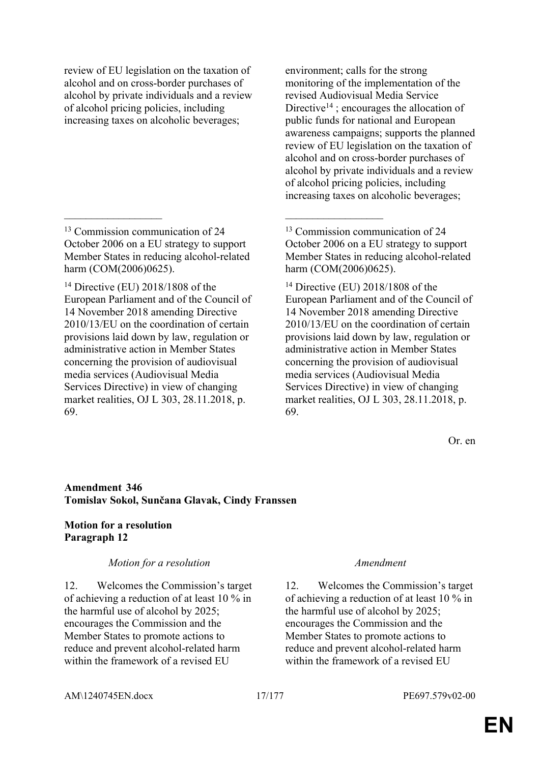review of EU legislation on the taxation of alcohol and on cross-border purchases of alcohol by private individuals and a review of alcohol pricing policies, including increasing taxes on alcoholic beverages;

<sup>13</sup> Commission communication of 24 October 2006 on a EU strategy to support Member States in reducing alcohol-related harm (COM(2006)0625).

 $\mathcal{L}_\mathcal{L}$  , and the contribution of the contribution of the contribution of the contribution of the contribution of the contribution of the contribution of the contribution of the contribution of the contribution of

<sup>14</sup> Directive (EU) 2018/1808 of the European Parliament and of the Council of 14 November 2018 amending Directive 2010/13/EU on the coordination of certain provisions laid down by law, regulation or administrative action in Member States concerning the provision of audiovisual media services (Audiovisual Media Services Directive) in view of changing market realities, OJ L 303, 28.11.2018, p. 69.

environment; calls for the strong monitoring of the implementation of the revised Audiovisual Media Service Directive<sup>14</sup>; encourages the allocation of public funds for national and European awareness campaigns; supports the planned review of EU legislation on the taxation of alcohol and on cross-border purchases of alcohol by private individuals and a review of alcohol pricing policies, including increasing taxes on alcoholic beverages;

Or. en

### **Amendment 346 Tomislav Sokol, Sunčana Glavak, Cindy Franssen**

### **Motion for a resolution Paragraph 12**

### *Motion for a resolution Amendment*

12. Welcomes the Commission's target of achieving a reduction of at least 10 % in the harmful use of alcohol by 2025; encourages the Commission and the Member States to promote actions to reduce and prevent alcohol-related harm within the framework of a revised EU

12. Welcomes the Commission's target of achieving a reduction of at least 10 % in the harmful use of alcohol by 2025; encourages the Commission and the Member States to promote actions to reduce and prevent alcohol-related harm within the framework of a revised EU

<sup>13</sup> Commission communication of 24 October 2006 on a EU strategy to support Member States in reducing alcohol-related harm (COM(2006)0625).

<sup>14</sup> Directive (EU) 2018/1808 of the European Parliament and of the Council of 14 November 2018 amending Directive 2010/13/EU on the coordination of certain provisions laid down by law, regulation or administrative action in Member States concerning the provision of audiovisual media services (Audiovisual Media Services Directive) in view of changing market realities, OJ L 303, 28.11.2018, p. 69.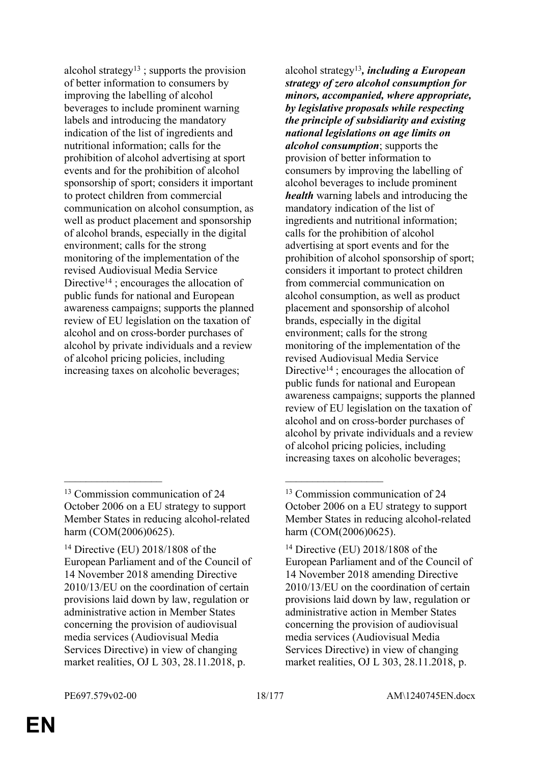alcohol strategy<sup>13</sup>; supports the provision of better information to consumers by improving the labelling of alcohol beverages to include prominent warning labels and introducing the mandatory indication of the list of ingredients and nutritional information; calls for the prohibition of alcohol advertising at sport events and for the prohibition of alcohol sponsorship of sport; considers it important to protect children from commercial communication on alcohol consumption, as well as product placement and sponsorship of alcohol brands, especially in the digital environment; calls for the strong monitoring of the implementation of the revised Audiovisual Media Service Directive<sup>14</sup>; encourages the allocation of public funds for national and European awareness campaigns; supports the planned review of EU legislation on the taxation of alcohol and on cross-border purchases of alcohol by private individuals and a review of alcohol pricing policies, including increasing taxes on alcoholic beverages;

 $\mathcal{L}_\mathcal{L}$  , and the contribution of the contribution of the contribution of the contribution of the contribution of the contribution of the contribution of the contribution of the contribution of the contribution of

alcohol strategy<sup>13</sup>*, including a European strategy of zero alcohol consumption for minors, accompanied, where appropriate, by legislative proposals while respecting the principle of subsidiarity and existing national legislations on age limits on alcohol consumption*; supports the provision of better information to consumers by improving the labelling of alcohol beverages to include prominent *health* warning labels and introducing the mandatory indication of the list of ingredients and nutritional information; calls for the prohibition of alcohol advertising at sport events and for the prohibition of alcohol sponsorship of sport; considers it important to protect children from commercial communication on alcohol consumption, as well as product placement and sponsorship of alcohol brands, especially in the digital environment; calls for the strong monitoring of the implementation of the revised Audiovisual Media Service Directive<sup>14</sup>; encourages the allocation of public funds for national and European awareness campaigns; supports the planned review of EU legislation on the taxation of alcohol and on cross-border purchases of alcohol by private individuals and a review of alcohol pricing policies, including increasing taxes on alcoholic beverages;

<sup>&</sup>lt;sup>13</sup> Commission communication of 24 October 2006 on a EU strategy to support Member States in reducing alcohol-related harm (COM(2006)0625).

<sup>14</sup> Directive (EU) 2018/1808 of the European Parliament and of the Council of 14 November 2018 amending Directive 2010/13/EU on the coordination of certain provisions laid down by law, regulation or administrative action in Member States concerning the provision of audiovisual media services (Audiovisual Media Services Directive) in view of changing market realities, OJ L 303, 28.11.2018, p.

<sup>13</sup> Commission communication of 24 October 2006 on a EU strategy to support Member States in reducing alcohol-related harm (COM(2006)0625).

<sup>14</sup> Directive (EU) 2018/1808 of the European Parliament and of the Council of 14 November 2018 amending Directive 2010/13/EU on the coordination of certain provisions laid down by law, regulation or administrative action in Member States concerning the provision of audiovisual media services (Audiovisual Media Services Directive) in view of changing market realities, OJ L 303, 28.11.2018, p.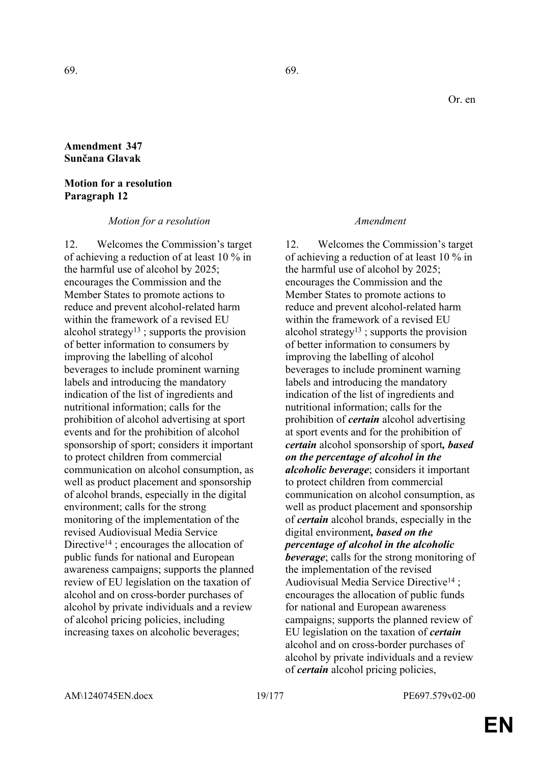### **Amendment 347 Sunčana Glavak**

#### **Motion for a resolution Paragraph 12**

*Motion for a resolution Amendment*

12. Welcomes the Commission's target of achieving a reduction of at least 10 % in the harmful use of alcohol by 2025; encourages the Commission and the Member States to promote actions to reduce and prevent alcohol-related harm within the framework of a revised EU alcohol strategy<sup>13</sup>; supports the provision of better information to consumers by improving the labelling of alcohol beverages to include prominent warning labels and introducing the mandatory indication of the list of ingredients and nutritional information; calls for the prohibition of alcohol advertising at sport events and for the prohibition of alcohol sponsorship of sport; considers it important to protect children from commercial communication on alcohol consumption, as well as product placement and sponsorship of alcohol brands, especially in the digital environment; calls for the strong monitoring of the implementation of the revised Audiovisual Media Service Directive<sup>14</sup>; encourages the allocation of public funds for national and European awareness campaigns; supports the planned review of EU legislation on the taxation of alcohol and on cross-border purchases of alcohol by private individuals and a review of alcohol pricing policies, including increasing taxes on alcoholic beverages;

12. Welcomes the Commission's target of achieving a reduction of at least 10 % in the harmful use of alcohol by 2025; encourages the Commission and the Member States to promote actions to reduce and prevent alcohol-related harm within the framework of a revised EU alcohol strategy<sup>13</sup>; supports the provision of better information to consumers by improving the labelling of alcohol beverages to include prominent warning labels and introducing the mandatory indication of the list of ingredients and nutritional information; calls for the prohibition of *certain* alcohol advertising at sport events and for the prohibition of *certain* alcohol sponsorship of sport*, based on the percentage of alcohol in the alcoholic beverage*; considers it important to protect children from commercial communication on alcohol consumption, as well as product placement and sponsorship of *certain* alcohol brands, especially in the digital environment*, based on the percentage of alcohol in the alcoholic beverage*; calls for the strong monitoring of the implementation of the revised Audiovisual Media Service Directive<sup>14</sup>; encourages the allocation of public funds for national and European awareness campaigns; supports the planned review of EU legislation on the taxation of *certain* alcohol and on cross-border purchases of alcohol by private individuals and a review of *certain* alcohol pricing policies,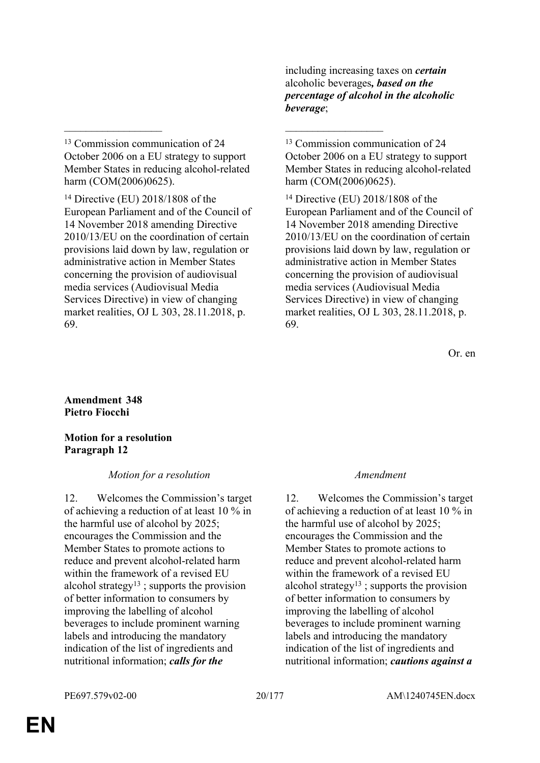<sup>13</sup> Commission communication of 24 October 2006 on a EU strategy to support Member States in reducing alcohol-related harm (COM(2006)0625).

 $\mathcal{L}_\mathcal{L}$  , and the contribution of the contribution of the contribution of the contribution of the contribution of the contribution of the contribution of the contribution of the contribution of the contribution of

<sup>14</sup> Directive (EU) 2018/1808 of the European Parliament and of the Council of 14 November 2018 amending Directive 2010/13/EU on the coordination of certain provisions laid down by law, regulation or administrative action in Member States concerning the provision of audiovisual media services (Audiovisual Media Services Directive) in view of changing market realities, OJ L 303, 28.11.2018, p. 69.

including increasing taxes on *certain* alcoholic beverages*, based on the percentage of alcohol in the alcoholic beverage*;

<sup>13</sup> Commission communication of 24 October 2006 on a EU strategy to support Member States in reducing alcohol-related harm (COM(2006)0625).

<sup>14</sup> Directive (EU) 2018/1808 of the European Parliament and of the Council of 14 November 2018 amending Directive 2010/13/EU on the coordination of certain provisions laid down by law, regulation or administrative action in Member States concerning the provision of audiovisual media services (Audiovisual Media Services Directive) in view of changing market realities, OJ L 303, 28.11.2018, p. 69.

Or. en

**Amendment 348 Pietro Fiocchi**

**Motion for a resolution Paragraph 12**

#### *Motion for a resolution Amendment*

12. Welcomes the Commission's target of achieving a reduction of at least 10 % in the harmful use of alcohol by 2025; encourages the Commission and the Member States to promote actions to reduce and prevent alcohol-related harm within the framework of a revised EU alcohol strategy<sup>13</sup>; supports the provision of better information to consumers by improving the labelling of alcohol beverages to include prominent warning labels and introducing the mandatory indication of the list of ingredients and nutritional information; *calls for the* 

12. Welcomes the Commission's target of achieving a reduction of at least 10 % in the harmful use of alcohol by 2025; encourages the Commission and the Member States to promote actions to reduce and prevent alcohol-related harm within the framework of a revised EU alcohol strategy<sup>13</sup>; supports the provision of better information to consumers by improving the labelling of alcohol beverages to include prominent warning labels and introducing the mandatory indication of the list of ingredients and nutritional information; *cautions against a*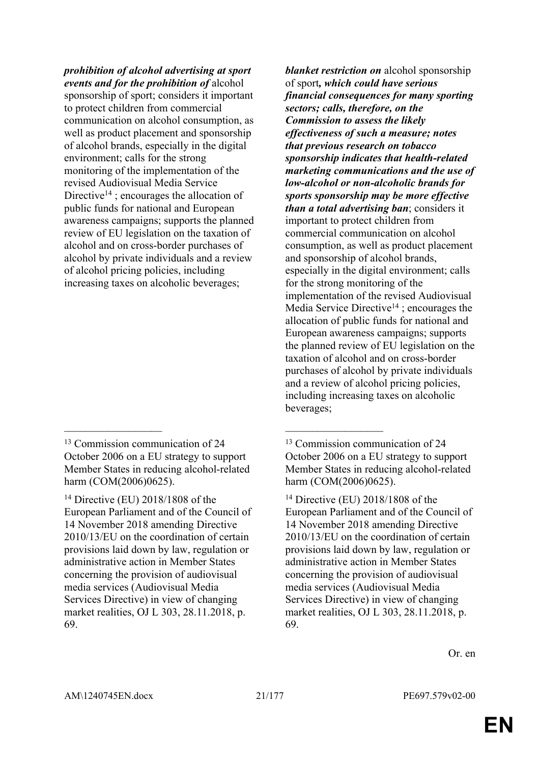*prohibition of alcohol advertising at sport events and for the prohibition of* alcohol sponsorship of sport; considers it important to protect children from commercial communication on alcohol consumption, as well as product placement and sponsorship of alcohol brands, especially in the digital environment; calls for the strong monitoring of the implementation of the revised Audiovisual Media Service Directive<sup>14</sup> ; encourages the allocation of public funds for national and European awareness campaigns; supports the planned review of EU legislation on the taxation of alcohol and on cross-border purchases of alcohol by private individuals and a review of alcohol pricing policies, including increasing taxes on alcoholic beverages;

 $\mathcal{L}_\mathcal{L}$  , and the contribution of the contribution of the contribution of the contribution of the contribution of the contribution of the contribution of the contribution of the contribution of the contribution of

*blanket restriction on* alcohol sponsorship of sport*, which could have serious financial consequences for many sporting sectors; calls, therefore, on the Commission to assess the likely effectiveness of such a measure; notes that previous research on tobacco sponsorship indicates that health-related marketing communications and the use of low-alcohol or non-alcoholic brands for sports sponsorship may be more effective than a total advertising ban*; considers it important to protect children from commercial communication on alcohol consumption, as well as product placement and sponsorship of alcohol brands, especially in the digital environment; calls for the strong monitoring of the implementation of the revised Audiovisual Media Service Directive<sup>14</sup>; encourages the allocation of public funds for national and European awareness campaigns; supports the planned review of EU legislation on the taxation of alcohol and on cross-border purchases of alcohol by private individuals and a review of alcohol pricing policies, including increasing taxes on alcoholic beverages;

<sup>13</sup> Commission communication of 24 October 2006 on a EU strategy to support Member States in reducing alcohol-related harm (COM(2006)0625).

<sup>14</sup> Directive (EU) 2018/1808 of the European Parliament and of the Council of 14 November 2018 amending Directive 2010/13/EU on the coordination of certain provisions laid down by law, regulation or administrative action in Member States concerning the provision of audiovisual media services (Audiovisual Media Services Directive) in view of changing market realities, OJ L 303, 28.11.2018, p. 69.

<sup>&</sup>lt;sup>13</sup> Commission communication of 24 October 2006 on a EU strategy to support Member States in reducing alcohol-related harm (COM(2006)0625).

<sup>14</sup> Directive (EU) 2018/1808 of the European Parliament and of the Council of 14 November 2018 amending Directive 2010/13/EU on the coordination of certain provisions laid down by law, regulation or administrative action in Member States concerning the provision of audiovisual media services (Audiovisual Media Services Directive) in view of changing market realities, OJ L 303, 28.11.2018, p. 69.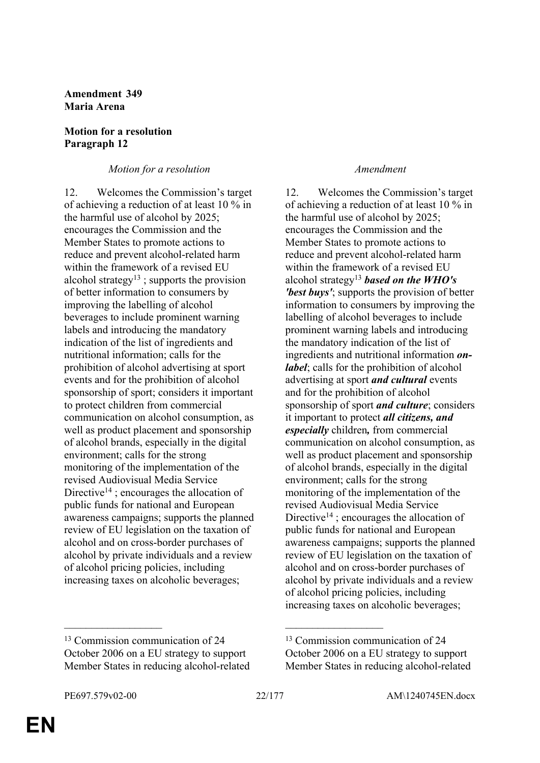**Amendment 349 Maria Arena**

#### **Motion for a resolution Paragraph 12**

### *Motion for a resolution Amendment*

12. Welcomes the Commission's target of achieving a reduction of at least 10 % in the harmful use of alcohol by 2025; encourages the Commission and the Member States to promote actions to reduce and prevent alcohol-related harm within the framework of a revised EU alcohol strategy<sup>13</sup>; supports the provision of better information to consumers by improving the labelling of alcohol beverages to include prominent warning labels and introducing the mandatory indication of the list of ingredients and nutritional information; calls for the prohibition of alcohol advertising at sport events and for the prohibition of alcohol sponsorship of sport; considers it important to protect children from commercial communication on alcohol consumption, as well as product placement and sponsorship of alcohol brands, especially in the digital environment; calls for the strong monitoring of the implementation of the revised Audiovisual Media Service Directive<sup>14</sup>; encourages the allocation of public funds for national and European awareness campaigns; supports the planned review of EU legislation on the taxation of alcohol and on cross-border purchases of alcohol by private individuals and a review of alcohol pricing policies, including increasing taxes on alcoholic beverages;

#### <sup>13</sup> Commission communication of 24 October 2006 on a EU strategy to support Member States in reducing alcohol-related

12. Welcomes the Commission's target of achieving a reduction of at least 10 % in the harmful use of alcohol by 2025; encourages the Commission and the Member States to promote actions to reduce and prevent alcohol-related harm within the framework of a revised EU alcohol strategy<sup>13</sup> *based on the WHO's 'best buys'*; supports the provision of better information to consumers by improving the labelling of alcohol beverages to include prominent warning labels and introducing the mandatory indication of the list of ingredients and nutritional information *onlabel*; calls for the prohibition of alcohol advertising at sport *and cultural* events and for the prohibition of alcohol sponsorship of sport *and culture*; considers it important to protect *all citizens, and especially* children*,* from commercial communication on alcohol consumption, as well as product placement and sponsorship of alcohol brands, especially in the digital environment; calls for the strong monitoring of the implementation of the revised Audiovisual Media Service Directive<sup>14</sup>; encourages the allocation of public funds for national and European awareness campaigns; supports the planned review of EU legislation on the taxation of alcohol and on cross-border purchases of alcohol by private individuals and a review of alcohol pricing policies, including increasing taxes on alcoholic beverages;

 $\mathcal{L}_\mathcal{L}$  , and the contribution of the contribution of the contribution of the contribution of the contribution of the contribution of the contribution of the contribution of the contribution of the contribution of

<sup>13</sup> Commission communication of 24 October 2006 on a EU strategy to support Member States in reducing alcohol-related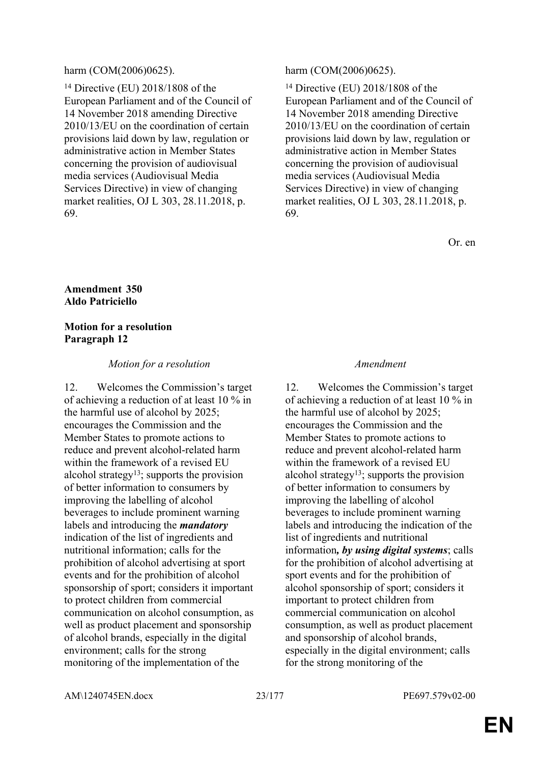#### harm (COM(2006)0625). harm (COM(2006)0625).

<sup>14</sup> Directive (EU) 2018/1808 of the European Parliament and of the Council of 14 November 2018 amending Directive 2010/13/EU on the coordination of certain provisions laid down by law, regulation or administrative action in Member States concerning the provision of audiovisual media services (Audiovisual Media Services Directive) in view of changing market realities, OJ L 303, 28.11.2018, p. 69.

<sup>14</sup> Directive (EU) 2018/1808 of the European Parliament and of the Council of 14 November 2018 amending Directive 2010/13/EU on the coordination of certain provisions laid down by law, regulation or administrative action in Member States concerning the provision of audiovisual media services (Audiovisual Media Services Directive) in view of changing market realities, OJ L 303, 28.11.2018, p. 69.

Or. en

#### **Amendment 350 Aldo Patriciello**

#### **Motion for a resolution Paragraph 12**

#### *Motion for a resolution Amendment*

12. Welcomes the Commission's target of achieving a reduction of at least 10 % in the harmful use of alcohol by 2025; encourages the Commission and the Member States to promote actions to reduce and prevent alcohol-related harm within the framework of a revised EU alcohol strategy<sup>13</sup>; supports the provision of better information to consumers by improving the labelling of alcohol beverages to include prominent warning labels and introducing the *mandatory*  indication of the list of ingredients and nutritional information; calls for the prohibition of alcohol advertising at sport events and for the prohibition of alcohol sponsorship of sport; considers it important to protect children from commercial communication on alcohol consumption, as well as product placement and sponsorship of alcohol brands, especially in the digital environment; calls for the strong monitoring of the implementation of the

12. Welcomes the Commission's target of achieving a reduction of at least 10 % in the harmful use of alcohol by 2025; encourages the Commission and the Member States to promote actions to reduce and prevent alcohol-related harm within the framework of a revised EU alcohol strategy<sup>13</sup>; supports the provision of better information to consumers by improving the labelling of alcohol beverages to include prominent warning labels and introducing the indication of the list of ingredients and nutritional information*, by using digital systems*; calls for the prohibition of alcohol advertising at sport events and for the prohibition of alcohol sponsorship of sport; considers it important to protect children from commercial communication on alcohol consumption, as well as product placement and sponsorship of alcohol brands, especially in the digital environment; calls for the strong monitoring of the

AM\1240745EN.docx 23/177 PE697.579v02-00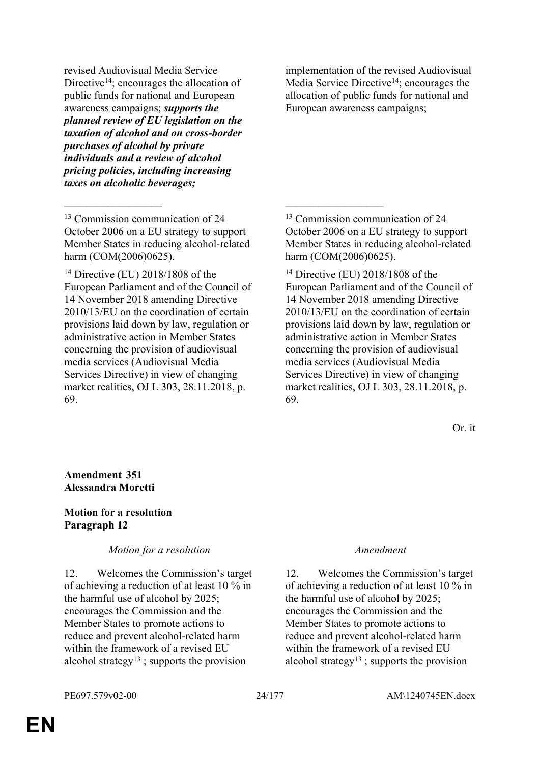revised Audiovisual Media Service Directive<sup>14</sup>; encourages the allocation of public funds for national and European awareness campaigns; *supports the planned review of EU legislation on the taxation of alcohol and on cross-border purchases of alcohol by private individuals and a review of alcohol pricing policies, including increasing taxes on alcoholic beverages;*

<sup>13</sup> Commission communication of 24 October 2006 on a EU strategy to support Member States in reducing alcohol-related harm (COM(2006)0625).

 $\mathcal{L}_\mathcal{L}$  , and the contribution of the contribution of the contribution of the contribution of the contribution of the contribution of the contribution of the contribution of the contribution of the contribution of

<sup>14</sup> Directive (EU) 2018/1808 of the European Parliament and of the Council of 14 November 2018 amending Directive 2010/13/EU on the coordination of certain provisions laid down by law, regulation or administrative action in Member States concerning the provision of audiovisual media services (Audiovisual Media Services Directive) in view of changing market realities, OJ L 303, 28.11.2018, p. 69.

implementation of the revised Audiovisual Media Service Directive<sup>14</sup>; encourages the allocation of public funds for national and European awareness campaigns;

<sup>13</sup> Commission communication of 24 October 2006 on a EU strategy to support Member States in reducing alcohol-related harm (COM(2006)0625).

<sup>14</sup> Directive (EU) 2018/1808 of the European Parliament and of the Council of 14 November 2018 amending Directive 2010/13/EU on the coordination of certain provisions laid down by law, regulation or administrative action in Member States concerning the provision of audiovisual media services (Audiovisual Media Services Directive) in view of changing market realities, OJ L 303, 28.11.2018, p. 69.

Or. it

### **Amendment 351 Alessandra Moretti**

### **Motion for a resolution Paragraph 12**

*Motion for a resolution Amendment*

12. Welcomes the Commission's target of achieving a reduction of at least 10 % in the harmful use of alcohol by 2025; encourages the Commission and the Member States to promote actions to reduce and prevent alcohol-related harm within the framework of a revised EU alcohol strategy<sup>13</sup> ; supports the provision

12. Welcomes the Commission's target of achieving a reduction of at least 10 % in the harmful use of alcohol by 2025; encourages the Commission and the Member States to promote actions to reduce and prevent alcohol-related harm within the framework of a revised EU alcohol strategy13 ; supports the provision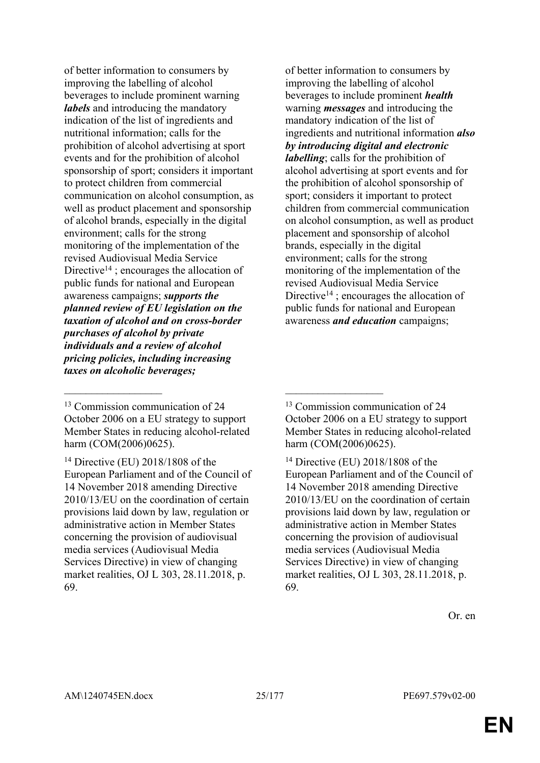of better information to consumers by improving the labelling of alcohol beverages to include prominent warning *labels* and introducing the mandatory indication of the list of ingredients and nutritional information; calls for the prohibition of alcohol advertising at sport events and for the prohibition of alcohol sponsorship of sport; considers it important to protect children from commercial communication on alcohol consumption, as well as product placement and sponsorship of alcohol brands, especially in the digital environment; calls for the strong monitoring of the implementation of the revised Audiovisual Media Service Directive<sup>14</sup>; encourages the allocation of public funds for national and European awareness campaigns; *supports the planned review of EU legislation on the taxation of alcohol and on cross-border purchases of alcohol by private individuals and a review of alcohol pricing policies, including increasing taxes on alcoholic beverages;*

 $\mathcal{L}_\mathcal{L}$  , and the contribution of the contribution of the contribution of the contribution of the contribution of the contribution of the contribution of the contribution of the contribution of the contribution of

of better information to consumers by improving the labelling of alcohol beverages to include prominent *health* warning *messages* and introducing the mandatory indication of the list of ingredients and nutritional information *also by introducing digital and electronic labelling*; calls for the prohibition of alcohol advertising at sport events and for the prohibition of alcohol sponsorship of sport; considers it important to protect children from commercial communication on alcohol consumption, as well as product placement and sponsorship of alcohol brands, especially in the digital environment; calls for the strong monitoring of the implementation of the revised Audiovisual Media Service Directive<sup>14</sup>; encourages the allocation of public funds for national and European awareness *and education* campaigns;

<sup>14</sup> Directive (EU) 2018/1808 of the European Parliament and of the Council of 14 November 2018 amending Directive 2010/13/EU on the coordination of certain provisions laid down by law, regulation or administrative action in Member States concerning the provision of audiovisual media services (Audiovisual Media Services Directive) in view of changing market realities, OJ L 303, 28.11.2018, p. 69.

<sup>&</sup>lt;sup>13</sup> Commission communication of 24 October 2006 on a EU strategy to support Member States in reducing alcohol-related harm (COM(2006)0625).

<sup>14</sup> Directive (EU) 2018/1808 of the European Parliament and of the Council of 14 November 2018 amending Directive 2010/13/EU on the coordination of certain provisions laid down by law, regulation or administrative action in Member States concerning the provision of audiovisual media services (Audiovisual Media Services Directive) in view of changing market realities, OJ L 303, 28.11.2018, p. 69.

<sup>&</sup>lt;sup>13</sup> Commission communication of 24 October 2006 on a EU strategy to support Member States in reducing alcohol-related harm (COM(2006)0625).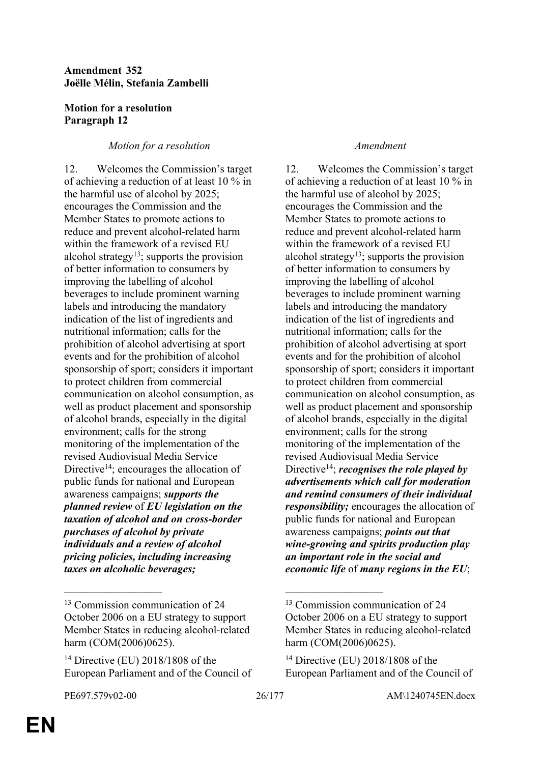### **Amendment 352 Joëlle Mélin, Stefania Zambelli**

### **Motion for a resolution Paragraph 12**

### *Motion for a resolution Amendment*

12. Welcomes the Commission's target of achieving a reduction of at least 10 % in the harmful use of alcohol by 2025; encourages the Commission and the Member States to promote actions to reduce and prevent alcohol-related harm within the framework of a revised EU alcohol strategy<sup>13</sup>; supports the provision of better information to consumers by improving the labelling of alcohol beverages to include prominent warning labels and introducing the mandatory indication of the list of ingredients and nutritional information; calls for the prohibition of alcohol advertising at sport events and for the prohibition of alcohol sponsorship of sport; considers it important to protect children from commercial communication on alcohol consumption, as well as product placement and sponsorship of alcohol brands, especially in the digital environment; calls for the strong monitoring of the implementation of the revised Audiovisual Media Service Directive<sup>14</sup>; encourages the allocation of public funds for national and European awareness campaigns; *supports the planned review* of *EU legislation on the taxation of alcohol and on cross-border purchases of alcohol by private individuals and a review of alcohol pricing policies, including increasing taxes on alcoholic beverages;*

12. Welcomes the Commission's target of achieving a reduction of at least 10 % in the harmful use of alcohol by 2025; encourages the Commission and the Member States to promote actions to reduce and prevent alcohol-related harm within the framework of a revised EU alcohol strategy<sup>13</sup>; supports the provision of better information to consumers by improving the labelling of alcohol beverages to include prominent warning labels and introducing the mandatory indication of the list of ingredients and nutritional information; calls for the prohibition of alcohol advertising at sport events and for the prohibition of alcohol sponsorship of sport; considers it important to protect children from commercial communication on alcohol consumption, as well as product placement and sponsorship of alcohol brands, especially in the digital environment; calls for the strong monitoring of the implementation of the revised Audiovisual Media Service Directive<sup>14</sup>; *recognises the role played by advertisements which call for moderation and remind consumers of their individual responsibility;* encourages the allocation of public funds for national and European awareness campaigns; *points out that wine-growing and spirits production play an important role in the social and economic life* of *many regions in the EU*;

 $\mathcal{L}_\mathcal{L}$  , and the contribution of the contribution of the contribution of the contribution of the contribution of the contribution of the contribution of the contribution of the contribution of the contribution of

<sup>&</sup>lt;sup>13</sup> Commission communication of 24 October 2006 on a EU strategy to support Member States in reducing alcohol-related harm (COM(2006)0625).

<sup>14</sup> Directive (EU) 2018/1808 of the European Parliament and of the Council of

<sup>13</sup> Commission communication of 24 October 2006 on a EU strategy to support Member States in reducing alcohol-related harm (COM(2006)0625).

<sup>14</sup> Directive (EU) 2018/1808 of the European Parliament and of the Council of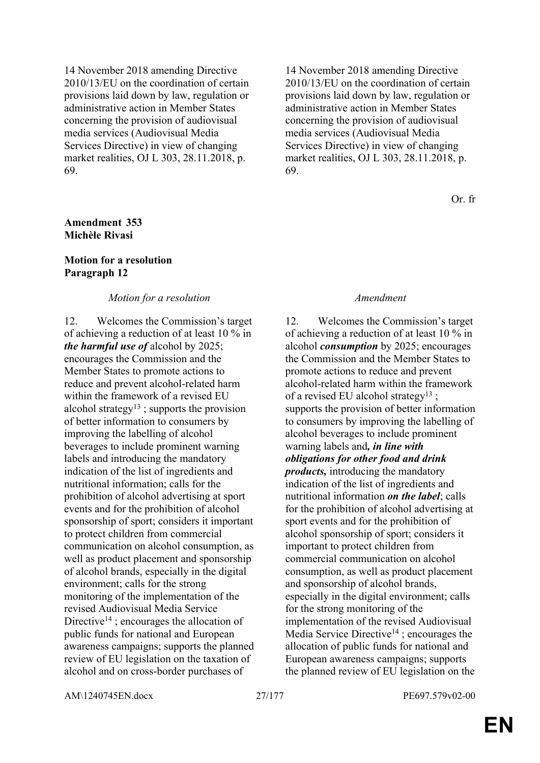14 November 2018 amending Directive 2010/13/EU on the coordination of certain provisions laid down by law, regulation or administrative action in Member States concerning the provision of audiovisual media services (Audiovisual Media Services Directive) in view of changing market realities, OJ L 303, 28.11.2018, p. 69.

#### **Amendment 353 Michèle Rivasi**

#### **Motion for a resolution Paragraph 12**

#### *Motion for a resolution Amendment*

12. Welcomes the Commission's target of achieving a reduction of at least 10 % in *the harmful use of* alcohol by 2025; encourages the Commission and the Member States to promote actions to reduce and prevent alcohol-related harm within the framework of a revised EU alcohol strategy<sup>13</sup>; supports the provision of better information to consumers by improving the labelling of alcohol beverages to include prominent warning labels and introducing the mandatory indication of the list of ingredients and nutritional information; calls for the prohibition of alcohol advertising at sport events and for the prohibition of alcohol sponsorship of sport; considers it important to protect children from commercial communication on alcohol consumption, as well as product placement and sponsorship of alcohol brands, especially in the digital environment; calls for the strong monitoring of the implementation of the revised Audiovisual Media Service Directive<sup>14</sup>; encourages the allocation of public funds for national and European awareness campaigns; supports the planned review of EU legislation on the taxation of alcohol and on cross-border purchases of

14 November 2018 amending Directive 2010/13/EU on the coordination of certain provisions laid down by law, regulation or administrative action in Member States concerning the provision of audiovisual media services (Audiovisual Media Services Directive) in view of changing market realities, OJ L 303, 28.11.2018, p. 69.

Or. fr

12. Welcomes the Commission's target of achieving a reduction of at least 10 % in alcohol *consumption* by 2025; encourages the Commission and the Member States to promote actions to reduce and prevent alcohol-related harm within the framework of a revised EU alcohol strategy<sup>13</sup> ; supports the provision of better information to consumers by improving the labelling of alcohol beverages to include prominent warning labels and*, in line with obligations for other food and drink products,* introducing the mandatory indication of the list of ingredients and nutritional information *on the label*; calls for the prohibition of alcohol advertising at sport events and for the prohibition of alcohol sponsorship of sport; considers it important to protect children from commercial communication on alcohol consumption, as well as product placement and sponsorship of alcohol brands, especially in the digital environment; calls for the strong monitoring of the implementation of the revised Audiovisual Media Service Directive<sup>14</sup>; encourages the allocation of public funds for national and European awareness campaigns; supports the planned review of EU legislation on the

AM\1240745EN.docx 27/177 PE697.579v02-00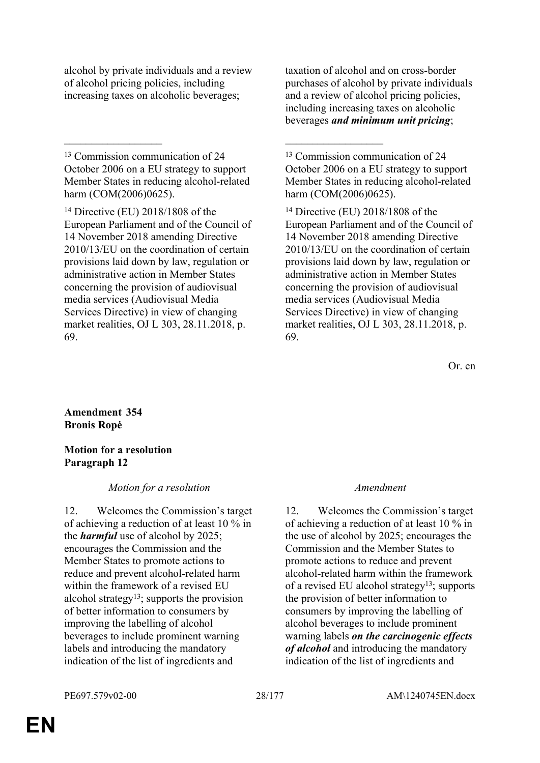alcohol by private individuals and a review of alcohol pricing policies, including increasing taxes on alcoholic beverages;

<sup>13</sup> Commission communication of 24 October 2006 on a EU strategy to support Member States in reducing alcohol-related harm (COM(2006)0625).

 $\mathcal{L}_\mathcal{L}$  , and the contribution of the contribution of the contribution of the contribution of the contribution of the contribution of the contribution of the contribution of the contribution of the contribution of

<sup>14</sup> Directive (EU) 2018/1808 of the European Parliament and of the Council of 14 November 2018 amending Directive 2010/13/EU on the coordination of certain provisions laid down by law, regulation or administrative action in Member States concerning the provision of audiovisual media services (Audiovisual Media Services Directive) in view of changing market realities, OJ L 303, 28.11.2018, p. 69.

taxation of alcohol and on cross-border purchases of alcohol by private individuals and a review of alcohol pricing policies, including increasing taxes on alcoholic beverages *and minimum unit pricing*;

<sup>13</sup> Commission communication of 24 October 2006 on a EU strategy to support Member States in reducing alcohol-related harm (COM(2006)0625).

<sup>14</sup> Directive (EU) 2018/1808 of the European Parliament and of the Council of 14 November 2018 amending Directive 2010/13/EU on the coordination of certain provisions laid down by law, regulation or administrative action in Member States concerning the provision of audiovisual media services (Audiovisual Media Services Directive) in view of changing market realities, OJ L 303, 28.11.2018, p. 69.

Or. en

### **Amendment 354 Bronis Ropė**

### **Motion for a resolution Paragraph 12**

### *Motion for a resolution Amendment*

12. Welcomes the Commission's target of achieving a reduction of at least 10 % in the *harmful* use of alcohol by 2025; encourages the Commission and the Member States to promote actions to reduce and prevent alcohol-related harm within the framework of a revised EU alcohol strategy<sup>13</sup>; supports the provision of better information to consumers by improving the labelling of alcohol beverages to include prominent warning labels and introducing the mandatory indication of the list of ingredients and

12. Welcomes the Commission's target of achieving a reduction of at least 10 % in the use of alcohol by 2025; encourages the Commission and the Member States to promote actions to reduce and prevent alcohol-related harm within the framework of a revised EU alcohol strategy<sup>13</sup>; supports the provision of better information to consumers by improving the labelling of alcohol beverages to include prominent warning labels *on the carcinogenic effects of alcohol* and introducing the mandatory indication of the list of ingredients and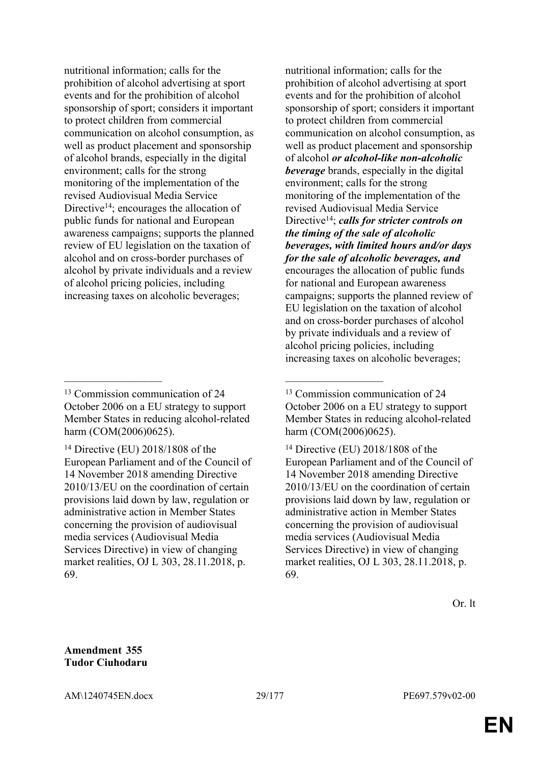nutritional information; calls for the prohibition of alcohol advertising at sport events and for the prohibition of alcohol sponsorship of sport; considers it important to protect children from commercial communication on alcohol consumption, as well as product placement and sponsorship of alcohol brands, especially in the digital environment; calls for the strong monitoring of the implementation of the revised Audiovisual Media Service Directive<sup>14</sup>; encourages the allocation of public funds for national and European awareness campaigns; supports the planned review of EU legislation on the taxation of alcohol and on cross-border purchases of alcohol by private individuals and a review of alcohol pricing policies, including increasing taxes on alcoholic beverages;

 $\mathcal{L}_\mathcal{L}$  , and the contribution of the contribution of the contribution of the contribution of the contribution of the contribution of the contribution of the contribution of the contribution of the contribution of

nutritional information; calls for the prohibition of alcohol advertising at sport events and for the prohibition of alcohol sponsorship of sport; considers it important to protect children from commercial communication on alcohol consumption, as well as product placement and sponsorship of alcohol *or alcohol-like non-alcoholic beverage* brands, especially in the digital environment; calls for the strong monitoring of the implementation of the revised Audiovisual Media Service Directive<sup>14</sup>; *calls for stricter controls on the timing of the sale of alcoholic beverages, with limited hours and/or days for the sale of alcoholic beverages, and* encourages the allocation of public funds for national and European awareness campaigns; supports the planned review of EU legislation on the taxation of alcohol and on cross-border purchases of alcohol by private individuals and a review of alcohol pricing policies, including increasing taxes on alcoholic beverages;

<sup>14</sup> Directive (EU) 2018/1808 of the European Parliament and of the Council of 14 November 2018 amending Directive 2010/13/EU on the coordination of certain provisions laid down by law, regulation or administrative action in Member States concerning the provision of audiovisual media services (Audiovisual Media Services Directive) in view of changing market realities, OJ L 303, 28.11.2018, p. 69.

**Amendment 355 Tudor Ciuhodaru**

<sup>&</sup>lt;sup>13</sup> Commission communication of 24 October 2006 on a EU strategy to support Member States in reducing alcohol-related harm (COM(2006)0625).

<sup>14</sup> Directive (EU) 2018/1808 of the European Parliament and of the Council of 14 November 2018 amending Directive 2010/13/EU on the coordination of certain provisions laid down by law, regulation or administrative action in Member States concerning the provision of audiovisual media services (Audiovisual Media Services Directive) in view of changing market realities, OJ L 303, 28.11.2018, p. 69.

<sup>&</sup>lt;sup>13</sup> Commission communication of 24 October 2006 on a EU strategy to support Member States in reducing alcohol-related harm (COM(2006)0625).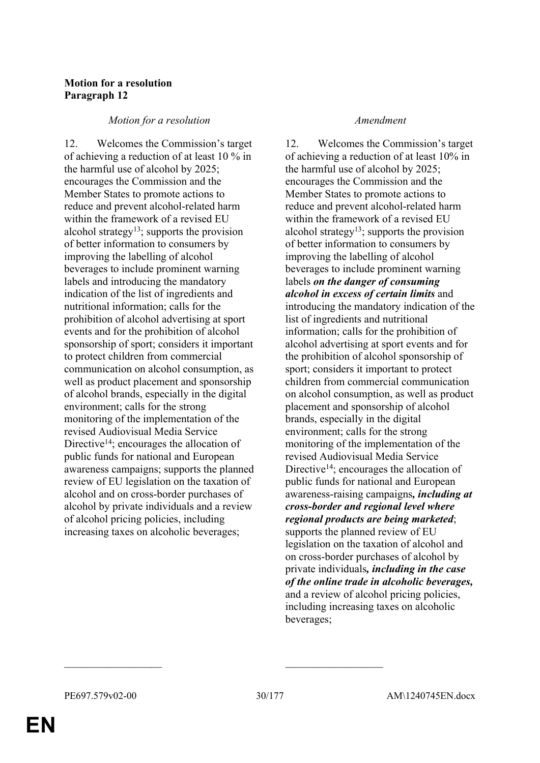### **Motion for a resolution Paragraph 12**

### *Motion for a resolution Amendment*

12. Welcomes the Commission's target of achieving a reduction of at least 10 % in the harmful use of alcohol by 2025; encourages the Commission and the Member States to promote actions to reduce and prevent alcohol-related harm within the framework of a revised EU alcohol strategy<sup>13</sup>; supports the provision of better information to consumers by improving the labelling of alcohol beverages to include prominent warning labels and introducing the mandatory indication of the list of ingredients and nutritional information; calls for the prohibition of alcohol advertising at sport events and for the prohibition of alcohol sponsorship of sport; considers it important to protect children from commercial communication on alcohol consumption, as well as product placement and sponsorship of alcohol brands, especially in the digital environment; calls for the strong monitoring of the implementation of the revised Audiovisual Media Service Directive<sup>14</sup>; encourages the allocation of public funds for national and European awareness campaigns; supports the planned review of EU legislation on the taxation of alcohol and on cross-border purchases of alcohol by private individuals and a review of alcohol pricing policies, including increasing taxes on alcoholic beverages;

12. Welcomes the Commission's target of achieving a reduction of at least 10% in the harmful use of alcohol by 2025; encourages the Commission and the Member States to promote actions to reduce and prevent alcohol-related harm within the framework of a revised EU alcohol strategy<sup>13</sup>; supports the provision of better information to consumers by improving the labelling of alcohol beverages to include prominent warning labels *on the danger of consuming alcohol in excess of certain limits* and introducing the mandatory indication of the list of ingredients and nutritional information; calls for the prohibition of alcohol advertising at sport events and for the prohibition of alcohol sponsorship of sport; considers it important to protect children from commercial communication on alcohol consumption, as well as product placement and sponsorship of alcohol brands, especially in the digital environment; calls for the strong monitoring of the implementation of the revised Audiovisual Media Service Directive<sup>14</sup>; encourages the allocation of public funds for national and European awareness-raising campaigns*, including at cross-border and regional level where regional products are being marketed*; supports the planned review of EU legislation on the taxation of alcohol and on cross-border purchases of alcohol by private individuals*, including in the case of the online trade in alcoholic beverages,* and a review of alcohol pricing policies, including increasing taxes on alcoholic beverages;

 $\mathcal{L}_\text{max}$  and  $\mathcal{L}_\text{max}$  and  $\mathcal{L}_\text{max}$  and  $\mathcal{L}_\text{max}$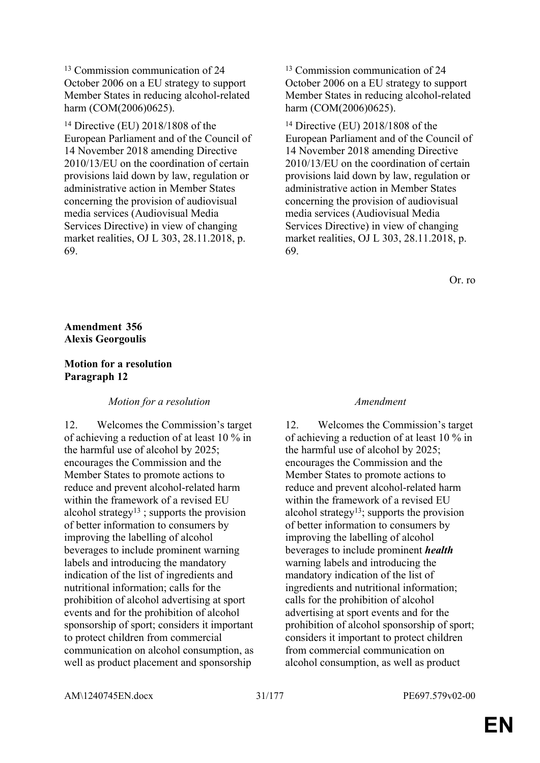<sup>13</sup> Commission communication of 24 October 2006 on a EU strategy to support Member States in reducing alcohol-related harm (COM(2006)0625).

<sup>14</sup> Directive (EU) 2018/1808 of the European Parliament and of the Council of 14 November 2018 amending Directive 2010/13/EU on the coordination of certain provisions laid down by law, regulation or administrative action in Member States concerning the provision of audiovisual media services (Audiovisual Media Services Directive) in view of changing market realities, OJ L 303, 28.11.2018, p. 69.

<sup>13</sup> Commission communication of 24 October 2006 on a EU strategy to support Member States in reducing alcohol-related harm (COM(2006)0625).

<sup>14</sup> Directive (EU) 2018/1808 of the European Parliament and of the Council of 14 November 2018 amending Directive 2010/13/EU on the coordination of certain provisions laid down by law, regulation or administrative action in Member States concerning the provision of audiovisual media services (Audiovisual Media Services Directive) in view of changing market realities, OJ L 303, 28.11.2018, p. 69.

Or. ro

### **Amendment 356 Alexis Georgoulis**

### **Motion for a resolution Paragraph 12**

#### *Motion for a resolution Amendment*

12. Welcomes the Commission's target of achieving a reduction of at least 10 % in the harmful use of alcohol by 2025; encourages the Commission and the Member States to promote actions to reduce and prevent alcohol-related harm within the framework of a revised EU alcohol strategy<sup>13</sup>; supports the provision of better information to consumers by improving the labelling of alcohol beverages to include prominent warning labels and introducing the mandatory indication of the list of ingredients and nutritional information; calls for the prohibition of alcohol advertising at sport events and for the prohibition of alcohol sponsorship of sport; considers it important to protect children from commercial communication on alcohol consumption, as well as product placement and sponsorship

12. Welcomes the Commission's target of achieving a reduction of at least 10 % in the harmful use of alcohol by 2025; encourages the Commission and the Member States to promote actions to reduce and prevent alcohol-related harm within the framework of a revised EU alcohol strategy<sup>13</sup>; supports the provision of better information to consumers by improving the labelling of alcohol beverages to include prominent *health* warning labels and introducing the mandatory indication of the list of ingredients and nutritional information; calls for the prohibition of alcohol advertising at sport events and for the prohibition of alcohol sponsorship of sport; considers it important to protect children from commercial communication on alcohol consumption, as well as product

AM\1240745EN.docx 31/177 PE697.579v02-00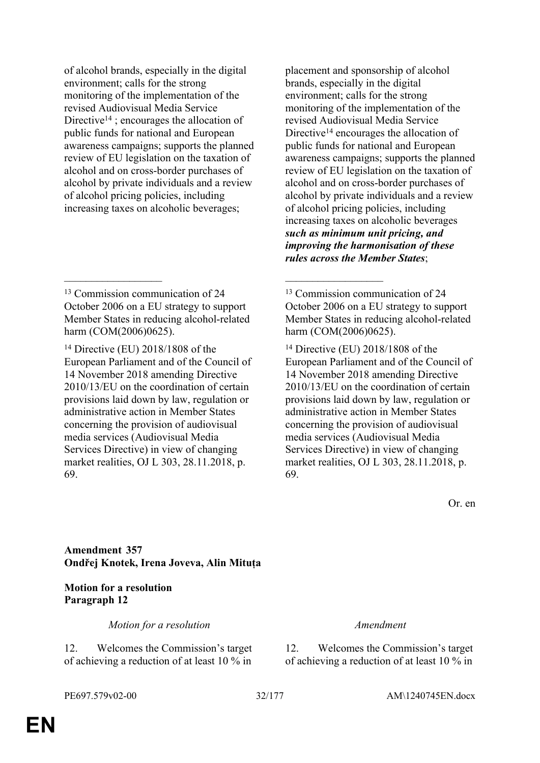of alcohol brands, especially in the digital environment; calls for the strong monitoring of the implementation of the revised Audiovisual Media Service Directive<sup>14</sup>; encourages the allocation of public funds for national and European awareness campaigns; supports the planned review of EU legislation on the taxation of alcohol and on cross-border purchases of alcohol by private individuals and a review of alcohol pricing policies, including increasing taxes on alcoholic beverages;

 $\mathcal{L}_\mathcal{L}$  , and the contribution of the contribution of the contribution of the contribution of the contribution of the contribution of the contribution of the contribution of the contribution of the contribution of

placement and sponsorship of alcohol brands, especially in the digital environment; calls for the strong monitoring of the implementation of the revised Audiovisual Media Service Directive<sup>14</sup> encourages the allocation of public funds for national and European awareness campaigns; supports the planned review of EU legislation on the taxation of alcohol and on cross-border purchases of alcohol by private individuals and a review of alcohol pricing policies, including increasing taxes on alcoholic beverages *such as minimum unit pricing, and improving the harmonisation of these rules across the Member States*;

<sup>13</sup> Commission communication of 24 October 2006 on a EU strategy to support Member States in reducing alcohol-related harm (COM(2006)0625).

<sup>14</sup> Directive (EU) 2018/1808 of the European Parliament and of the Council of 14 November 2018 amending Directive 2010/13/EU on the coordination of certain provisions laid down by law, regulation or administrative action in Member States concerning the provision of audiovisual media services (Audiovisual Media Services Directive) in view of changing market realities, OJ L 303, 28.11.2018, p. 69.

Or. en

**Amendment 357 Ondřej Knotek, Irena Joveva, Alin Mituța**

**Motion for a resolution Paragraph 12**

*Motion for a resolution Amendment*

12. Welcomes the Commission's target of achieving a reduction of at least 10 % in

12. Welcomes the Commission's target of achieving a reduction of at least 10 % in

<sup>&</sup>lt;sup>13</sup> Commission communication of 24 October 2006 on a EU strategy to support Member States in reducing alcohol-related harm (COM(2006)0625).

<sup>14</sup> Directive (EU) 2018/1808 of the European Parliament and of the Council of 14 November 2018 amending Directive 2010/13/EU on the coordination of certain provisions laid down by law, regulation or administrative action in Member States concerning the provision of audiovisual media services (Audiovisual Media Services Directive) in view of changing market realities, OJ L 303, 28.11.2018, p. 69.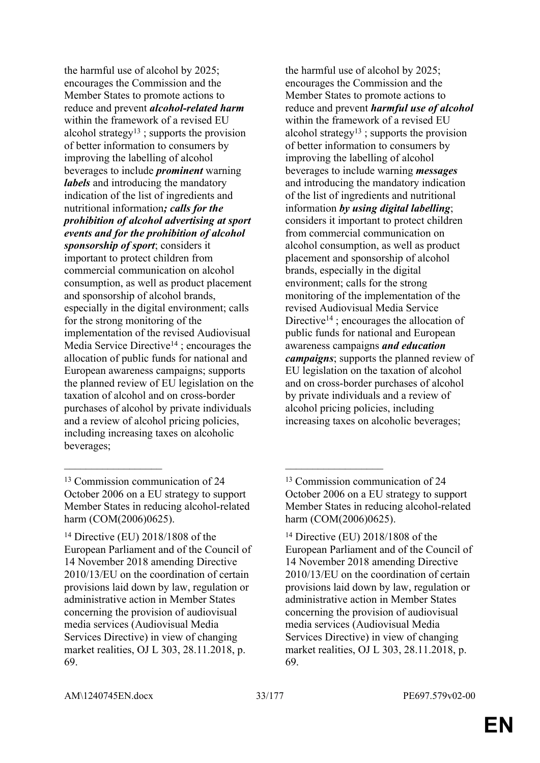the harmful use of alcohol by 2025; encourages the Commission and the Member States to promote actions to reduce and prevent *alcohol-related harm* within the framework of a revised EU alcohol strategy<sup>13</sup>; supports the provision of better information to consumers by improving the labelling of alcohol beverages to include *prominent* warning *labels* and introducing the mandatory indication of the list of ingredients and nutritional information*; calls for the prohibition of alcohol advertising at sport events and for the prohibition of alcohol sponsorship of sport*; considers it important to protect children from commercial communication on alcohol consumption, as well as product placement and sponsorship of alcohol brands, especially in the digital environment; calls for the strong monitoring of the implementation of the revised Audiovisual Media Service Directive<sup>14</sup>; encourages the allocation of public funds for national and European awareness campaigns; supports the planned review of EU legislation on the taxation of alcohol and on cross-border purchases of alcohol by private individuals and a review of alcohol pricing policies, including increasing taxes on alcoholic beverages;

the harmful use of alcohol by 2025; encourages the Commission and the Member States to promote actions to reduce and prevent *harmful use of alcohol* within the framework of a revised EU alcohol strategy<sup>13</sup>; supports the provision of better information to consumers by improving the labelling of alcohol beverages to include warning *messages* and introducing the mandatory indication of the list of ingredients and nutritional information *by using digital labelling*; considers it important to protect children from commercial communication on alcohol consumption, as well as product placement and sponsorship of alcohol brands, especially in the digital environment; calls for the strong monitoring of the implementation of the revised Audiovisual Media Service Directive<sup>14</sup>; encourages the allocation of public funds for national and European awareness campaigns *and education campaigns*; supports the planned review of EU legislation on the taxation of alcohol and on cross-border purchases of alcohol by private individuals and a review of alcohol pricing policies, including increasing taxes on alcoholic beverages;

 $\mathcal{L}_\mathcal{L}$  , and the contribution of the contribution of the contribution of the contribution of the contribution of the contribution of the contribution of the contribution of the contribution of the contribution of

<sup>13</sup> Commission communication of 24 October 2006 on a EU strategy to support Member States in reducing alcohol-related harm (COM(2006)0625).

<sup>14</sup> Directive (EU) 2018/1808 of the European Parliament and of the Council of 14 November 2018 amending Directive 2010/13/EU on the coordination of certain provisions laid down by law, regulation or administrative action in Member States concerning the provision of audiovisual media services (Audiovisual Media Services Directive) in view of changing market realities, OJ L 303, 28.11.2018, p. 69.

<sup>&</sup>lt;sup>13</sup> Commission communication of 24 October 2006 on a EU strategy to support Member States in reducing alcohol-related harm (COM(2006)0625).

<sup>14</sup> Directive (EU) 2018/1808 of the European Parliament and of the Council of 14 November 2018 amending Directive 2010/13/EU on the coordination of certain provisions laid down by law, regulation or administrative action in Member States concerning the provision of audiovisual media services (Audiovisual Media Services Directive) in view of changing market realities, OJ L 303, 28.11.2018, p. 69.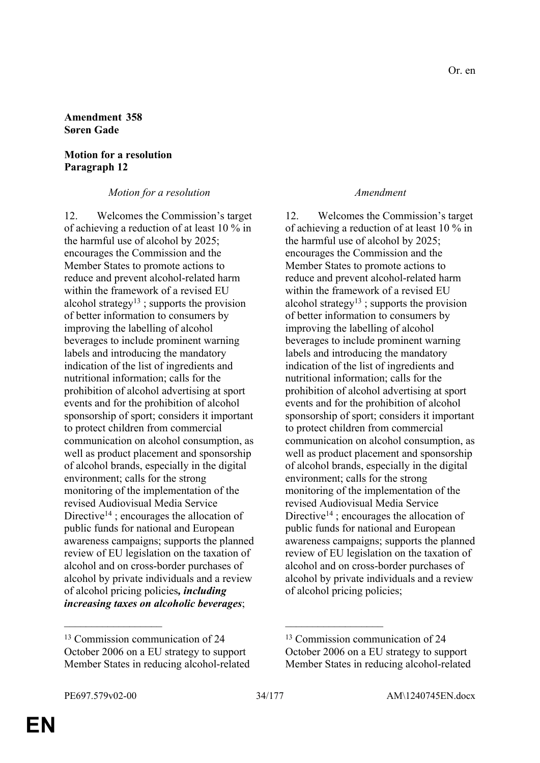#### **Amendment 358 Søren Gade**

#### **Motion for a resolution Paragraph 12**

*Motion for a resolution Amendment*

12. Welcomes the Commission's target of achieving a reduction of at least 10 % in the harmful use of alcohol by 2025; encourages the Commission and the Member States to promote actions to reduce and prevent alcohol-related harm within the framework of a revised EU alcohol strategy<sup>13</sup>; supports the provision of better information to consumers by improving the labelling of alcohol beverages to include prominent warning labels and introducing the mandatory indication of the list of ingredients and nutritional information; calls for the prohibition of alcohol advertising at sport events and for the prohibition of alcohol sponsorship of sport; considers it important to protect children from commercial communication on alcohol consumption, as well as product placement and sponsorship of alcohol brands, especially in the digital environment; calls for the strong monitoring of the implementation of the revised Audiovisual Media Service Directive<sup>14</sup>; encourages the allocation of public funds for national and European awareness campaigns; supports the planned review of EU legislation on the taxation of alcohol and on cross-border purchases of alcohol by private individuals and a review of alcohol pricing policies*, including increasing taxes on alcoholic beverages*;

12. Welcomes the Commission's target of achieving a reduction of at least 10 % in the harmful use of alcohol by 2025; encourages the Commission and the Member States to promote actions to reduce and prevent alcohol-related harm within the framework of a revised EU alcohol strategy<sup>13</sup>; supports the provision of better information to consumers by improving the labelling of alcohol beverages to include prominent warning labels and introducing the mandatory indication of the list of ingredients and nutritional information; calls for the prohibition of alcohol advertising at sport events and for the prohibition of alcohol sponsorship of sport; considers it important to protect children from commercial communication on alcohol consumption, as well as product placement and sponsorship of alcohol brands, especially in the digital environment; calls for the strong monitoring of the implementation of the revised Audiovisual Media Service Directive<sup>14</sup> ; encourages the allocation of public funds for national and European awareness campaigns; supports the planned review of EU legislation on the taxation of alcohol and on cross-border purchases of alcohol by private individuals and a review of alcohol pricing policies;

 $\mathcal{L}_\text{max}$  and  $\mathcal{L}_\text{max}$  and  $\mathcal{L}_\text{max}$  and  $\mathcal{L}_\text{max}$ 

<sup>13</sup> Commission communication of 24 October 2006 on a EU strategy to support Member States in reducing alcohol-related

<sup>13</sup> Commission communication of 24 October 2006 on a EU strategy to support Member States in reducing alcohol-related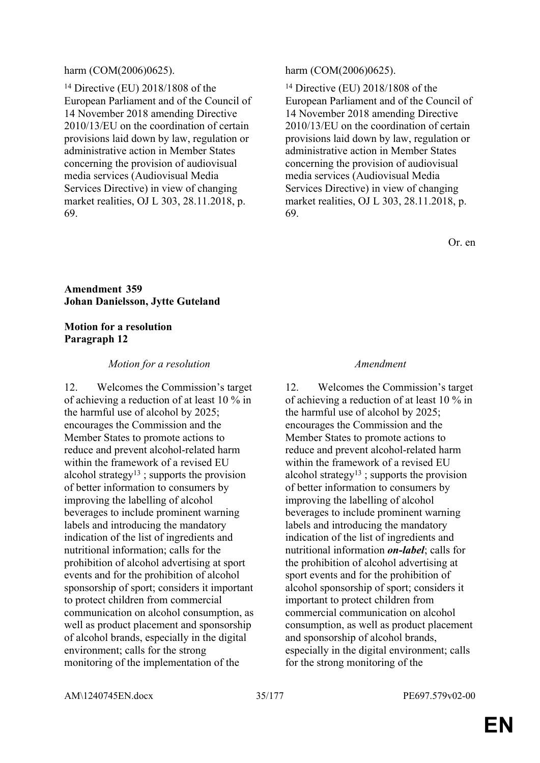#### harm (COM(2006)0625). harm (COM(2006)0625).

<sup>14</sup> Directive (EU) 2018/1808 of the European Parliament and of the Council of 14 November 2018 amending Directive 2010/13/EU on the coordination of certain provisions laid down by law, regulation or administrative action in Member States concerning the provision of audiovisual media services (Audiovisual Media Services Directive) in view of changing market realities, OJ L 303, 28.11.2018, p. 69.

<sup>14</sup> Directive (EU) 2018/1808 of the European Parliament and of the Council of 14 November 2018 amending Directive 2010/13/EU on the coordination of certain provisions laid down by law, regulation or administrative action in Member States concerning the provision of audiovisual media services (Audiovisual Media Services Directive) in view of changing market realities, OJ L 303, 28.11.2018, p. 69.

Or. en

#### **Amendment 359 Johan Danielsson, Jytte Guteland**

#### **Motion for a resolution Paragraph 12**

#### *Motion for a resolution Amendment*

12. Welcomes the Commission's target of achieving a reduction of at least 10 % in the harmful use of alcohol by 2025; encourages the Commission and the Member States to promote actions to reduce and prevent alcohol-related harm within the framework of a revised EU alcohol strategy<sup>13</sup>; supports the provision of better information to consumers by improving the labelling of alcohol beverages to include prominent warning labels and introducing the mandatory indication of the list of ingredients and nutritional information; calls for the prohibition of alcohol advertising at sport events and for the prohibition of alcohol sponsorship of sport; considers it important to protect children from commercial communication on alcohol consumption, as well as product placement and sponsorship of alcohol brands, especially in the digital environment; calls for the strong monitoring of the implementation of the

12. Welcomes the Commission's target of achieving a reduction of at least 10 % in the harmful use of alcohol by 2025; encourages the Commission and the Member States to promote actions to reduce and prevent alcohol-related harm within the framework of a revised EU alcohol strategy<sup>13</sup>; supports the provision of better information to consumers by improving the labelling of alcohol beverages to include prominent warning labels and introducing the mandatory indication of the list of ingredients and nutritional information *on-label*; calls for the prohibition of alcohol advertising at sport events and for the prohibition of alcohol sponsorship of sport; considers it important to protect children from commercial communication on alcohol consumption, as well as product placement and sponsorship of alcohol brands, especially in the digital environment; calls for the strong monitoring of the

AM\1240745EN.docx 35/177 PE697.579v02-00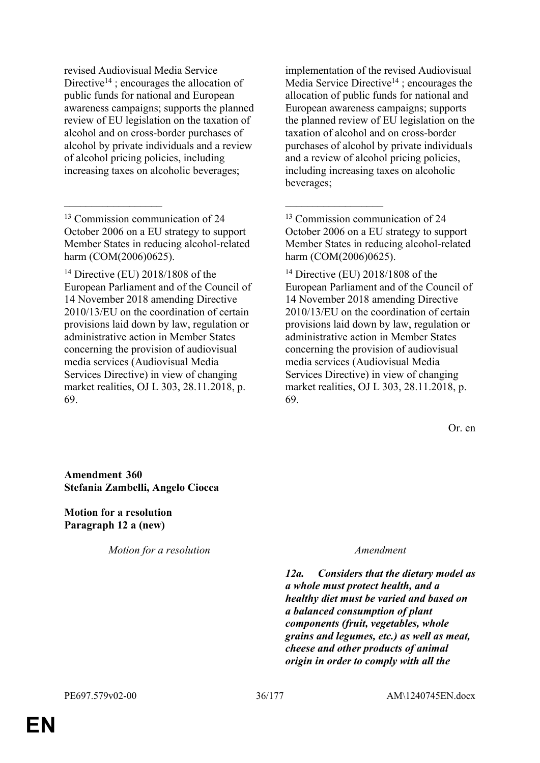revised Audiovisual Media Service Directive<sup>14</sup>; encourages the allocation of public funds for national and European awareness campaigns; supports the planned review of EU legislation on the taxation of alcohol and on cross-border purchases of alcohol by private individuals and a review of alcohol pricing policies, including increasing taxes on alcoholic beverages;

<sup>13</sup> Commission communication of 24 October 2006 on a EU strategy to support Member States in reducing alcohol-related harm (COM(2006)0625).

 $\mathcal{L}_\mathcal{L}$  , and the contribution of the contribution of the contribution of the contribution of the contribution of the contribution of the contribution of the contribution of the contribution of the contribution of

<sup>14</sup> Directive (EU) 2018/1808 of the European Parliament and of the Council of 14 November 2018 amending Directive 2010/13/EU on the coordination of certain provisions laid down by law, regulation or administrative action in Member States concerning the provision of audiovisual media services (Audiovisual Media Services Directive) in view of changing market realities, OJ L 303, 28.11.2018, p. 69.

implementation of the revised Audiovisual Media Service Directive<sup>14</sup>; encourages the allocation of public funds for national and European awareness campaigns; supports the planned review of EU legislation on the taxation of alcohol and on cross-border purchases of alcohol by private individuals and a review of alcohol pricing policies, including increasing taxes on alcoholic beverages;

<sup>13</sup> Commission communication of 24 October 2006 on a EU strategy to support Member States in reducing alcohol-related harm (COM(2006)0625).

<sup>14</sup> Directive (EU) 2018/1808 of the European Parliament and of the Council of 14 November 2018 amending Directive 2010/13/EU on the coordination of certain provisions laid down by law, regulation or administrative action in Member States concerning the provision of audiovisual media services (Audiovisual Media Services Directive) in view of changing market realities, OJ L 303, 28.11.2018, p. 69.

Or. en

**Amendment 360 Stefania Zambelli, Angelo Ciocca**

**Motion for a resolution Paragraph 12 a (new)**

*Motion for a resolution Amendment*

*12a. Considers that the dietary model as a whole must protect health, and a healthy diet must be varied and based on a balanced consumption of plant components (fruit, vegetables, whole grains and legumes, etc.) as well as meat, cheese and other products of animal origin in order to comply with all the*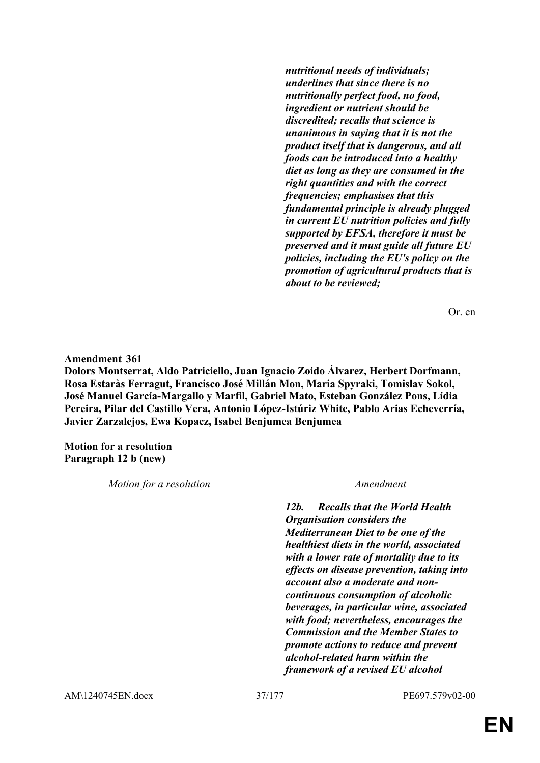*nutritional needs of individuals; underlines that since there is no nutritionally perfect food, no food, ingredient or nutrient should be discredited; recalls that science is unanimous in saying that it is not the product itself that is dangerous, and all foods can be introduced into a healthy diet as long as they are consumed in the right quantities and with the correct frequencies; emphasises that this fundamental principle is already plugged in current EU nutrition policies and fully supported by EFSA, therefore it must be preserved and it must guide all future EU policies, including the EU's policy on the promotion of agricultural products that is about to be reviewed;*

Or. en

**Amendment 361 Dolors Montserrat, Aldo Patriciello, Juan Ignacio Zoido Álvarez, Herbert Dorfmann, Rosa Estaràs Ferragut, Francisco José Millán Mon, Maria Spyraki, Tomislav Sokol, José Manuel García-Margallo y Marfil, Gabriel Mato, Esteban González Pons, Lídia Pereira, Pilar del Castillo Vera, Antonio López-Istúriz White, Pablo Arias Echeverría, Javier Zarzalejos, Ewa Kopacz, Isabel Benjumea Benjumea**

**Motion for a resolution Paragraph 12 b (new)**

| Motion for a resolution | Amendment                                                                                                                                                                                                                                                                                                   |
|-------------------------|-------------------------------------------------------------------------------------------------------------------------------------------------------------------------------------------------------------------------------------------------------------------------------------------------------------|
|                         | <b>Recalls that the World Health</b><br>12b.<br><b>Organisation considers the</b><br><b>Mediterranean Diet to be one of the</b><br>healthiest diets in the world, associated<br>with a lower rate of mortality due to its<br>effects on disease prevention, taking into<br>account also a moderate and non- |
|                         | continuous consumption of alcoholic<br>beverages, in particular wine, associated<br>with food; nevertheless, encourages the<br><b>Commission and the Member States to</b><br>promote actions to reduce and prevent<br>alcohol-related harm within the<br>framework of a revised EU alcohol                  |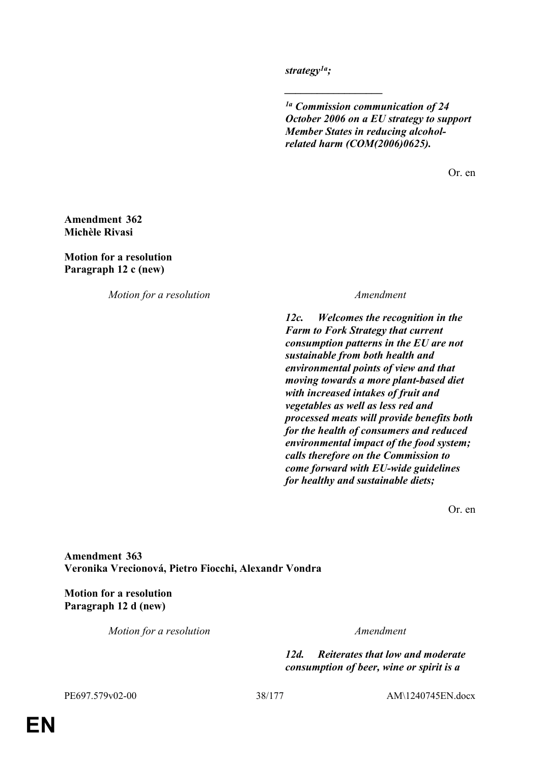*strategy1a;*

*\_\_\_\_\_\_\_\_\_\_\_\_\_\_\_\_\_\_*

*1a Commission communication of 24 October 2006 on a EU strategy to support Member States in reducing alcoholrelated harm (COM(2006)0625).*

Or. en

### **Amendment 362 Michèle Rivasi**

**Motion for a resolution Paragraph 12 c (new)**

*Motion for a resolution Amendment*

*12c. Welcomes the recognition in the Farm to Fork Strategy that current consumption patterns in the EU are not sustainable from both health and environmental points of view and that moving towards a more plant-based diet with increased intakes of fruit and vegetables as well as less red and processed meats will provide benefits both for the health of consumers and reduced environmental impact of the food system; calls therefore on the Commission to come forward with EU-wide guidelines for healthy and sustainable diets;*

Or. en

**Amendment 363 Veronika Vrecionová, Pietro Fiocchi, Alexandr Vondra**

**Motion for a resolution Paragraph 12 d (new)**

*Motion for a resolution Amendment*

*12d. Reiterates that low and moderate consumption of beer, wine or spirit is a* 

PE697.579v02-00 38/177 AM\1240745EN.docx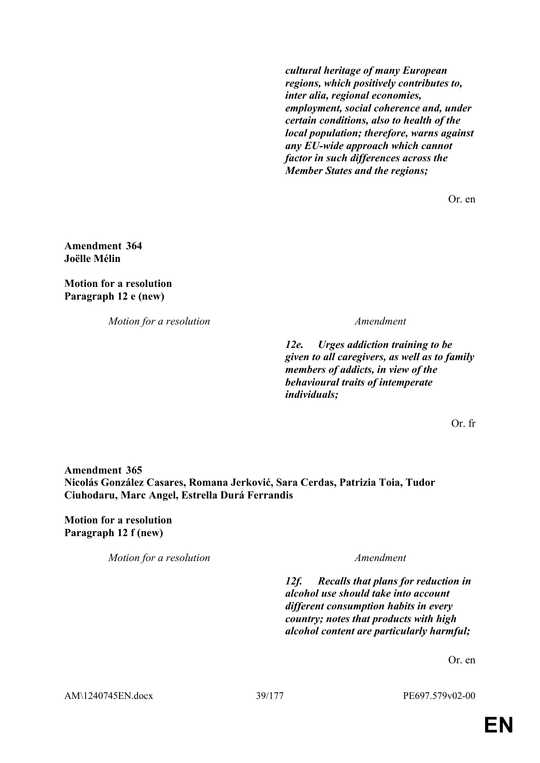*cultural heritage of many European regions, which positively contributes to, inter alia, regional economies, employment, social coherence and, under certain conditions, also to health of the local population; therefore, warns against any EU-wide approach which cannot factor in such differences across the Member States and the regions;*

Or. en

**Amendment 364 Joëlle Mélin**

**Motion for a resolution Paragraph 12 e (new)**

*Motion for a resolution Amendment*

*12e. Urges addiction training to be given to all caregivers, as well as to family members of addicts, in view of the behavioural traits of intemperate individuals;*

Or. fr

**Amendment 365 Nicolás González Casares, Romana Jerković, Sara Cerdas, Patrizia Toia, Tudor Ciuhodaru, Marc Angel, Estrella Durá Ferrandis**

**Motion for a resolution Paragraph 12 f (new)**

*Motion for a resolution Amendment*

*12f. Recalls that plans for reduction in alcohol use should take into account different consumption habits in every country; notes that products with high alcohol content are particularly harmful;*

Or. en

AM\1240745EN.docx 39/177 PE697.579v02-00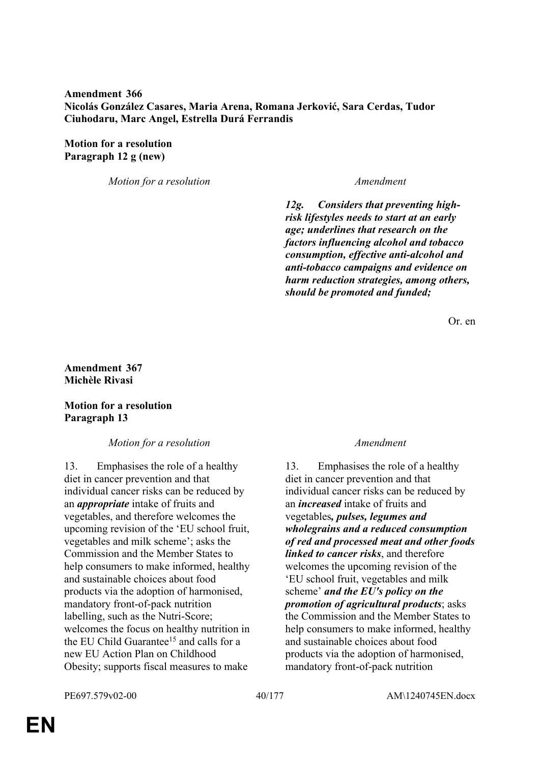## **Amendment 366 Nicolás González Casares, Maria Arena, Romana Jerković, Sara Cerdas, Tudor Ciuhodaru, Marc Angel, Estrella Durá Ferrandis**

## **Motion for a resolution Paragraph 12 g (new)**

*Motion for a resolution Amendment*

*12g. Considers that preventing highrisk lifestyles needs to start at an early age; underlines that research on the factors influencing alcohol and tobacco consumption, effective anti-alcohol and anti-tobacco campaigns and evidence on harm reduction strategies, among others, should be promoted and funded;*

Or. en

## **Amendment 367 Michèle Rivasi**

## **Motion for a resolution Paragraph 13**

*Motion for a resolution Amendment*

13. Emphasises the role of a healthy diet in cancer prevention and that individual cancer risks can be reduced by an *appropriate* intake of fruits and vegetables, and therefore welcomes the upcoming revision of the 'EU school fruit, vegetables and milk scheme'; asks the Commission and the Member States to help consumers to make informed, healthy and sustainable choices about food products via the adoption of harmonised, mandatory front-of-pack nutrition labelling, such as the Nutri-Score; welcomes the focus on healthy nutrition in the EU Child Guarantee<sup>15</sup> and calls for a new EU Action Plan on Childhood Obesity; supports fiscal measures to make

13. Emphasises the role of a healthy diet in cancer prevention and that individual cancer risks can be reduced by an *increased* intake of fruits and vegetables*, pulses, legumes and wholegrains and a reduced consumption of red and processed meat and other foods linked to cancer risks*, and therefore welcomes the upcoming revision of the 'EU school fruit, vegetables and milk scheme' *and the EU's policy on the promotion of agricultural products*; asks the Commission and the Member States to help consumers to make informed, healthy and sustainable choices about food products via the adoption of harmonised, mandatory front-of-pack nutrition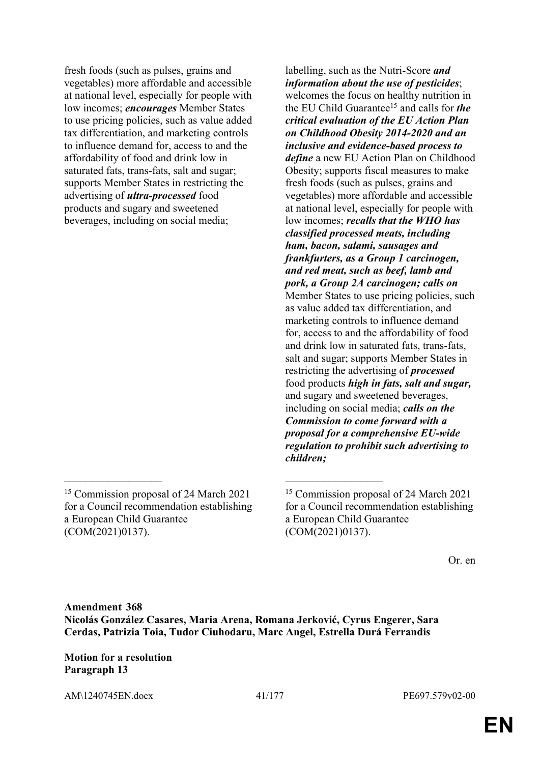labelling, such as the Nutri-Score *and information about the use of pesticides*; welcomes the focus on healthy nutrition in the EU Child Guarantee<sup>15</sup> and calls for *the critical evaluation of the EU Action Plan on Childhood Obesity 2014-2020 and an inclusive and evidence-based process to define* a new EU Action Plan on Childhood Obesity; supports fiscal measures to make fresh foods (such as pulses, grains and vegetables) more affordable and accessible at national level, especially for people with low incomes; *recalls that the WHO has classified processed meats, including ham, bacon, salami, sausages and frankfurters, as a Group 1 carcinogen, and red meat, such as beef, lamb and pork, a Group 2A carcinogen; calls on* Member States to use pricing policies, such as value added tax differentiation, and marketing controls to influence demand for, access to and the affordability of food and drink low in saturated fats, trans-fats, salt and sugar; supports Member States in restricting the advertising of *processed* food products *high in fats, salt and sugar,* and sugary and sweetened beverages, including on social media; *calls on the Commission to come forward with a proposal for a comprehensive EU-wide regulation to prohibit such advertising to children;*

Or. en

# **Amendment 368 Nicolás González Casares, Maria Arena, Romana Jerković, Cyrus Engerer, Sara Cerdas, Patrizia Toia, Tudor Ciuhodaru, Marc Angel, Estrella Durá Ferrandis**

 $\mathcal{L}_\mathcal{L}$  , and the contribution of the contribution of the contribution of the contribution of the contribution of the contribution of the contribution of the contribution of the contribution of the contribution of

**Motion for a resolution Paragraph 13**

AM\1240745EN.docx 41/177 PE697.579v02-00

<sup>15</sup> Commission proposal of 24 March 2021 for a Council recommendation establishing a European Child Guarantee (COM(2021)0137).

<sup>15</sup> Commission proposal of 24 March 2021 for a Council recommendation establishing a European Child Guarantee (COM(2021)0137).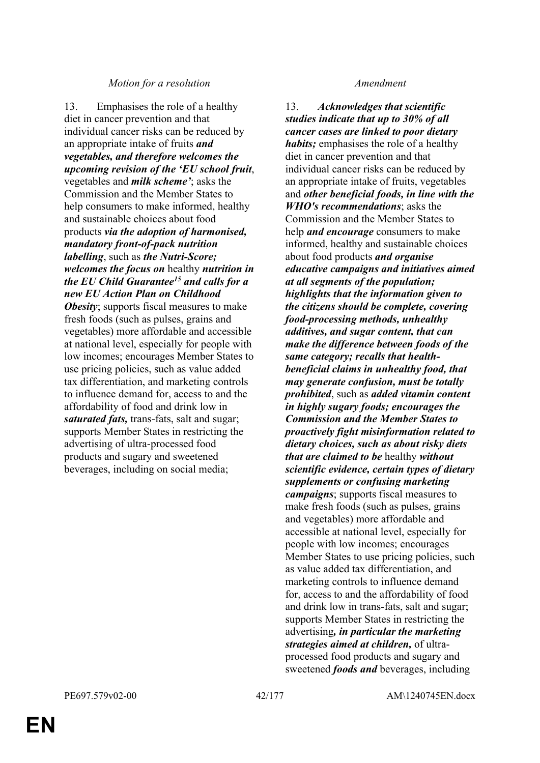### *Motion for a resolution Amendment*

13. Emphasises the role of a healthy diet in cancer prevention and that individual cancer risks can be reduced by an appropriate intake of fruits *and vegetables, and therefore welcomes the upcoming revision of the 'EU school fruit*, vegetables and *milk scheme'*; asks the Commission and the Member States to help consumers to make informed, healthy and sustainable choices about food products *via the adoption of harmonised, mandatory front-of-pack nutrition labelling*, such as *the Nutri-Score; welcomes the focus on* healthy *nutrition in the EU Child Guarantee<sup>15</sup> and calls for a new EU Action Plan on Childhood Obesity*; supports fiscal measures to make fresh foods (such as pulses, grains and vegetables) more affordable and accessible at national level, especially for people with low incomes; encourages Member States to use pricing policies, such as value added tax differentiation, and marketing controls to influence demand for, access to and the affordability of food and drink low in *saturated fats,* trans-fats, salt and sugar; supports Member States in restricting the advertising of ultra-processed food products and sugary and sweetened beverages, including on social media;

13. *Acknowledges that scientific studies indicate that up to 30% of all cancer cases are linked to poor dietary habits;* emphasises the role of a healthy diet in cancer prevention and that individual cancer risks can be reduced by an appropriate intake of fruits, vegetables and *other beneficial foods, in line with the WHO's recommendations*; asks the Commission and the Member States to help *and encourage* consumers to make informed, healthy and sustainable choices about food products *and organise educative campaigns and initiatives aimed at all segments of the population; highlights that the information given to the citizens should be complete, covering food-processing methods, unhealthy additives, and sugar content, that can make the difference between foods of the same category; recalls that healthbeneficial claims in unhealthy food, that may generate confusion, must be totally prohibited*, such as *added vitamin content in highly sugary foods; encourages the Commission and the Member States to proactively fight misinformation related to dietary choices, such as about risky diets that are claimed to be* healthy *without scientific evidence, certain types of dietary supplements or confusing marketing campaigns*; supports fiscal measures to make fresh foods (such as pulses, grains and vegetables) more affordable and accessible at national level, especially for people with low incomes; encourages Member States to use pricing policies, such as value added tax differentiation, and marketing controls to influence demand for, access to and the affordability of food and drink low in trans-fats, salt and sugar; supports Member States in restricting the advertising*, in particular the marketing strategies aimed at children,* of ultraprocessed food products and sugary and sweetened *foods and* beverages, including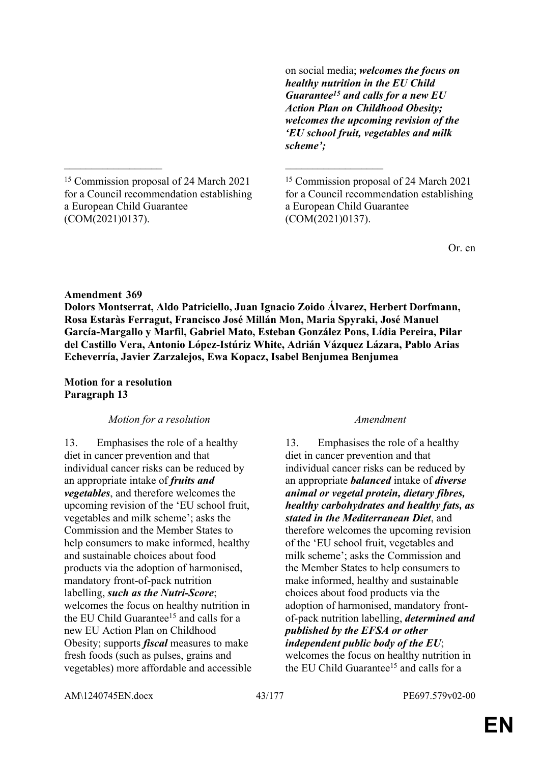on social media; *welcomes the focus on healthy nutrition in the EU Child Guarantee<sup>15</sup> and calls for a new EU Action Plan on Childhood Obesity; welcomes the upcoming revision of the 'EU school fruit, vegetables and milk scheme';*

<sup>15</sup> Commission proposal of 24 March 2021 for a Council recommendation establishing a European Child Guarantee (COM(2021)0137).

\_\_\_\_\_\_\_\_\_\_\_\_\_\_\_\_\_\_ \_\_\_\_\_\_\_\_\_\_\_\_\_\_\_\_\_\_

<sup>15</sup> Commission proposal of 24 March 2021 for a Council recommendation establishing a European Child Guarantee (COM(2021)0137).

Or. en

### **Amendment 369**

**Dolors Montserrat, Aldo Patriciello, Juan Ignacio Zoido Álvarez, Herbert Dorfmann, Rosa Estaràs Ferragut, Francisco José Millán Mon, Maria Spyraki, José Manuel García-Margallo y Marfil, Gabriel Mato, Esteban González Pons, Lídia Pereira, Pilar del Castillo Vera, Antonio López-Istúriz White, Adrián Vázquez Lázara, Pablo Arias Echeverría, Javier Zarzalejos, Ewa Kopacz, Isabel Benjumea Benjumea**

### **Motion for a resolution Paragraph 13**

### *Motion for a resolution Amendment*

13. Emphasises the role of a healthy diet in cancer prevention and that individual cancer risks can be reduced by an appropriate intake of *fruits and vegetables*, and therefore welcomes the upcoming revision of the 'EU school fruit, vegetables and milk scheme'; asks the Commission and the Member States to help consumers to make informed, healthy and sustainable choices about food products via the adoption of harmonised, mandatory front-of-pack nutrition labelling, *such as the Nutri-Score*; welcomes the focus on healthy nutrition in the EU Child Guarantee<sup>15</sup> and calls for a new EU Action Plan on Childhood Obesity; supports *fiscal* measures to make fresh foods (such as pulses, grains and vegetables) more affordable and accessible

13. Emphasises the role of a healthy diet in cancer prevention and that individual cancer risks can be reduced by an appropriate *balanced* intake of *diverse animal or vegetal protein, dietary fibres, healthy carbohydrates and healthy fats, as stated in the Mediterranean Diet*, and therefore welcomes the upcoming revision of the 'EU school fruit, vegetables and milk scheme'; asks the Commission and the Member States to help consumers to make informed, healthy and sustainable choices about food products via the adoption of harmonised, mandatory frontof-pack nutrition labelling, *determined and published by the EFSA or other independent public body of the EU*; welcomes the focus on healthy nutrition in the EU Child Guarantee<sup>15</sup> and calls for a

AM\1240745EN.docx 43/177 PE697.579v02-00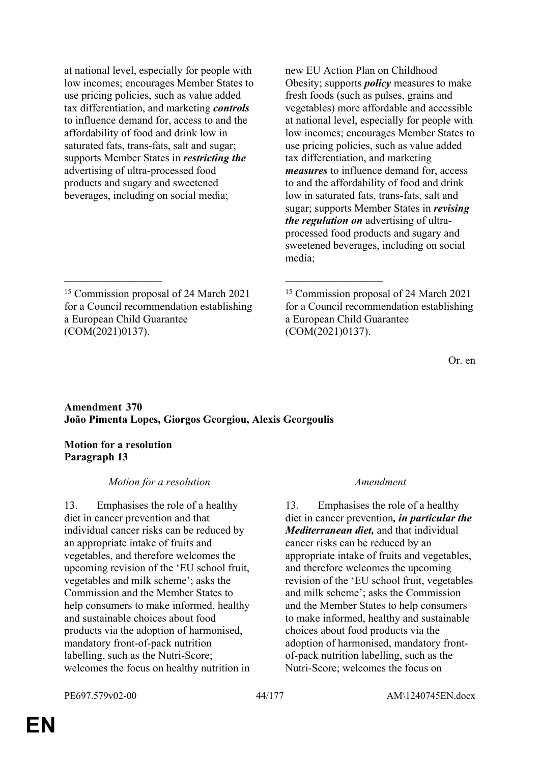at national level, especially for people with low incomes; encourages Member States to use pricing policies, such as value added tax differentiation, and marketing *controls* to influence demand for, access to and the affordability of food and drink low in saturated fats, trans-fats, salt and sugar; supports Member States in *restricting the* advertising of ultra-processed food products and sugary and sweetened beverages, including on social media;

new EU Action Plan on Childhood Obesity; supports *policy* measures to make fresh foods (such as pulses, grains and vegetables) more affordable and accessible at national level, especially for people with low incomes; encourages Member States to use pricing policies, such as value added tax differentiation, and marketing *measures* to influence demand for, access to and the affordability of food and drink low in saturated fats, trans-fats, salt and sugar; supports Member States in *revising the regulation on* advertising of ultraprocessed food products and sugary and sweetened beverages, including on social media;

Or. en

## **Amendment 370 João Pimenta Lopes, Giorgos Georgiou, Alexis Georgoulis**

 $\mathcal{L}_\mathcal{L}$  , and the contribution of the contribution of the contribution of the contribution of the contribution of the contribution of the contribution of the contribution of the contribution of the contribution of

## **Motion for a resolution Paragraph 13**

## *Motion for a resolution Amendment*

13. Emphasises the role of a healthy diet in cancer prevention and that individual cancer risks can be reduced by an appropriate intake of fruits and vegetables, and therefore welcomes the upcoming revision of the 'EU school fruit, vegetables and milk scheme'; asks the Commission and the Member States to help consumers to make informed, healthy and sustainable choices about food products via the adoption of harmonised, mandatory front-of-pack nutrition labelling, such as the Nutri-Score; welcomes the focus on healthy nutrition in

13. Emphasises the role of a healthy diet in cancer prevention*, in particular the Mediterranean diet,* and that individual cancer risks can be reduced by an appropriate intake of fruits and vegetables, and therefore welcomes the upcoming revision of the 'EU school fruit, vegetables and milk scheme'; asks the Commission and the Member States to help consumers to make informed, healthy and sustainable choices about food products via the adoption of harmonised, mandatory frontof-pack nutrition labelling, such as the Nutri-Score; welcomes the focus on

<sup>15</sup> Commission proposal of 24 March 2021 for a Council recommendation establishing a European Child Guarantee (COM(2021)0137).

<sup>15</sup> Commission proposal of 24 March 2021 for a Council recommendation establishing a European Child Guarantee (COM(2021)0137).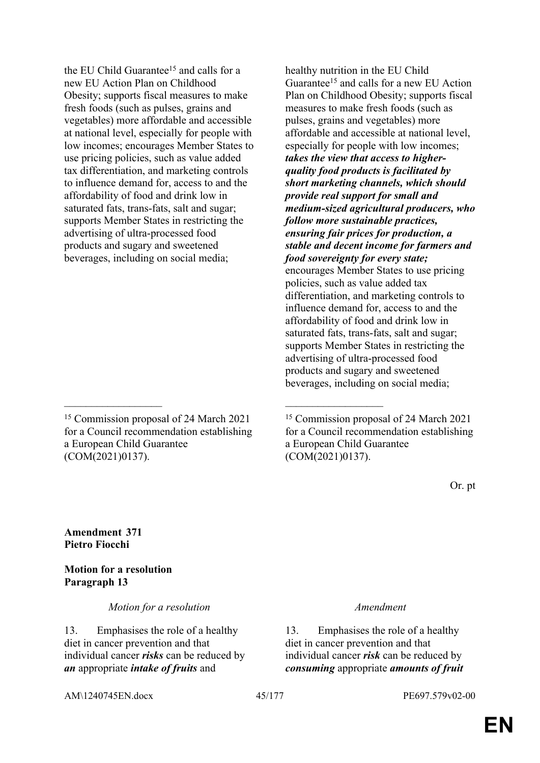<sup>15</sup> Commission proposal of 24 March 2021 for a Council recommendation establishing a European Child Guarantee (COM(2021)0137).

 $\mathcal{L}_\mathcal{L}$  , and the contribution of the contribution of the contribution of the contribution of the contribution of the contribution of the contribution of the contribution of the contribution of the contribution of

healthy nutrition in the EU Child Guarantee<sup>15</sup> and calls for a new EU Action Plan on Childhood Obesity; supports fiscal measures to make fresh foods (such as pulses, grains and vegetables) more affordable and accessible at national level, especially for people with low incomes; *takes the view that access to higherquality food products is facilitated by short marketing channels, which should provide real support for small and medium-sized agricultural producers, who follow more sustainable practices, ensuring fair prices for production, a stable and decent income for farmers and food sovereignty for every state;* encourages Member States to use pricing policies, such as value added tax differentiation, and marketing controls to influence demand for, access to and the affordability of food and drink low in saturated fats, trans-fats, salt and sugar; supports Member States in restricting the advertising of ultra-processed food products and sugary and sweetened beverages, including on social media;

<sup>15</sup> Commission proposal of 24 March 2021 for a Council recommendation establishing a European Child Guarantee (COM(2021)0137).

Or. pt

**Amendment 371 Pietro Fiocchi**

**Motion for a resolution Paragraph 13**

*Motion for a resolution Amendment*

13. Emphasises the role of a healthy diet in cancer prevention and that individual cancer *risks* can be reduced by *an* appropriate *intake of fruits* and

13. Emphasises the role of a healthy diet in cancer prevention and that individual cancer *risk* can be reduced by *consuming* appropriate *amounts of fruit*

AM\1240745EN.docx 45/177 PE697.579v02-00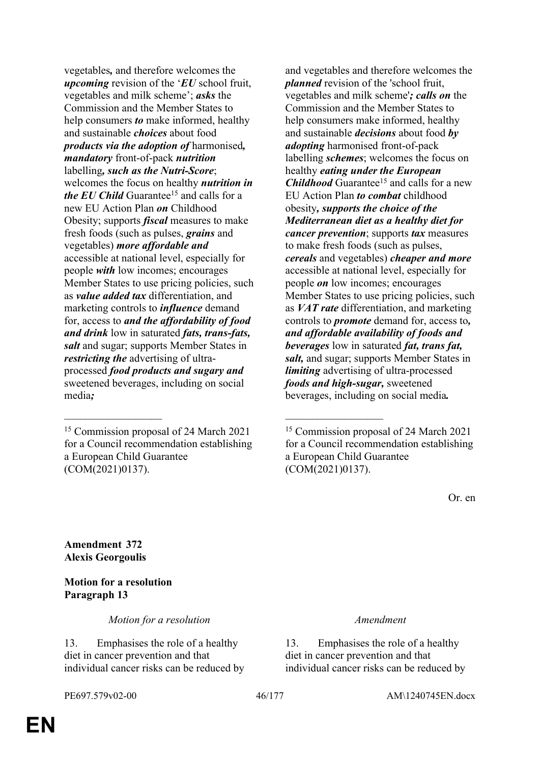vegetables*,* and therefore welcomes the *upcoming* revision of the '*EU* school fruit, vegetables and milk scheme'; *asks* the Commission and the Member States to help consumers *to* make informed, healthy and sustainable *choices* about food *products via the adoption of* harmonised*, mandatory* front-of-pack *nutrition* labelling*, such as the Nutri-Score*; welcomes the focus on healthy *nutrition in the EU Child* Guarantee<sup>15</sup> and calls for a new EU Action Plan *on* Childhood Obesity; supports *fiscal* measures to make fresh foods (such as pulses, *grains* and vegetables) *more affordable and* accessible at national level, especially for people *with* low incomes; encourages Member States to use pricing policies, such as *value added tax* differentiation, and marketing controls to *influence* demand for, access to *and the affordability of food and drink* low in saturated *fats, trans-fats, salt* and sugar; supports Member States in *restricting the* advertising of ultraprocessed *food products and sugary and* sweetened beverages, including on social media*;*

 $\mathcal{L}_\mathcal{L}$  , and the contribution of the contribution of the contribution of the contribution of the contribution of the contribution of the contribution of the contribution of the contribution of the contribution of

and vegetables and therefore welcomes the *planned* revision of the 'school fruit, vegetables and milk scheme'*; calls on* the Commission and the Member States to help consumers make informed, healthy and sustainable *decisions* about food *by adopting* harmonised front-of-pack labelling *schemes*; welcomes the focus on healthy *eating under the European Childhood* Guarantee<sup>15</sup> and calls for a new EU Action Plan *to combat* childhood obesity*, supports the choice of the Mediterranean diet as a healthy diet for cancer prevention*; supports *tax* measures to make fresh foods (such as pulses, *cereals* and vegetables) *cheaper and more* accessible at national level, especially for people *on* low incomes; encourages Member States to use pricing policies, such as *VAT rate* differentiation, and marketing controls to *promote* demand for, access to*, and affordable availability of foods and beverages* low in saturated *fat, trans fat, salt,* and sugar; supports Member States in *limiting* advertising of ultra-processed *foods and high-sugar,* sweetened beverages, including on social media*.*

Or. en

**Amendment 372 Alexis Georgoulis**

## **Motion for a resolution Paragraph 13**

*Motion for a resolution Amendment*

13. Emphasises the role of a healthy diet in cancer prevention and that individual cancer risks can be reduced by

13. Emphasises the role of a healthy diet in cancer prevention and that individual cancer risks can be reduced by

<sup>15</sup> Commission proposal of 24 March 2021 for a Council recommendation establishing a European Child Guarantee (COM(2021)0137).

<sup>15</sup> Commission proposal of 24 March 2021 for a Council recommendation establishing a European Child Guarantee (COM(2021)0137).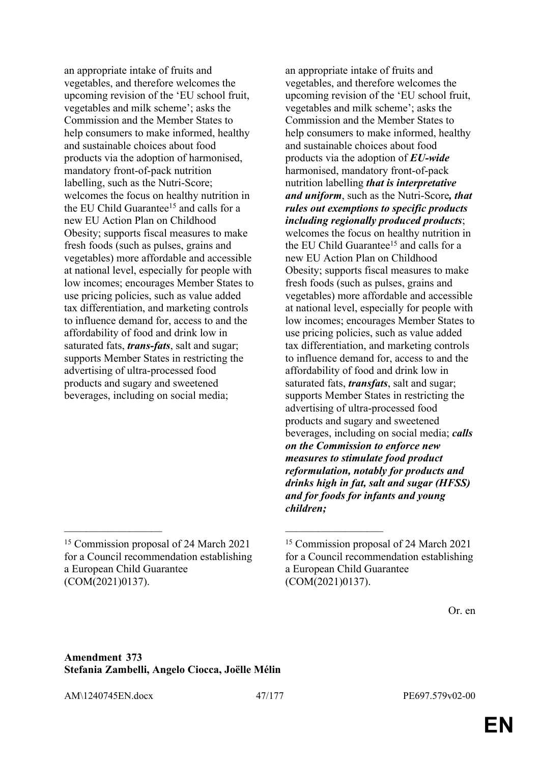an appropriate intake of fruits and vegetables, and therefore welcomes the upcoming revision of the 'EU school fruit, vegetables and milk scheme'; asks the Commission and the Member States to help consumers to make informed, healthy and sustainable choices about food products via the adoption of harmonised, mandatory front-of-pack nutrition labelling, such as the Nutri-Score; welcomes the focus on healthy nutrition in the EU Child Guarantee<sup>15</sup> and calls for a new EU Action Plan on Childhood Obesity; supports fiscal measures to make fresh foods (such as pulses, grains and vegetables) more affordable and accessible at national level, especially for people with low incomes; encourages Member States to use pricing policies, such as value added tax differentiation, and marketing controls to influence demand for, access to and the affordability of food and drink low in saturated fats, *trans-fats*, salt and sugar; supports Member States in restricting the advertising of ultra-processed food products and sugary and sweetened beverages, including on social media;

an appropriate intake of fruits and vegetables, and therefore welcomes the upcoming revision of the 'EU school fruit, vegetables and milk scheme'; asks the Commission and the Member States to help consumers to make informed, healthy and sustainable choices about food products via the adoption of *EU-wide* harmonised, mandatory front-of-pack nutrition labelling *that is interpretative and uniform*, such as the Nutri-Score*, that rules out exemptions to specific products including regionally produced products*; welcomes the focus on healthy nutrition in the EU Child Guarantee<sup>15</sup> and calls for a new EU Action Plan on Childhood Obesity; supports fiscal measures to make fresh foods (such as pulses, grains and vegetables) more affordable and accessible at national level, especially for people with low incomes; encourages Member States to use pricing policies, such as value added tax differentiation, and marketing controls to influence demand for, access to and the affordability of food and drink low in saturated fats, *transfats*, salt and sugar; supports Member States in restricting the advertising of ultra-processed food products and sugary and sweetened beverages, including on social media; *calls on the Commission to enforce new measures to stimulate food product reformulation, notably for products and drinks high in fat, salt and sugar (HFSS) and for foods for infants and young children;*

 $\mathcal{L}_\text{max}$  and  $\mathcal{L}_\text{max}$  and  $\mathcal{L}_\text{max}$  and  $\mathcal{L}_\text{max}$ 

Or. en

## **Amendment 373 Stefania Zambelli, Angelo Ciocca, Joëlle Mélin**

AM\1240745EN.docx 47/177 PE697.579v02-00

<sup>15</sup> Commission proposal of 24 March 2021 for a Council recommendation establishing a European Child Guarantee (COM(2021)0137).

<sup>15</sup> Commission proposal of 24 March 2021 for a Council recommendation establishing a European Child Guarantee (COM(2021)0137).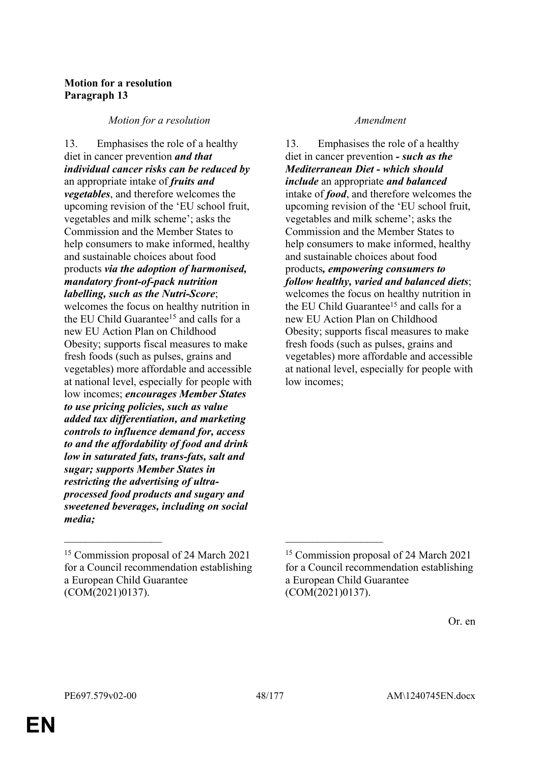# **Motion for a resolution Paragraph 13**

*Motion for a resolution Amendment*

13. Emphasises the role of a healthy diet in cancer prevention *and that individual cancer risks can be reduced by* an appropriate intake of *fruits and vegetables*, and therefore welcomes the upcoming revision of the 'EU school fruit, vegetables and milk scheme'; asks the Commission and the Member States to help consumers to make informed, healthy and sustainable choices about food products *via the adoption of harmonised, mandatory front-of-pack nutrition labelling, such as the Nutri-Score*; welcomes the focus on healthy nutrition in the EU Child Guarantee<sup>15</sup> and calls for a new EU Action Plan on Childhood Obesity; supports fiscal measures to make fresh foods (such as pulses, grains and vegetables) more affordable and accessible at national level, especially for people with low incomes; *encourages Member States to use pricing policies, such as value added tax differentiation, and marketing controls to influence demand for, access to and the affordability of food and drink low in saturated fats, trans-fats, salt and sugar; supports Member States in restricting the advertising of ultraprocessed food products and sugary and sweetened beverages, including on social media;*

 $\mathcal{L}_\text{max}$  and  $\mathcal{L}_\text{max}$  and  $\mathcal{L}_\text{max}$  and  $\mathcal{L}_\text{max}$ 

13. Emphasises the role of a healthy diet in cancer prevention *- such as the Mediterranean Diet - which should include* an appropriate *and balanced* intake of *food*, and therefore welcomes the upcoming revision of the 'EU school fruit, vegetables and milk scheme'; asks the Commission and the Member States to help consumers to make informed, healthy and sustainable choices about food products*, empowering consumers to follow healthy, varied and balanced diets*; welcomes the focus on healthy nutrition in the EU Child Guarantee<sup>15</sup> and calls for a new EU Action Plan on Childhood Obesity; supports fiscal measures to make fresh foods (such as pulses, grains and vegetables) more affordable and accessible at national level, especially for people with low incomes;

<sup>15</sup> Commission proposal of 24 March 2021 for a Council recommendation establishing a European Child Guarantee (COM(2021)0137).

<sup>15</sup> Commission proposal of 24 March 2021 for a Council recommendation establishing a European Child Guarantee (COM(2021)0137).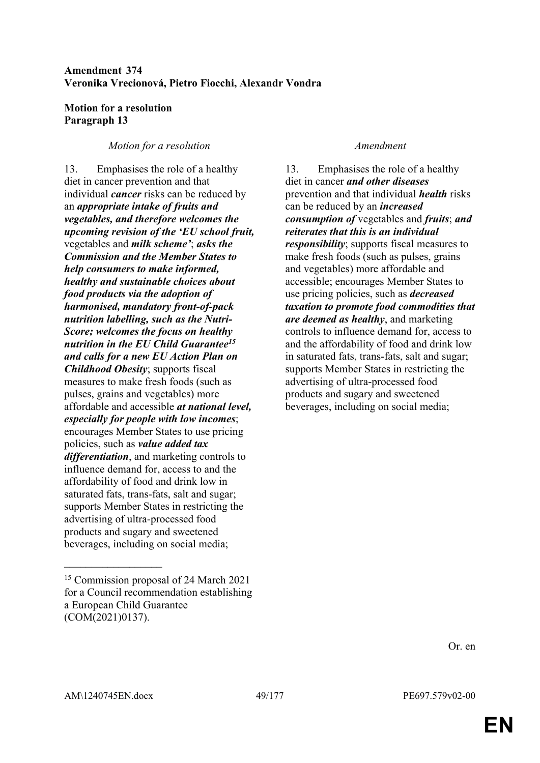## **Amendment 374 Veronika Vrecionová, Pietro Fiocchi, Alexandr Vondra**

## **Motion for a resolution Paragraph 13**

## *Motion for a resolution Amendment*

13. Emphasises the role of a healthy diet in cancer prevention and that individual *cancer* risks can be reduced by an *appropriate intake of fruits and vegetables, and therefore welcomes the upcoming revision of the 'EU school fruit,* vegetables and *milk scheme'*; *asks the Commission and the Member States to help consumers to make informed, healthy and sustainable choices about food products via the adoption of harmonised, mandatory front-of-pack nutrition labelling, such as the Nutri-Score; welcomes the focus on healthy nutrition in the EU Child Guarantee<sup>15</sup> and calls for a new EU Action Plan on Childhood Obesity*; supports fiscal measures to make fresh foods (such as pulses, grains and vegetables) more affordable and accessible *at national level, especially for people with low incomes*; encourages Member States to use pricing policies, such as *value added tax differentiation*, and marketing controls to influence demand for, access to and the affordability of food and drink low in saturated fats, trans-fats, salt and sugar; supports Member States in restricting the advertising of ultra-processed food products and sugary and sweetened beverages, including on social media;

13. Emphasises the role of a healthy diet in cancer *and other diseases* prevention and that individual *health* risks can be reduced by an *increased consumption of* vegetables and *fruits*; *and reiterates that this is an individual responsibility*; supports fiscal measures to make fresh foods (such as pulses, grains and vegetables) more affordable and accessible; encourages Member States to use pricing policies, such as *decreased taxation to promote food commodities that are deemed as healthy*, and marketing controls to influence demand for, access to and the affordability of food and drink low in saturated fats, trans-fats, salt and sugar; supports Member States in restricting the advertising of ultra-processed food products and sugary and sweetened beverages, including on social media;

Or. en

 $\overline{\phantom{a}}$  , where  $\overline{\phantom{a}}$ 

<sup>15</sup> Commission proposal of 24 March 2021 for a Council recommendation establishing a European Child Guarantee (COM(2021)0137).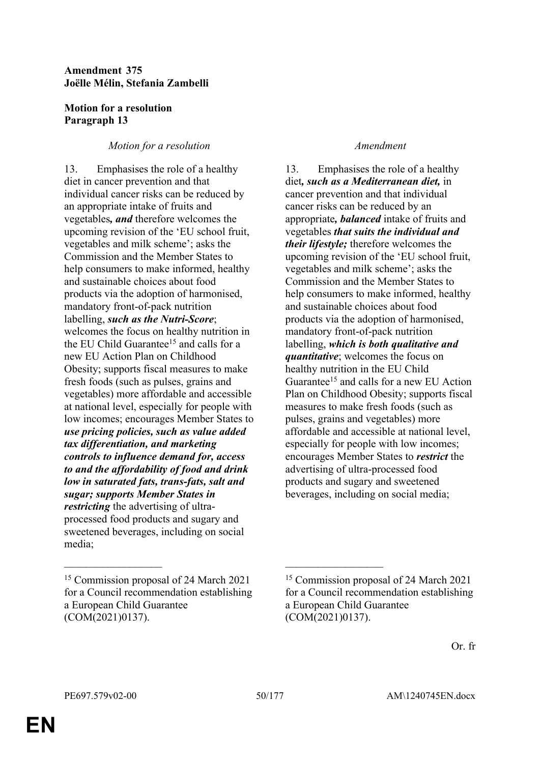## **Amendment 375 Joëlle Mélin, Stefania Zambelli**

## **Motion for a resolution Paragraph 13**

# *Motion for a resolution Amendment*

13. Emphasises the role of a healthy diet in cancer prevention and that individual cancer risks can be reduced by an appropriate intake of fruits and vegetables*, and* therefore welcomes the upcoming revision of the 'EU school fruit, vegetables and milk scheme'; asks the Commission and the Member States to help consumers to make informed, healthy and sustainable choices about food products via the adoption of harmonised, mandatory front-of-pack nutrition labelling, *such as the Nutri-Score*; welcomes the focus on healthy nutrition in the EU Child Guarantee<sup>15</sup> and calls for a new EU Action Plan on Childhood Obesity; supports fiscal measures to make fresh foods (such as pulses, grains and vegetables) more affordable and accessible at national level, especially for people with low incomes; encourages Member States to *use pricing policies, such as value added tax differentiation, and marketing controls to influence demand for, access to and the affordability of food and drink low in saturated fats, trans-fats, salt and sugar; supports Member States in restricting* the advertising of ultraprocessed food products and sugary and sweetened beverages, including on social media;

 $\mathcal{L}_\mathcal{L}$  , and the contribution of the contribution of the contribution of the contribution of the contribution of the contribution of the contribution of the contribution of the contribution of the contribution of

13. Emphasises the role of a healthy diet*, such as a Mediterranean diet,* in cancer prevention and that individual cancer risks can be reduced by an appropriate*, balanced* intake of fruits and vegetables *that suits the individual and their lifestyle;* therefore welcomes the upcoming revision of the 'EU school fruit, vegetables and milk scheme'; asks the Commission and the Member States to help consumers to make informed, healthy and sustainable choices about food products via the adoption of harmonised, mandatory front-of-pack nutrition labelling, *which is both qualitative and quantitative*; welcomes the focus on healthy nutrition in the EU Child Guarantee<sup>15</sup> and calls for a new EU Action Plan on Childhood Obesity; supports fiscal measures to make fresh foods (such as pulses, grains and vegetables) more affordable and accessible at national level, especially for people with low incomes; encourages Member States to *restrict* the advertising of ultra-processed food products and sugary and sweetened beverages, including on social media;

<sup>15</sup> Commission proposal of 24 March 2021 for a Council recommendation establishing a European Child Guarantee (COM(2021)0137).

<sup>15</sup> Commission proposal of 24 March 2021 for a Council recommendation establishing a European Child Guarantee (COM(2021)0137).

Or. fr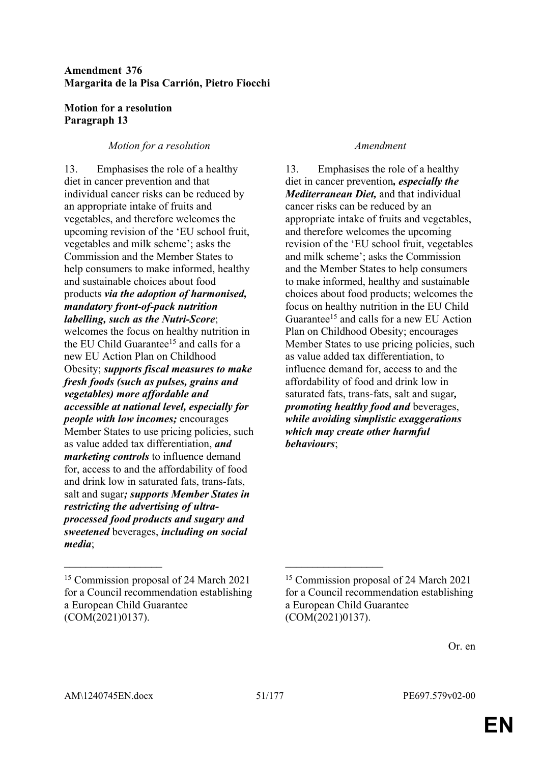## **Amendment 376 Margarita de la Pisa Carrión, Pietro Fiocchi**

## **Motion for a resolution Paragraph 13**

## *Motion for a resolution Amendment*

13. Emphasises the role of a healthy diet in cancer prevention and that individual cancer risks can be reduced by an appropriate intake of fruits and vegetables, and therefore welcomes the upcoming revision of the 'EU school fruit, vegetables and milk scheme'; asks the Commission and the Member States to help consumers to make informed, healthy and sustainable choices about food products *via the adoption of harmonised, mandatory front-of-pack nutrition labelling, such as the Nutri-Score*;

welcomes the focus on healthy nutrition in the EU Child Guarantee<sup>15</sup> and calls for a new EU Action Plan on Childhood Obesity; *supports fiscal measures to make fresh foods (such as pulses, grains and vegetables) more affordable and accessible at national level, especially for people with low incomes;* encourages Member States to use pricing policies, such as value added tax differentiation, *and marketing controls* to influence demand for, access to and the affordability of food and drink low in saturated fats, trans-fats, salt and sugar*; supports Member States in restricting the advertising of ultraprocessed food products and sugary and sweetened* beverages, *including on social media*;

 $\mathcal{L}_\mathcal{L}$  , and the contribution of the contribution of the contribution of the contribution of the contribution of the contribution of the contribution of the contribution of the contribution of the contribution of

13. Emphasises the role of a healthy diet in cancer prevention*, especially the Mediterranean Diet,* and that individual cancer risks can be reduced by an appropriate intake of fruits and vegetables, and therefore welcomes the upcoming revision of the 'EU school fruit, vegetables and milk scheme'; asks the Commission and the Member States to help consumers to make informed, healthy and sustainable choices about food products; welcomes the focus on healthy nutrition in the EU Child Guarantee<sup>15</sup> and calls for a new EU Action Plan on Childhood Obesity; encourages Member States to use pricing policies, such as value added tax differentiation, to influence demand for, access to and the affordability of food and drink low in saturated fats, trans-fats, salt and sugar*, promoting healthy food and* beverages, *while avoiding simplistic exaggerations which may create other harmful behaviours*;

<sup>15</sup> Commission proposal of 24 March 2021 for a Council recommendation establishing a European Child Guarantee (COM(2021)0137).

<sup>15</sup> Commission proposal of 24 March 2021 for a Council recommendation establishing a European Child Guarantee (COM(2021)0137).

Or. en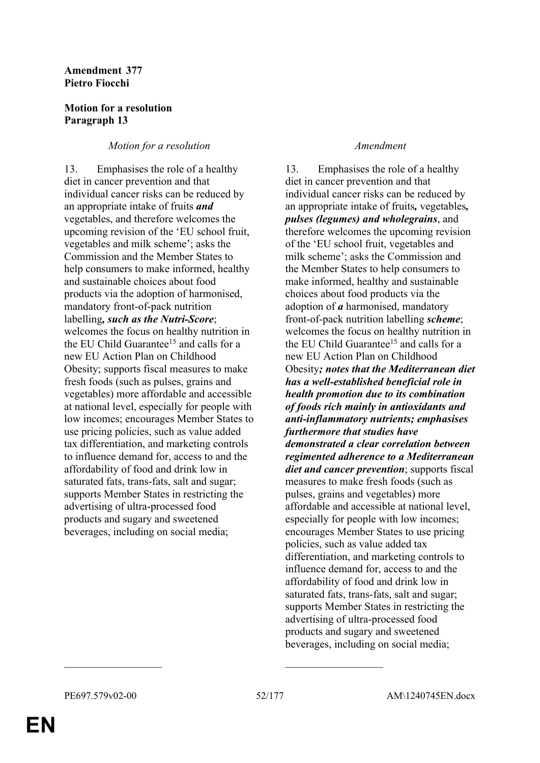## **Amendment 377 Pietro Fiocchi**

## **Motion for a resolution Paragraph 13**

## *Motion for a resolution Amendment*

13. Emphasises the role of a healthy diet in cancer prevention and that individual cancer risks can be reduced by an appropriate intake of fruits *and* vegetables, and therefore welcomes the upcoming revision of the 'EU school fruit, vegetables and milk scheme'; asks the Commission and the Member States to help consumers to make informed, healthy and sustainable choices about food products via the adoption of harmonised, mandatory front-of-pack nutrition labelling*, such as the Nutri-Score*; welcomes the focus on healthy nutrition in the EU Child Guarantee<sup>15</sup> and calls for a new EU Action Plan on Childhood Obesity; supports fiscal measures to make fresh foods (such as pulses, grains and vegetables) more affordable and accessible at national level, especially for people with low incomes; encourages Member States to use pricing policies, such as value added tax differentiation, and marketing controls to influence demand for, access to and the affordability of food and drink low in saturated fats, trans-fats, salt and sugar; supports Member States in restricting the advertising of ultra-processed food products and sugary and sweetened beverages, including on social media;

13. Emphasises the role of a healthy diet in cancer prevention and that individual cancer risks can be reduced by an appropriate intake of fruits*,* vegetables*, pulses (legumes) and wholegrains*, and therefore welcomes the upcoming revision of the 'EU school fruit, vegetables and milk scheme'; asks the Commission and the Member States to help consumers to make informed, healthy and sustainable choices about food products via the adoption of *a* harmonised, mandatory front-of-pack nutrition labelling *scheme*; welcomes the focus on healthy nutrition in the EU Child Guarantee<sup>15</sup> and calls for a new EU Action Plan on Childhood Obesity*; notes that the Mediterranean diet has a well-established beneficial role in health promotion due to its combination of foods rich mainly in antioxidants and anti-inflammatory nutrients; emphasises furthermore that studies have demonstrated a clear correlation between regimented adherence to a Mediterranean diet and cancer prevention*; supports fiscal measures to make fresh foods (such as pulses, grains and vegetables) more affordable and accessible at national level, especially for people with low incomes; encourages Member States to use pricing policies, such as value added tax differentiation, and marketing controls to influence demand for, access to and the affordability of food and drink low in saturated fats, trans-fats, salt and sugar; supports Member States in restricting the advertising of ultra-processed food products and sugary and sweetened beverages, including on social media;

 $\mathcal{L}_\text{max}$  and  $\mathcal{L}_\text{max}$  and  $\mathcal{L}_\text{max}$  and  $\mathcal{L}_\text{max}$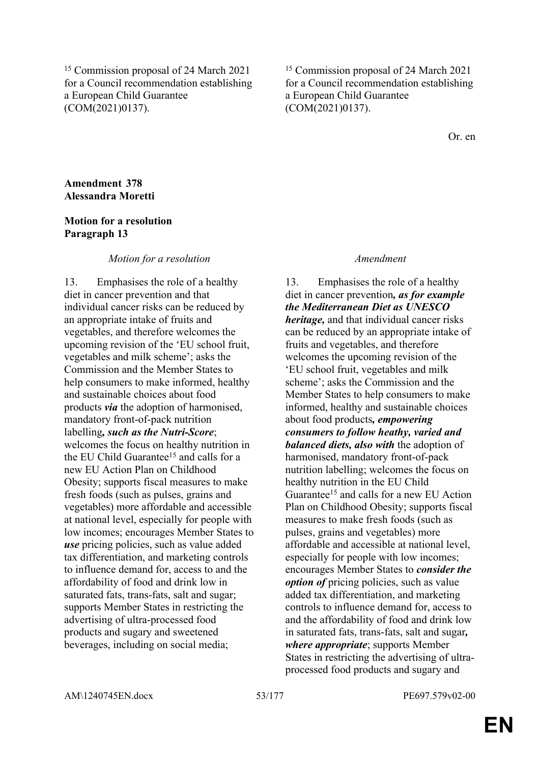<sup>15</sup> Commission proposal of 24 March 2021 for a Council recommendation establishing a European Child Guarantee (COM(2021)0137).

<sup>15</sup> Commission proposal of 24 March 2021 for a Council recommendation establishing a European Child Guarantee (COM(2021)0137).

Or. en

### **Amendment 378 Alessandra Moretti**

### **Motion for a resolution Paragraph 13**

### *Motion for a resolution Amendment*

13. Emphasises the role of a healthy diet in cancer prevention and that individual cancer risks can be reduced by an appropriate intake of fruits and vegetables, and therefore welcomes the upcoming revision of the 'EU school fruit, vegetables and milk scheme'; asks the Commission and the Member States to help consumers to make informed, healthy and sustainable choices about food products *via* the adoption of harmonised, mandatory front-of-pack nutrition labelling*, such as the Nutri-Score*; welcomes the focus on healthy nutrition in the EU Child Guarantee<sup>15</sup> and calls for a new EU Action Plan on Childhood Obesity; supports fiscal measures to make fresh foods (such as pulses, grains and vegetables) more affordable and accessible at national level, especially for people with low incomes; encourages Member States to *use* pricing policies, such as value added tax differentiation, and marketing controls to influence demand for, access to and the affordability of food and drink low in saturated fats, trans-fats, salt and sugar; supports Member States in restricting the advertising of ultra-processed food products and sugary and sweetened beverages, including on social media;

13. Emphasises the role of a healthy diet in cancer prevention*, as for example the Mediterranean Diet as UNESCO heritage,* and that individual cancer risks can be reduced by an appropriate intake of fruits and vegetables, and therefore welcomes the upcoming revision of the 'EU school fruit, vegetables and milk scheme'; asks the Commission and the Member States to help consumers to make informed, healthy and sustainable choices about food products*, empowering consumers to follow heathy, varied and balanced diets, also with* the adoption of harmonised, mandatory front-of-pack nutrition labelling; welcomes the focus on healthy nutrition in the EU Child Guarantee<sup>15</sup> and calls for a new EU Action Plan on Childhood Obesity; supports fiscal measures to make fresh foods (such as pulses, grains and vegetables) more affordable and accessible at national level, especially for people with low incomes; encourages Member States to *consider the option of* pricing policies, such as value added tax differentiation, and marketing controls to influence demand for, access to and the affordability of food and drink low in saturated fats, trans-fats, salt and sugar*, where appropriate*; supports Member States in restricting the advertising of ultraprocessed food products and sugary and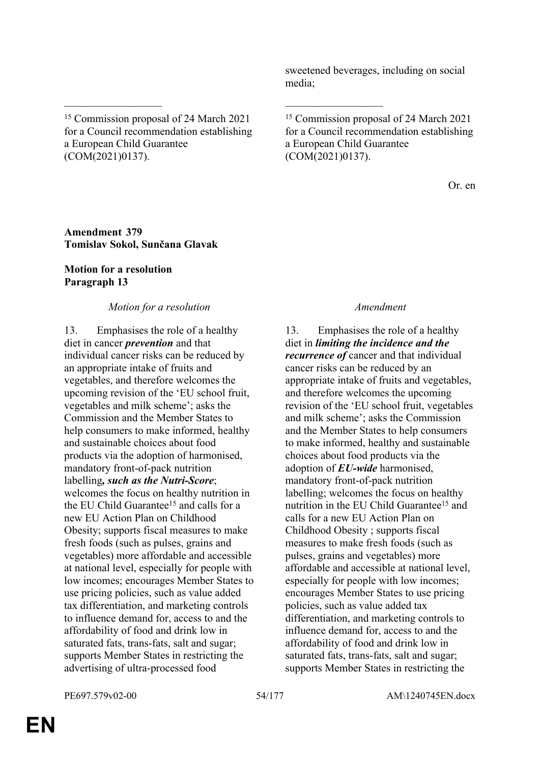sweetened beverages, including on social media;

<sup>15</sup> Commission proposal of 24 March 2021 for a Council recommendation establishing a European Child Guarantee (COM(2021)0137).

\_\_\_\_\_\_\_\_\_\_\_\_\_\_\_\_\_\_ \_\_\_\_\_\_\_\_\_\_\_\_\_\_\_\_\_\_

<sup>15</sup> Commission proposal of 24 March 2021 for a Council recommendation establishing a European Child Guarantee (COM(2021)0137).

Or. en

### **Amendment 379 Tomislav Sokol, Sunčana Glavak**

## **Motion for a resolution Paragraph 13**

## *Motion for a resolution Amendment*

13. Emphasises the role of a healthy diet in cancer *prevention* and that individual cancer risks can be reduced by an appropriate intake of fruits and vegetables, and therefore welcomes the upcoming revision of the 'EU school fruit, vegetables and milk scheme'; asks the Commission and the Member States to help consumers to make informed, healthy and sustainable choices about food products via the adoption of harmonised, mandatory front-of-pack nutrition labelling*, such as the Nutri-Score*; welcomes the focus on healthy nutrition in the EU Child Guarantee<sup>15</sup> and calls for a new EU Action Plan on Childhood Obesity; supports fiscal measures to make fresh foods (such as pulses, grains and vegetables) more affordable and accessible at national level, especially for people with low incomes; encourages Member States to use pricing policies, such as value added tax differentiation, and marketing controls to influence demand for, access to and the affordability of food and drink low in saturated fats, trans-fats, salt and sugar; supports Member States in restricting the advertising of ultra-processed food

13. Emphasises the role of a healthy diet in *limiting the incidence and the recurrence of* cancer and that individual cancer risks can be reduced by an appropriate intake of fruits and vegetables, and therefore welcomes the upcoming revision of the 'EU school fruit, vegetables and milk scheme'; asks the Commission and the Member States to help consumers to make informed, healthy and sustainable choices about food products via the adoption of *EU-wide* harmonised, mandatory front-of-pack nutrition labelling; welcomes the focus on healthy nutrition in the EU Child Guarantee<sup>15</sup> and calls for a new EU Action Plan on Childhood Obesity ; supports fiscal measures to make fresh foods (such as pulses, grains and vegetables) more affordable and accessible at national level, especially for people with low incomes; encourages Member States to use pricing policies, such as value added tax differentiation, and marketing controls to influence demand for, access to and the affordability of food and drink low in saturated fats, trans-fats, salt and sugar; supports Member States in restricting the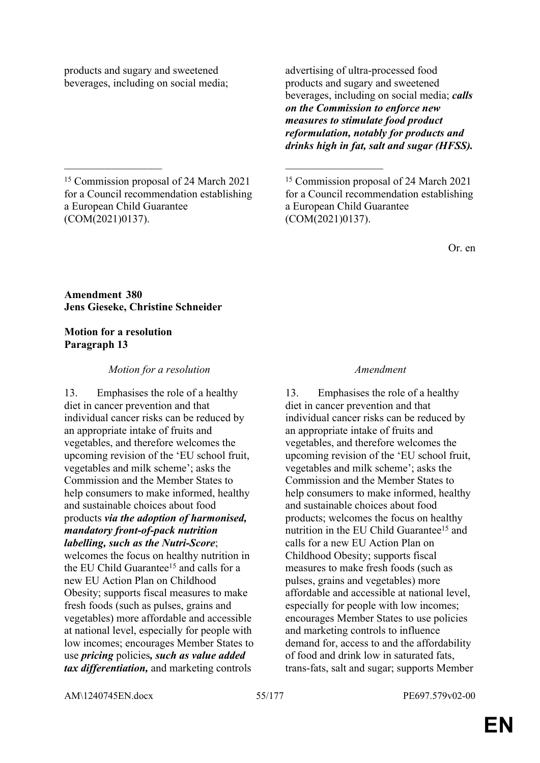products and sugary and sweetened beverages, including on social media; advertising of ultra-processed food products and sugary and sweetened beverages, including on social media; *calls on the Commission to enforce new measures to stimulate food product reformulation, notably for products and drinks high in fat, salt and sugar (HFSS).*

<sup>15</sup> Commission proposal of 24 March 2021 for a Council recommendation establishing a European Child Guarantee (COM(2021)0137).

\_\_\_\_\_\_\_\_\_\_\_\_\_\_\_\_\_\_ \_\_\_\_\_\_\_\_\_\_\_\_\_\_\_\_\_\_

<sup>15</sup> Commission proposal of 24 March 2021 for a Council recommendation establishing a European Child Guarantee (COM(2021)0137).

Or. en

### **Amendment 380 Jens Gieseke, Christine Schneider**

## **Motion for a resolution Paragraph 13**

## *Motion for a resolution Amendment*

13. Emphasises the role of a healthy diet in cancer prevention and that individual cancer risks can be reduced by an appropriate intake of fruits and vegetables, and therefore welcomes the upcoming revision of the 'EU school fruit, vegetables and milk scheme'; asks the Commission and the Member States to help consumers to make informed, healthy and sustainable choices about food products *via the adoption of harmonised, mandatory front-of-pack nutrition labelling, such as the Nutri-Score*;

welcomes the focus on healthy nutrition in the EU Child Guarantee<sup>15</sup> and calls for a new EU Action Plan on Childhood Obesity; supports fiscal measures to make fresh foods (such as pulses, grains and vegetables) more affordable and accessible at national level, especially for people with low incomes; encourages Member States to use *pricing* policies*, such as value added tax differentiation,* and marketing controls

13. Emphasises the role of a healthy diet in cancer prevention and that individual cancer risks can be reduced by an appropriate intake of fruits and vegetables, and therefore welcomes the upcoming revision of the 'EU school fruit, vegetables and milk scheme'; asks the Commission and the Member States to help consumers to make informed, healthy and sustainable choices about food products; welcomes the focus on healthy nutrition in the EU Child Guarantee<sup>15</sup> and calls for a new EU Action Plan on Childhood Obesity; supports fiscal measures to make fresh foods (such as pulses, grains and vegetables) more affordable and accessible at national level, especially for people with low incomes; encourages Member States to use policies and marketing controls to influence demand for, access to and the affordability of food and drink low in saturated fats, trans-fats, salt and sugar; supports Member

AM\1240745EN.docx 55/177 PE697.579v02-00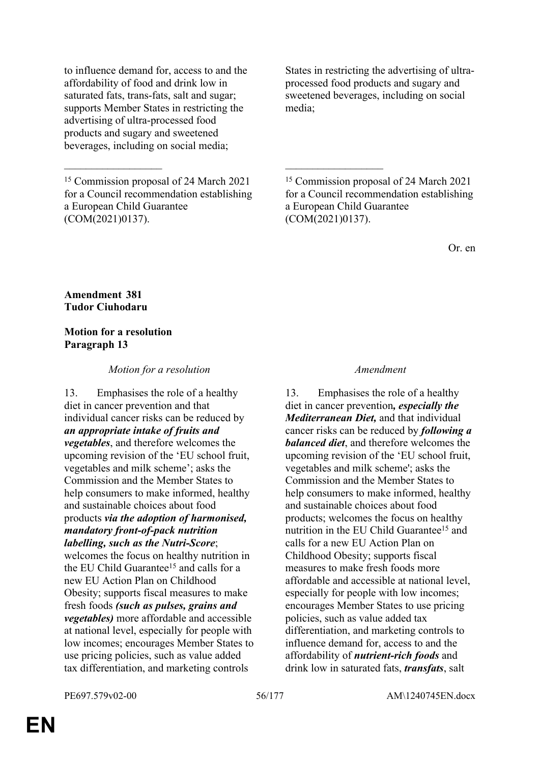to influence demand for, access to and the affordability of food and drink low in saturated fats, trans-fats, salt and sugar; supports Member States in restricting the advertising of ultra-processed food products and sugary and sweetened beverages, including on social media;

<sup>15</sup> Commission proposal of 24 March 2021 for a Council recommendation establishing a European Child Guarantee (COM(2021)0137).

\_\_\_\_\_\_\_\_\_\_\_\_\_\_\_\_\_\_ \_\_\_\_\_\_\_\_\_\_\_\_\_\_\_\_\_\_

States in restricting the advertising of ultraprocessed food products and sugary and sweetened beverages, including on social media;

<sup>15</sup> Commission proposal of 24 March 2021 for a Council recommendation establishing a European Child Guarantee (COM(2021)0137).

Or. en

### **Amendment 381 Tudor Ciuhodaru**

### **Motion for a resolution Paragraph 13**

## *Motion for a resolution Amendment*

13. Emphasises the role of a healthy diet in cancer prevention and that individual cancer risks can be reduced by *an appropriate intake of fruits and vegetables*, and therefore welcomes the upcoming revision of the 'EU school fruit, vegetables and milk scheme'; asks the Commission and the Member States to help consumers to make informed, healthy and sustainable choices about food products *via the adoption of harmonised, mandatory front-of-pack nutrition labelling, such as the Nutri-Score*; welcomes the focus on healthy nutrition in

the EU Child Guarantee<sup>15</sup> and calls for a new EU Action Plan on Childhood Obesity; supports fiscal measures to make fresh foods *(such as pulses, grains and vegetables)* more affordable and accessible at national level, especially for people with low incomes; encourages Member States to use pricing policies, such as value added tax differentiation, and marketing controls

13. Emphasises the role of a healthy diet in cancer prevention*, especially the Mediterranean Diet,* and that individual cancer risks can be reduced by *following a balanced diet*, and therefore welcomes the upcoming revision of the 'EU school fruit, vegetables and milk scheme'; asks the Commission and the Member States to help consumers to make informed, healthy and sustainable choices about food products; welcomes the focus on healthy nutrition in the EU Child Guarantee<sup>15</sup> and calls for a new EU Action Plan on Childhood Obesity; supports fiscal measures to make fresh foods more affordable and accessible at national level, especially for people with low incomes; encourages Member States to use pricing policies, such as value added tax differentiation, and marketing controls to influence demand for, access to and the affordability of *nutrient-rich foods* and drink low in saturated fats, *transfats*, salt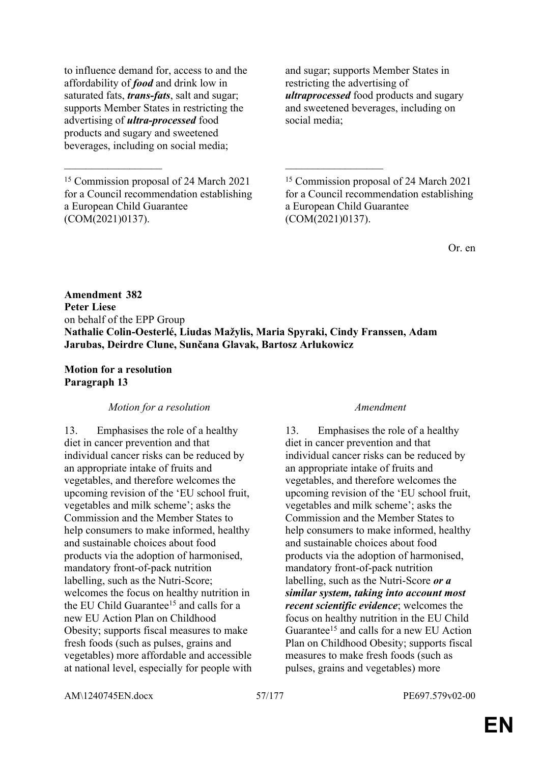to influence demand for, access to and the affordability of *food* and drink low in saturated fats, *trans-fats*, salt and sugar; supports Member States in restricting the advertising of *ultra-processed* food products and sugary and sweetened beverages, including on social media;

<sup>15</sup> Commission proposal of 24 March 2021 for a Council recommendation establishing a European Child Guarantee (COM(2021)0137).

and sugar; supports Member States in restricting the advertising of *ultraprocessed* food products and sugary and sweetened beverages, including on social media;

<sup>15</sup> Commission proposal of 24 March 2021 for a Council recommendation establishing a European Child Guarantee (COM(2021)0137).

Or. en

**Amendment 382 Peter Liese** on behalf of the EPP Group **Nathalie Colin-Oesterlé, Liudas Mažylis, Maria Spyraki, Cindy Franssen, Adam Jarubas, Deirdre Clune, Sunčana Glavak, Bartosz Arłukowicz**

\_\_\_\_\_\_\_\_\_\_\_\_\_\_\_\_\_\_ \_\_\_\_\_\_\_\_\_\_\_\_\_\_\_\_\_\_

### **Motion for a resolution Paragraph 13**

### *Motion for a resolution Amendment*

13. Emphasises the role of a healthy diet in cancer prevention and that individual cancer risks can be reduced by an appropriate intake of fruits and vegetables, and therefore welcomes the upcoming revision of the 'EU school fruit, vegetables and milk scheme'; asks the Commission and the Member States to help consumers to make informed, healthy and sustainable choices about food products via the adoption of harmonised, mandatory front-of-pack nutrition labelling, such as the Nutri-Score; welcomes the focus on healthy nutrition in the EU Child Guarantee<sup>15</sup> and calls for a new EU Action Plan on Childhood Obesity; supports fiscal measures to make fresh foods (such as pulses, grains and vegetables) more affordable and accessible at national level, especially for people with

13. Emphasises the role of a healthy diet in cancer prevention and that individual cancer risks can be reduced by an appropriate intake of fruits and vegetables, and therefore welcomes the upcoming revision of the 'EU school fruit, vegetables and milk scheme'; asks the Commission and the Member States to help consumers to make informed, healthy and sustainable choices about food products via the adoption of harmonised, mandatory front-of-pack nutrition labelling, such as the Nutri-Score *or a similar system, taking into account most recent scientific evidence*; welcomes the focus on healthy nutrition in the EU Child Guarantee<sup>15</sup> and calls for a new EU Action Plan on Childhood Obesity; supports fiscal measures to make fresh foods (such as pulses, grains and vegetables) more

AM\1240745EN.docx 57/177 PE697.579v02-00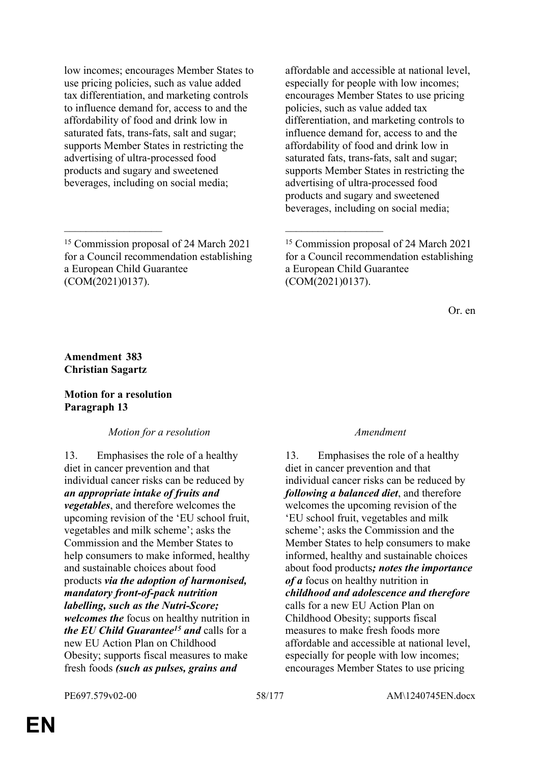low incomes; encourages Member States to use pricing policies, such as value added tax differentiation, and marketing controls to influence demand for, access to and the affordability of food and drink low in saturated fats, trans-fats, salt and sugar; supports Member States in restricting the advertising of ultra-processed food products and sugary and sweetened beverages, including on social media;

 $\mathcal{L}_\mathcal{L}$  , and the contribution of the contribution of the contribution of the contribution of the contribution of the contribution of the contribution of the contribution of the contribution of the contribution of

affordable and accessible at national level, especially for people with low incomes; encourages Member States to use pricing policies, such as value added tax differentiation, and marketing controls to influence demand for, access to and the affordability of food and drink low in saturated fats, trans-fats, salt and sugar; supports Member States in restricting the advertising of ultra-processed food products and sugary and sweetened beverages, including on social media;

Or. en

### **Amendment 383 Christian Sagartz**

### **Motion for a resolution Paragraph 13**

### *Motion for a resolution Amendment*

13. Emphasises the role of a healthy diet in cancer prevention and that individual cancer risks can be reduced by *an appropriate intake of fruits and vegetables*, and therefore welcomes the upcoming revision of the 'EU school fruit, vegetables and milk scheme'; asks the Commission and the Member States to help consumers to make informed, healthy and sustainable choices about food products *via the adoption of harmonised, mandatory front-of-pack nutrition labelling, such as the Nutri-Score; welcomes the* focus on healthy nutrition in *the EU Child Guarantee<sup>15</sup> and* calls for a new EU Action Plan on Childhood Obesity; supports fiscal measures to make fresh foods *(such as pulses, grains and* 

13. Emphasises the role of a healthy diet in cancer prevention and that individual cancer risks can be reduced by *following a balanced diet*, and therefore welcomes the upcoming revision of the 'EU school fruit, vegetables and milk scheme'; asks the Commission and the Member States to help consumers to make informed, healthy and sustainable choices about food products*; notes the importance of a* focus on healthy nutrition in *childhood and adolescence and therefore* calls for a new EU Action Plan on Childhood Obesity; supports fiscal measures to make fresh foods more affordable and accessible at national level, especially for people with low incomes; encourages Member States to use pricing

<sup>15</sup> Commission proposal of 24 March 2021 for a Council recommendation establishing a European Child Guarantee (COM(2021)0137).

<sup>15</sup> Commission proposal of 24 March 2021 for a Council recommendation establishing a European Child Guarantee (COM(2021)0137).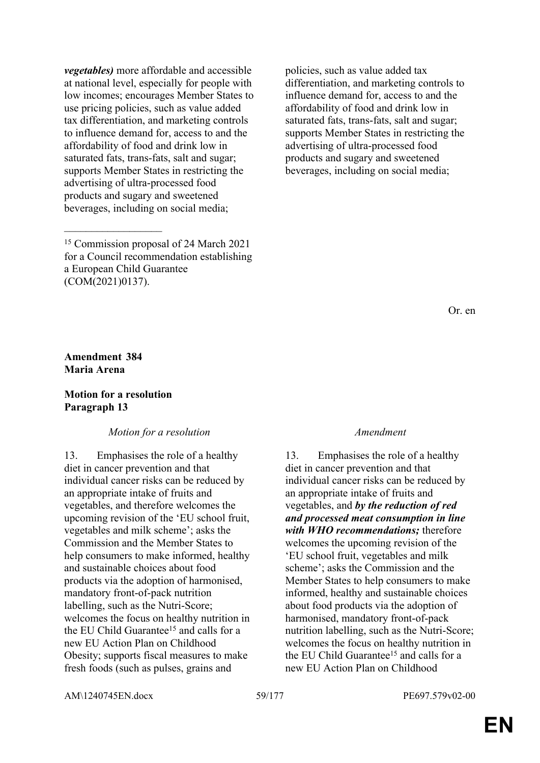*vegetables)* more affordable and accessible at national level, especially for people with low incomes; encourages Member States to use pricing policies, such as value added tax differentiation, and marketing controls to influence demand for, access to and the affordability of food and drink low in saturated fats, trans-fats, salt and sugar; supports Member States in restricting the advertising of ultra-processed food products and sugary and sweetened beverages, including on social media;

**Amendment 384 Maria Arena**

 $\overline{\phantom{a}}$  , where  $\overline{\phantom{a}}$ 

### **Motion for a resolution Paragraph 13**

### *Motion for a resolution Amendment*

13. Emphasises the role of a healthy diet in cancer prevention and that individual cancer risks can be reduced by an appropriate intake of fruits and vegetables, and therefore welcomes the upcoming revision of the 'EU school fruit, vegetables and milk scheme'; asks the Commission and the Member States to help consumers to make informed, healthy and sustainable choices about food products via the adoption of harmonised, mandatory front-of-pack nutrition labelling, such as the Nutri-Score; welcomes the focus on healthy nutrition in the EU Child Guarantee<sup>15</sup> and calls for a new EU Action Plan on Childhood Obesity; supports fiscal measures to make fresh foods (such as pulses, grains and

policies, such as value added tax differentiation, and marketing controls to influence demand for, access to and the affordability of food and drink low in saturated fats, trans-fats, salt and sugar; supports Member States in restricting the advertising of ultra-processed food products and sugary and sweetened beverages, including on social media;

Or. en

13. Emphasises the role of a healthy diet in cancer prevention and that individual cancer risks can be reduced by an appropriate intake of fruits and vegetables, and *by the reduction of red and processed meat consumption in line with WHO recommendations;* therefore welcomes the upcoming revision of the 'EU school fruit, vegetables and milk scheme'; asks the Commission and the Member States to help consumers to make informed, healthy and sustainable choices about food products via the adoption of harmonised, mandatory front-of-pack nutrition labelling, such as the Nutri-Score; welcomes the focus on healthy nutrition in the EU Child Guarantee<sup>15</sup> and calls for a new EU Action Plan on Childhood

AM\1240745EN.docx 59/177 PE697.579v02-00

<sup>15</sup> Commission proposal of 24 March 2021 for a Council recommendation establishing a European Child Guarantee (COM(2021)0137).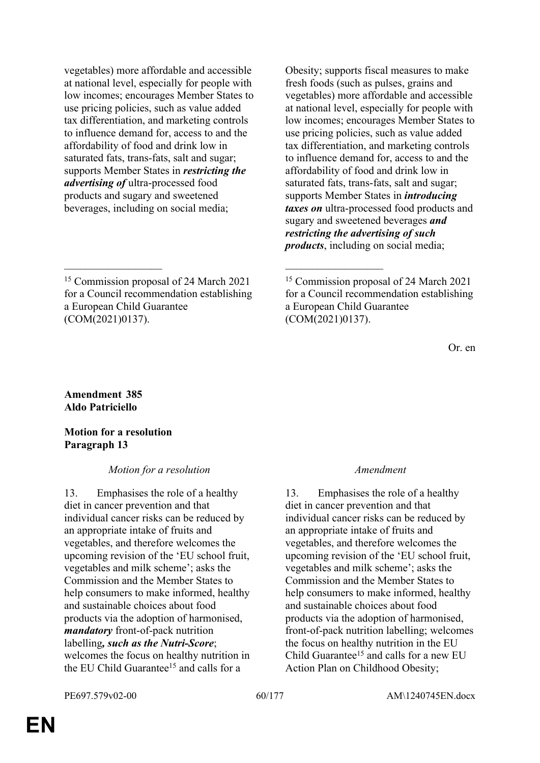vegetables) more affordable and accessible at national level, especially for people with low incomes; encourages Member States to use pricing policies, such as value added tax differentiation, and marketing controls to influence demand for, access to and the affordability of food and drink low in saturated fats, trans-fats, salt and sugar; supports Member States in *restricting the advertising of* ultra-processed food products and sugary and sweetened beverages, including on social media;

<sup>15</sup> Commission proposal of 24 March 2021 for a Council recommendation establishing a European Child Guarantee (COM(2021)0137).

 $\mathcal{L}_\mathcal{L}$  , and the contribution of the contribution of the contribution of the contribution of the contribution of the contribution of the contribution of the contribution of the contribution of the contribution of

Obesity; supports fiscal measures to make fresh foods (such as pulses, grains and vegetables) more affordable and accessible at national level, especially for people with low incomes; encourages Member States to use pricing policies, such as value added tax differentiation, and marketing controls to influence demand for, access to and the affordability of food and drink low in saturated fats, trans-fats, salt and sugar; supports Member States in *introducing taxes on* ultra-processed food products and sugary and sweetened beverages *and restricting the advertising of such products*, including on social media;

Or. en

### **Amendment 385 Aldo Patriciello**

**Motion for a resolution Paragraph 13**

## *Motion for a resolution Amendment*

13. Emphasises the role of a healthy diet in cancer prevention and that individual cancer risks can be reduced by an appropriate intake of fruits and vegetables, and therefore welcomes the upcoming revision of the 'EU school fruit, vegetables and milk scheme'; asks the Commission and the Member States to help consumers to make informed, healthy and sustainable choices about food products via the adoption of harmonised, *mandatory* front-of-pack nutrition labelling*, such as the Nutri-Score*; welcomes the focus on healthy nutrition in the EU Child Guarantee<sup>15</sup> and calls for a

13. Emphasises the role of a healthy diet in cancer prevention and that individual cancer risks can be reduced by an appropriate intake of fruits and vegetables, and therefore welcomes the upcoming revision of the 'EU school fruit, vegetables and milk scheme'; asks the Commission and the Member States to help consumers to make informed, healthy and sustainable choices about food products via the adoption of harmonised, front-of-pack nutrition labelling; welcomes the focus on healthy nutrition in the EU Child Guarantee<sup>15</sup> and calls for a new EU Action Plan on Childhood Obesity;

<sup>15</sup> Commission proposal of 24 March 2021 for a Council recommendation establishing a European Child Guarantee (COM(2021)0137).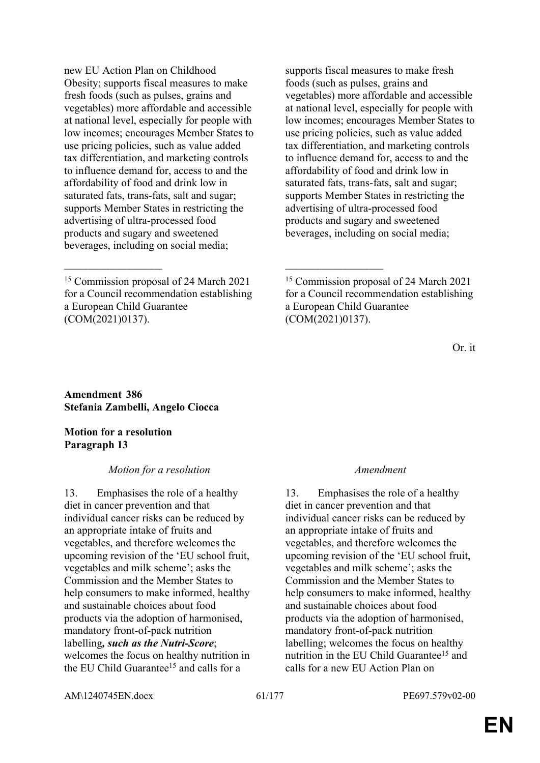$\mathcal{L}_\mathcal{L}$  , and the contribution of the contribution of the contribution of the contribution of the contribution of the contribution of the contribution of the contribution of the contribution of the contribution of

supports fiscal measures to make fresh foods (such as pulses, grains and vegetables) more affordable and accessible at national level, especially for people with low incomes; encourages Member States to use pricing policies, such as value added tax differentiation, and marketing controls to influence demand for, access to and the affordability of food and drink low in saturated fats, trans-fats, salt and sugar; supports Member States in restricting the advertising of ultra-processed food products and sugary and sweetened beverages, including on social media;

Or. it

**Amendment 386 Stefania Zambelli, Angelo Ciocca**

**Motion for a resolution Paragraph 13**

### *Motion for a resolution Amendment*

13. Emphasises the role of a healthy diet in cancer prevention and that individual cancer risks can be reduced by an appropriate intake of fruits and vegetables, and therefore welcomes the upcoming revision of the 'EU school fruit, vegetables and milk scheme'; asks the Commission and the Member States to help consumers to make informed, healthy and sustainable choices about food products via the adoption of harmonised, mandatory front-of-pack nutrition labelling*, such as the Nutri-Score*; welcomes the focus on healthy nutrition in the EU Child Guarantee<sup>15</sup> and calls for a

13. Emphasises the role of a healthy diet in cancer prevention and that individual cancer risks can be reduced by an appropriate intake of fruits and vegetables, and therefore welcomes the upcoming revision of the 'EU school fruit, vegetables and milk scheme'; asks the Commission and the Member States to help consumers to make informed, healthy and sustainable choices about food products via the adoption of harmonised, mandatory front-of-pack nutrition labelling; welcomes the focus on healthy nutrition in the EU Child Guarantee<sup>15</sup> and calls for a new EU Action Plan on

AM\1240745EN.docx 61/177 PE697.579v02-00

<sup>15</sup> Commission proposal of 24 March 2021 for a Council recommendation establishing a European Child Guarantee (COM(2021)0137).

<sup>15</sup> Commission proposal of 24 March 2021 for a Council recommendation establishing a European Child Guarantee (COM(2021)0137).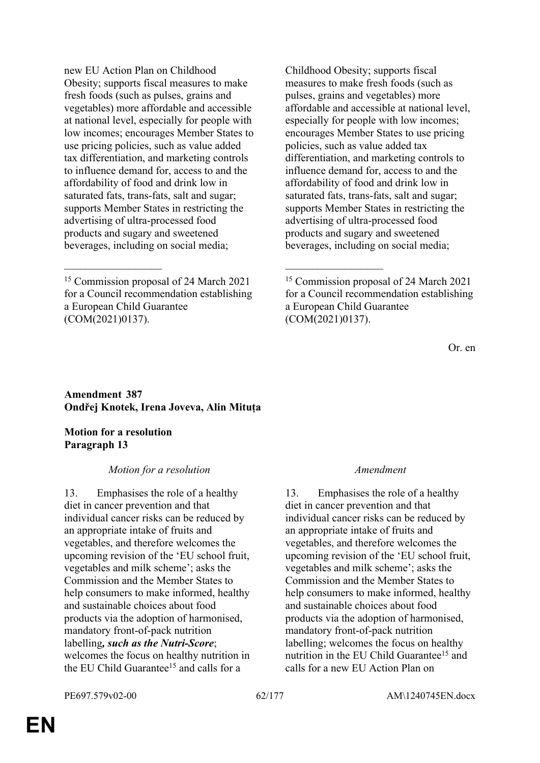$\mathcal{L}_\mathcal{L}$  , and the contribution of the contribution of the contribution of the contribution of the contribution of the contribution of the contribution of the contribution of the contribution of the contribution of

Childhood Obesity; supports fiscal measures to make fresh foods (such as pulses, grains and vegetables) more affordable and accessible at national level, especially for people with low incomes; encourages Member States to use pricing policies, such as value added tax differentiation, and marketing controls to influence demand for, access to and the affordability of food and drink low in saturated fats, trans-fats, salt and sugar; supports Member States in restricting the advertising of ultra-processed food products and sugary and sweetened beverages, including on social media;

Or. en

### **Amendment 387 Ondřej Knotek, Irena Joveva, Alin Mituța**

**Motion for a resolution Paragraph 13**

## *Motion for a resolution Amendment*

13. Emphasises the role of a healthy diet in cancer prevention and that individual cancer risks can be reduced by an appropriate intake of fruits and vegetables, and therefore welcomes the upcoming revision of the 'EU school fruit, vegetables and milk scheme'; asks the Commission and the Member States to help consumers to make informed, healthy and sustainable choices about food products via the adoption of harmonised, mandatory front-of-pack nutrition labelling*, such as the Nutri-Score*; welcomes the focus on healthy nutrition in the EU Child Guarantee<sup>15</sup> and calls for a

13. Emphasises the role of a healthy diet in cancer prevention and that individual cancer risks can be reduced by an appropriate intake of fruits and vegetables, and therefore welcomes the upcoming revision of the 'EU school fruit, vegetables and milk scheme'; asks the Commission and the Member States to help consumers to make informed, healthy and sustainable choices about food products via the adoption of harmonised, mandatory front-of-pack nutrition labelling; welcomes the focus on healthy nutrition in the EU Child Guarantee<sup>15</sup> and calls for a new EU Action Plan on

<sup>15</sup> Commission proposal of 24 March 2021 for a Council recommendation establishing a European Child Guarantee (COM(2021)0137).

<sup>15</sup> Commission proposal of 24 March 2021 for a Council recommendation establishing a European Child Guarantee (COM(2021)0137).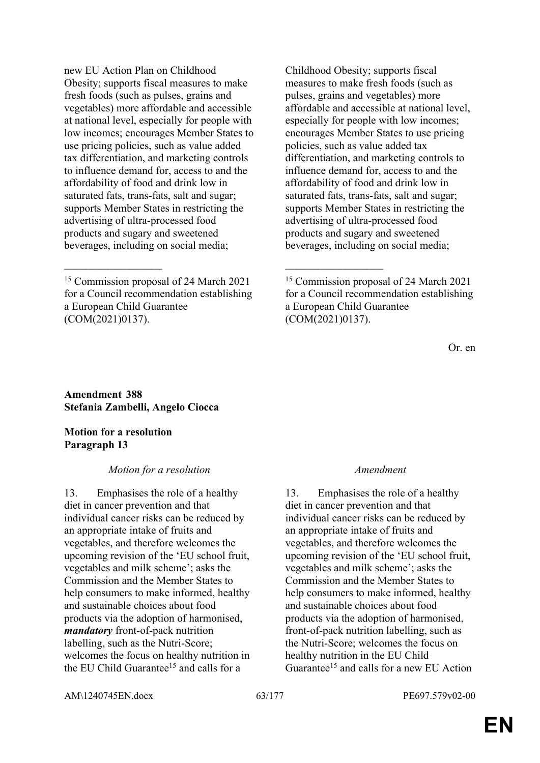$\mathcal{L}_\mathcal{L}$  , and the contribution of the contribution of the contribution of the contribution of the contribution of the contribution of the contribution of the contribution of the contribution of the contribution of

Childhood Obesity; supports fiscal measures to make fresh foods (such as pulses, grains and vegetables) more affordable and accessible at national level, especially for people with low incomes; encourages Member States to use pricing policies, such as value added tax differentiation, and marketing controls to influence demand for, access to and the affordability of food and drink low in saturated fats, trans-fats, salt and sugar; supports Member States in restricting the advertising of ultra-processed food products and sugary and sweetened beverages, including on social media;

Or. en

**Amendment 388 Stefania Zambelli, Angelo Ciocca**

**Motion for a resolution Paragraph 13**

### *Motion for a resolution Amendment*

13. Emphasises the role of a healthy diet in cancer prevention and that individual cancer risks can be reduced by an appropriate intake of fruits and vegetables, and therefore welcomes the upcoming revision of the 'EU school fruit, vegetables and milk scheme'; asks the Commission and the Member States to help consumers to make informed, healthy and sustainable choices about food products via the adoption of harmonised, *mandatory* front-of-pack nutrition labelling, such as the Nutri-Score; welcomes the focus on healthy nutrition in the EU Child Guarantee<sup>15</sup> and calls for a

13. Emphasises the role of a healthy diet in cancer prevention and that individual cancer risks can be reduced by an appropriate intake of fruits and vegetables, and therefore welcomes the upcoming revision of the 'EU school fruit, vegetables and milk scheme'; asks the Commission and the Member States to help consumers to make informed, healthy and sustainable choices about food products via the adoption of harmonised, front-of-pack nutrition labelling, such as the Nutri-Score; welcomes the focus on healthy nutrition in the EU Child Guarantee15 and calls for a new EU Action

AM\1240745EN.docx 63/177 PE697.579v02-00

<sup>15</sup> Commission proposal of 24 March 2021 for a Council recommendation establishing a European Child Guarantee (COM(2021)0137).

<sup>15</sup> Commission proposal of 24 March 2021 for a Council recommendation establishing a European Child Guarantee (COM(2021)0137).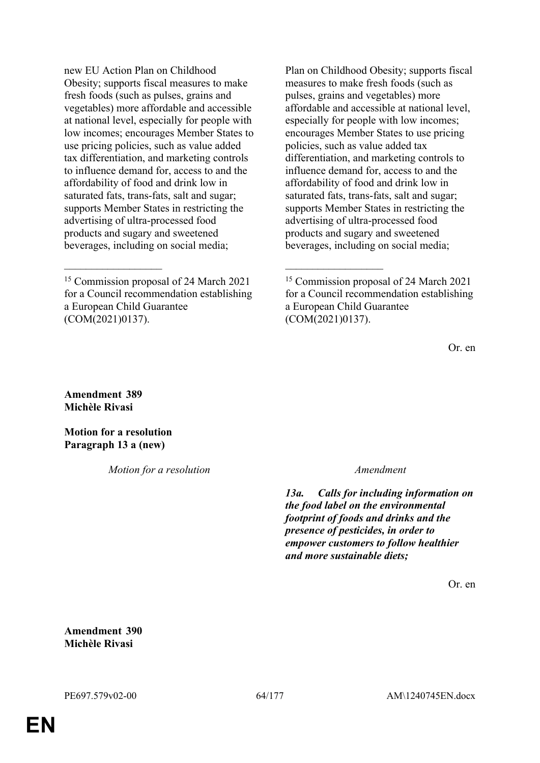$\mathcal{L}_\mathcal{L}$  , and the contribution of the contribution of the contribution of the contribution of the contribution of the contribution of the contribution of the contribution of the contribution of the contribution of

Plan on Childhood Obesity; supports fiscal measures to make fresh foods (such as pulses, grains and vegetables) more affordable and accessible at national level, especially for people with low incomes; encourages Member States to use pricing policies, such as value added tax differentiation, and marketing controls to influence demand for, access to and the affordability of food and drink low in saturated fats, trans-fats, salt and sugar; supports Member States in restricting the advertising of ultra-processed food products and sugary and sweetened beverages, including on social media;

Or. en

**Amendment 389 Michèle Rivasi**

**Motion for a resolution Paragraph 13 a (new)**

*Motion for a resolution Amendment*

*13a. Calls for including information on the food label on the environmental footprint of foods and drinks and the presence of pesticides, in order to empower customers to follow healthier and more sustainable diets;*

Or. en

**Amendment 390 Michèle Rivasi**

<sup>15</sup> Commission proposal of 24 March 2021 for a Council recommendation establishing a European Child Guarantee (COM(2021)0137).

<sup>15</sup> Commission proposal of 24 March 2021 for a Council recommendation establishing a European Child Guarantee (COM(2021)0137).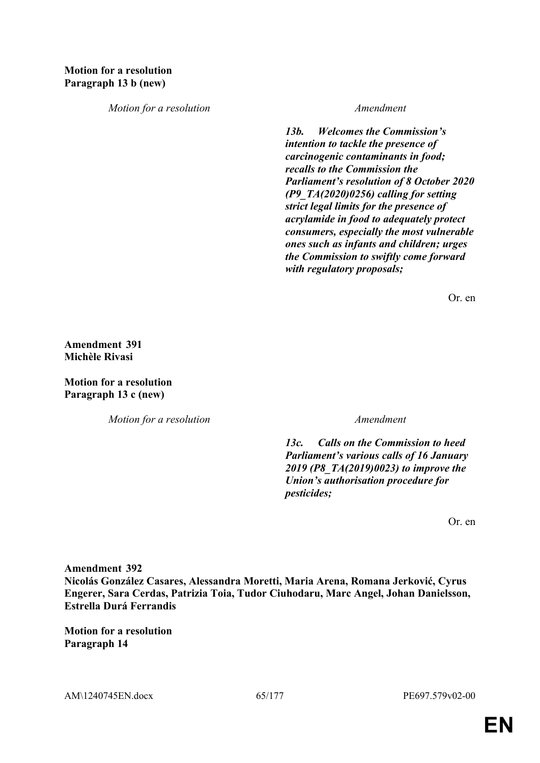*Motion for a resolution Amendment*

*13b. Welcomes the Commission's intention to tackle the presence of carcinogenic contaminants in food; recalls to the Commission the Parliament's resolution of 8 October 2020 (P9\_TA(2020)0256) calling for setting strict legal limits for the presence of acrylamide in food to adequately protect consumers, especially the most vulnerable ones such as infants and children; urges the Commission to swiftly come forward with regulatory proposals;*

Or. en

**Amendment 391 Michèle Rivasi**

**Motion for a resolution Paragraph 13 c (new)**

*Motion for a resolution Amendment*

*13c. Calls on the Commission to heed Parliament's various calls of 16 January 2019 (P8\_TA(2019)0023) to improve the Union's authorisation procedure for pesticides;*

Or. en

**Amendment 392**

**Nicolás González Casares, Alessandra Moretti, Maria Arena, Romana Jerković, Cyrus Engerer, Sara Cerdas, Patrizia Toia, Tudor Ciuhodaru, Marc Angel, Johan Danielsson, Estrella Durá Ferrandis**

**Motion for a resolution Paragraph 14**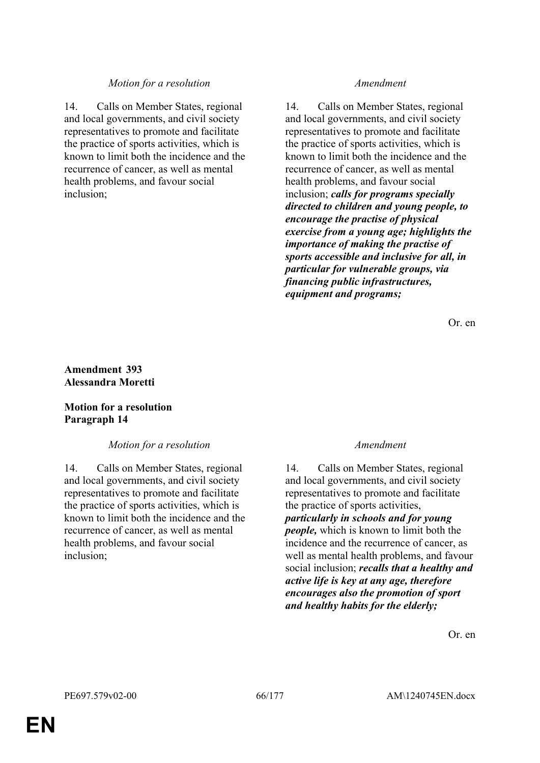## *Motion for a resolution Amendment*

14. Calls on Member States, regional and local governments, and civil society representatives to promote and facilitate the practice of sports activities, which is known to limit both the incidence and the recurrence of cancer, as well as mental health problems, and favour social inclusion;

14. Calls on Member States, regional and local governments, and civil society representatives to promote and facilitate the practice of sports activities, which is known to limit both the incidence and the recurrence of cancer, as well as mental health problems, and favour social inclusion; *calls for programs specially directed to children and young people, to encourage the practise of physical exercise from a young age; highlights the importance of making the practise of sports accessible and inclusive for all, in particular for vulnerable groups, via financing public infrastructures, equipment and programs;*

Or. en

## **Amendment 393 Alessandra Moretti**

## **Motion for a resolution Paragraph 14**

### *Motion for a resolution Amendment*

14. Calls on Member States, regional and local governments, and civil society representatives to promote and facilitate the practice of sports activities, which is known to limit both the incidence and the recurrence of cancer, as well as mental health problems, and favour social inclusion;

14. Calls on Member States, regional and local governments, and civil society representatives to promote and facilitate the practice of sports activities, *particularly in schools and for young people,* which is known to limit both the incidence and the recurrence of cancer, as well as mental health problems, and favour social inclusion; *recalls that a healthy and active life is key at any age, therefore encourages also the promotion of sport and healthy habits for the elderly;*

Or. en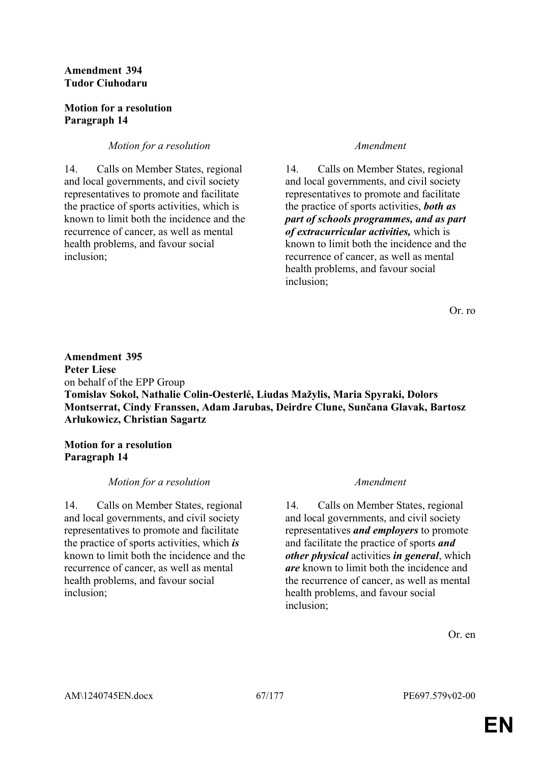## **Amendment 394 Tudor Ciuhodaru**

## **Motion for a resolution Paragraph 14**

## *Motion for a resolution Amendment*

14. Calls on Member States, regional and local governments, and civil society representatives to promote and facilitate the practice of sports activities, which is known to limit both the incidence and the recurrence of cancer, as well as mental health problems, and favour social inclusion;

14. Calls on Member States, regional and local governments, and civil society representatives to promote and facilitate the practice of sports activities, *both as part of schools programmes, and as part of extracurricular activities,* which is known to limit both the incidence and the recurrence of cancer, as well as mental health problems, and favour social inclusion;

Or. ro

## **Amendment 395 Peter Liese** on behalf of the EPP Group **Tomislav Sokol, Nathalie Colin-Oesterlé, Liudas Mažylis, Maria Spyraki, Dolors Montserrat, Cindy Franssen, Adam Jarubas, Deirdre Clune, Sunčana Glavak, Bartosz Arłukowicz, Christian Sagartz**

## **Motion for a resolution Paragraph 14**

# *Motion for a resolution Amendment*

14. Calls on Member States, regional and local governments, and civil society representatives to promote and facilitate the practice of sports activities, which *is* known to limit both the incidence and the recurrence of cancer, as well as mental health problems, and favour social inclusion;

14. Calls on Member States, regional and local governments, and civil society representatives *and employers* to promote and facilitate the practice of sports *and other physical* activities *in general*, which *are* known to limit both the incidence and the recurrence of cancer, as well as mental health problems, and favour social inclusion;

Or. en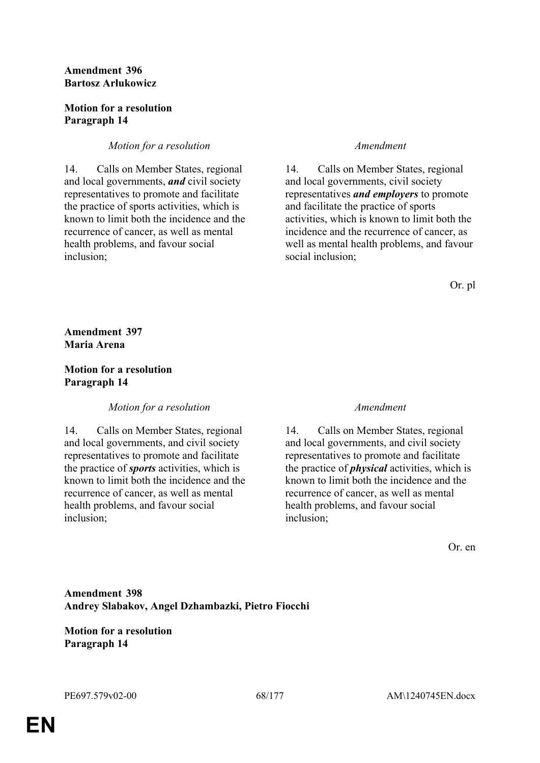## **Amendment 396 Bartosz Arłukowicz**

## **Motion for a resolution Paragraph 14**

## *Motion for a resolution Amendment*

14. Calls on Member States, regional and local governments, *and* civil society representatives to promote and facilitate the practice of sports activities, which is known to limit both the incidence and the recurrence of cancer, as well as mental health problems, and favour social inclusion;

14. Calls on Member States, regional and local governments, civil society representatives *and employers* to promote and facilitate the practice of sports activities, which is known to limit both the incidence and the recurrence of cancer, as well as mental health problems, and favour social inclusion;

Or. pl

**Amendment 397 Maria Arena**

## **Motion for a resolution Paragraph 14**

## *Motion for a resolution Amendment*

14. Calls on Member States, regional and local governments, and civil society representatives to promote and facilitate the practice of *sports* activities, which is known to limit both the incidence and the recurrence of cancer, as well as mental health problems, and favour social inclusion;

14. Calls on Member States, regional and local governments, and civil society representatives to promote and facilitate the practice of *physical* activities, which is known to limit both the incidence and the recurrence of cancer, as well as mental health problems, and favour social inclusion;

Or. en

**Amendment 398 Andrey Slabakov, Angel Dzhambazki, Pietro Fiocchi**

**Motion for a resolution Paragraph 14**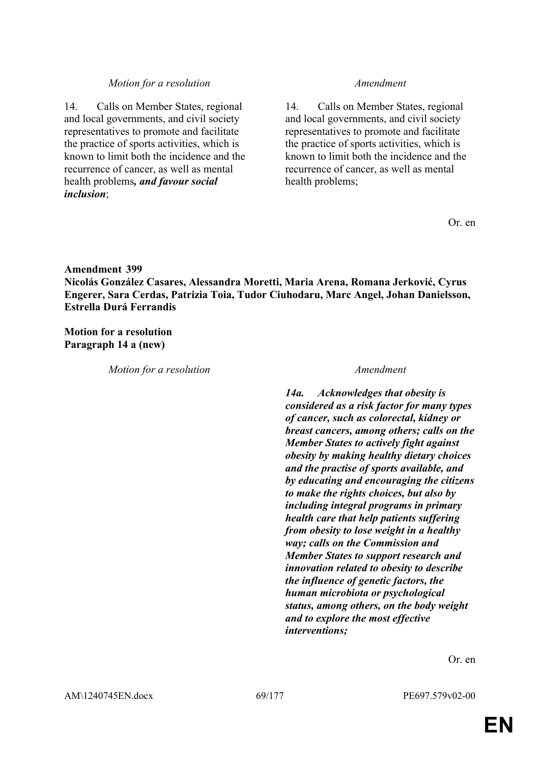### *Motion for a resolution Amendment*

14. Calls on Member States, regional and local governments, and civil society representatives to promote and facilitate the practice of sports activities, which is known to limit both the incidence and the recurrence of cancer, as well as mental health problems*, and favour social inclusion*;

14. Calls on Member States, regional and local governments, and civil society representatives to promote and facilitate the practice of sports activities, which is known to limit both the incidence and the recurrence of cancer, as well as mental health problems;

Or. en

### **Amendment 399**

**Nicolás González Casares, Alessandra Moretti, Maria Arena, Romana Jerković, Cyrus Engerer, Sara Cerdas, Patrizia Toia, Tudor Ciuhodaru, Marc Angel, Johan Danielsson, Estrella Durá Ferrandis**

**Motion for a resolution Paragraph 14 a (new)**

*Motion for a resolution Amendment*

*14a. Acknowledges that obesity is considered as a risk factor for many types of cancer, such as colorectal, kidney or breast cancers, among others; calls on the Member States to actively fight against obesity by making healthy dietary choices and the practise of sports available, and by educating and encouraging the citizens to make the rights choices, but also by including integral programs in primary health care that help patients suffering from obesity to lose weight in a healthy way; calls on the Commission and Member States to support research and innovation related to obesity to describe the influence of genetic factors, the human microbiota or psychological status, among others, on the body weight and to explore the most effective interventions;*

Or. en

AM\1240745EN.docx 69/177 PE697.579v02-00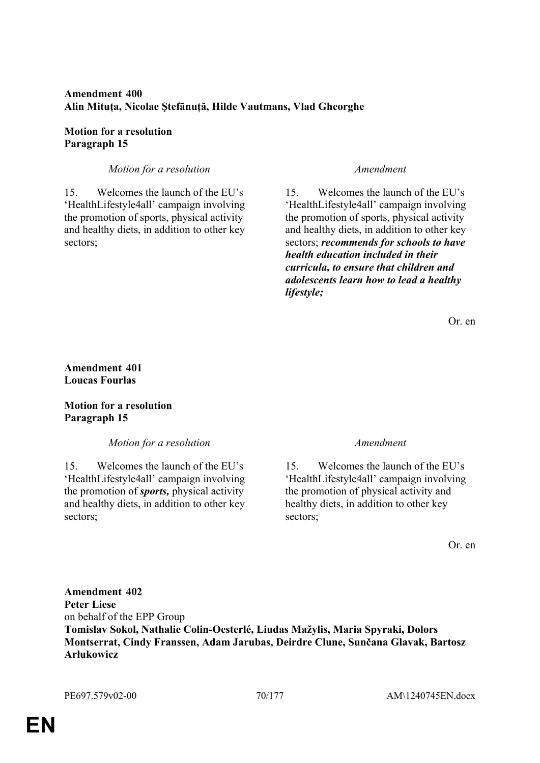# **Amendment 400 Alin Mituța, Nicolae Ştefănuță, Hilde Vautmans, Vlad Gheorghe**

## **Motion for a resolution Paragraph 15**

## *Motion for a resolution Amendment*

15. Welcomes the launch of the EU's 'HealthLifestyle4all' campaign involving the promotion of sports, physical activity and healthy diets, in addition to other key sectors;

15. Welcomes the launch of the EU's 'HealthLifestyle4all' campaign involving the promotion of sports, physical activity and healthy diets, in addition to other key sectors; *recommends for schools to have health education included in their curricula, to ensure that children and adolescents learn how to lead a healthy lifestyle;*

Or. en

## **Amendment 401 Loucas Fourlas**

## **Motion for a resolution Paragraph 15**

*Motion for a resolution Amendment*

15. Welcomes the launch of the EU's 'HealthLifestyle4all' campaign involving the promotion of *sports,* physical activity and healthy diets, in addition to other key sectors;

15. Welcomes the launch of the EU's 'HealthLifestyle4all' campaign involving the promotion of physical activity and healthy diets, in addition to other key sectors;

Or. en

**Amendment 402 Peter Liese** on behalf of the EPP Group **Tomislav Sokol, Nathalie Colin-Oesterlé, Liudas Mažylis, Maria Spyraki, Dolors Montserrat, Cindy Franssen, Adam Jarubas, Deirdre Clune, Sunčana Glavak, Bartosz Arłukowicz**

PE697.579v02-00 70/177 AM\1240745EN.docx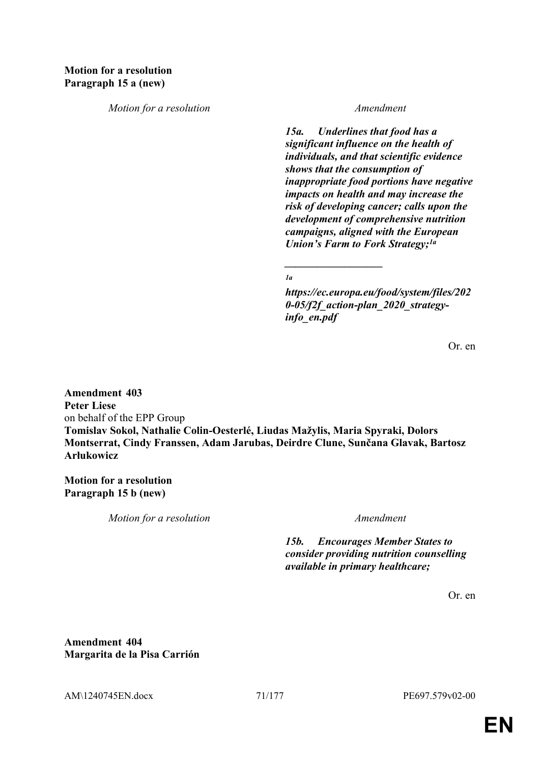*Motion for a resolution Amendment*

*15a. Underlines that food has a significant influence on the health of individuals, and that scientific evidence shows that the consumption of inappropriate food portions have negative impacts on health and may increase the risk of developing cancer; calls upon the development of comprehensive nutrition campaigns, aligned with the European Union's Farm to Fork Strategy;1a*

*1a*

*\_\_\_\_\_\_\_\_\_\_\_\_\_\_\_\_\_\_*

*https://ec.europa.eu/food/system/files/202 0-05/f2f\_action-plan\_2020\_strategyinfo\_en.pdf*

Or. en

**Amendment 403 Peter Liese** on behalf of the EPP Group **Tomislav Sokol, Nathalie Colin-Oesterlé, Liudas Mažylis, Maria Spyraki, Dolors Montserrat, Cindy Franssen, Adam Jarubas, Deirdre Clune, Sunčana Glavak, Bartosz Arłukowicz**

**Motion for a resolution Paragraph 15 b (new)**

*Motion for a resolution Amendment*

*15b. Encourages Member States to consider providing nutrition counselling available in primary healthcare;*

Or. en

**Amendment 404 Margarita de la Pisa Carrión**

AM\1240745EN.docx 71/177 PE697.579v02-00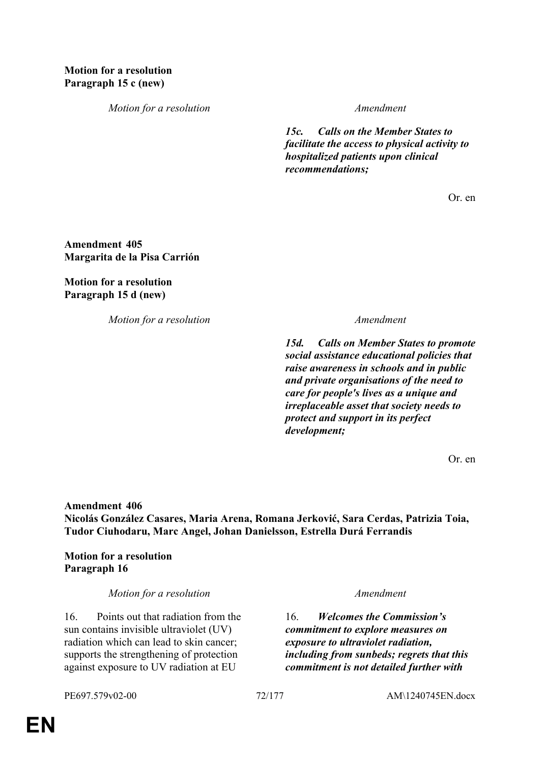*Motion for a resolution Amendment*

*15c. Calls on the Member States to facilitate the access to physical activity to hospitalized patients upon clinical recommendations;*

Or. en

**Amendment 405 Margarita de la Pisa Carrión**

**Motion for a resolution Paragraph 15 d (new)**

*Motion for a resolution Amendment*

*15d. Calls on Member States to promote social assistance educational policies that raise awareness in schools and in public and private organisations of the need to care for people's lives as a unique and irreplaceable asset that society needs to protect and support in its perfect development;*

Or. en

**Amendment 406 Nicolás González Casares, Maria Arena, Romana Jerković, Sara Cerdas, Patrizia Toia, Tudor Ciuhodaru, Marc Angel, Johan Danielsson, Estrella Durá Ferrandis**

**Motion for a resolution Paragraph 16**

*Motion for a resolution Amendment*

16. Points out that radiation from the sun contains invisible ultraviolet (UV) radiation which can lead to skin cancer; supports the strengthening of protection against exposure to UV radiation at EU

16. *Welcomes the Commission's commitment to explore measures on exposure to ultraviolet radiation, including from sunbeds; regrets that this commitment is not detailed further with*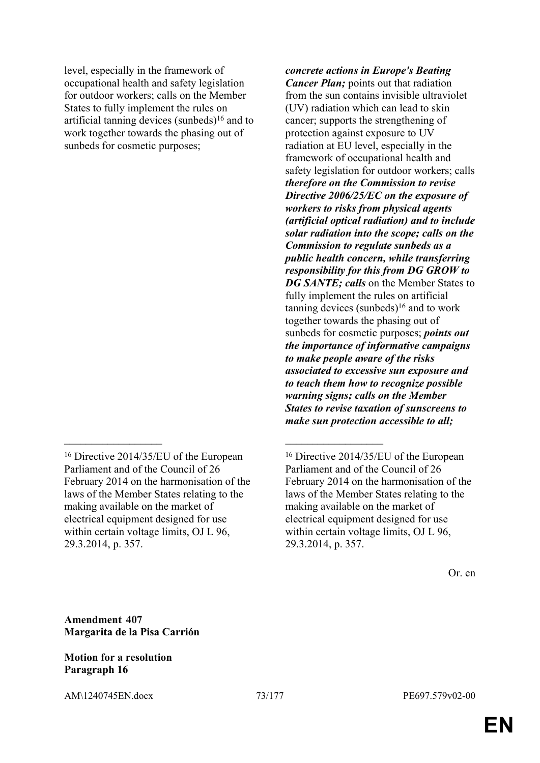level, especially in the framework of occupational health and safety legislation for outdoor workers; calls on the Member States to fully implement the rules on artificial tanning devices (sunbeds) $16$  and to work together towards the phasing out of sunbeds for cosmetic purposes;

 $\mathcal{L}_\mathcal{L}$  , and the contribution of the contribution of the contribution of the contribution of the contribution of the contribution of the contribution of the contribution of the contribution of the contribution of

*concrete actions in Europe's Beating Cancer Plan;* points out that radiation from the sun contains invisible ultraviolet (UV) radiation which can lead to skin cancer; supports the strengthening of protection against exposure to UV radiation at EU level, especially in the framework of occupational health and safety legislation for outdoor workers; calls *therefore on the Commission to revise Directive 2006/25/EC on the exposure of workers to risks from physical agents (artificial optical radiation) and to include solar radiation into the scope; calls on the Commission to regulate sunbeds as a public health concern, while transferring responsibility for this from DG GROW to DG SANTE; calls* on the Member States to fully implement the rules on artificial tanning devices (sunbeds)<sup>16</sup> and to work together towards the phasing out of sunbeds for cosmetic purposes; *points out the importance of informative campaigns to make people aware of the risks associated to excessive sun exposure and to teach them how to recognize possible warning signs; calls on the Member States to revise taxation of sunscreens to make sun protection accessible to all;*

**Amendment 407 Margarita de la Pisa Carrión**

## **Motion for a resolution Paragraph 16**

<sup>16</sup> Directive 2014/35/EU of the European Parliament and of the Council of 26 February 2014 on the harmonisation of the laws of the Member States relating to the making available on the market of electrical equipment designed for use within certain voltage limits, OJ L 96, 29.3.2014, p. 357.

<sup>16</sup> Directive 2014/35/EU of the European Parliament and of the Council of 26 February 2014 on the harmonisation of the laws of the Member States relating to the making available on the market of electrical equipment designed for use within certain voltage limits, OJ L 96, 29.3.2014, p. 357.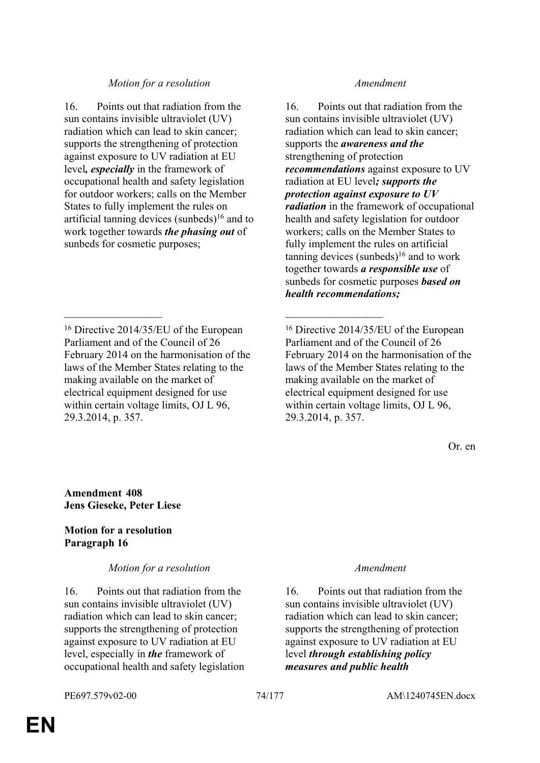## *Motion for a resolution Amendment*

16. Points out that radiation from the sun contains invisible ultraviolet (UV) radiation which can lead to skin cancer; supports the strengthening of protection against exposure to UV radiation at EU level*, especially* in the framework of occupational health and safety legislation for outdoor workers; calls on the Member States to fully implement the rules on artificial tanning devices (sunbeds) $16$  and to work together towards *the phasing out* of sunbeds for cosmetic purposes;

 $\mathcal{L}_\mathcal{L}$  , and the contribution of the contribution of the contribution of the contribution of the contribution of the contribution of the contribution of the contribution of the contribution of the contribution of

16. Points out that radiation from the sun contains invisible ultraviolet (UV) radiation which can lead to skin cancer; supports the *awareness and the* strengthening of protection *recommendations* against exposure to UV radiation at EU level*; supports the protection against exposure to UV radiation* in the framework of occupational health and safety legislation for outdoor workers; calls on the Member States to fully implement the rules on artificial tanning devices (sunbeds)<sup>16</sup> and to work together towards *a responsible use* of sunbeds for cosmetic purposes *based on health recommendations;*

<sup>16</sup> Directive 2014/35/EU of the European Parliament and of the Council of 26 February 2014 on the harmonisation of the laws of the Member States relating to the making available on the market of electrical equipment designed for use within certain voltage limits, OJ L 96, 29.3.2014, p. 357.

Or. en

**Amendment 408 Jens Gieseke, Peter Liese**

# **Motion for a resolution Paragraph 16**

*Motion for a resolution Amendment*

16. Points out that radiation from the sun contains invisible ultraviolet (UV) radiation which can lead to skin cancer; supports the strengthening of protection against exposure to UV radiation at EU level, especially in *the* framework of occupational health and safety legislation

16. Points out that radiation from the sun contains invisible ultraviolet (UV) radiation which can lead to skin cancer; supports the strengthening of protection against exposure to UV radiation at EU level *through establishing policy measures and public health* 

<sup>16</sup> Directive 2014/35/EU of the European Parliament and of the Council of 26 February 2014 on the harmonisation of the laws of the Member States relating to the making available on the market of electrical equipment designed for use within certain voltage limits, OJ L 96, 29.3.2014, p. 357.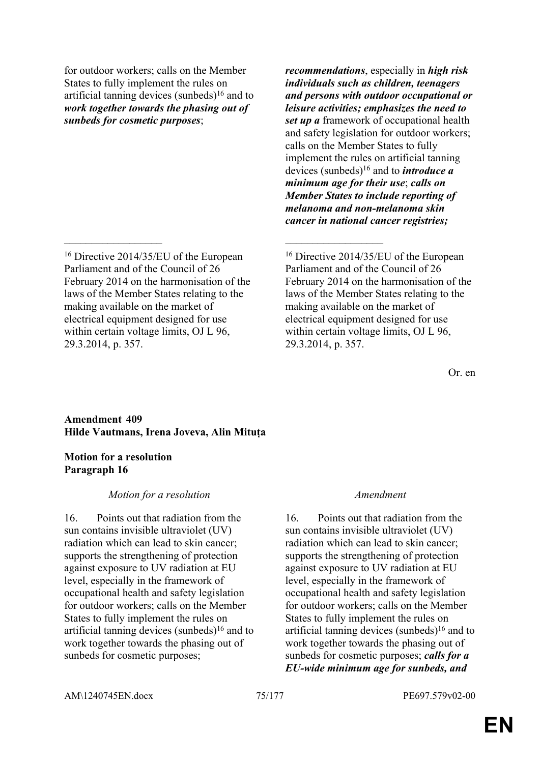for outdoor workers; calls on the Member States to fully implement the rules on artificial tanning devices (sunbeds) $16$  and to *work together towards the phasing out of sunbeds for cosmetic purposes*;

 $\mathcal{L}_\mathcal{L}$  , and the contribution of the contribution of the contribution of the contribution of the contribution of the contribution of the contribution of the contribution of the contribution of the contribution of

*recommendations*, especially in *high risk individuals such as children, teenagers and persons with outdoor occupational or leisure activities; emphasizes the need to set up a* framework of occupational health and safety legislation for outdoor workers; calls on the Member States to fully implement the rules on artificial tanning devices (sunbeds)<sup>16</sup> and to *introduce a minimum age for their use*; *calls on Member States to include reporting of melanoma and non-melanoma skin cancer in national cancer registries;*

<sup>16</sup> Directive 2014/35/EU of the European Parliament and of the Council of 26 February 2014 on the harmonisation of the laws of the Member States relating to the making available on the market of electrical equipment designed for use within certain voltage limits, OJ L 96, 29.3.2014, p. 357.

Or. en

## **Amendment 409 Hilde Vautmans, Irena Joveva, Alin Mituța**

## **Motion for a resolution Paragraph 16**

## *Motion for a resolution Amendment*

16. Points out that radiation from the sun contains invisible ultraviolet (UV) radiation which can lead to skin cancer; supports the strengthening of protection against exposure to UV radiation at EU level, especially in the framework of occupational health and safety legislation for outdoor workers; calls on the Member States to fully implement the rules on artificial tanning devices (sunbeds) $16$  and to work together towards the phasing out of sunbeds for cosmetic purposes;

16. Points out that radiation from the sun contains invisible ultraviolet (UV) radiation which can lead to skin cancer; supports the strengthening of protection against exposure to UV radiation at EU level, especially in the framework of occupational health and safety legislation for outdoor workers; calls on the Member States to fully implement the rules on artificial tanning devices (sunbeds) $16$  and to work together towards the phasing out of sunbeds for cosmetic purposes; *calls for a EU-wide minimum age for sunbeds, and* 

<sup>16</sup> Directive 2014/35/EU of the European Parliament and of the Council of 26 February 2014 on the harmonisation of the laws of the Member States relating to the making available on the market of electrical equipment designed for use within certain voltage limits, OJ L 96, 29.3.2014, p. 357.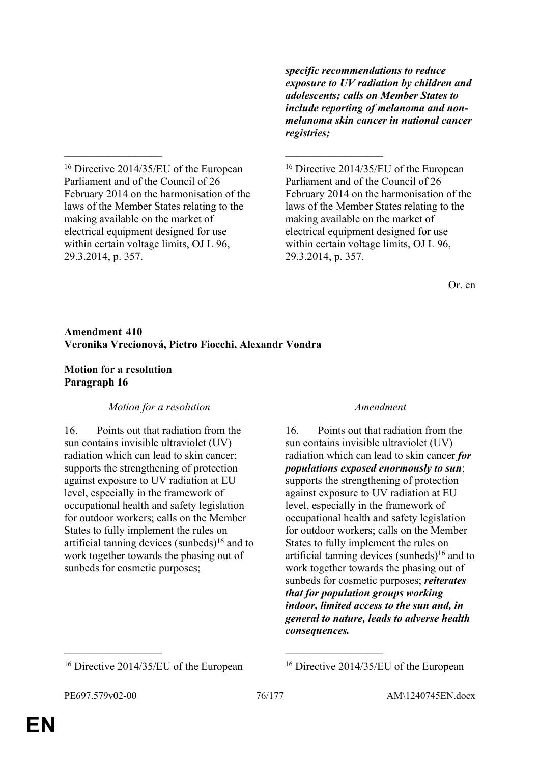*specific recommendations to reduce exposure to UV radiation by children and adolescents; calls on Member States to include reporting of melanoma and nonmelanoma skin cancer in national cancer registries;*

<sup>16</sup> Directive 2014/35/EU of the European Parliament and of the Council of 26 February 2014 on the harmonisation of the laws of the Member States relating to the making available on the market of electrical equipment designed for use within certain voltage limits, OJ L 96, 29.3.2014, p. 357.

<sup>16</sup> Directive 2014/35/EU of the European Parliament and of the Council of 26 February 2014 on the harmonisation of the laws of the Member States relating to the making available on the market of electrical equipment designed for use within certain voltage limits, OJ L 96, 29.3.2014, p. 357.

Or. en

## **Amendment 410 Veronika Vrecionová, Pietro Fiocchi, Alexandr Vondra**

 $\mathcal{L}_\mathcal{L}$  , and the contribution of the contribution of the contribution of the contribution of the contribution of the contribution of the contribution of the contribution of the contribution of the contribution of

## **Motion for a resolution Paragraph 16**

# *Motion for a resolution Amendment*

16. Points out that radiation from the sun contains invisible ultraviolet (UV) radiation which can lead to skin cancer; supports the strengthening of protection against exposure to UV radiation at EU level, especially in the framework of occupational health and safety legislation for outdoor workers; calls on the Member States to fully implement the rules on artificial tanning devices (sunbeds)<sup>16</sup> and to work together towards the phasing out of sunbeds for cosmetic purposes;

16. Points out that radiation from the sun contains invisible ultraviolet (UV) radiation which can lead to skin cancer *for populations exposed enormously to sun*; supports the strengthening of protection against exposure to UV radiation at EU level, especially in the framework of occupational health and safety legislation for outdoor workers; calls on the Member States to fully implement the rules on artificial tanning devices (sunbeds) $16$  and to work together towards the phasing out of sunbeds for cosmetic purposes; *reiterates that for population groups working indoor, limited access to the sun and, in general to nature, leads to adverse health consequences.*

 $\mathcal{L}_\text{max}$  and  $\mathcal{L}_\text{max}$  and  $\mathcal{L}_\text{max}$  and  $\mathcal{L}_\text{max}$ 

<sup>&</sup>lt;sup>16</sup> Directive 2014/35/EU of the European <sup>16</sup> Directive 2014/35/EU of the European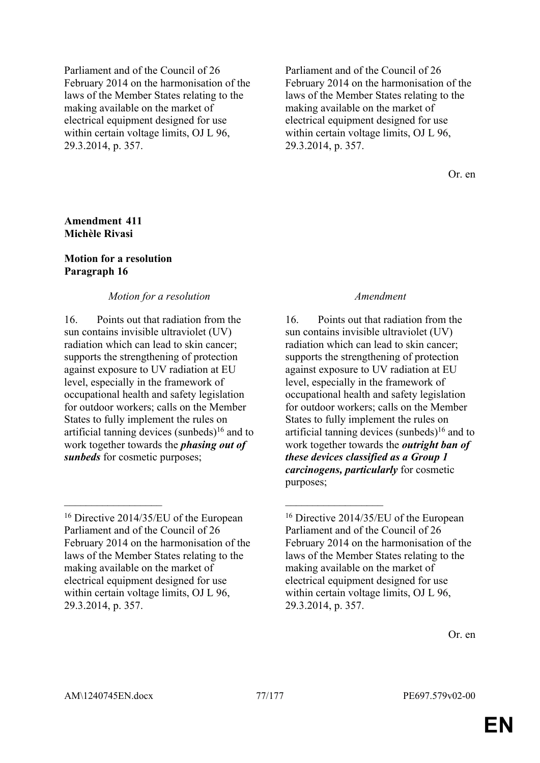Parliament and of the Council of 26 February 2014 on the harmonisation of the laws of the Member States relating to the making available on the market of electrical equipment designed for use within certain voltage limits, OJ L 96, 29.3.2014, p. 357.

Parliament and of the Council of 26 February 2014 on the harmonisation of the laws of the Member States relating to the making available on the market of electrical equipment designed for use within certain voltage limits, OJ L 96, 29.3.2014, p. 357.

Or. en

### **Amendment 411 Michèle Rivasi**

## **Motion for a resolution Paragraph 16**

## *Motion for a resolution Amendment*

16. Points out that radiation from the sun contains invisible ultraviolet (UV) radiation which can lead to skin cancer; supports the strengthening of protection against exposure to UV radiation at EU level, especially in the framework of occupational health and safety legislation for outdoor workers; calls on the Member States to fully implement the rules on artificial tanning devices (sunbeds) $16$  and to work together towards the *phasing out of sunbeds* for cosmetic purposes;

 $\mathcal{L}_\mathcal{L}$  , and the contribution of the contribution of the contribution of the contribution of the contribution of the contribution of the contribution of the contribution of the contribution of the contribution of

16. Points out that radiation from the sun contains invisible ultraviolet (UV) radiation which can lead to skin cancer; supports the strengthening of protection against exposure to UV radiation at EU level, especially in the framework of occupational health and safety legislation for outdoor workers; calls on the Member States to fully implement the rules on artificial tanning devices (sunbeds) $16$  and to work together towards the *outright ban of these devices classified as a Group 1 carcinogens, particularly* for cosmetic purposes;

Or. en

<sup>16</sup> Directive 2014/35/EU of the European Parliament and of the Council of 26 February 2014 on the harmonisation of the laws of the Member States relating to the making available on the market of electrical equipment designed for use within certain voltage limits, OJ L 96, 29.3.2014, p. 357.

<sup>16</sup> Directive 2014/35/EU of the European Parliament and of the Council of 26 February 2014 on the harmonisation of the laws of the Member States relating to the making available on the market of electrical equipment designed for use within certain voltage limits, OJ L 96, 29.3.2014, p. 357.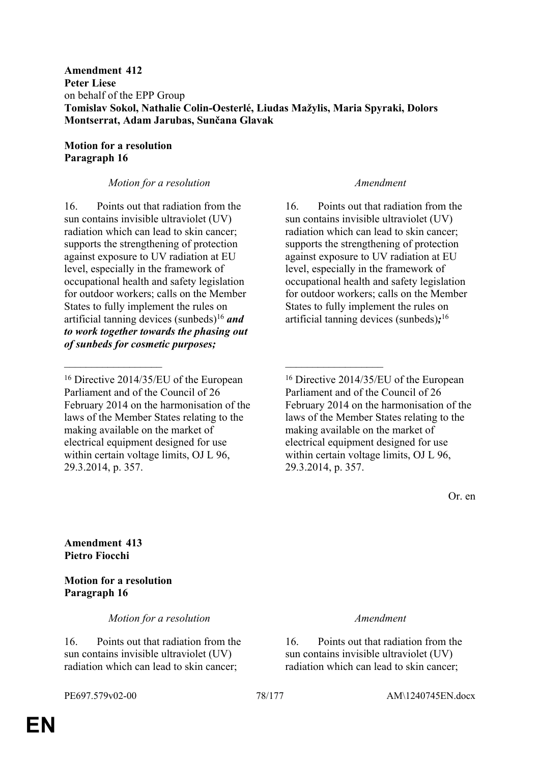# **Motion for a resolution Paragraph 16**

# *Motion for a resolution Amendment*

16. Points out that radiation from the sun contains invisible ultraviolet (UV) radiation which can lead to skin cancer; supports the strengthening of protection against exposure to UV radiation at EU level, especially in the framework of occupational health and safety legislation for outdoor workers; calls on the Member States to fully implement the rules on artificial tanning devices (sunbeds)<sup>16</sup> *and to work together towards the phasing out of sunbeds for cosmetic purposes;*

 $\mathcal{L}_\mathcal{L}$  , and the contribution of the contribution of the contribution of the contribution of the contribution of the contribution of the contribution of the contribution of the contribution of the contribution of

16. Points out that radiation from the sun contains invisible ultraviolet (UV) radiation which can lead to skin cancer; supports the strengthening of protection against exposure to UV radiation at EU level, especially in the framework of occupational health and safety legislation for outdoor workers; calls on the Member States to fully implement the rules on artificial tanning devices (sunbeds)*;* 16

Or. en

**Amendment 413 Pietro Fiocchi**

# **Motion for a resolution Paragraph 16**

*Motion for a resolution Amendment*

16. Points out that radiation from the sun contains invisible ultraviolet (UV) radiation which can lead to skin cancer;

16. Points out that radiation from the sun contains invisible ultraviolet (UV) radiation which can lead to skin cancer;

<sup>16</sup> Directive 2014/35/EU of the European Parliament and of the Council of 26 February 2014 on the harmonisation of the laws of the Member States relating to the making available on the market of electrical equipment designed for use within certain voltage limits, OJ L 96, 29.3.2014, p. 357.

<sup>16</sup> Directive 2014/35/EU of the European Parliament and of the Council of 26 February 2014 on the harmonisation of the laws of the Member States relating to the making available on the market of electrical equipment designed for use within certain voltage limits, OJ L 96, 29.3.2014, p. 357.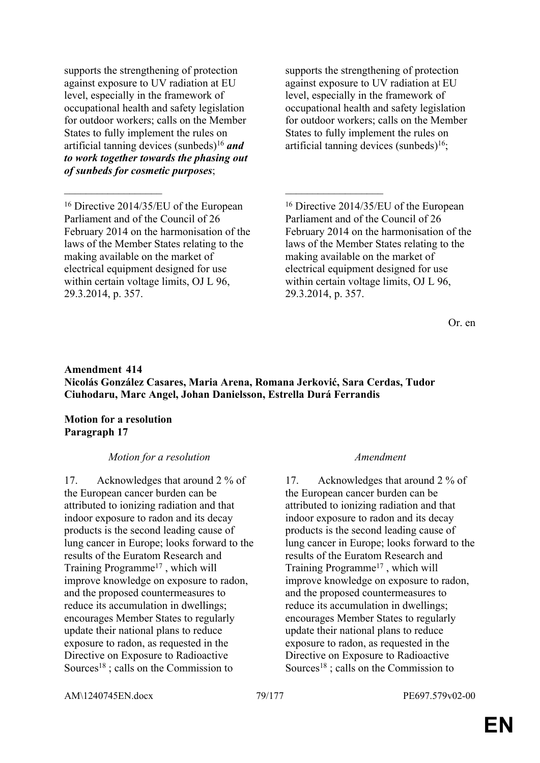supports the strengthening of protection against exposure to UV radiation at EU level, especially in the framework of occupational health and safety legislation for outdoor workers; calls on the Member States to fully implement the rules on artificial tanning devices (sunbeds)<sup>16</sup> *and to work together towards the phasing out of sunbeds for cosmetic purposes*;

supports the strengthening of protection against exposure to UV radiation at EU level, especially in the framework of occupational health and safety legislation for outdoor workers; calls on the Member States to fully implement the rules on artificial tanning devices (sunbeds) $16$ ;

<sup>16</sup> Directive 2014/35/EU of the European Parliament and of the Council of 26 February 2014 on the harmonisation of the laws of the Member States relating to the making available on the market of electrical equipment designed for use within certain voltage limits, OJ L 96, 29.3.2014, p. 357.

Or. en

# **Amendment 414 Nicolás González Casares, Maria Arena, Romana Jerković, Sara Cerdas, Tudor Ciuhodaru, Marc Angel, Johan Danielsson, Estrella Durá Ferrandis**

 $\mathcal{L}_\mathcal{L}$  , and the contribution of the contribution of the contribution of the contribution of the contribution of the contribution of the contribution of the contribution of the contribution of the contribution of

## **Motion for a resolution Paragraph 17**

# *Motion for a resolution Amendment*

17. Acknowledges that around 2 % of the European cancer burden can be attributed to ionizing radiation and that indoor exposure to radon and its decay products is the second leading cause of lung cancer in Europe; looks forward to the results of the Euratom Research and Training Programme<sup>17</sup> , which will improve knowledge on exposure to radon, and the proposed countermeasures to reduce its accumulation in dwellings; encourages Member States to regularly update their national plans to reduce exposure to radon, as requested in the Directive on Exposure to Radioactive Sources<sup>18</sup>; calls on the Commission to

17. Acknowledges that around 2 % of the European cancer burden can be attributed to ionizing radiation and that indoor exposure to radon and its decay products is the second leading cause of lung cancer in Europe; looks forward to the results of the Euratom Research and Training Programme<sup>17</sup> , which will improve knowledge on exposure to radon, and the proposed countermeasures to reduce its accumulation in dwellings; encourages Member States to regularly update their national plans to reduce exposure to radon, as requested in the Directive on Exposure to Radioactive Sources<sup>18</sup>; calls on the Commission to

AM\1240745EN.docx 79/177 PE697.579v02-00

<sup>16</sup> Directive 2014/35/EU of the European Parliament and of the Council of 26 February 2014 on the harmonisation of the laws of the Member States relating to the making available on the market of electrical equipment designed for use within certain voltage limits, OJ L 96, 29.3.2014, p. 357.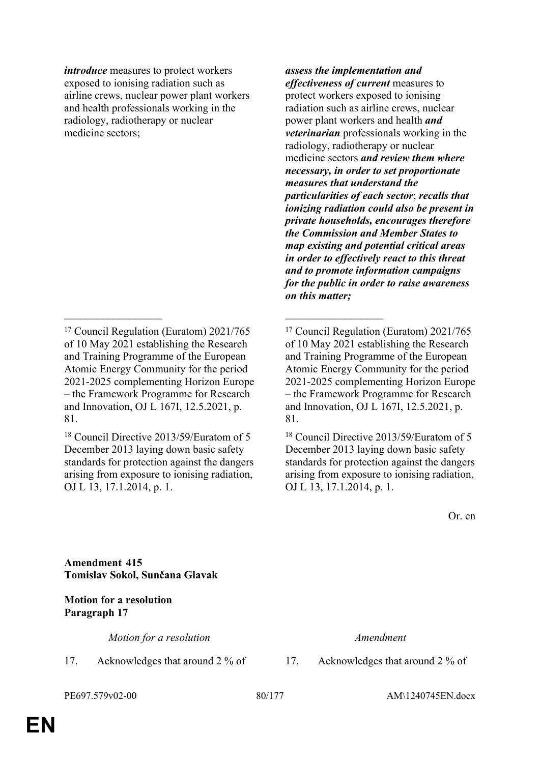*introduce* measures to protect workers exposed to ionising radiation such as airline crews, nuclear power plant workers and health professionals working in the radiology, radiotherapy or nuclear medicine sectors;

 $\mathcal{L}_\mathcal{L}$  , and the contribution of the contribution of the contribution of the contribution of the contribution of the contribution of the contribution of the contribution of the contribution of the contribution of

<sup>18</sup> Council Directive 2013/59/Euratom of 5 December 2013 laying down basic safety standards for protection against the dangers arising from exposure to ionising radiation, OJ L 13, 17.1.2014, p. 1.

*assess the implementation and effectiveness of current* measures to protect workers exposed to ionising radiation such as airline crews, nuclear power plant workers and health *and veterinarian* professionals working in the radiology, radiotherapy or nuclear medicine sectors *and review them where necessary, in order to set proportionate measures that understand the particularities of each sector*; *recalls that ionizing radiation could also be present in private households, encourages therefore the Commission and Member States to map existing and potential critical areas in order to effectively react to this threat and to promote information campaigns for the public in order to raise awareness on this matter;*

Or. en

**Amendment 415 Tomislav Sokol, Sunčana Glavak**

**Motion for a resolution Paragraph 17**

*Motion for a resolution Amendment*

PE697.579v02-00 80/177 AM\1240745EN.docx

17. Acknowledges that around 2 % of 17. Acknowledges that around 2 % of

<sup>17</sup> Council Regulation (Euratom) 2021/765 of 10 May 2021 establishing the Research and Training Programme of the European Atomic Energy Community for the period 2021-2025 complementing Horizon Europe – the Framework Programme for Research and Innovation, OJ L 167I, 12.5.2021, p. 81.

<sup>17</sup> Council Regulation (Euratom) 2021/765 of 10 May 2021 establishing the Research and Training Programme of the European Atomic Energy Community for the period 2021-2025 complementing Horizon Europe – the Framework Programme for Research and Innovation, OJ L 167I, 12.5.2021, p. 81.

<sup>18</sup> Council Directive 2013/59/Euratom of 5 December 2013 laying down basic safety standards for protection against the dangers arising from exposure to ionising radiation, OJ L 13, 17.1.2014, p. 1.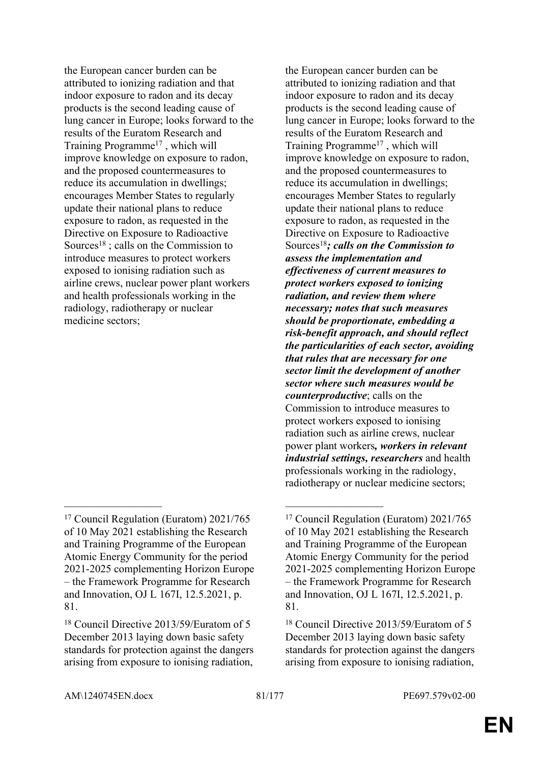the European cancer burden can be attributed to ionizing radiation and that indoor exposure to radon and its decay products is the second leading cause of lung cancer in Europe; looks forward to the results of the Euratom Research and Training Programme<sup>17</sup> , which will improve knowledge on exposure to radon, and the proposed countermeasures to reduce its accumulation in dwellings; encourages Member States to regularly update their national plans to reduce exposure to radon, as requested in the Directive on Exposure to Radioactive Sources<sup>18</sup>; calls on the Commission to introduce measures to protect workers exposed to ionising radiation such as airline crews, nuclear power plant workers and health professionals working in the radiology, radiotherapy or nuclear medicine sectors;

 $\mathcal{L}_\mathcal{L}$  , and the contribution of the contribution of the contribution of the contribution of the contribution of the contribution of the contribution of the contribution of the contribution of the contribution of

the European cancer burden can be attributed to ionizing radiation and that indoor exposure to radon and its decay products is the second leading cause of lung cancer in Europe; looks forward to the results of the Euratom Research and Training Programme<sup>17</sup> , which will improve knowledge on exposure to radon, and the proposed countermeasures to reduce its accumulation in dwellings; encourages Member States to regularly update their national plans to reduce exposure to radon, as requested in the Directive on Exposure to Radioactive Sources<sup>18</sup>*; calls on the Commission to assess the implementation and effectiveness of current measures to protect workers exposed to ionizing radiation, and review them where necessary; notes that such measures should be proportionate, embedding a risk-benefit approach, and should reflect the particularities of each sector, avoiding that rules that are necessary for one sector limit the development of another sector where such measures would be counterproductive*; calls on the Commission to introduce measures to protect workers exposed to ionising radiation such as airline crews, nuclear power plant workers*, workers in relevant industrial settings, researchers* and health professionals working in the radiology, radiotherapy or nuclear medicine sectors;

<sup>17</sup> Council Regulation (Euratom) 2021/765 of 10 May 2021 establishing the Research and Training Programme of the European Atomic Energy Community for the period 2021-2025 complementing Horizon Europe – the Framework Programme for Research and Innovation, OJ L 167I, 12.5.2021, p. 81.

<sup>18</sup> Council Directive 2013/59/Euratom of 5 December 2013 laying down basic safety standards for protection against the dangers arising from exposure to ionising radiation,

<sup>17</sup> Council Regulation (Euratom) 2021/765 of 10 May 2021 establishing the Research and Training Programme of the European Atomic Energy Community for the period 2021-2025 complementing Horizon Europe – the Framework Programme for Research and Innovation, OJ L 167I, 12.5.2021, p. 81.

<sup>18</sup> Council Directive 2013/59/Euratom of 5 December 2013 laying down basic safety standards for protection against the dangers arising from exposure to ionising radiation,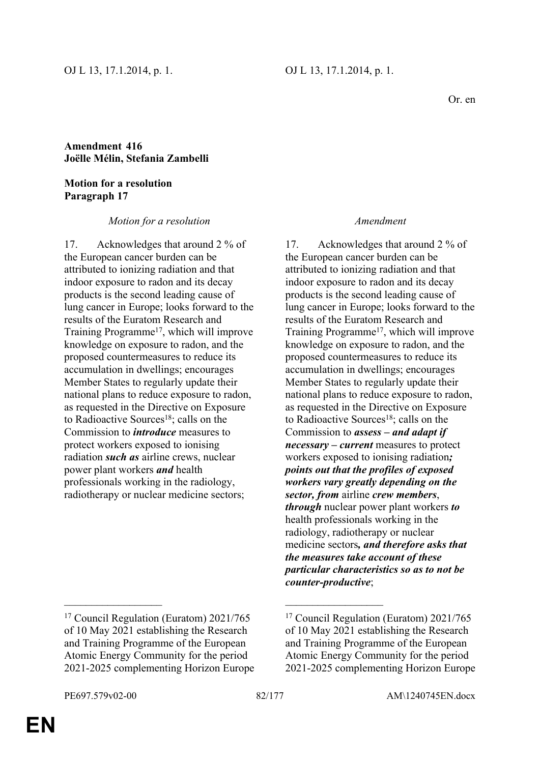# **Amendment 416 Joëlle Mélin, Stefania Zambelli**

### **Motion for a resolution Paragraph 17**

## *Motion for a resolution Amendment*

17. Acknowledges that around 2 % of the European cancer burden can be attributed to ionizing radiation and that indoor exposure to radon and its decay products is the second leading cause of lung cancer in Europe; looks forward to the results of the Euratom Research and Training Programme<sup>17</sup>, which will improve knowledge on exposure to radon, and the proposed countermeasures to reduce its accumulation in dwellings; encourages Member States to regularly update their national plans to reduce exposure to radon, as requested in the Directive on Exposure to Radioactive Sources<sup>18</sup>; calls on the Commission to *introduce* measures to protect workers exposed to ionising radiation *such as* airline crews, nuclear power plant workers *and* health professionals working in the radiology, radiotherapy or nuclear medicine sectors;

## <sup>17</sup> Council Regulation (Euratom) 2021/765 of 10 May 2021 establishing the Research and Training Programme of the European Atomic Energy Community for the period 2021-2025 complementing Horizon Europe

### Commission to *assess – and adapt if necessary – current* measures to protect workers exposed to ionising radiation*;*

17. Acknowledges that around 2 % of

the European cancer burden can be attributed to ionizing radiation and that indoor exposure to radon and its decay products is the second leading cause of lung cancer in Europe; looks forward to the

results of the Euratom Research and

Training Programme<sup>17</sup>, which will improve knowledge on exposure to radon, and the proposed countermeasures to reduce its accumulation in dwellings; encourages Member States to regularly update their national plans to reduce exposure to radon, as requested in the Directive on Exposure to Radioactive Sources<sup>18</sup>; calls on the

*points out that the profiles of exposed workers vary greatly depending on the sector, from* airline *crew members*, *through* nuclear power plant workers *to* health professionals working in the radiology, radiotherapy or nuclear medicine sectors*, and therefore asks that the measures take account of these particular characteristics so as to not be counter-productive*;

## <sup>17</sup> Council Regulation (Euratom) 2021/765 of 10 May 2021 establishing the Research and Training Programme of the European Atomic Energy Community for the period 2021-2025 complementing Horizon Europe

 $\mathcal{L}_\mathcal{L}$  , and the contribution of the contribution of the contribution of the contribution of the contribution of the contribution of the contribution of the contribution of the contribution of the contribution of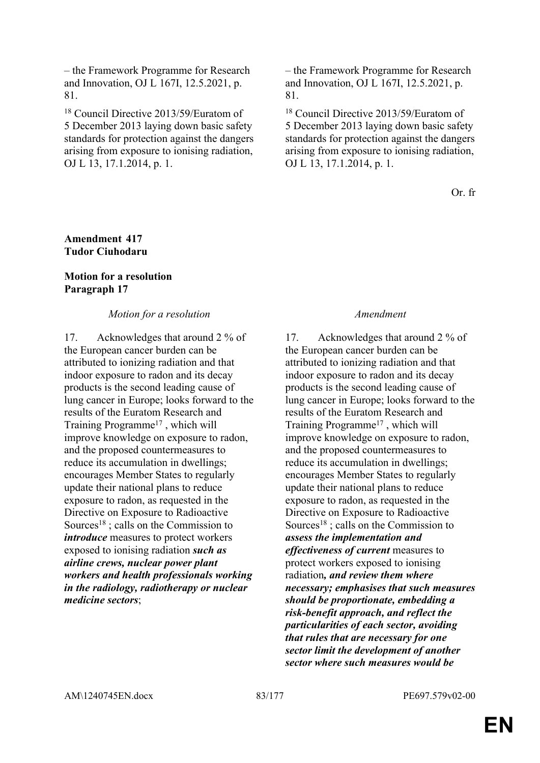– the Framework Programme for Research and Innovation, OJ L 167I, 12.5.2021, p. 81.

<sup>18</sup> Council Directive 2013/59/Euratom of 5 December 2013 laying down basic safety standards for protection against the dangers arising from exposure to ionising radiation, OJ L 13, 17.1.2014, p. 1.

– the Framework Programme for Research and Innovation, OJ L 167I, 12.5.2021, p. 81.

<sup>18</sup> Council Directive 2013/59/Euratom of 5 December 2013 laying down basic safety standards for protection against the dangers arising from exposure to ionising radiation, OJ L 13, 17.1.2014, p. 1.

Or. fr

## **Amendment 417 Tudor Ciuhodaru**

# **Motion for a resolution Paragraph 17**

## *Motion for a resolution Amendment*

17. Acknowledges that around 2 % of the European cancer burden can be attributed to ionizing radiation and that indoor exposure to radon and its decay products is the second leading cause of lung cancer in Europe; looks forward to the results of the Euratom Research and Training Programme<sup>17</sup> , which will improve knowledge on exposure to radon, and the proposed countermeasures to reduce its accumulation in dwellings; encourages Member States to regularly update their national plans to reduce exposure to radon, as requested in the Directive on Exposure to Radioactive Sources<sup>18</sup>; calls on the Commission to *introduce* measures to protect workers exposed to ionising radiation *such as airline crews, nuclear power plant workers and health professionals working in the radiology, radiotherapy or nuclear medicine sectors*;

17. Acknowledges that around 2 % of the European cancer burden can be attributed to ionizing radiation and that indoor exposure to radon and its decay products is the second leading cause of lung cancer in Europe; looks forward to the results of the Euratom Research and Training Programme<sup>17</sup>, which will improve knowledge on exposure to radon, and the proposed countermeasures to reduce its accumulation in dwellings; encourages Member States to regularly update their national plans to reduce exposure to radon, as requested in the Directive on Exposure to Radioactive Sources<sup>18</sup>; calls on the Commission to *assess the implementation and effectiveness of current* measures to protect workers exposed to ionising radiation*, and review them where necessary; emphasises that such measures should be proportionate, embedding a risk-benefit approach, and reflect the particularities of each sector, avoiding that rules that are necessary for one sector limit the development of another sector where such measures would be*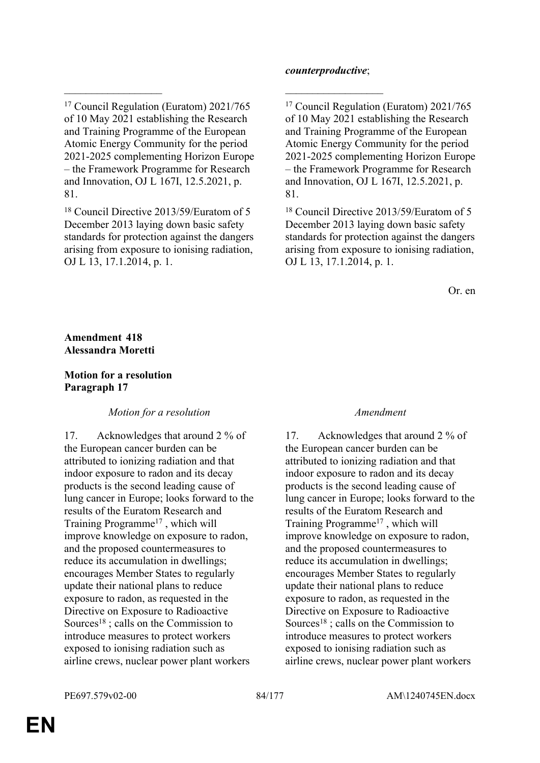$\mathcal{L}_\mathcal{L}$  , and the contribution of the contribution of the contribution of the contribution of the contribution of the contribution of the contribution of the contribution of the contribution of the contribution of

<sup>18</sup> Council Directive 2013/59/Euratom of 5 December 2013 laying down basic safety standards for protection against the dangers arising from exposure to ionising radiation, OJ L 13, 17.1.2014, p. 1.

### *counterproductive*;

<sup>17</sup> Council Regulation (Euratom) 2021/765 of 10 May 2021 establishing the Research and Training Programme of the European Atomic Energy Community for the period 2021-2025 complementing Horizon Europe – the Framework Programme for Research and Innovation, OJ L 167I, 12.5.2021, p. 81.

<sup>18</sup> Council Directive 2013/59/Euratom of 5 December 2013 laying down basic safety standards for protection against the dangers arising from exposure to ionising radiation, OJ L 13, 17.1.2014, p. 1.

Or. en

### **Amendment 418 Alessandra Moretti**

## **Motion for a resolution Paragraph 17**

## *Motion for a resolution Amendment*

17. Acknowledges that around 2 % of the European cancer burden can be attributed to ionizing radiation and that indoor exposure to radon and its decay products is the second leading cause of lung cancer in Europe; looks forward to the results of the Euratom Research and Training Programme<sup>17</sup> , which will improve knowledge on exposure to radon, and the proposed countermeasures to reduce its accumulation in dwellings; encourages Member States to regularly update their national plans to reduce exposure to radon, as requested in the Directive on Exposure to Radioactive Sources<sup>18</sup>; calls on the Commission to introduce measures to protect workers exposed to ionising radiation such as airline crews, nuclear power plant workers

17. Acknowledges that around 2 % of the European cancer burden can be attributed to ionizing radiation and that indoor exposure to radon and its decay products is the second leading cause of lung cancer in Europe; looks forward to the results of the Euratom Research and Training Programme<sup>17</sup> , which will improve knowledge on exposure to radon, and the proposed countermeasures to reduce its accumulation in dwellings; encourages Member States to regularly update their national plans to reduce exposure to radon, as requested in the Directive on Exposure to Radioactive Sources<sup>18</sup>; calls on the Commission to introduce measures to protect workers exposed to ionising radiation such as airline crews, nuclear power plant workers

<sup>17</sup> Council Regulation (Euratom) 2021/765 of 10 May 2021 establishing the Research and Training Programme of the European Atomic Energy Community for the period 2021-2025 complementing Horizon Europe – the Framework Programme for Research and Innovation, OJ L 167I, 12.5.2021, p. 81.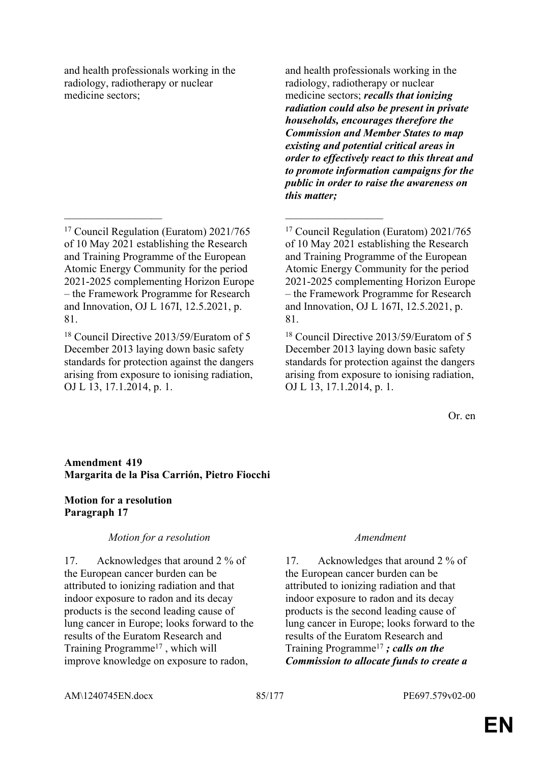and health professionals working in the radiology, radiotherapy or nuclear medicine sectors;

 $\mathcal{L}_\mathcal{L}$  , and the contribution of the contribution of the contribution of the contribution of the contribution of the contribution of the contribution of the contribution of the contribution of the contribution of

and health professionals working in the radiology, radiotherapy or nuclear medicine sectors; *recalls that ionizing radiation could also be present in private households, encourages therefore the Commission and Member States to map existing and potential critical areas in order to effectively react to this threat and to promote information campaigns for the public in order to raise the awareness on this matter;*

Or. en

# **Amendment 419 Margarita de la Pisa Carrión, Pietro Fiocchi**

## **Motion for a resolution Paragraph 17**

## *Motion for a resolution Amendment*

17. Acknowledges that around 2 % of the European cancer burden can be attributed to ionizing radiation and that indoor exposure to radon and its decay products is the second leading cause of lung cancer in Europe; looks forward to the results of the Euratom Research and Training Programme<sup>17</sup>, which will improve knowledge on exposure to radon,

17. Acknowledges that around 2 % of the European cancer burden can be attributed to ionizing radiation and that indoor exposure to radon and its decay products is the second leading cause of lung cancer in Europe; looks forward to the results of the Euratom Research and Training Programme<sup>17</sup> *; calls on the Commission to allocate funds to create a* 

<sup>17</sup> Council Regulation (Euratom) 2021/765 of 10 May 2021 establishing the Research and Training Programme of the European Atomic Energy Community for the period 2021-2025 complementing Horizon Europe – the Framework Programme for Research and Innovation, OJ L 167I, 12.5.2021, p. 81.

<sup>18</sup> Council Directive 2013/59/Euratom of 5 December 2013 laying down basic safety standards for protection against the dangers arising from exposure to ionising radiation, OJ L 13, 17.1.2014, p. 1.

<sup>17</sup> Council Regulation (Euratom) 2021/765 of 10 May 2021 establishing the Research and Training Programme of the European Atomic Energy Community for the period 2021-2025 complementing Horizon Europe – the Framework Programme for Research and Innovation, OJ L 167I, 12.5.2021, p. 81.

<sup>18</sup> Council Directive 2013/59/Euratom of 5 December 2013 laying down basic safety standards for protection against the dangers arising from exposure to ionising radiation, OJ L 13, 17.1.2014, p. 1.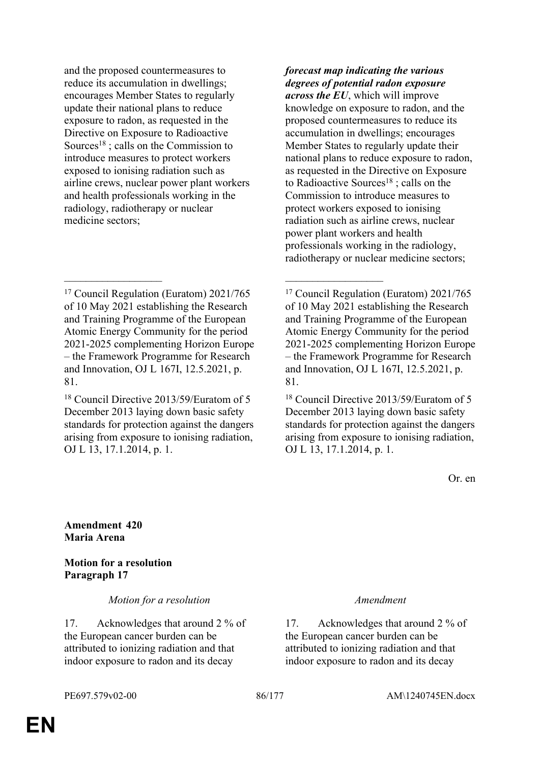and the proposed countermeasures to reduce its accumulation in dwellings; encourages Member States to regularly update their national plans to reduce exposure to radon, as requested in the Directive on Exposure to Radioactive Sources<sup>18</sup> : calls on the Commission to introduce measures to protect workers exposed to ionising radiation such as airline crews, nuclear power plant workers and health professionals working in the radiology, radiotherapy or nuclear medicine sectors;

<sup>17</sup> Council Regulation (Euratom) 2021/765 of 10 May 2021 establishing the Research and Training Programme of the European Atomic Energy Community for the period 2021-2025 complementing Horizon Europe – the Framework Programme for Research and Innovation, OJ L 167I, 12.5.2021, p. 81.

 $\mathcal{L}_\mathcal{L}$  , and the contribution of the contribution of the contribution of the contribution of the contribution of the contribution of the contribution of the contribution of the contribution of the contribution of

<sup>18</sup> Council Directive 2013/59/Euratom of 5 December 2013 laying down basic safety standards for protection against the dangers arising from exposure to ionising radiation, OJ L 13, 17.1.2014, p. 1.

*forecast map indicating the various degrees of potential radon exposure across the EU*, which will improve knowledge on exposure to radon, and the proposed countermeasures to reduce its accumulation in dwellings; encourages Member States to regularly update their national plans to reduce exposure to radon, as requested in the Directive on Exposure to Radioactive Sources<sup>18</sup>; calls on the Commission to introduce measures to protect workers exposed to ionising radiation such as airline crews, nuclear power plant workers and health professionals working in the radiology, radiotherapy or nuclear medicine sectors;

<sup>17</sup> Council Regulation (Euratom) 2021/765 of 10 May 2021 establishing the Research and Training Programme of the European Atomic Energy Community for the period 2021-2025 complementing Horizon Europe – the Framework Programme for Research and Innovation, OJ L 167I, 12.5.2021, p. 81.

<sup>18</sup> Council Directive 2013/59/Euratom of 5 December 2013 laying down basic safety standards for protection against the dangers arising from exposure to ionising radiation, OJ L 13, 17.1.2014, p. 1.

Or. en

**Amendment 420 Maria Arena**

**Motion for a resolution Paragraph 17**

*Motion for a resolution Amendment*

17. Acknowledges that around 2 % of the European cancer burden can be attributed to ionizing radiation and that indoor exposure to radon and its decay

17. Acknowledges that around 2 % of the European cancer burden can be attributed to ionizing radiation and that indoor exposure to radon and its decay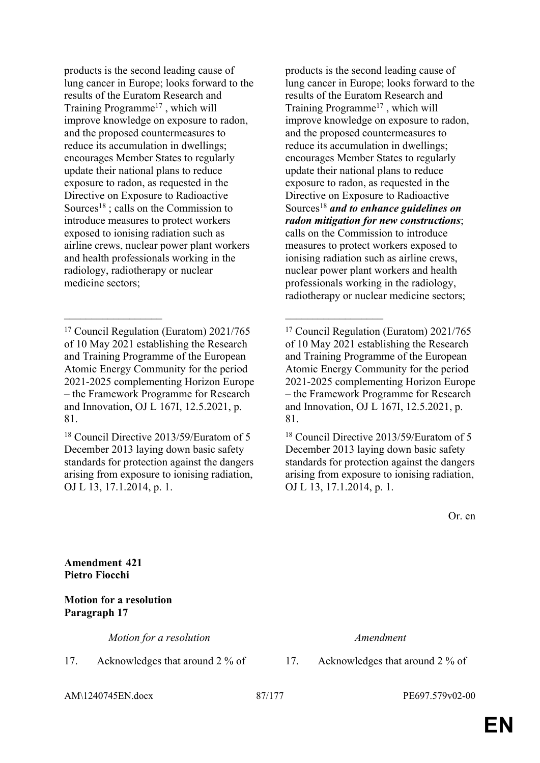products is the second leading cause of lung cancer in Europe; looks forward to the results of the Euratom Research and Training Programme<sup>17</sup> , which will improve knowledge on exposure to radon, and the proposed countermeasures to reduce its accumulation in dwellings; encourages Member States to regularly update their national plans to reduce exposure to radon, as requested in the Directive on Exposure to Radioactive Sources<sup>18</sup>; calls on the Commission to introduce measures to protect workers exposed to ionising radiation such as airline crews, nuclear power plant workers and health professionals working in the radiology, radiotherapy or nuclear medicine sectors;

 $\mathcal{L}_\mathcal{L}$  , and the contribution of the contribution of the contribution of the contribution of the contribution of the contribution of the contribution of the contribution of the contribution of the contribution of

<sup>18</sup> Council Directive 2013/59/Euratom of 5 December 2013 laying down basic safety standards for protection against the dangers arising from exposure to ionising radiation, OJ L 13, 17.1.2014, p. 1.

products is the second leading cause of lung cancer in Europe; looks forward to the results of the Euratom Research and Training Programme<sup>17</sup> , which will improve knowledge on exposure to radon, and the proposed countermeasures to reduce its accumulation in dwellings; encourages Member States to regularly update their national plans to reduce exposure to radon, as requested in the Directive on Exposure to Radioactive Sources<sup>18</sup> *and to enhance guidelines on radon mitigation for new constructions*; calls on the Commission to introduce measures to protect workers exposed to ionising radiation such as airline crews, nuclear power plant workers and health professionals working in the radiology, radiotherapy or nuclear medicine sectors;

<sup>18</sup> Council Directive 2013/59/Euratom of 5 December 2013 laying down basic safety standards for protection against the dangers arising from exposure to ionising radiation, OJ L 13, 17.1.2014, p. 1.

Or. en

**Amendment 421 Pietro Fiocchi**

**Motion for a resolution Paragraph 17**

*Motion for a resolution Amendment*

17. Acknowledges that around 2 % of 17. Acknowledges that around 2 % of

AM\1240745EN.docx 87/177 PE697.579v02-00

<sup>17</sup> Council Regulation (Euratom) 2021/765 of 10 May 2021 establishing the Research and Training Programme of the European Atomic Energy Community for the period 2021-2025 complementing Horizon Europe – the Framework Programme for Research and Innovation, OJ L 167I, 12.5.2021, p. 81.

<sup>17</sup> Council Regulation (Euratom) 2021/765 of 10 May 2021 establishing the Research and Training Programme of the European Atomic Energy Community for the period 2021-2025 complementing Horizon Europe – the Framework Programme for Research and Innovation, OJ L 167I, 12.5.2021, p. 81.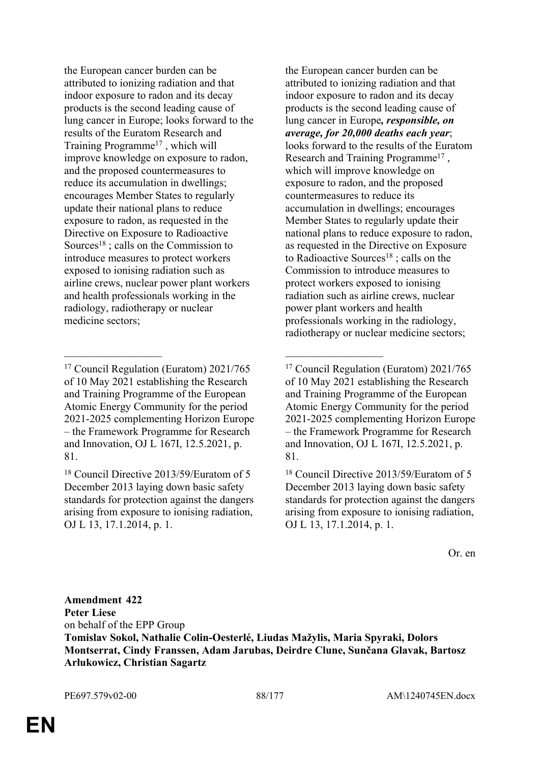the European cancer burden can be attributed to ionizing radiation and that indoor exposure to radon and its decay products is the second leading cause of lung cancer in Europe; looks forward to the results of the Euratom Research and Training Programme<sup>17</sup> , which will improve knowledge on exposure to radon, and the proposed countermeasures to reduce its accumulation in dwellings; encourages Member States to regularly update their national plans to reduce exposure to radon, as requested in the Directive on Exposure to Radioactive Sources<sup>18</sup>; calls on the Commission to introduce measures to protect workers exposed to ionising radiation such as airline crews, nuclear power plant workers and health professionals working in the radiology, radiotherapy or nuclear medicine sectors;

 $\mathcal{L}_\mathcal{L}$  , and the contribution of the contribution of the contribution of the contribution of the contribution of the contribution of the contribution of the contribution of the contribution of the contribution of

the European cancer burden can be attributed to ionizing radiation and that indoor exposure to radon and its decay products is the second leading cause of lung cancer in Europe*, responsible, on average, for 20,000 deaths each year*; looks forward to the results of the Euratom Research and Training Programme<sup>17</sup>, which will improve knowledge on exposure to radon, and the proposed countermeasures to reduce its accumulation in dwellings; encourages Member States to regularly update their national plans to reduce exposure to radon, as requested in the Directive on Exposure to Radioactive Sources<sup>18</sup>; calls on the Commission to introduce measures to protect workers exposed to ionising radiation such as airline crews, nuclear power plant workers and health professionals working in the radiology, radiotherapy or nuclear medicine sectors;

<sup>18</sup> Council Directive 2013/59/Euratom of 5 December 2013 laying down basic safety standards for protection against the dangers arising from exposure to ionising radiation, OJ L 13, 17.1.2014, p. 1.

Or. en

**Amendment 422 Peter Liese** on behalf of the EPP Group **Tomislav Sokol, Nathalie Colin-Oesterlé, Liudas Mažylis, Maria Spyraki, Dolors Montserrat, Cindy Franssen, Adam Jarubas, Deirdre Clune, Sunčana Glavak, Bartosz Arłukowicz, Christian Sagartz**

<sup>17</sup> Council Regulation (Euratom) 2021/765 of 10 May 2021 establishing the Research and Training Programme of the European Atomic Energy Community for the period 2021-2025 complementing Horizon Europe – the Framework Programme for Research and Innovation, OJ L 167I, 12.5.2021, p. 81.

<sup>18</sup> Council Directive 2013/59/Euratom of 5 December 2013 laying down basic safety standards for protection against the dangers arising from exposure to ionising radiation, OJ L 13, 17.1.2014, p. 1.

<sup>17</sup> Council Regulation (Euratom) 2021/765 of 10 May 2021 establishing the Research and Training Programme of the European Atomic Energy Community for the period 2021-2025 complementing Horizon Europe – the Framework Programme for Research and Innovation, OJ L 167I, 12.5.2021, p. 81.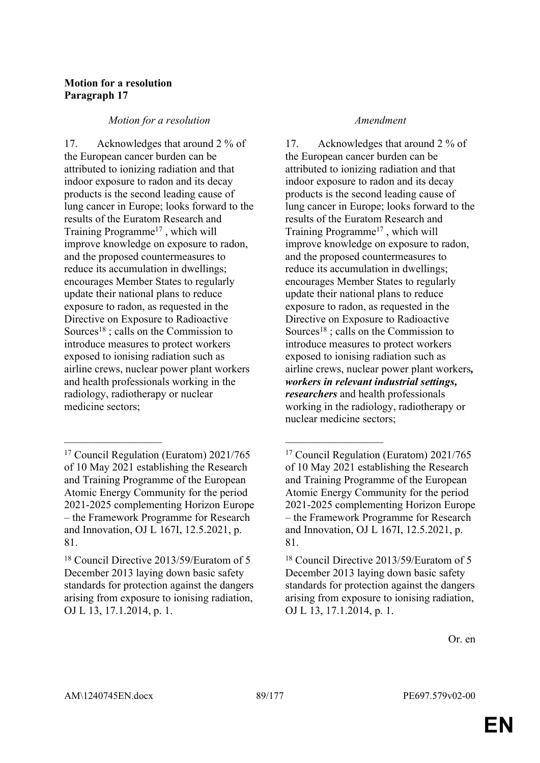# **Motion for a resolution Paragraph 17**

## *Motion for a resolution Amendment*

17. Acknowledges that around 2 % of the European cancer burden can be attributed to ionizing radiation and that indoor exposure to radon and its decay products is the second leading cause of lung cancer in Europe; looks forward to the results of the Euratom Research and Training Programme<sup>17</sup> , which will improve knowledge on exposure to radon, and the proposed countermeasures to reduce its accumulation in dwellings; encourages Member States to regularly update their national plans to reduce exposure to radon, as requested in the Directive on Exposure to Radioactive Sources<sup>18</sup>; calls on the Commission to introduce measures to protect workers exposed to ionising radiation such as airline crews, nuclear power plant workers and health professionals working in the radiology, radiotherapy or nuclear medicine sectors;

 $\mathcal{L}_\mathcal{L}$  , and the contribution of the contribution of the contribution of the contribution of the contribution of the contribution of the contribution of the contribution of the contribution of the contribution of

17. Acknowledges that around 2 % of the European cancer burden can be attributed to ionizing radiation and that indoor exposure to radon and its decay products is the second leading cause of lung cancer in Europe; looks forward to the results of the Euratom Research and Training Programme<sup>17</sup> , which will improve knowledge on exposure to radon, and the proposed countermeasures to reduce its accumulation in dwellings; encourages Member States to regularly update their national plans to reduce exposure to radon, as requested in the Directive on Exposure to Radioactive Sources<sup>18</sup>; calls on the Commission to introduce measures to protect workers exposed to ionising radiation such as airline crews, nuclear power plant workers*, workers in relevant industrial settings, researchers* and health professionals working in the radiology, radiotherapy or nuclear medicine sectors;

Or. en

<sup>17</sup> Council Regulation (Euratom) 2021/765 of 10 May 2021 establishing the Research and Training Programme of the European Atomic Energy Community for the period 2021-2025 complementing Horizon Europe – the Framework Programme for Research and Innovation, OJ L 167I, 12.5.2021, p. 81.

<sup>18</sup> Council Directive 2013/59/Euratom of 5 December 2013 laying down basic safety standards for protection against the dangers arising from exposure to ionising radiation, OJ L 13, 17.1.2014, p. 1.

<sup>17</sup> Council Regulation (Euratom) 2021/765 of 10 May 2021 establishing the Research and Training Programme of the European Atomic Energy Community for the period 2021-2025 complementing Horizon Europe – the Framework Programme for Research and Innovation, OJ L 167I, 12.5.2021, p. 81.

<sup>18</sup> Council Directive 2013/59/Euratom of 5 December 2013 laying down basic safety standards for protection against the dangers arising from exposure to ionising radiation, OJ L 13, 17.1.2014, p. 1.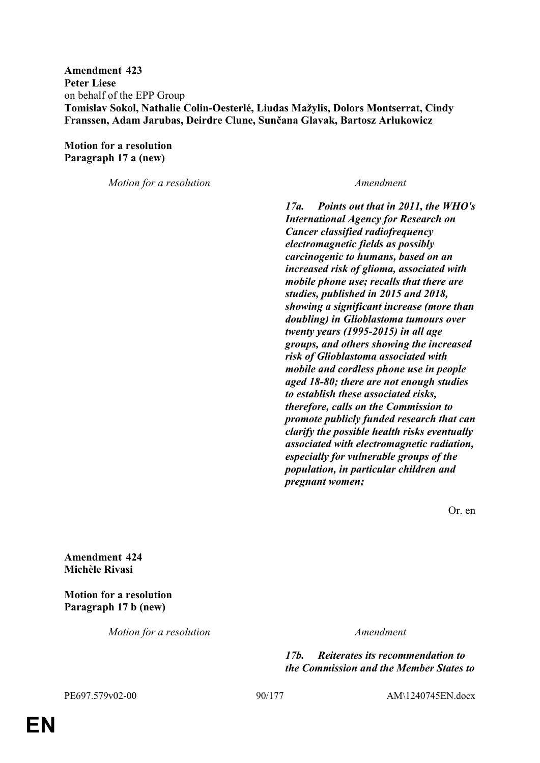**Amendment 423 Peter Liese** on behalf of the EPP Group **Tomislav Sokol, Nathalie Colin-Oesterlé, Liudas Mažylis, Dolors Montserrat, Cindy Franssen, Adam Jarubas, Deirdre Clune, Sunčana Glavak, Bartosz Arłukowicz**

**Motion for a resolution Paragraph 17 a (new)**

*Motion for a resolution Amendment*

*17a. Points out that in 2011, the WHO's International Agency for Research on Cancer classified radiofrequency electromagnetic fields as possibly carcinogenic to humans, based on an increased risk of glioma, associated with mobile phone use; recalls that there are studies, published in 2015 and 2018, showing a significant increase (more than doubling) in Glioblastoma tumours over twenty years (1995-2015) in all age groups, and others showing the increased risk of Glioblastoma associated with mobile and cordless phone use in people aged 18-80; there are not enough studies to establish these associated risks, therefore, calls on the Commission to promote publicly funded research that can clarify the possible health risks eventually associated with electromagnetic radiation, especially for vulnerable groups of the population, in particular children and pregnant women;*

Or. en

**Amendment 424 Michèle Rivasi**

**Motion for a resolution Paragraph 17 b (new)**

*Motion for a resolution Amendment*

*17b. Reiterates its recommendation to the Commission and the Member States to* 

PE697.579v02-00 90/177 AM\1240745EN.docx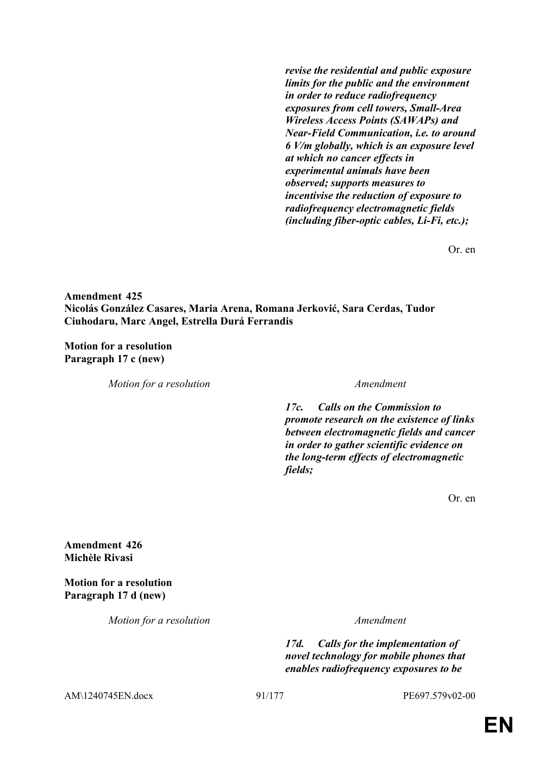*revise the residential and public exposure limits for the public and the environment in order to reduce radiofrequency exposures from cell towers, Small-Area Wireless Access Points (SAWAPs) and Near-Field Communication, i.e. to around 6 V/m globally, which is an exposure level at which no cancer effects in experimental animals have been observed; supports measures to incentivise the reduction of exposure to radiofrequency electromagnetic fields (including fiber-optic cables, Li-Fi, etc.);*

Or. en

**Amendment 425 Nicolás González Casares, Maria Arena, Romana Jerković, Sara Cerdas, Tudor Ciuhodaru, Marc Angel, Estrella Durá Ferrandis**

**Motion for a resolution Paragraph 17 c (new)**

*Motion for a resolution Amendment*

*17c. Calls on the Commission to promote research on the existence of links between electromagnetic fields and cancer in order to gather scientific evidence on the long-term effects of electromagnetic fields;*

Or. en

**Amendment 426 Michèle Rivasi**

**Motion for a resolution Paragraph 17 d (new)**

*Motion for a resolution Amendment*

*17d. Calls for the implementation of novel technology for mobile phones that enables radiofrequency exposures to be* 

AM\1240745EN.docx 91/177 PE697.579v02-00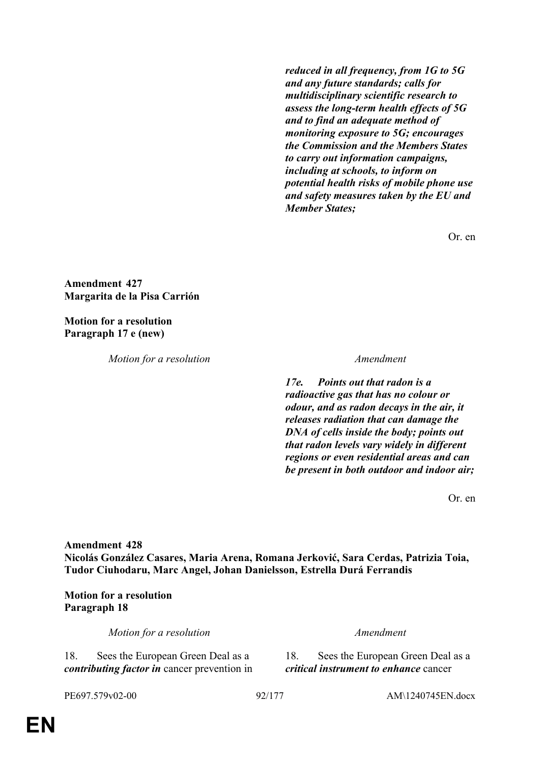*reduced in all frequency, from 1G to 5G and any future standards; calls for multidisciplinary scientific research to assess the long-term health effects of 5G and to find an adequate method of monitoring exposure to 5G; encourages the Commission and the Members States to carry out information campaigns, including at schools, to inform on potential health risks of mobile phone use and safety measures taken by the EU and Member States;*

Or. en

**Amendment 427 Margarita de la Pisa Carrión**

**Motion for a resolution Paragraph 17 e (new)**

*Motion for a resolution Amendment*

*17e. Points out that radon is a radioactive gas that has no colour or odour, and as radon decays in the air, it releases radiation that can damage the DNA of cells inside the body; points out that radon levels vary widely in different regions or even residential areas and can be present in both outdoor and indoor air;*

Or. en

**Amendment 428 Nicolás González Casares, Maria Arena, Romana Jerković, Sara Cerdas, Patrizia Toia, Tudor Ciuhodaru, Marc Angel, Johan Danielsson, Estrella Durá Ferrandis**

**Motion for a resolution Paragraph 18**

*Motion for a resolution Amendment*

18. Sees the European Green Deal as a *contributing factor in* cancer prevention in

18. Sees the European Green Deal as a *critical instrument to enhance* cancer

PE697.579v02-00 92/177 AM\1240745EN.docx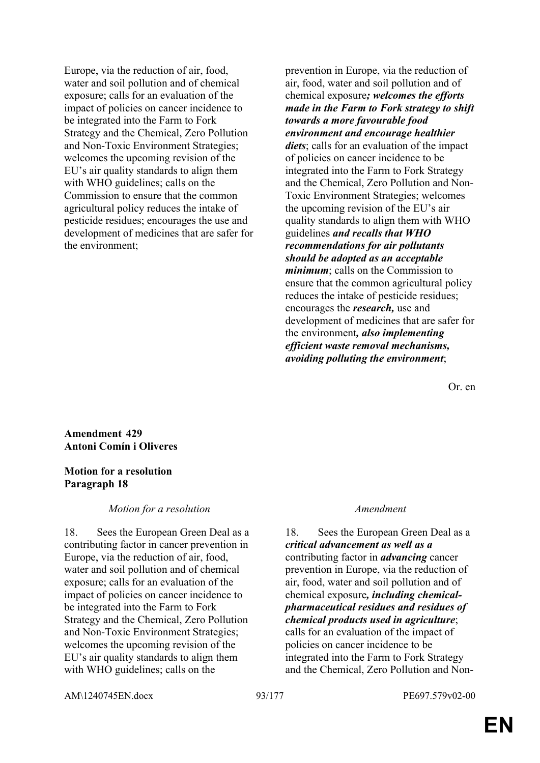Europe, via the reduction of air, food, water and soil pollution and of chemical exposure; calls for an evaluation of the impact of policies on cancer incidence to be integrated into the Farm to Fork Strategy and the Chemical, Zero Pollution and Non-Toxic Environment Strategies; welcomes the upcoming revision of the EU's air quality standards to align them with WHO guidelines; calls on the Commission to ensure that the common agricultural policy reduces the intake of pesticide residues; encourages the use and development of medicines that are safer for the environment;

prevention in Europe, via the reduction of air, food, water and soil pollution and of chemical exposure*; welcomes the efforts made in the Farm to Fork strategy to shift towards a more favourable food environment and encourage healthier diets*; calls for an evaluation of the impact of policies on cancer incidence to be integrated into the Farm to Fork Strategy and the Chemical, Zero Pollution and Non-Toxic Environment Strategies; welcomes the upcoming revision of the EU's air quality standards to align them with WHO guidelines *and recalls that WHO recommendations for air pollutants should be adopted as an acceptable minimum*; calls on the Commission to ensure that the common agricultural policy reduces the intake of pesticide residues; encourages the *research,* use and development of medicines that are safer for the environment*, also implementing efficient waste removal mechanisms, avoiding polluting the environment*;

Or. en

**Amendment 429 Antoni Comín i Oliveres**

## **Motion for a resolution Paragraph 18**

## *Motion for a resolution Amendment*

18. Sees the European Green Deal as a contributing factor in cancer prevention in Europe, via the reduction of air, food, water and soil pollution and of chemical exposure; calls for an evaluation of the impact of policies on cancer incidence to be integrated into the Farm to Fork Strategy and the Chemical, Zero Pollution and Non-Toxic Environment Strategies; welcomes the upcoming revision of the EU's air quality standards to align them with WHO guidelines; calls on the

18. Sees the European Green Deal as a *critical advancement as well as a* contributing factor in *advancing* cancer prevention in Europe, via the reduction of air, food, water and soil pollution and of chemical exposure*, including chemicalpharmaceutical residues and residues of chemical products used in agriculture*; calls for an evaluation of the impact of policies on cancer incidence to be integrated into the Farm to Fork Strategy and the Chemical, Zero Pollution and Non-

AM\1240745EN.docx 93/177 PE697.579v02-00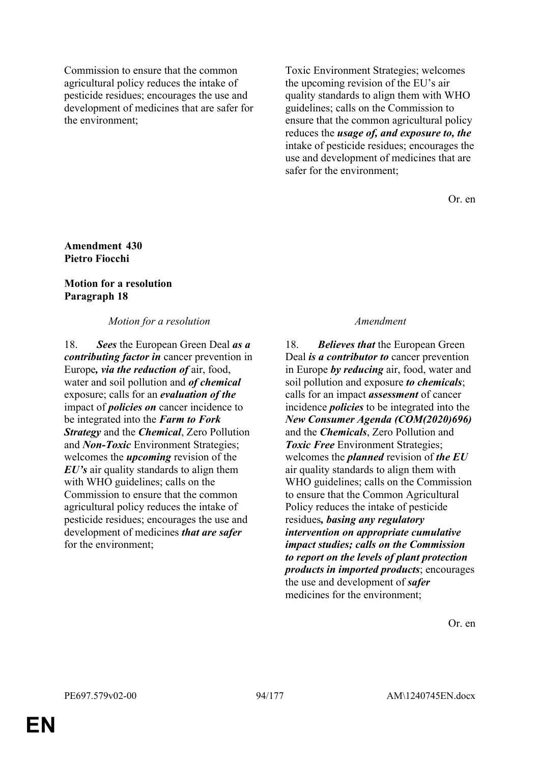Commission to ensure that the common agricultural policy reduces the intake of pesticide residues; encourages the use and development of medicines that are safer for the environment;

Toxic Environment Strategies; welcomes the upcoming revision of the EU's air quality standards to align them with WHO guidelines; calls on the Commission to ensure that the common agricultural policy reduces the *usage of, and exposure to, the* intake of pesticide residues; encourages the use and development of medicines that are safer for the environment;

Or. en

## **Amendment 430 Pietro Fiocchi**

# **Motion for a resolution Paragraph 18**

*Motion for a resolution Amendment*

18. *Sees* the European Green Deal *as a contributing factor in* cancer prevention in Europe*, via the reduction of* air, food, water and soil pollution and *of chemical* exposure; calls for an *evaluation of the* impact of *policies on* cancer incidence to be integrated into the *Farm to Fork Strategy* and the *Chemical*, Zero Pollution and *Non-Toxic* Environment Strategies; welcomes the *upcoming* revision of the *EU's* air quality standards to align them with WHO guidelines; calls on the Commission to ensure that the common agricultural policy reduces the intake of pesticide residues; encourages the use and development of medicines *that are safer* for the environment;

18. *Believes that* the European Green Deal *is a contributor to* cancer prevention in Europe *by reducing* air, food, water and soil pollution and exposure *to chemicals*; calls for an impact *assessment* of cancer incidence *policies* to be integrated into the *New Consumer Agenda (COM(2020)696)* and the *Chemicals*, Zero Pollution and **Toxic Free** Environment Strategies; welcomes the *planned* revision of *the EU* air quality standards to align them with WHO guidelines; calls on the Commission to ensure that the Common Agricultural Policy reduces the intake of pesticide residues*, basing any regulatory intervention on appropriate cumulative impact studies; calls on the Commission to report on the levels of plant protection products in imported products*; encourages the use and development of *safer* medicines for the environment;

Or. en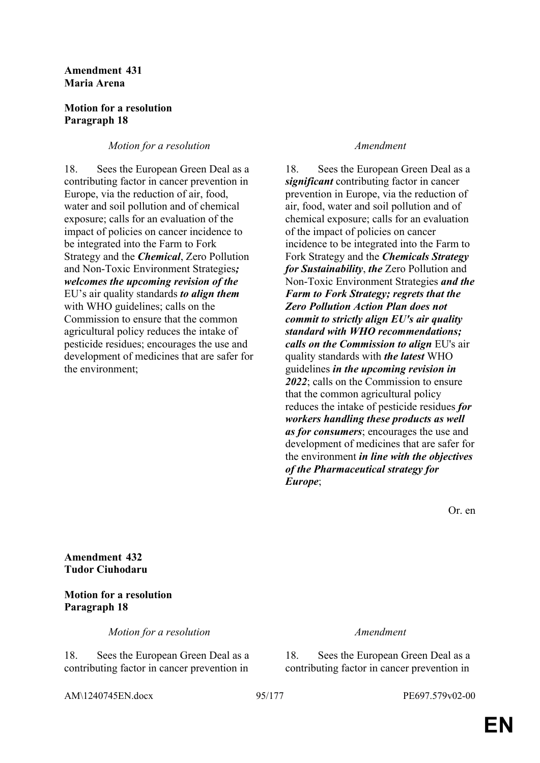## **Amendment 431 Maria Arena**

## **Motion for a resolution Paragraph 18**

## *Motion for a resolution Amendment*

18. Sees the European Green Deal as a contributing factor in cancer prevention in Europe, via the reduction of air, food, water and soil pollution and of chemical exposure; calls for an evaluation of the impact of policies on cancer incidence to be integrated into the Farm to Fork Strategy and the *Chemical*, Zero Pollution and Non-Toxic Environment Strategies*; welcomes the upcoming revision of the* EU's air quality standards *to align them* with WHO guidelines; calls on the Commission to ensure that the common agricultural policy reduces the intake of pesticide residues; encourages the use and development of medicines that are safer for the environment;

18. Sees the European Green Deal as a *significant* contributing factor in cancer prevention in Europe, via the reduction of air, food, water and soil pollution and of chemical exposure; calls for an evaluation of the impact of policies on cancer incidence to be integrated into the Farm to Fork Strategy and the *Chemicals Strategy for Sustainability*, *the* Zero Pollution and Non-Toxic Environment Strategies *and the Farm to Fork Strategy; regrets that the Zero Pollution Action Plan does not commit to strictly align EU's air quality standard with WHO recommendations; calls on the Commission to align* EU's air quality standards with *the latest* WHO guidelines *in the upcoming revision in 2022*; calls on the Commission to ensure that the common agricultural policy reduces the intake of pesticide residues *for workers handling these products as well as for consumers*; encourages the use and development of medicines that are safer for the environment *in line with the objectives of the Pharmaceutical strategy for Europe*;

Or. en

**Amendment 432 Tudor Ciuhodaru**

# **Motion for a resolution Paragraph 18**

*Motion for a resolution Amendment*

18. Sees the European Green Deal as a contributing factor in cancer prevention in

18. Sees the European Green Deal as a contributing factor in cancer prevention in

AM\1240745EN.docx 95/177 PE697.579v02-00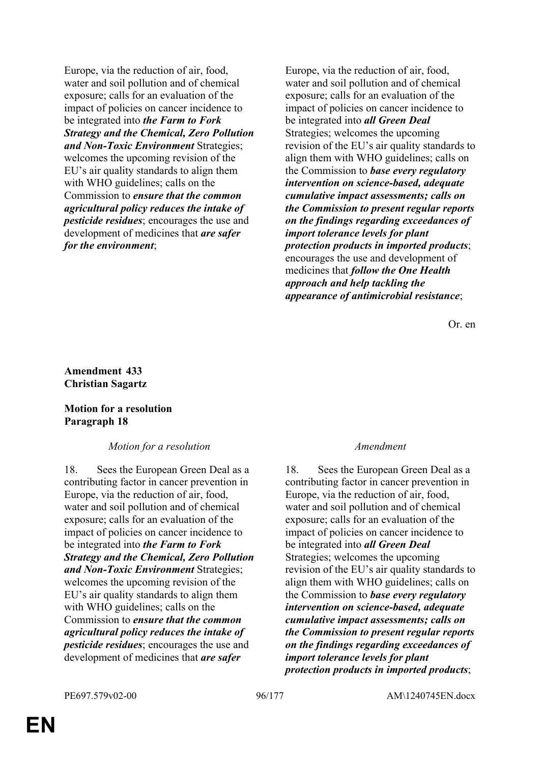Europe, via the reduction of air, food, water and soil pollution and of chemical exposure; calls for an evaluation of the impact of policies on cancer incidence to be integrated into *the Farm to Fork Strategy and the Chemical, Zero Pollution and Non-Toxic Environment* Strategies; welcomes the upcoming revision of the EU's air quality standards to align them with WHO guidelines; calls on the Commission to *ensure that the common agricultural policy reduces the intake of pesticide residues*; encourages the use and development of medicines that *are safer for the environment*;

Europe, via the reduction of air, food, water and soil pollution and of chemical exposure; calls for an evaluation of the impact of policies on cancer incidence to be integrated into *all Green Deal* Strategies; welcomes the upcoming revision of the EU's air quality standards to align them with WHO guidelines; calls on the Commission to *base every regulatory intervention on science-based, adequate cumulative impact assessments; calls on the Commission to present regular reports on the findings regarding exceedances of import tolerance levels for plant protection products in imported products*; encourages the use and development of medicines that *follow the One Health approach and help tackling the appearance of antimicrobial resistance*;

Or. en

## **Amendment 433 Christian Sagartz**

## **Motion for a resolution Paragraph 18**

## *Motion for a resolution Amendment*

18. Sees the European Green Deal as a contributing factor in cancer prevention in Europe, via the reduction of air, food, water and soil pollution and of chemical exposure; calls for an evaluation of the impact of policies on cancer incidence to be integrated into *the Farm to Fork Strategy and the Chemical, Zero Pollution and Non-Toxic Environment* Strategies; welcomes the upcoming revision of the EU's air quality standards to align them with WHO guidelines; calls on the Commission to *ensure that the common agricultural policy reduces the intake of pesticide residues*; encourages the use and development of medicines that *are safer* 

18. Sees the European Green Deal as a contributing factor in cancer prevention in Europe, via the reduction of air, food, water and soil pollution and of chemical exposure; calls for an evaluation of the impact of policies on cancer incidence to be integrated into *all Green Deal* Strategies; welcomes the upcoming revision of the EU's air quality standards to align them with WHO guidelines; calls on the Commission to *base every regulatory intervention on science-based, adequate cumulative impact assessments; calls on the Commission to present regular reports on the findings regarding exceedances of import tolerance levels for plant protection products in imported products*;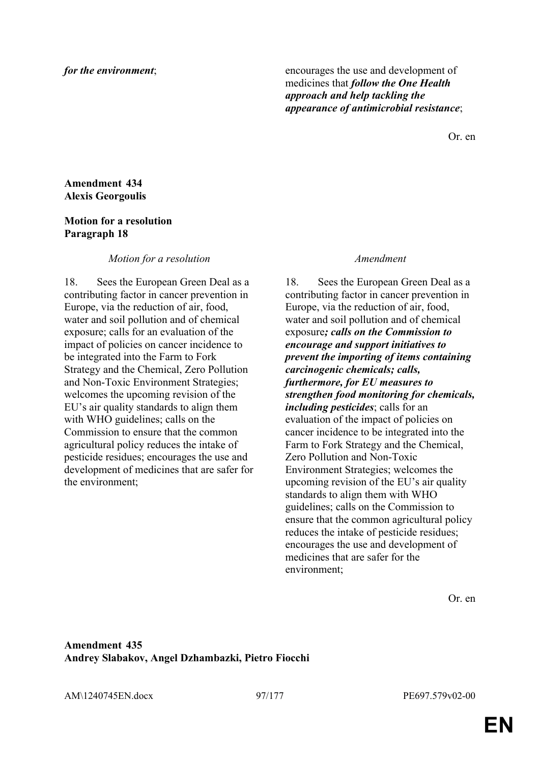*for the environment*; encourages the use and development of medicines that *follow the One Health approach and help tackling the appearance of antimicrobial resistance*;

Or. en

## **Amendment 434 Alexis Georgoulis**

## **Motion for a resolution Paragraph 18**

### *Motion for a resolution Amendment*

18. Sees the European Green Deal as a contributing factor in cancer prevention in Europe, via the reduction of air, food, water and soil pollution and of chemical exposure; calls for an evaluation of the impact of policies on cancer incidence to be integrated into the Farm to Fork Strategy and the Chemical, Zero Pollution and Non-Toxic Environment Strategies; welcomes the upcoming revision of the EU's air quality standards to align them with WHO guidelines; calls on the Commission to ensure that the common agricultural policy reduces the intake of pesticide residues; encourages the use and development of medicines that are safer for the environment;

18. Sees the European Green Deal as a contributing factor in cancer prevention in Europe, via the reduction of air, food, water and soil pollution and of chemical exposure*; calls on the Commission to encourage and support initiatives to prevent the importing of items containing carcinogenic chemicals; calls, furthermore, for EU measures to strengthen food monitoring for chemicals, including pesticides*; calls for an evaluation of the impact of policies on cancer incidence to be integrated into the Farm to Fork Strategy and the Chemical, Zero Pollution and Non-Toxic Environment Strategies; welcomes the upcoming revision of the EU's air quality standards to align them with WHO guidelines; calls on the Commission to ensure that the common agricultural policy reduces the intake of pesticide residues; encourages the use and development of medicines that are safer for the environment;

Or. en

## **Amendment 435 Andrey Slabakov, Angel Dzhambazki, Pietro Fiocchi**

AM\1240745EN.docx 97/177 PE697.579v02-00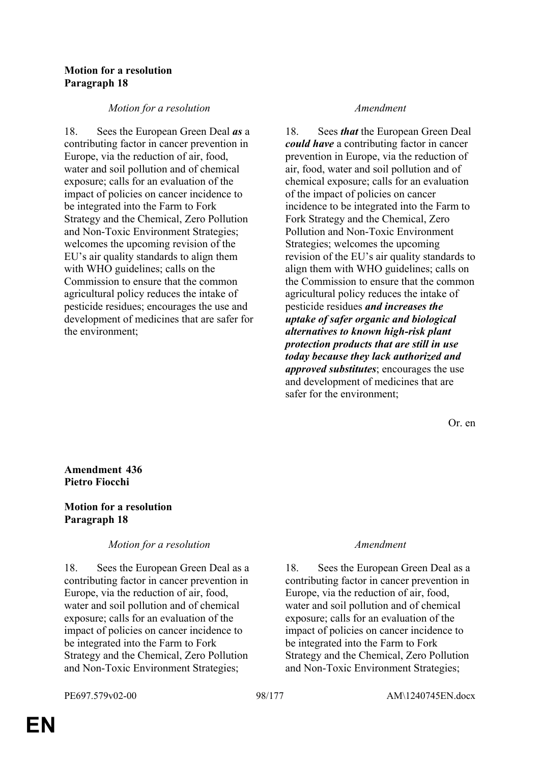## **Motion for a resolution Paragraph 18**

## *Motion for a resolution Amendment*

18. Sees the European Green Deal *as* a contributing factor in cancer prevention in Europe, via the reduction of air, food, water and soil pollution and of chemical exposure; calls for an evaluation of the impact of policies on cancer incidence to be integrated into the Farm to Fork Strategy and the Chemical, Zero Pollution and Non-Toxic Environment Strategies; welcomes the upcoming revision of the EU's air quality standards to align them with WHO guidelines; calls on the Commission to ensure that the common agricultural policy reduces the intake of pesticide residues; encourages the use and development of medicines that are safer for the environment;

18. Sees *that* the European Green Deal *could have* a contributing factor in cancer prevention in Europe, via the reduction of air, food, water and soil pollution and of chemical exposure; calls for an evaluation of the impact of policies on cancer incidence to be integrated into the Farm to Fork Strategy and the Chemical, Zero Pollution and Non-Toxic Environment Strategies; welcomes the upcoming revision of the EU's air quality standards to align them with WHO guidelines; calls on the Commission to ensure that the common agricultural policy reduces the intake of pesticide residues *and increases the uptake of safer organic and biological alternatives to known high-risk plant protection products that are still in use today because they lack authorized and approved substitutes*; encourages the use and development of medicines that are safer for the environment;

Or. en

**Amendment 436 Pietro Fiocchi**

## **Motion for a resolution Paragraph 18**

## *Motion for a resolution Amendment*

18. Sees the European Green Deal as a contributing factor in cancer prevention in Europe, via the reduction of air, food, water and soil pollution and of chemical exposure; calls for an evaluation of the impact of policies on cancer incidence to be integrated into the Farm to Fork Strategy and the Chemical, Zero Pollution and Non-Toxic Environment Strategies;

18. Sees the European Green Deal as a contributing factor in cancer prevention in Europe, via the reduction of air, food, water and soil pollution and of chemical exposure; calls for an evaluation of the impact of policies on cancer incidence to be integrated into the Farm to Fork Strategy and the Chemical, Zero Pollution and Non-Toxic Environment Strategies;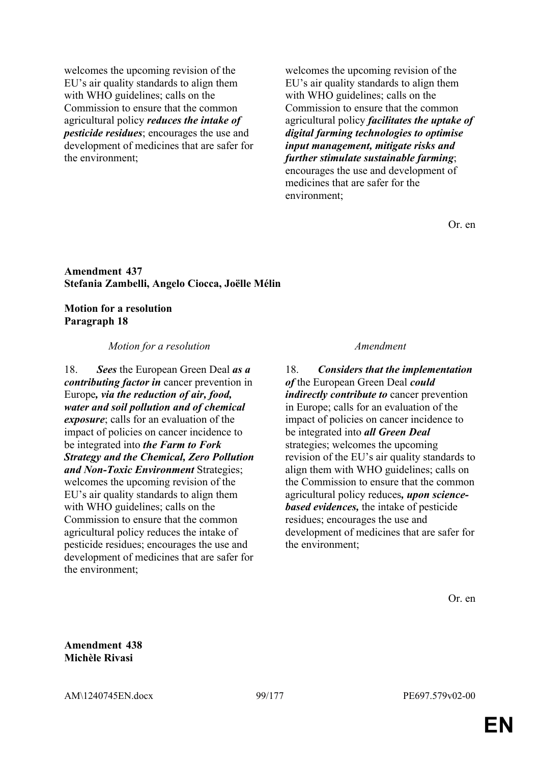welcomes the upcoming revision of the EU's air quality standards to align them with WHO guidelines; calls on the Commission to ensure that the common agricultural policy *reduces the intake of pesticide residues*; encourages the use and development of medicines that are safer for the environment;

welcomes the upcoming revision of the EU's air quality standards to align them with WHO guidelines; calls on the Commission to ensure that the common agricultural policy *facilitates the uptake of digital farming technologies to optimise input management, mitigate risks and further stimulate sustainable farming*; encourages the use and development of medicines that are safer for the environment;

Or. en

### **Amendment 437 Stefania Zambelli, Angelo Ciocca, Joëlle Mélin**

### **Motion for a resolution Paragraph 18**

### *Motion for a resolution Amendment*

18. *Sees* the European Green Deal *as a contributing factor in* cancer prevention in Europe*, via the reduction of air, food, water and soil pollution and of chemical exposure*; calls for an evaluation of the impact of policies on cancer incidence to be integrated into *the Farm to Fork Strategy and the Chemical, Zero Pollution and Non-Toxic Environment* Strategies; welcomes the upcoming revision of the EU's air quality standards to align them with WHO guidelines; calls on the Commission to ensure that the common agricultural policy reduces the intake of pesticide residues; encourages the use and development of medicines that are safer for the environment;

18. *Considers that the implementation of* the European Green Deal *could indirectly contribute to* cancer prevention in Europe; calls for an evaluation of the impact of policies on cancer incidence to be integrated into *all Green Deal* strategies; welcomes the upcoming revision of the EU's air quality standards to align them with WHO guidelines; calls on the Commission to ensure that the common agricultural policy reduces*, upon sciencebased evidences,* the intake of pesticide residues; encourages the use and development of medicines that are safer for the environment;

**Amendment 438 Michèle Rivasi**

AM\1240745EN.docx 99/177 PE697.579v02-00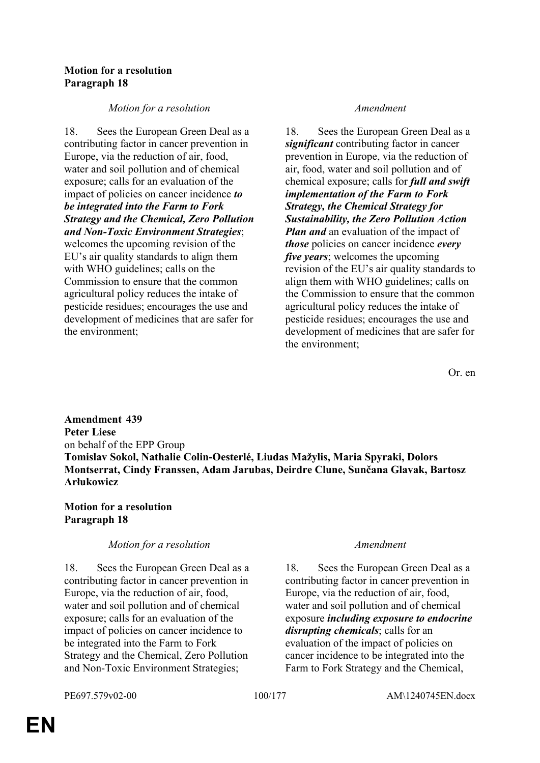## **Motion for a resolution Paragraph 18**

## *Motion for a resolution Amendment*

18. Sees the European Green Deal as a contributing factor in cancer prevention in Europe, via the reduction of air, food, water and soil pollution and of chemical exposure; calls for an evaluation of the impact of policies on cancer incidence *to be integrated into the Farm to Fork Strategy and the Chemical, Zero Pollution and Non-Toxic Environment Strategies*; welcomes the upcoming revision of the EU's air quality standards to align them with WHO guidelines; calls on the Commission to ensure that the common agricultural policy reduces the intake of pesticide residues; encourages the use and development of medicines that are safer for the environment;

18. Sees the European Green Deal as a *significant* contributing factor in cancer prevention in Europe, via the reduction of air, food, water and soil pollution and of chemical exposure; calls for *full and swift implementation of the Farm to Fork Strategy, the Chemical Strategy for Sustainability, the Zero Pollution Action Plan and* an evaluation of the impact of *those* policies on cancer incidence *every five years*; welcomes the upcoming revision of the EU's air quality standards to align them with WHO guidelines; calls on the Commission to ensure that the common agricultural policy reduces the intake of pesticide residues; encourages the use and development of medicines that are safer for the environment;

Or. en

**Amendment 439 Peter Liese** on behalf of the EPP Group **Tomislav Sokol, Nathalie Colin-Oesterlé, Liudas Mažylis, Maria Spyraki, Dolors Montserrat, Cindy Franssen, Adam Jarubas, Deirdre Clune, Sunčana Glavak, Bartosz Arłukowicz**

## **Motion for a resolution Paragraph 18**

# *Motion for a resolution Amendment*

18. Sees the European Green Deal as a contributing factor in cancer prevention in Europe, via the reduction of air, food, water and soil pollution and of chemical exposure; calls for an evaluation of the impact of policies on cancer incidence to be integrated into the Farm to Fork Strategy and the Chemical, Zero Pollution and Non-Toxic Environment Strategies;

18. Sees the European Green Deal as a contributing factor in cancer prevention in Europe, via the reduction of air, food, water and soil pollution and of chemical exposure *including exposure to endocrine disrupting chemicals*; calls for an evaluation of the impact of policies on cancer incidence to be integrated into the Farm to Fork Strategy and the Chemical,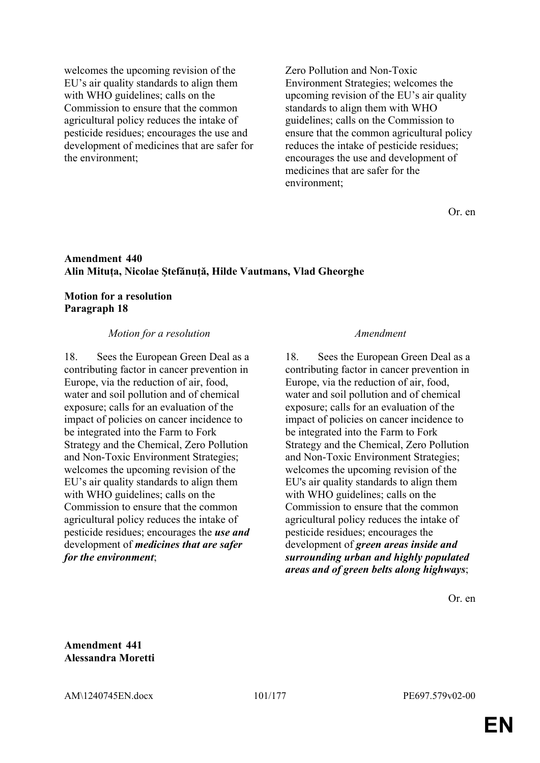welcomes the upcoming revision of the EU's air quality standards to align them with WHO guidelines; calls on the Commission to ensure that the common agricultural policy reduces the intake of pesticide residues; encourages the use and development of medicines that are safer for the environment;

Zero Pollution and Non-Toxic Environment Strategies; welcomes the upcoming revision of the EU's air quality standards to align them with WHO guidelines; calls on the Commission to ensure that the common agricultural policy reduces the intake of pesticide residues; encourages the use and development of medicines that are safer for the environment;

Or. en

## **Amendment 440 Alin Mituța, Nicolae Ştefănuță, Hilde Vautmans, Vlad Gheorghe**

## **Motion for a resolution Paragraph 18**

### *Motion for a resolution Amendment*

18. Sees the European Green Deal as a contributing factor in cancer prevention in Europe, via the reduction of air, food, water and soil pollution and of chemical exposure; calls for an evaluation of the impact of policies on cancer incidence to be integrated into the Farm to Fork Strategy and the Chemical, Zero Pollution and Non-Toxic Environment Strategies; welcomes the upcoming revision of the EU's air quality standards to align them with WHO guidelines; calls on the Commission to ensure that the common agricultural policy reduces the intake of pesticide residues; encourages the *use and* development of *medicines that are safer for the environment*;

18. Sees the European Green Deal as a contributing factor in cancer prevention in Europe, via the reduction of air, food, water and soil pollution and of chemical exposure; calls for an evaluation of the impact of policies on cancer incidence to be integrated into the Farm to Fork Strategy and the Chemical, Zero Pollution and Non-Toxic Environment Strategies; welcomes the upcoming revision of the EU's air quality standards to align them with WHO guidelines; calls on the Commission to ensure that the common agricultural policy reduces the intake of pesticide residues; encourages the development of *green areas inside and surrounding urban and highly populated areas and of green belts along highways*;

Or. en

**Amendment 441 Alessandra Moretti**

AM\1240745EN.docx 101/177 PE697.579v02-00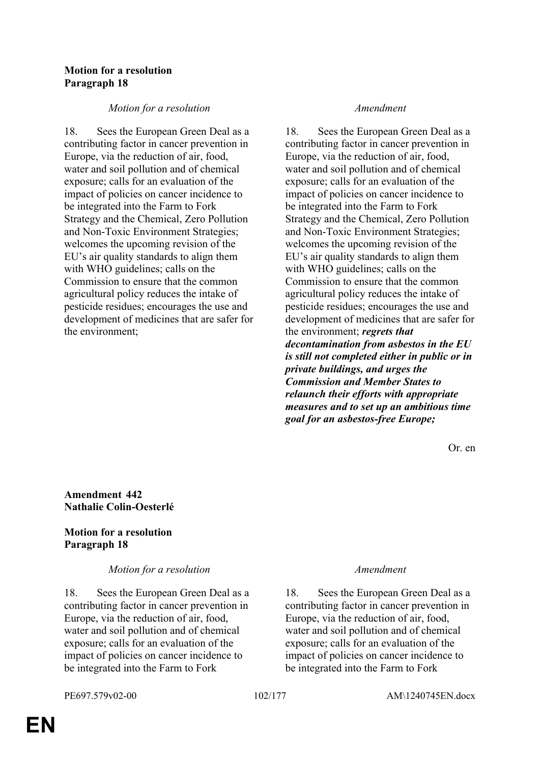## **Motion for a resolution Paragraph 18**

## *Motion for a resolution Amendment*

18. Sees the European Green Deal as a contributing factor in cancer prevention in Europe, via the reduction of air, food, water and soil pollution and of chemical exposure; calls for an evaluation of the impact of policies on cancer incidence to be integrated into the Farm to Fork Strategy and the Chemical, Zero Pollution and Non-Toxic Environment Strategies; welcomes the upcoming revision of the EU's air quality standards to align them with WHO guidelines; calls on the Commission to ensure that the common agricultural policy reduces the intake of pesticide residues; encourages the use and development of medicines that are safer for the environment;

18. Sees the European Green Deal as a contributing factor in cancer prevention in Europe, via the reduction of air, food, water and soil pollution and of chemical exposure; calls for an evaluation of the impact of policies on cancer incidence to be integrated into the Farm to Fork Strategy and the Chemical, Zero Pollution and Non-Toxic Environment Strategies; welcomes the upcoming revision of the EU's air quality standards to align them with WHO guidelines; calls on the Commission to ensure that the common agricultural policy reduces the intake of pesticide residues; encourages the use and development of medicines that are safer for the environment; *regrets that decontamination from asbestos in the EU is still not completed either in public or in private buildings, and urges the Commission and Member States to relaunch their efforts with appropriate measures and to set up an ambitious time goal for an asbestos-free Europe;*

Or. en

**Amendment 442 Nathalie Colin-Oesterlé**

# **Motion for a resolution Paragraph 18**

## *Motion for a resolution Amendment*

18. Sees the European Green Deal as a contributing factor in cancer prevention in Europe, via the reduction of air, food, water and soil pollution and of chemical exposure; calls for an evaluation of the impact of policies on cancer incidence to be integrated into the Farm to Fork

18. Sees the European Green Deal as a contributing factor in cancer prevention in Europe, via the reduction of air, food, water and soil pollution and of chemical exposure; calls for an evaluation of the impact of policies on cancer incidence to be integrated into the Farm to Fork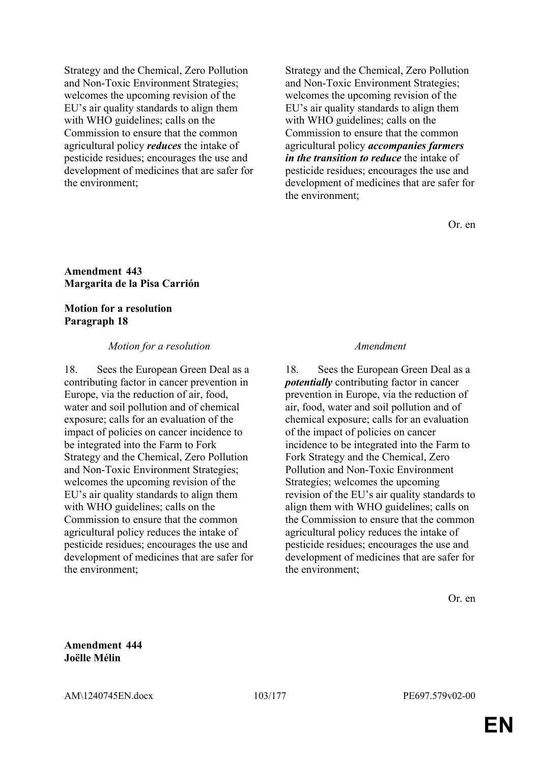Strategy and the Chemical, Zero Pollution and Non-Toxic Environment Strategies; welcomes the upcoming revision of the EU's air quality standards to align them with WHO guidelines; calls on the Commission to ensure that the common agricultural policy *reduces* the intake of pesticide residues; encourages the use and development of medicines that are safer for the environment;

Strategy and the Chemical, Zero Pollution and Non-Toxic Environment Strategies; welcomes the upcoming revision of the EU's air quality standards to align them with WHO guidelines; calls on the Commission to ensure that the common agricultural policy *accompanies farmers in the transition to reduce* the intake of pesticide residues; encourages the use and development of medicines that are safer for the environment;

Or. en

### **Amendment 443 Margarita de la Pisa Carrión**

### **Motion for a resolution Paragraph 18**

### *Motion for a resolution Amendment*

18. Sees the European Green Deal as a contributing factor in cancer prevention in Europe, via the reduction of air, food, water and soil pollution and of chemical exposure; calls for an evaluation of the impact of policies on cancer incidence to be integrated into the Farm to Fork Strategy and the Chemical, Zero Pollution and Non-Toxic Environment Strategies; welcomes the upcoming revision of the EU's air quality standards to align them with WHO guidelines; calls on the Commission to ensure that the common agricultural policy reduces the intake of pesticide residues; encourages the use and development of medicines that are safer for the environment;

18. Sees the European Green Deal as a *potentially* contributing factor in cancer prevention in Europe, via the reduction of air, food, water and soil pollution and of chemical exposure; calls for an evaluation of the impact of policies on cancer incidence to be integrated into the Farm to Fork Strategy and the Chemical, Zero Pollution and Non-Toxic Environment Strategies; welcomes the upcoming revision of the EU's air quality standards to align them with WHO guidelines; calls on the Commission to ensure that the common agricultural policy reduces the intake of pesticide residues; encourages the use and development of medicines that are safer for the environment;

Or. en

**Amendment 444 Joëlle Mélin**

AM\1240745EN.docx 103/177 PE697.579v02-00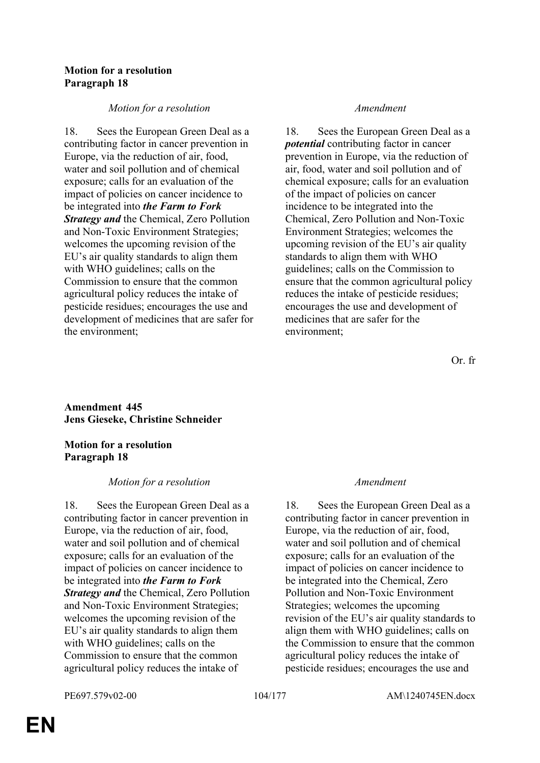## **Motion for a resolution Paragraph 18**

## *Motion for a resolution Amendment*

18. Sees the European Green Deal as a contributing factor in cancer prevention in Europe, via the reduction of air, food, water and soil pollution and of chemical exposure; calls for an evaluation of the impact of policies on cancer incidence to be integrated into *the Farm to Fork Strategy and* the Chemical, Zero Pollution and Non-Toxic Environment Strategies; welcomes the upcoming revision of the EU's air quality standards to align them with WHO guidelines; calls on the Commission to ensure that the common agricultural policy reduces the intake of pesticide residues; encourages the use and development of medicines that are safer for the environment;

18. Sees the European Green Deal as a *potential* contributing factor in cancer prevention in Europe, via the reduction of air, food, water and soil pollution and of chemical exposure; calls for an evaluation of the impact of policies on cancer incidence to be integrated into the Chemical, Zero Pollution and Non-Toxic Environment Strategies; welcomes the upcoming revision of the EU's air quality standards to align them with WHO guidelines; calls on the Commission to ensure that the common agricultural policy reduces the intake of pesticide residues; encourages the use and development of medicines that are safer for the environment;

Or. fr

# **Amendment 445 Jens Gieseke, Christine Schneider**

# **Motion for a resolution Paragraph 18**

# *Motion for a resolution Amendment*

18. Sees the European Green Deal as a contributing factor in cancer prevention in Europe, via the reduction of air, food, water and soil pollution and of chemical exposure; calls for an evaluation of the impact of policies on cancer incidence to be integrated into *the Farm to Fork Strategy and* the Chemical, Zero Pollution and Non-Toxic Environment Strategies; welcomes the upcoming revision of the EU's air quality standards to align them with WHO guidelines; calls on the Commission to ensure that the common agricultural policy reduces the intake of

18. Sees the European Green Deal as a contributing factor in cancer prevention in Europe, via the reduction of air, food, water and soil pollution and of chemical exposure; calls for an evaluation of the impact of policies on cancer incidence to be integrated into the Chemical, Zero Pollution and Non-Toxic Environment Strategies; welcomes the upcoming revision of the EU's air quality standards to align them with WHO guidelines; calls on the Commission to ensure that the common agricultural policy reduces the intake of pesticide residues; encourages the use and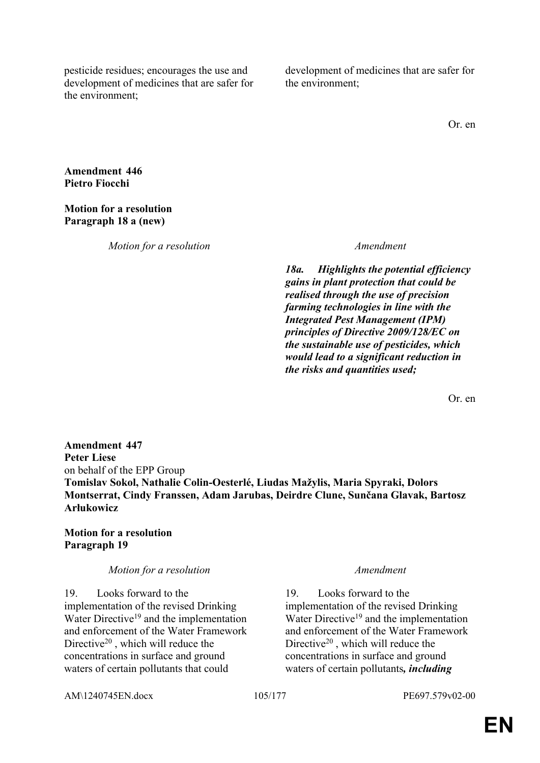pesticide residues; encourages the use and development of medicines that are safer for the environment;

development of medicines that are safer for the environment;

Or. en

**Amendment 446 Pietro Fiocchi**

**Motion for a resolution Paragraph 18 a (new)**

*Motion for a resolution Amendment*

*18a. Highlights the potential efficiency gains in plant protection that could be realised through the use of precision farming technologies in line with the Integrated Pest Management (IPM) principles of Directive 2009/128/EC on the sustainable use of pesticides, which would lead to a significant reduction in the risks and quantities used;*

Or. en

**Amendment 447 Peter Liese** on behalf of the EPP Group **Tomislav Sokol, Nathalie Colin-Oesterlé, Liudas Mažylis, Maria Spyraki, Dolors Montserrat, Cindy Franssen, Adam Jarubas, Deirdre Clune, Sunčana Glavak, Bartosz Arłukowicz**

# **Motion for a resolution Paragraph 19**

### *Motion for a resolution Amendment*

19. Looks forward to the implementation of the revised Drinking Water Directive<sup>19</sup> and the implementation and enforcement of the Water Framework Directive<sup>20</sup> , which will reduce the concentrations in surface and ground waters of certain pollutants that could

19. Looks forward to the implementation of the revised Drinking Water Directive<sup>19</sup> and the implementation and enforcement of the Water Framework Directive<sup>20</sup> , which will reduce the concentrations in surface and ground waters of certain pollutants*, including* 

AM\1240745EN.docx 105/177 PE697.579v02-00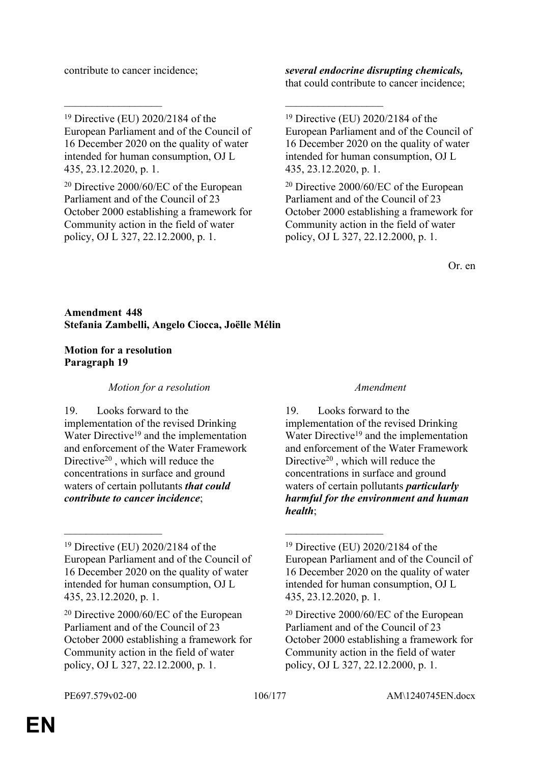<sup>19</sup> Directive (EU) 2020/2184 of the European Parliament and of the Council of 16 December 2020 on the quality of water intended for human consumption, OJ L 435, 23.12.2020, p. 1.

\_\_\_\_\_\_\_\_\_\_\_\_\_\_\_\_\_\_ \_\_\_\_\_\_\_\_\_\_\_\_\_\_\_\_\_\_

<sup>20</sup> Directive 2000/60/EC of the European Parliament and of the Council of 23 October 2000 establishing a framework for Community action in the field of water policy, OJ L 327, 22.12.2000, p. 1.

contribute to cancer incidence; *several endocrine disrupting chemicals,* that could contribute to cancer incidence;

<sup>20</sup> Directive 2000/60/EC of the European Parliament and of the Council of 23 October 2000 establishing a framework for Community action in the field of water policy, OJ L 327, 22.12.2000, p. 1.

Or. en

**Amendment 448 Stefania Zambelli, Angelo Ciocca, Joëlle Mélin**

# **Motion for a resolution Paragraph 19**

*Motion for a resolution Amendment*

19. Looks forward to the implementation of the revised Drinking Water Directive<sup>19</sup> and the implementation and enforcement of the Water Framework Directive<sup>20</sup>, which will reduce the concentrations in surface and ground waters of certain pollutants *that could contribute to cancer incidence*;

<sup>19</sup> Directive (EU) 2020/2184 of the European Parliament and of the Council of 16 December 2020 on the quality of water intended for human consumption, OJ L 435, 23.12.2020, p. 1.

 $\mathcal{L}_\text{max}$  and  $\mathcal{L}_\text{max}$  and  $\mathcal{L}_\text{max}$  and  $\mathcal{L}_\text{max}$ 

<sup>20</sup> Directive 2000/60/EC of the European Parliament and of the Council of 23 October 2000 establishing a framework for Community action in the field of water policy, OJ L 327, 22.12.2000, p. 1.

19. Looks forward to the implementation of the revised Drinking Water Directive<sup>19</sup> and the implementation and enforcement of the Water Framework Directive<sup>20</sup>, which will reduce the concentrations in surface and ground waters of certain pollutants *particularly harmful for the environment and human health*;

<sup>19</sup> Directive (EU) 2020/2184 of the European Parliament and of the Council of 16 December 2020 on the quality of water intended for human consumption, OJ L 435, 23.12.2020, p. 1.

<sup>19</sup> Directive (EU) 2020/2184 of the European Parliament and of the Council of 16 December 2020 on the quality of water intended for human consumption, OJ L 435, 23.12.2020, p. 1.

<sup>20</sup> Directive 2000/60/EC of the European Parliament and of the Council of 23 October 2000 establishing a framework for Community action in the field of water policy, OJ L 327, 22.12.2000, p. 1.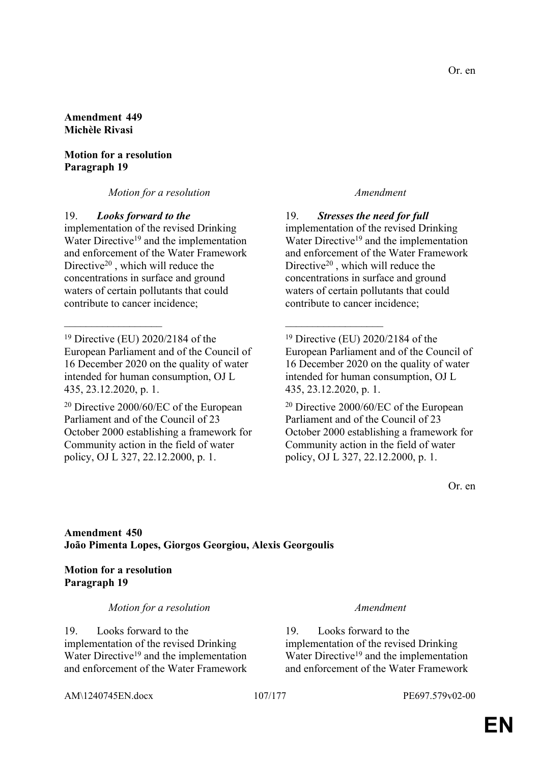### **Amendment 449 Michèle Rivasi**

## **Motion for a resolution Paragraph 19**

## *Motion for a resolution Amendment*

19. *Looks forward to the*

implementation of the revised Drinking Water Directive<sup>19</sup> and the implementation and enforcement of the Water Framework Directive<sup>20</sup> , which will reduce the concentrations in surface and ground waters of certain pollutants that could contribute to cancer incidence;

<sup>20</sup> Directive 2000/60/EC of the European Parliament and of the Council of 23 October 2000 establishing a framework for Community action in the field of water policy, OJ L 327, 22.12.2000, p. 1.

19. *Stresses the need for full* implementation of the revised Drinking Water Directive<sup>19</sup> and the implementation and enforcement of the Water Framework Directive<sup>20</sup> , which will reduce the concentrations in surface and ground waters of certain pollutants that could contribute to cancer incidence;

<sup>19</sup> Directive (EU) 2020/2184 of the European Parliament and of the Council of 16 December 2020 on the quality of water intended for human consumption, OJ L 435, 23.12.2020, p. 1.

<sup>20</sup> Directive 2000/60/EC of the European Parliament and of the Council of 23 October 2000 establishing a framework for Community action in the field of water policy, OJ L 327, 22.12.2000, p. 1.

Or. en

# **Amendment 450 João Pimenta Lopes, Giorgos Georgiou, Alexis Georgoulis**

 $\mathcal{L}_\mathcal{L}$  , and the contribution of the contribution of the contribution of the contribution of the contribution of the contribution of the contribution of the contribution of the contribution of the contribution of

# **Motion for a resolution Paragraph 19**

## *Motion for a resolution Amendment*

19. Looks forward to the implementation of the revised Drinking Water Directive<sup>19</sup> and the implementation and enforcement of the Water Framework

19. Looks forward to the implementation of the revised Drinking Water Directive<sup>19</sup> and the implementation and enforcement of the Water Framework

AM\1240745EN.docx 107/177 PE697.579v02-00

<sup>19</sup> Directive (EU) 2020/2184 of the European Parliament and of the Council of 16 December 2020 on the quality of water intended for human consumption, OJ L 435, 23.12.2020, p. 1.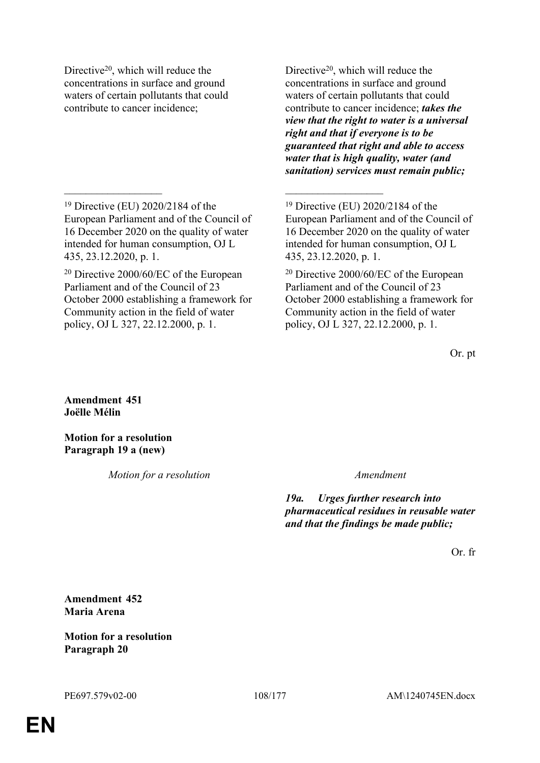Directive<sup>20</sup>, which will reduce the concentrations in surface and ground waters of certain pollutants that could contribute to cancer incidence;

Directive<sup>20</sup>, which will reduce the concentrations in surface and ground waters of certain pollutants that could contribute to cancer incidence; *takes the view that the right to water is a universal right and that if everyone is to be guaranteed that right and able to access water that is high quality, water (and sanitation) services must remain public;*

 $\mathcal{L}_\mathcal{L}$  , and the contribution of the contribution of the contribution of the contribution of the contribution of the contribution of the contribution of the contribution of the contribution of the contribution of

Or. pt

**Amendment 451 Joëlle Mélin**

**Motion for a resolution Paragraph 19 a (new)**

*Motion for a resolution Amendment*

*19a. Urges further research into pharmaceutical residues in reusable water and that the findings be made public;*

Or. fr

**Amendment 452 Maria Arena**

**Motion for a resolution Paragraph 20**

<sup>19</sup> Directive (EU) 2020/2184 of the European Parliament and of the Council of 16 December 2020 on the quality of water intended for human consumption, OJ L 435, 23.12.2020, p. 1.

<sup>20</sup> Directive 2000/60/EC of the European Parliament and of the Council of 23 October 2000 establishing a framework for Community action in the field of water policy, OJ L 327, 22.12.2000, p. 1.

<sup>19</sup> Directive (EU) 2020/2184 of the European Parliament and of the Council of 16 December 2020 on the quality of water intended for human consumption, OJ L 435, 23.12.2020, p. 1.

<sup>20</sup> Directive 2000/60/EC of the European Parliament and of the Council of 23 October 2000 establishing a framework for Community action in the field of water policy, OJ L 327, 22.12.2000, p. 1.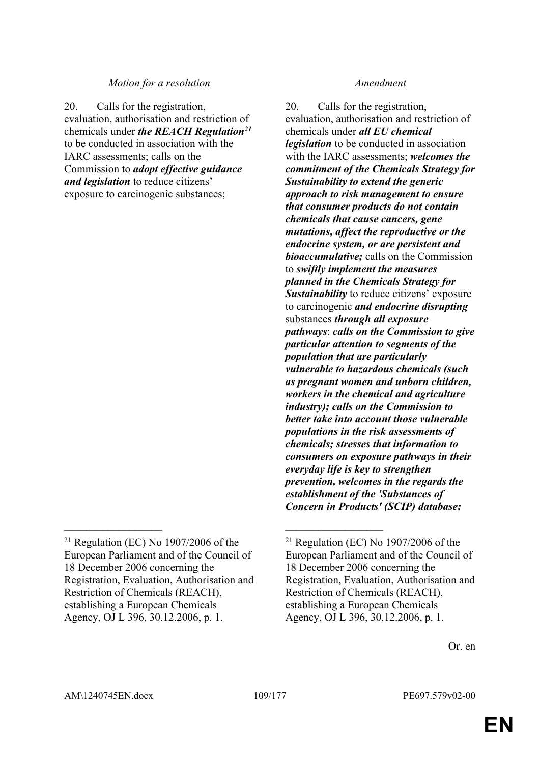### *Motion for a resolution Amendment*

20. Calls for the registration, evaluation, authorisation and restriction of chemicals under *the REACH Regulation<sup>21</sup>* to be conducted in association with the IARC assessments; calls on the Commission to *adopt effective guidance and legislation* to reduce citizens' exposure to carcinogenic substances;

 $\mathcal{L}_\mathcal{L}$  , and the contribution of the contribution of the contribution of the contribution of the contribution of the contribution of the contribution of the contribution of the contribution of the contribution of

20. Calls for the registration, evaluation, authorisation and restriction of chemicals under *all EU chemical legislation* to be conducted in association with the IARC assessments; *welcomes the commitment of the Chemicals Strategy for Sustainability to extend the generic approach to risk management to ensure that consumer products do not contain chemicals that cause cancers, gene mutations, affect the reproductive or the endocrine system, or are persistent and bioaccumulative;* calls on the Commission to *swiftly implement the measures planned in the Chemicals Strategy for Sustainability* to reduce citizens' exposure to carcinogenic *and endocrine disrupting* substances *through all exposure pathways*; *calls on the Commission to give particular attention to segments of the population that are particularly vulnerable to hazardous chemicals (such as pregnant women and unborn children, workers in the chemical and agriculture industry); calls on the Commission to better take into account those vulnerable populations in the risk assessments of chemicals; stresses that information to consumers on exposure pathways in their everyday life is key to strengthen prevention, welcomes in the regards the establishment of the 'Substances of Concern in Products' (SCIP) database;*

 $21$  Regulation (EC) No 1907/2006 of the European Parliament and of the Council of 18 December 2006 concerning the Registration, Evaluation, Authorisation and Restriction of Chemicals (REACH), establishing a European Chemicals Agency, OJ L 396, 30.12.2006, p. 1.

 $21$  Regulation (EC) No 1907/2006 of the European Parliament and of the Council of 18 December 2006 concerning the Registration, Evaluation, Authorisation and Restriction of Chemicals (REACH), establishing a European Chemicals Agency, OJ L 396, 30.12.2006, p. 1.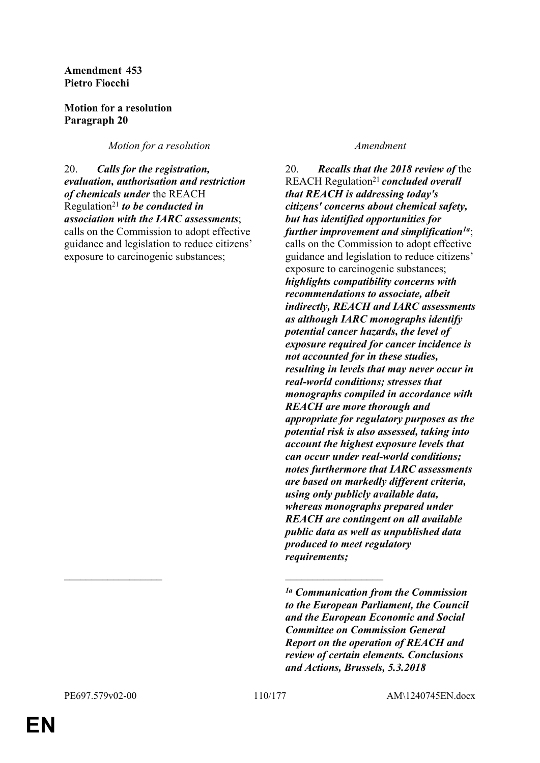### **Amendment 453 Pietro Fiocchi**

## **Motion for a resolution Paragraph 20**

*Motion for a resolution Amendment* 

20. *Calls for the registration, evaluation, authorisation and restriction of chemicals under* the REACH Regulation<sup>21</sup> *to be conducted in association with the IARC assessments*; calls on the Commission to adopt effective guidance and legislation to reduce citizens' exposure to carcinogenic substances;

20. *Recalls that the 2018 review of* the REACH Regulation<sup>21</sup>*concluded overall that REACH is addressing today's citizens' concerns about chemical safety, but has identified opportunities for further improvement and simplification1a*; calls on the Commission to adopt effective guidance and legislation to reduce citizens' exposure to carcinogenic substances; *highlights compatibility concerns with recommendations to associate, albeit indirectly, REACH and IARC assessments as although IARC monographs identify potential cancer hazards, the level of exposure required for cancer incidence is not accounted for in these studies, resulting in levels that may never occur in real-world conditions; stresses that monographs compiled in accordance with REACH are more thorough and appropriate for regulatory purposes as the potential risk is also assessed, taking into account the highest exposure levels that can occur under real-world conditions; notes furthermore that IARC assessments are based on markedly different criteria, using only publicly available data, whereas monographs prepared under REACH are contingent on all available public data as well as unpublished data produced to meet regulatory requirements;*

 $\mathcal{L}_\mathcal{L}$  , and the contribution of the contribution of the contribution of the contribution of the contribution of the contribution of the contribution of the contribution of the contribution of the contribution of

*<sup>1</sup>a Communication from the Commission to the European Parliament, the Council and the European Economic and Social Committee on Commission General Report on the operation of REACH and review of certain elements. Conclusions and Actions, Brussels, 5.3.2018*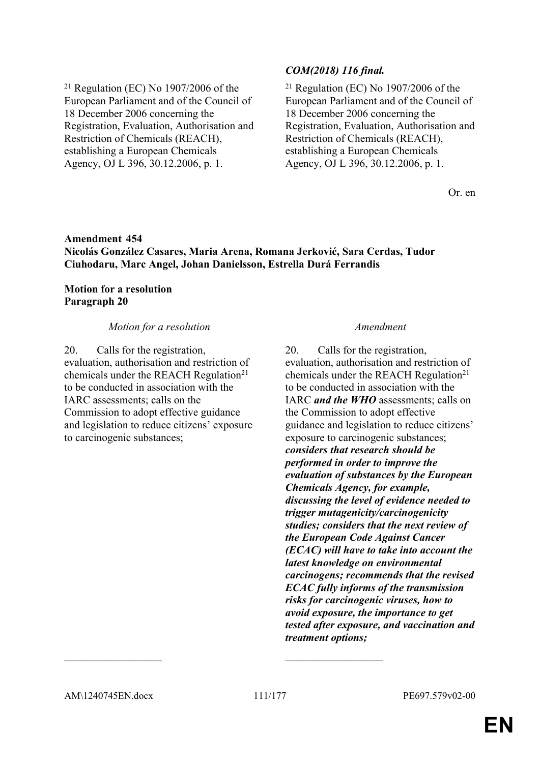$21$  Regulation (EC) No 1907/2006 of the European Parliament and of the Council of 18 December 2006 concerning the Registration, Evaluation, Authorisation and Restriction of Chemicals (REACH), establishing a European Chemicals Agency, OJ L 396, 30.12.2006, p. 1.

## *COM(2018) 116 final.*

 $21$  Regulation (EC) No 1907/2006 of the European Parliament and of the Council of 18 December 2006 concerning the Registration, Evaluation, Authorisation and Restriction of Chemicals (REACH), establishing a European Chemicals Agency, OJ L 396, 30.12.2006, p. 1.

Or. en

## **Amendment 454 Nicolás González Casares, Maria Arena, Romana Jerković, Sara Cerdas, Tudor Ciuhodaru, Marc Angel, Johan Danielsson, Estrella Durá Ferrandis**

### **Motion for a resolution Paragraph 20**

### *Motion for a resolution Amendment*

20. Calls for the registration, evaluation, authorisation and restriction of chemicals under the REACH Regulation<sup>21</sup> to be conducted in association with the IARC assessments; calls on the Commission to adopt effective guidance and legislation to reduce citizens' exposure to carcinogenic substances;

20. Calls for the registration, evaluation, authorisation and restriction of chemicals under the REACH Regulation<sup>21</sup> to be conducted in association with the IARC *and the WHO* assessments; calls on the Commission to adopt effective guidance and legislation to reduce citizens' exposure to carcinogenic substances; *considers that research should be performed in order to improve the evaluation of substances by the European Chemicals Agency, for example, discussing the level of evidence needed to trigger mutagenicity/carcinogenicity studies; considers that the next review of the European Code Against Cancer (ECAC) will have to take into account the latest knowledge on environmental carcinogens; recommends that the revised ECAC fully informs of the transmission risks for carcinogenic viruses, how to avoid exposure, the importance to get tested after exposure, and vaccination and treatment options;*

 $\mathcal{L}_\mathcal{L}$  , and the contribution of the contribution of the contribution of the contribution of the contribution of the contribution of the contribution of the contribution of the contribution of the contribution of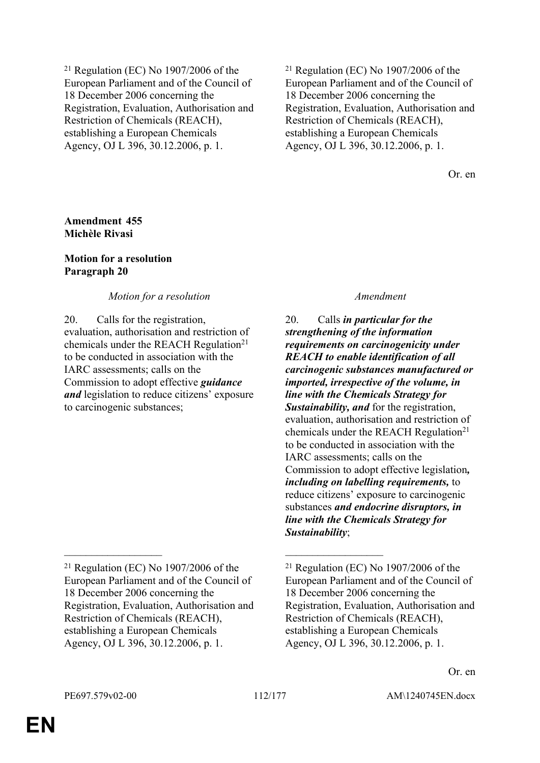$21$  Regulation (EC) No 1907/2006 of the European Parliament and of the Council of 18 December 2006 concerning the Registration, Evaluation, Authorisation and Restriction of Chemicals (REACH), establishing a European Chemicals Agency, OJ L 396, 30.12.2006, p. 1.

 $21$  Regulation (EC) No 1907/2006 of the European Parliament and of the Council of 18 December 2006 concerning the Registration, Evaluation, Authorisation and Restriction of Chemicals (REACH), establishing a European Chemicals Agency, OJ L 396, 30.12.2006, p. 1.

Or. en

### **Amendment 455 Michèle Rivasi**

### **Motion for a resolution Paragraph 20**

## *Motion for a resolution Amendment*

20. Calls for the registration, evaluation, authorisation and restriction of chemicals under the REACH Regulation<sup>21</sup> to be conducted in association with the IARC assessments; calls on the Commission to adopt effective *guidance and* legislation to reduce citizens' exposure to carcinogenic substances;

 $\mathcal{L}_\mathcal{L}$  , and the contribution of the contribution of the contribution of the contribution of the contribution of the contribution of the contribution of the contribution of the contribution of the contribution of

20. Calls *in particular for the strengthening of the information requirements on carcinogenicity under REACH to enable identification of all carcinogenic substances manufactured or imported, irrespective of the volume, in line with the Chemicals Strategy for Sustainability, and* for the registration, evaluation, authorisation and restriction of chemicals under the REACH Regulation<sup>21</sup> to be conducted in association with the IARC assessments; calls on the Commission to adopt effective legislation*, including on labelling requirements,* to reduce citizens' exposure to carcinogenic substances *and endocrine disruptors, in line with the Chemicals Strategy for Sustainability*;

 $21$  Regulation (EC) No 1907/2006 of the European Parliament and of the Council of 18 December 2006 concerning the Registration, Evaluation, Authorisation and Restriction of Chemicals (REACH), establishing a European Chemicals Agency, OJ L 396, 30.12.2006, p. 1.

 $21$  Regulation (EC) No 1907/2006 of the European Parliament and of the Council of 18 December 2006 concerning the Registration, Evaluation, Authorisation and Restriction of Chemicals (REACH), establishing a European Chemicals Agency, OJ L 396, 30.12.2006, p. 1.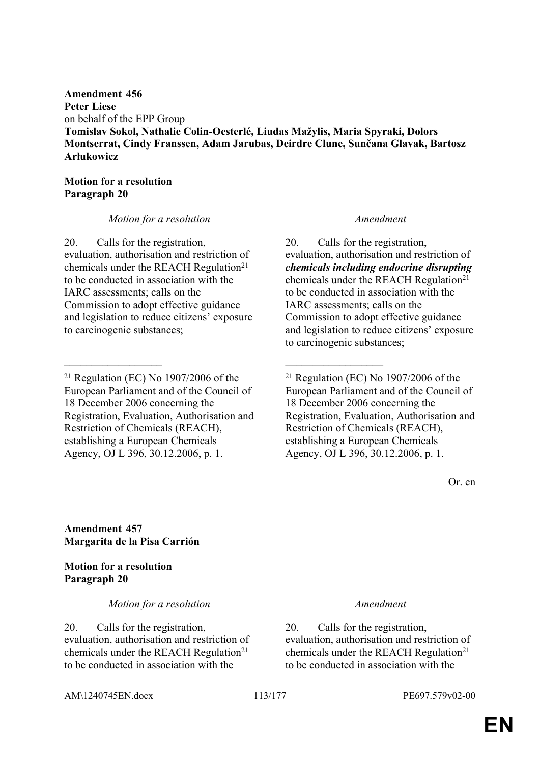**Amendment 456 Peter Liese** on behalf of the EPP Group **Tomislav Sokol, Nathalie Colin-Oesterlé, Liudas Mažylis, Maria Spyraki, Dolors Montserrat, Cindy Franssen, Adam Jarubas, Deirdre Clune, Sunčana Glavak, Bartosz Arłukowicz**

### **Motion for a resolution Paragraph 20**

### *Motion for a resolution Amendment*

20. Calls for the registration, evaluation, authorisation and restriction of chemicals under the REACH Regulation<sup>21</sup> to be conducted in association with the IARC assessments; calls on the Commission to adopt effective guidance and legislation to reduce citizens' exposure to carcinogenic substances;

 $\mathcal{L}_\mathcal{L}$  , and the contribution of the contribution of the contribution of the contribution of the contribution of the contribution of the contribution of the contribution of the contribution of the contribution of

20. Calls for the registration, evaluation, authorisation and restriction of *chemicals including endocrine disrupting* chemicals under the REACH Regulation<sup>21</sup> to be conducted in association with the IARC assessments; calls on the Commission to adopt effective guidance and legislation to reduce citizens' exposure to carcinogenic substances;

 $21$  Regulation (EC) No 1907/2006 of the European Parliament and of the Council of 18 December 2006 concerning the Registration, Evaluation, Authorisation and Restriction of Chemicals (REACH), establishing a European Chemicals Agency, OJ L 396, 30.12.2006, p. 1.

Or. en

**Amendment 457 Margarita de la Pisa Carrión**

**Motion for a resolution Paragraph 20**

*Motion for a resolution Amendment*

20. Calls for the registration, evaluation, authorisation and restriction of chemicals under the REACH Regulation<sup>21</sup> to be conducted in association with the

20. Calls for the registration, evaluation, authorisation and restriction of chemicals under the REACH Regulation<sup>21</sup> to be conducted in association with the

AM\1240745EN.docx 113/177 PE697.579v02-00

<sup>21</sup> Regulation (EC) No 1907/2006 of the European Parliament and of the Council of 18 December 2006 concerning the Registration, Evaluation, Authorisation and Restriction of Chemicals (REACH), establishing a European Chemicals Agency, OJ L 396, 30.12.2006, p. 1.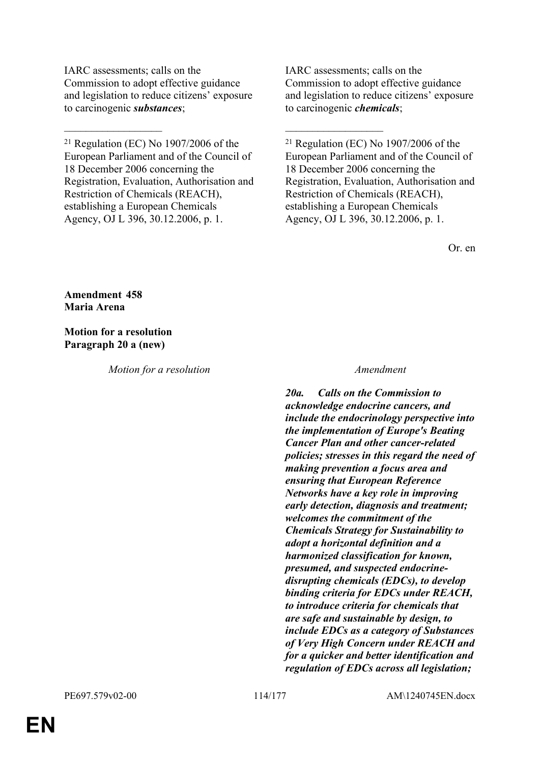IARC assessments; calls on the Commission to adopt effective guidance and legislation to reduce citizens' exposure to carcinogenic *substances*;

 $\mathcal{L}_\mathcal{L}$  , and the contribution of the contribution of the contribution of the contribution of the contribution of the contribution of the contribution of the contribution of the contribution of the contribution of

 $21$  Regulation (EC) No 1907/2006 of the European Parliament and of the Council of 18 December 2006 concerning the Registration, Evaluation, Authorisation and Restriction of Chemicals (REACH), establishing a European Chemicals Agency, OJ L 396, 30.12.2006, p. 1.

IARC assessments; calls on the Commission to adopt effective guidance and legislation to reduce citizens' exposure to carcinogenic *chemicals*;

 $21$  Regulation (EC) No 1907/2006 of the European Parliament and of the Council of 18 December 2006 concerning the Registration, Evaluation, Authorisation and Restriction of Chemicals (REACH), establishing a European Chemicals Agency, OJ L 396, 30.12.2006, p. 1.

Or. en

**Amendment 458 Maria Arena**

**Motion for a resolution Paragraph 20 a (new)**

*Motion for a resolution Amendment*

*20a. Calls on the Commission to acknowledge endocrine cancers, and include the endocrinology perspective into the implementation of Europe's Beating Cancer Plan and other cancer-related policies; stresses in this regard the need of making prevention a focus area and ensuring that European Reference Networks have a key role in improving early detection, diagnosis and treatment; welcomes the commitment of the Chemicals Strategy for Sustainability to adopt a horizontal definition and a harmonized classification for known, presumed, and suspected endocrinedisrupting chemicals (EDCs), to develop binding criteria for EDCs under REACH, to introduce criteria for chemicals that are safe and sustainable by design, to include EDCs as a category of Substances of Very High Concern under REACH and for a quicker and better identification and regulation of EDCs across all legislation;*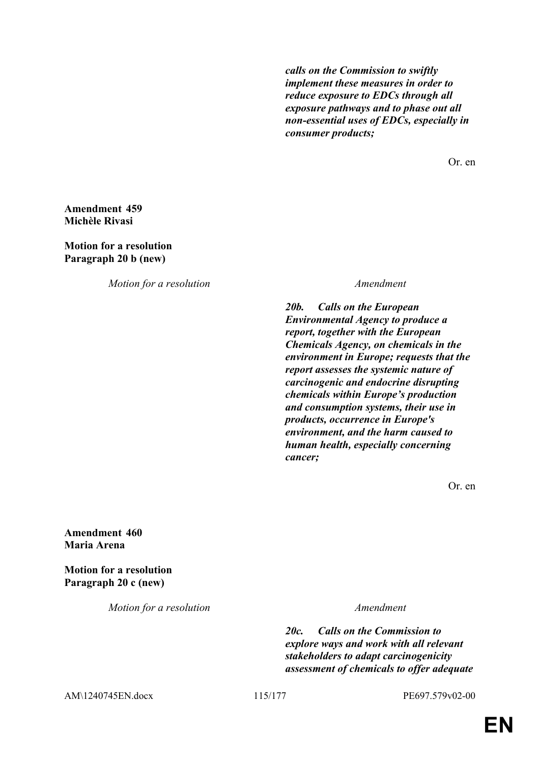*calls on the Commission to swiftly implement these measures in order to reduce exposure to EDCs through all exposure pathways and to phase out all non-essential uses of EDCs, especially in consumer products;*

Or. en

### **Amendment 459 Michèle Rivasi**

**Motion for a resolution Paragraph 20 b (new)**

*Motion for a resolution Amendment*

*20b. Calls on the European Environmental Agency to produce a report, together with the European Chemicals Agency, on chemicals in the environment in Europe; requests that the report assesses the systemic nature of carcinogenic and endocrine disrupting chemicals within Europe's production and consumption systems, their use in products, occurrence in Europe's environment, and the harm caused to human health, especially concerning cancer;*

Or. en

**Amendment 460 Maria Arena**

**Motion for a resolution Paragraph 20 c (new)**

*Motion for a resolution Amendment*

*20c. Calls on the Commission to explore ways and work with all relevant stakeholders to adapt carcinogenicity assessment of chemicals to offer adequate* 

AM\1240745EN.docx 115/177 PE697.579v02-00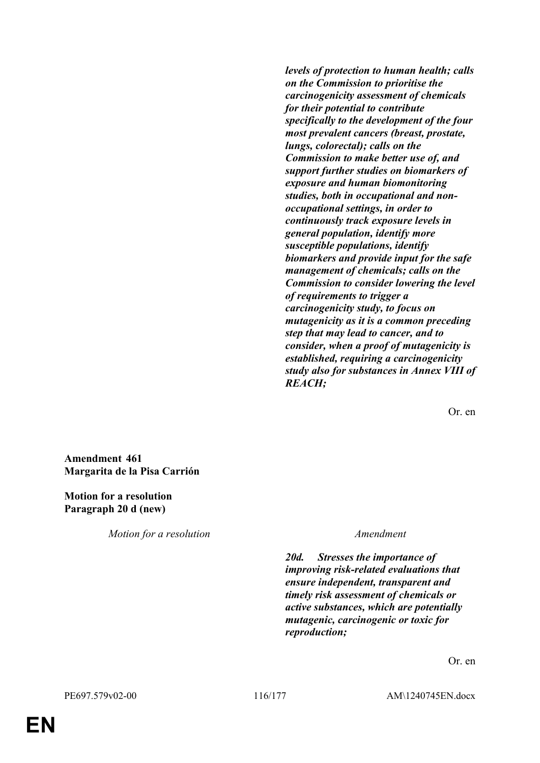*levels of protection to human health; calls on the Commission to prioritise the carcinogenicity assessment of chemicals for their potential to contribute specifically to the development of the four most prevalent cancers (breast, prostate, lungs, colorectal); calls on the Commission to make better use of, and support further studies on biomarkers of exposure and human biomonitoring studies, both in occupational and nonoccupational settings, in order to continuously track exposure levels in general population, identify more susceptible populations, identify biomarkers and provide input for the safe management of chemicals; calls on the Commission to consider lowering the level of requirements to trigger a carcinogenicity study, to focus on mutagenicity as it is a common preceding step that may lead to cancer, and to consider, when a proof of mutagenicity is established, requiring a carcinogenicity study also for substances in Annex VIII of REACH;*

Or. en

**Amendment 461 Margarita de la Pisa Carrión**

**Motion for a resolution Paragraph 20 d (new)**

*Motion for a resolution Amendment*

*20d. Stresses the importance of improving risk-related evaluations that ensure independent, transparent and timely risk assessment of chemicals or active substances, which are potentially mutagenic, carcinogenic or toxic for reproduction;*

Or. en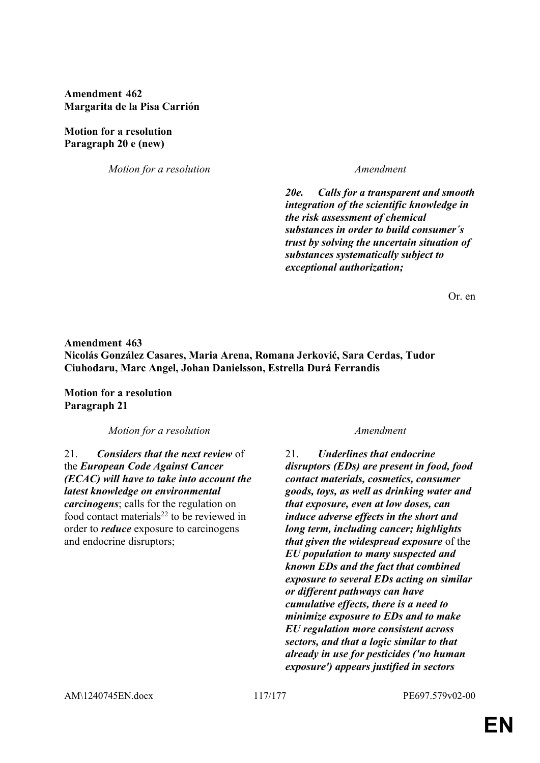**Amendment 462 Margarita de la Pisa Carrión**

**Motion for a resolution Paragraph 20 e (new)**

*Motion for a resolution Amendment*

*20e. Calls for a transparent and smooth integration of the scientific knowledge in the risk assessment of chemical substances in order to build consumer´s trust by solving the uncertain situation of substances systematically subject to exceptional authorization;*

Or. en

## **Amendment 463 Nicolás González Casares, Maria Arena, Romana Jerković, Sara Cerdas, Tudor Ciuhodaru, Marc Angel, Johan Danielsson, Estrella Durá Ferrandis**

**Motion for a resolution Paragraph 21**

*Motion for a resolution Amendment*

21. *Considers that the next review* of the *European Code Against Cancer (ECAC) will have to take into account the latest knowledge on environmental carcinogens*; calls for the regulation on food contact materials<sup>22</sup> to be reviewed in order to *reduce* exposure to carcinogens and endocrine disruptors;

21. *Underlines that endocrine disruptors (EDs) are present in food, food contact materials, cosmetics, consumer goods, toys, as well as drinking water and that exposure, even at low doses, can induce adverse effects in the short and long term, including cancer; highlights that given the widespread exposure* of the *EU population to many suspected and known EDs and the fact that combined exposure to several EDs acting on similar or different pathways can have cumulative effects, there is a need to minimize exposure to EDs and to make EU regulation more consistent across sectors, and that a logic similar to that already in use for pesticides ('no human exposure') appears justified in sectors*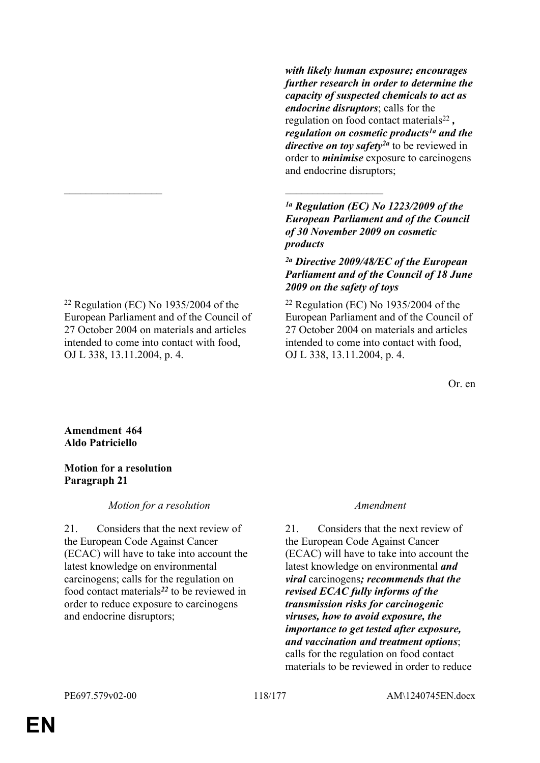*with likely human exposure; encourages further research in order to determine the capacity of suspected chemicals to act as endocrine disruptors*; calls for the regulation on food contact materials<sup>22</sup>, *regulation on cosmetic products1a and the directive on toy safety2a* to be reviewed in order to *minimise* exposure to carcinogens and endocrine disruptors;

*1a Regulation (EC) No 1223/2009 of the European Parliament and of the Council of 30 November 2009 on cosmetic products*

## *2a Directive 2009/48/EC of the European Parliament and of the Council of 18 June 2009 on the safety of toys*

 $22$  Regulation (EC) No 1935/2004 of the European Parliament and of the Council of 27 October 2004 on materials and articles intended to come into contact with food, OJ L 338, 13.11.2004, p. 4.

Or. en

**Amendment 464 Aldo Patriciello**

## **Motion for a resolution Paragraph 21**

OJ L 338, 13.11.2004, p. 4.

*Motion for a resolution Amendment*

<sup>22</sup> Regulation (EC) No 1935/2004 of the European Parliament and of the Council of 27 October 2004 on materials and articles intended to come into contact with food,

 $\mathcal{L}_\mathcal{L}$  , and the contribution of the contribution of the contribution of the contribution of the contribution of the contribution of the contribution of the contribution of the contribution of the contribution of

21. Considers that the next review of the European Code Against Cancer (ECAC) will have to take into account the latest knowledge on environmental carcinogens; calls for the regulation on food contact materials*<sup>22</sup>* to be reviewed in order to reduce exposure to carcinogens and endocrine disruptors;

21. Considers that the next review of the European Code Against Cancer (ECAC) will have to take into account the latest knowledge on environmental *and viral* carcinogens*; recommends that the revised ECAC fully informs of the transmission risks for carcinogenic viruses, how to avoid exposure, the importance to get tested after exposure, and vaccination and treatment options*; calls for the regulation on food contact materials to be reviewed in order to reduce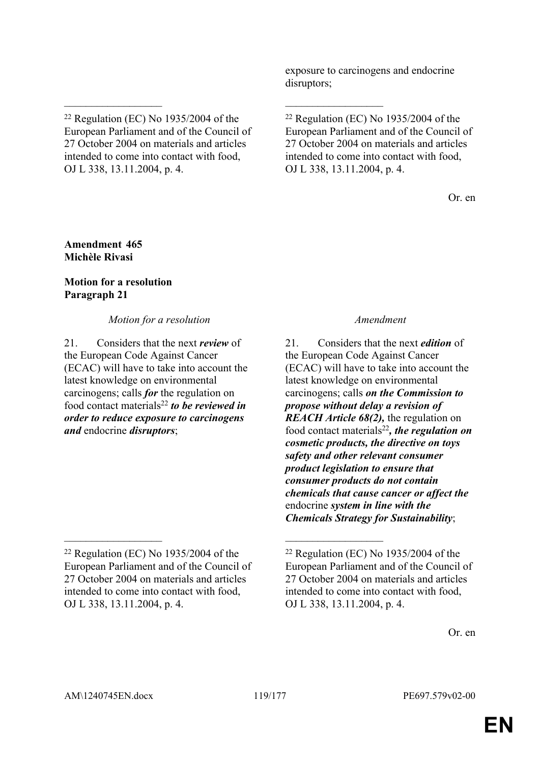exposure to carcinogens and endocrine disruptors;

\_\_\_\_\_\_\_\_\_\_\_\_\_\_\_\_\_\_ \_\_\_\_\_\_\_\_\_\_\_\_\_\_\_\_\_\_

Or. en

## **Amendment 465 Michèle Rivasi**

## **Motion for a resolution Paragraph 21**

*Motion for a resolution Amendment*

21. Considers that the next *review* of the European Code Against Cancer (ECAC) will have to take into account the latest knowledge on environmental carcinogens; calls *for* the regulation on food contact materials<sup>22</sup> *to be reviewed in order to reduce exposure to carcinogens and* endocrine *disruptors*;

21. Considers that the next *edition* of the European Code Against Cancer (ECAC) will have to take into account the latest knowledge on environmental carcinogens; calls *on the Commission to propose without delay a revision of REACH Article 68(2),* the regulation on food contact materials<sup>22</sup>*, the regulation on cosmetic products, the directive on toys safety and other relevant consumer product legislation to ensure that consumer products do not contain chemicals that cause cancer or affect the* endocrine *system in line with the Chemicals Strategy for Sustainability*;

<sup>22</sup> Regulation (EC) No 1935/2004 of the European Parliament and of the Council of 27 October 2004 on materials and articles intended to come into contact with food, OJ L 338, 13.11.2004, p. 4.

<sup>22</sup> Regulation (EC) No 1935/2004 of the European Parliament and of the Council of 27 October 2004 on materials and articles intended to come into contact with food, OJ L 338, 13.11.2004, p. 4.

 $\mathcal{L}_\mathcal{L}$  , and the contribution of the contribution of the contribution of the contribution of the contribution of the contribution of the contribution of the contribution of the contribution of the contribution of <sup>22</sup> Regulation (EC) No 1935/2004 of the European Parliament and of the Council of 27 October 2004 on materials and articles intended to come into contact with food, OJ L 338, 13.11.2004, p. 4.

 $22$  Regulation (EC) No 1935/2004 of the European Parliament and of the Council of 27 October 2004 on materials and articles intended to come into contact with food, OJ L 338, 13.11.2004, p. 4.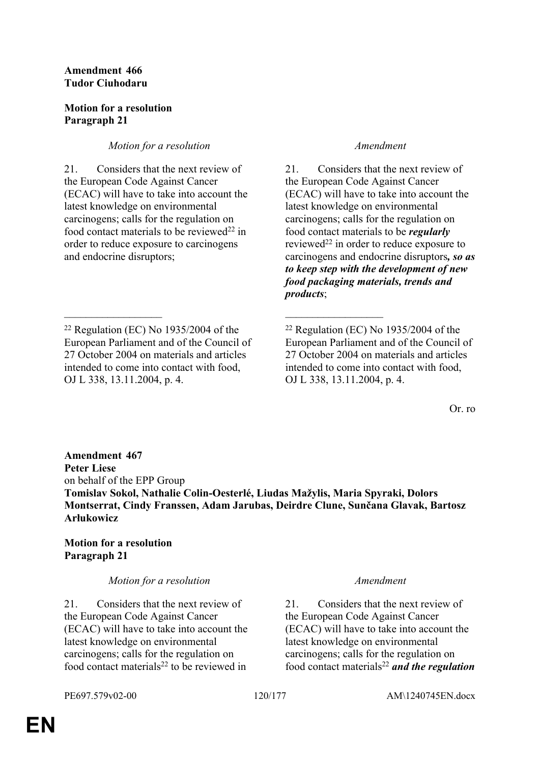## **Amendment 466 Tudor Ciuhodaru**

## **Motion for a resolution Paragraph 21**

# *Motion for a resolution Amendment*

21. Considers that the next review of the European Code Against Cancer (ECAC) will have to take into account the latest knowledge on environmental carcinogens; calls for the regulation on food contact materials to be reviewed<sup>22</sup> in order to reduce exposure to carcinogens and endocrine disruptors;

 $\mathcal{L}_\mathcal{L}$  , and the contribution of the contribution of the contribution of the contribution of the contribution of the contribution of the contribution of the contribution of the contribution of the contribution of

21. Considers that the next review of the European Code Against Cancer (ECAC) will have to take into account the latest knowledge on environmental carcinogens; calls for the regulation on food contact materials to be *regularly*  reviewed<sup>22</sup> in order to reduce exposure to carcinogens and endocrine disruptors*, so as to keep step with the development of new food packaging materials, trends and products*;

Or. ro

**Amendment 467 Peter Liese** on behalf of the EPP Group **Tomislav Sokol, Nathalie Colin-Oesterlé, Liudas Mažylis, Maria Spyraki, Dolors Montserrat, Cindy Franssen, Adam Jarubas, Deirdre Clune, Sunčana Glavak, Bartosz Arłukowicz**

# **Motion for a resolution Paragraph 21**

## *Motion for a resolution Amendment*

21. Considers that the next review of the European Code Against Cancer (ECAC) will have to take into account the latest knowledge on environmental carcinogens; calls for the regulation on food contact materials<sup>22</sup> to be reviewed in

21. Considers that the next review of the European Code Against Cancer (ECAC) will have to take into account the latest knowledge on environmental carcinogens; calls for the regulation on food contact materials<sup>22</sup> *and the regulation* 

 $22$  Regulation (EC) No 1935/2004 of the European Parliament and of the Council of 27 October 2004 on materials and articles intended to come into contact with food, OJ L 338, 13.11.2004, p. 4.

 $22$  Regulation (EC) No 1935/2004 of the European Parliament and of the Council of 27 October 2004 on materials and articles intended to come into contact with food, OJ L 338, 13.11.2004, p. 4.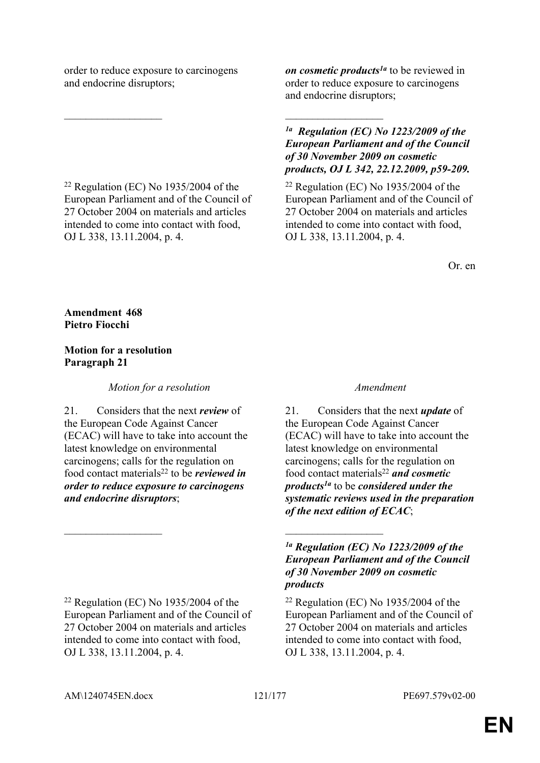order to reduce exposure to carcinogens and endocrine disruptors;

 $\mathcal{L}_\mathcal{L}$  , and the contribution of the contribution of the contribution of the contribution of the contribution of the contribution of the contribution of the contribution of the contribution of the contribution of

 $22$  Regulation (EC) No 1935/2004 of the European Parliament and of the Council of 27 October 2004 on materials and articles intended to come into contact with food, OJ L 338, 13.11.2004, p. 4.

*on cosmetic products1a* to be reviewed in order to reduce exposure to carcinogens and endocrine disruptors;

*1a Regulation (EC) No 1223/2009 of the European Parliament and of the Council of 30 November 2009 on cosmetic products, OJ L 342, 22.12.2009, p59-209.*

 $22$  Regulation (EC) No 1935/2004 of the European Parliament and of the Council of 27 October 2004 on materials and articles intended to come into contact with food, OJ L 338, 13.11.2004, p. 4.

Or. en

**Amendment 468 Pietro Fiocchi**

## **Motion for a resolution Paragraph 21**

*Motion for a resolution Amendment*

21. Considers that the next *review* of the European Code Against Cancer (ECAC) will have to take into account the latest knowledge on environmental carcinogens; calls for the regulation on food contact materials<sup>22</sup> to be *reviewed in order to reduce exposure to carcinogens and endocrine disruptors*;

 $22$  Regulation (EC) No 1935/2004 of the European Parliament and of the Council of 27 October 2004 on materials and articles intended to come into contact with food, OJ L 338, 13.11.2004, p. 4.

21. Considers that the next *update* of the European Code Against Cancer (ECAC) will have to take into account the latest knowledge on environmental carcinogens; calls for the regulation on food contact materials<sup>22</sup> *and cosmetic products1a* to be *considered under the systematic reviews used in the preparation of the next edition of ECAC*;

*1a Regulation (EC) No 1223/2009 of the European Parliament and of the Council of 30 November 2009 on cosmetic products*

 $22$  Regulation (EC) No 1935/2004 of the European Parliament and of the Council of 27 October 2004 on materials and articles intended to come into contact with food, OJ L 338, 13.11.2004, p. 4.

 $\mathcal{L}_\text{max}$  and  $\mathcal{L}_\text{max}$  and  $\mathcal{L}_\text{max}$  and  $\mathcal{L}_\text{max}$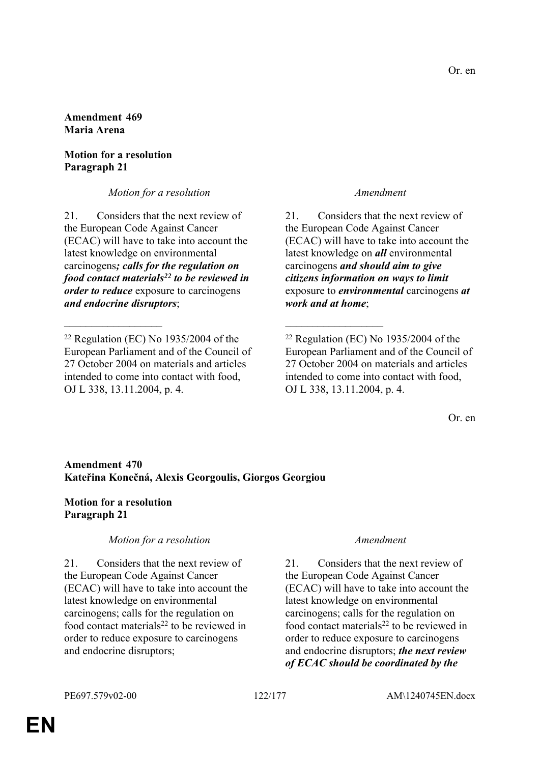### **Amendment 469 Maria Arena**

## **Motion for a resolution Paragraph 21**

*Motion for a resolution Amendment*

21. Considers that the next review of the European Code Against Cancer (ECAC) will have to take into account the latest knowledge on environmental carcinogens*; calls for the regulation on food contact materials<sup>22</sup> to be reviewed in order to reduce* exposure to carcinogens *and endocrine disruptors*;

21. Considers that the next review of the European Code Against Cancer (ECAC) will have to take into account the latest knowledge on *all* environmental carcinogens *and should aim to give citizens information on ways to limit* exposure to *environmental* carcinogens *at work and at home*;

Or. en

# **Amendment 470 Kateřina Konečná, Alexis Georgoulis, Giorgos Georgiou**

 $\mathcal{L}_\mathcal{L}$  , and the contribution of the contribution of the contribution of the contribution of the contribution of the contribution of the contribution of the contribution of the contribution of the contribution of

## **Motion for a resolution Paragraph 21**

## *Motion for a resolution Amendment*

21. Considers that the next review of the European Code Against Cancer (ECAC) will have to take into account the latest knowledge on environmental carcinogens; calls for the regulation on food contact materials<sup>22</sup> to be reviewed in order to reduce exposure to carcinogens and endocrine disruptors;

21. Considers that the next review of the European Code Against Cancer (ECAC) will have to take into account the latest knowledge on environmental carcinogens; calls for the regulation on food contact materials<sup>22</sup> to be reviewed in order to reduce exposure to carcinogens and endocrine disruptors; *the next review of ECAC should be coordinated by the* 

<sup>22</sup> Regulation (EC) No 1935/2004 of the European Parliament and of the Council of 27 October 2004 on materials and articles intended to come into contact with food, OJ L 338, 13.11.2004, p. 4.

 $22$  Regulation (EC) No 1935/2004 of the European Parliament and of the Council of 27 October 2004 on materials and articles intended to come into contact with food, OJ L 338, 13.11.2004, p. 4.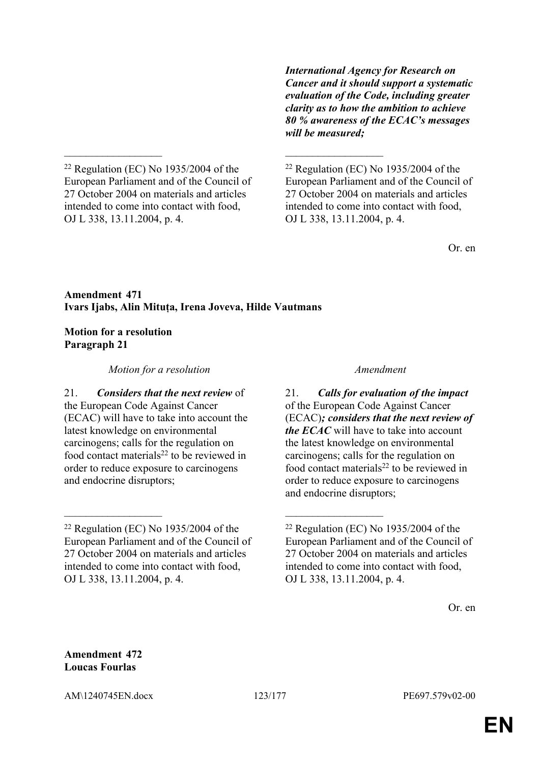*International Agency for Research on Cancer and it should support a systematic evaluation of the Code, including greater clarity as to how the ambition to achieve 80 % awareness of the ECAC's messages will be measured;*

 $22$  Regulation (EC) No 1935/2004 of the European Parliament and of the Council of 27 October 2004 on materials and articles intended to come into contact with food, OJ L 338, 13.11.2004, p. 4.

 $22$  Regulation (EC) No 1935/2004 of the European Parliament and of the Council of 27 October 2004 on materials and articles intended to come into contact with food, OJ L 338, 13.11.2004, p. 4.

Or. en

## **Amendment 471 Ivars Ijabs, Alin Mituța, Irena Joveva, Hilde Vautmans**

 $\mathcal{L}_\mathcal{L}$  , and the contribution of the contribution of the contribution of the contribution of the contribution of the contribution of the contribution of the contribution of the contribution of the contribution of

 $\mathcal{L}_\mathcal{L}$  , and the contribution of the contribution of the contribution of the contribution of the contribution of the contribution of the contribution of the contribution of the contribution of the contribution of

## **Motion for a resolution Paragraph 21**

*Motion for a resolution Amendment*

21. *Considers that the next review* of the European Code Against Cancer (ECAC) will have to take into account the latest knowledge on environmental carcinogens; calls for the regulation on food contact materials<sup>22</sup> to be reviewed in order to reduce exposure to carcinogens and endocrine disruptors;

21. *Calls for evaluation of the impact*  of the European Code Against Cancer (ECAC)*; considers that the next review of the ECAC* will have to take into account the latest knowledge on environmental carcinogens; calls for the regulation on food contact materials<sup>22</sup> to be reviewed in order to reduce exposure to carcinogens and endocrine disruptors;

Or. en

**Amendment 472 Loucas Fourlas**

AM\1240745EN.docx 123/177 PE697.579v02-00

 $22$  Regulation (EC) No 1935/2004 of the European Parliament and of the Council of 27 October 2004 on materials and articles intended to come into contact with food, OJ L 338, 13.11.2004, p. 4.

 $22$  Regulation (EC) No 1935/2004 of the European Parliament and of the Council of 27 October 2004 on materials and articles intended to come into contact with food, OJ L 338, 13.11.2004, p. 4.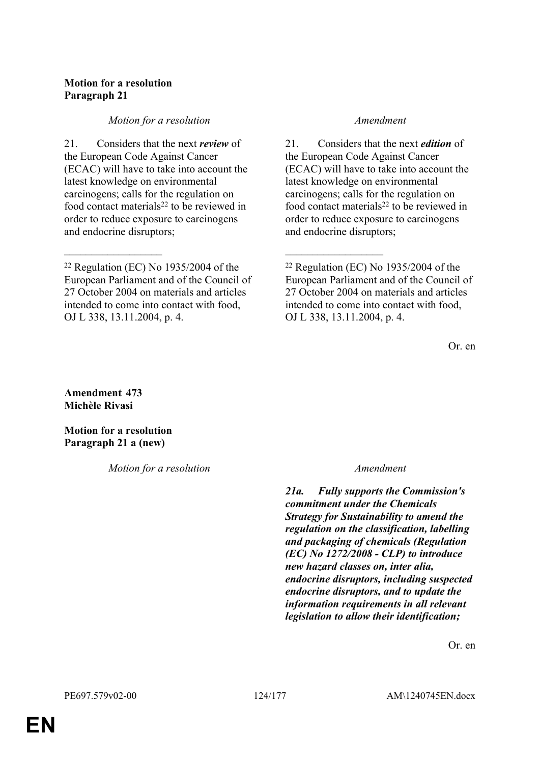# **Motion for a resolution Paragraph 21**

## *Motion for a resolution Amendment*

21. Considers that the next *review* of the European Code Against Cancer (ECAC) will have to take into account the latest knowledge on environmental carcinogens; calls for the regulation on food contact materials<sup>22</sup> to be reviewed in order to reduce exposure to carcinogens and endocrine disruptors;

 $\mathcal{L}_\mathcal{L}$  , and the contribution of the contribution of the contribution of the contribution of the contribution of the contribution of the contribution of the contribution of the contribution of the contribution of

21. Considers that the next *edition* of the European Code Against Cancer (ECAC) will have to take into account the latest knowledge on environmental carcinogens; calls for the regulation on food contact materials<sup>22</sup> to be reviewed in order to reduce exposure to carcinogens and endocrine disruptors;

Or. en

**Amendment 473 Michèle Rivasi**

**Motion for a resolution Paragraph 21 a (new)**

*Motion for a resolution Amendment*

*21a. Fully supports the Commission's commitment under the Chemicals Strategy for Sustainability to amend the regulation on the classification, labelling and packaging of chemicals (Regulation (EC) No 1272/2008 - CLP) to introduce new hazard classes on, inter alia, endocrine disruptors, including suspected endocrine disruptors, and to update the information requirements in all relevant legislation to allow their identification;*

Or. en

 $22$  Regulation (EC) No 1935/2004 of the European Parliament and of the Council of 27 October 2004 on materials and articles intended to come into contact with food, OJ L 338, 13.11.2004, p. 4.

 $22$  Regulation (EC) No 1935/2004 of the European Parliament and of the Council of 27 October 2004 on materials and articles intended to come into contact with food, OJ L 338, 13.11.2004, p. 4.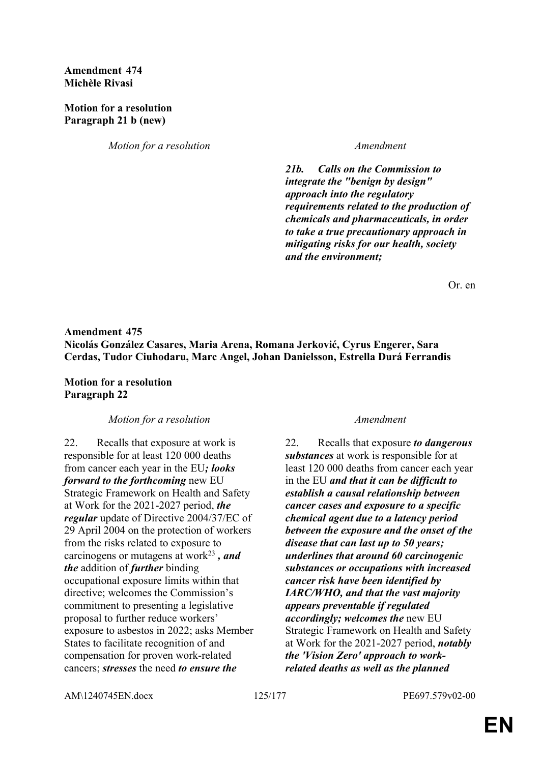### **Amendment 474 Michèle Rivasi**

### **Motion for a resolution Paragraph 21 b (new)**

*Motion for a resolution Amendment* 

*21b. Calls on the Commission to integrate the "benign by design" approach into the regulatory requirements related to the production of chemicals and pharmaceuticals, in order to take a true precautionary approach in mitigating risks for our health, society and the environment;*

Or. en

# **Amendment 475 Nicolás González Casares, Maria Arena, Romana Jerković, Cyrus Engerer, Sara Cerdas, Tudor Ciuhodaru, Marc Angel, Johan Danielsson, Estrella Durá Ferrandis**

**Motion for a resolution Paragraph 22**

### *Motion for a resolution Amendment*

22. Recalls that exposure at work is responsible for at least 120 000 deaths from cancer each year in the EU*; looks forward to the forthcoming* new EU Strategic Framework on Health and Safety at Work for the 2021-2027 period, *the regular* update of Directive 2004/37/EC of 29 April 2004 on the protection of workers from the risks related to exposure to carcinogens or mutagens at work<sup>23</sup> *, and the* addition of *further* binding occupational exposure limits within that directive; welcomes the Commission's commitment to presenting a legislative proposal to further reduce workers' exposure to asbestos in 2022; asks Member States to facilitate recognition of and compensation for proven work-related cancers; *stresses* the need *to ensure the* 

22. Recalls that exposure *to dangerous substances* at work is responsible for at least 120 000 deaths from cancer each year in the EU *and that it can be difficult to establish a causal relationship between cancer cases and exposure to a specific chemical agent due to a latency period between the exposure and the onset of the disease that can last up to 50 years; underlines that around 60 carcinogenic substances or occupations with increased cancer risk have been identified by IARC/WHO, and that the vast majority appears preventable if regulated accordingly; welcomes the* new EU Strategic Framework on Health and Safety at Work for the 2021-2027 period, *notably the 'Vision Zero' approach to workrelated deaths as well as the planned* 

AM\1240745EN.docx 125/177 PE697.579v02-00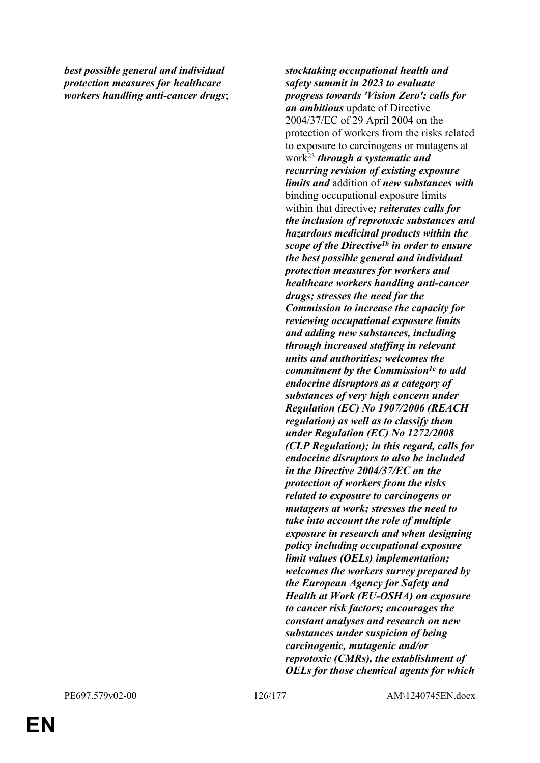*best possible general and individual protection measures for healthcare workers handling anti-cancer drugs*; *stocktaking occupational health and safety summit in 2023 to evaluate progress towards 'Vision Zero'; calls for an ambitious* update of Directive 2004/37/EC of 29 April 2004 on the protection of workers from the risks related to exposure to carcinogens or mutagens at work<sup>23</sup> *through a systematic and recurring revision of existing exposure limits and* addition of *new substances with* binding occupational exposure limits within that directive*; reiterates calls for the inclusion of reprotoxic substances and hazardous medicinal products within the scope of the Directive1b in order to ensure the best possible general and individual protection measures for workers and healthcare workers handling anti-cancer drugs; stresses the need for the Commission to increase the capacity for reviewing occupational exposure limits and adding new substances, including through increased staffing in relevant units and authorities; welcomes the commitment by the Commission1c to add endocrine disruptors as a category of substances of very high concern under Regulation (EC) No 1907/2006 (REACH regulation) as well as to classify them under Regulation (EC) No 1272/2008 (CLP Regulation); in this regard, calls for endocrine disruptors to also be included in the Directive 2004/37/EC on the protection of workers from the risks related to exposure to carcinogens or mutagens at work; stresses the need to take into account the role of multiple exposure in research and when designing policy including occupational exposure limit values (OELs) implementation; welcomes the workers survey prepared by the European Agency for Safety and Health at Work (EU-OSHA) on exposure to cancer risk factors; encourages the constant analyses and research on new substances under suspicion of being carcinogenic, mutagenic and/or reprotoxic (CMRs), the establishment of OELs for those chemical agents for which* 

PE697.579v02-00 126/177 AM\1240745EN.docx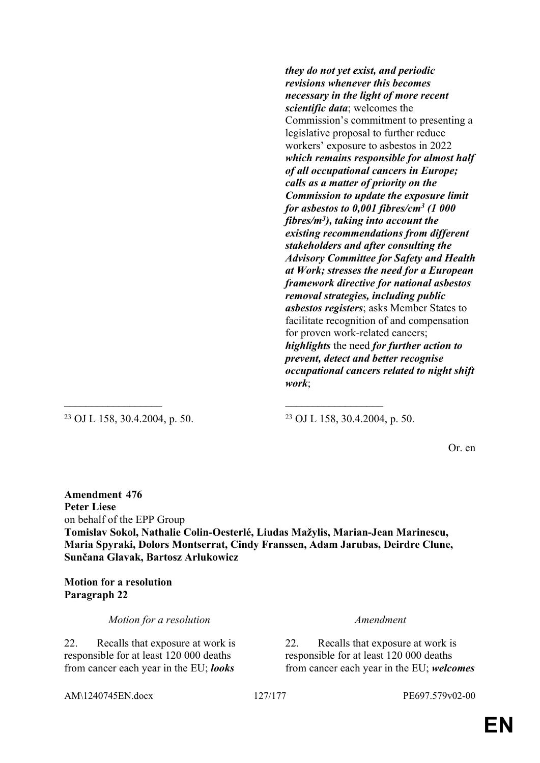*they do not yet exist, and periodic revisions whenever this becomes necessary in the light of more recent scientific data*; welcomes the Commission's commitment to presenting a legislative proposal to further reduce workers' exposure to asbestos in 2022 *which remains responsible for almost half of all occupational cancers in Europe; calls as a matter of priority on the Commission to update the exposure limit for asbestos to 0,001 fibres/cm<sup>3</sup> (1 000 fibres/m<sup>3</sup> ), taking into account the existing recommendations from different stakeholders and after consulting the Advisory Committee for Safety and Health at Work; stresses the need for a European framework directive for national asbestos removal strategies, including public asbestos registers*; asks Member States to facilitate recognition of and compensation for proven work-related cancers; *highlights* the need *for further action to prevent, detect and better recognise occupational cancers related to night shift work*;

<sup>23</sup> OJ L 158, 30.4.2004, p. 50. <sup>23</sup> OJ L 158, 30.4.2004, p. 50.

Or. en

**Amendment 476 Peter Liese** on behalf of the EPP Group **Tomislav Sokol, Nathalie Colin-Oesterlé, Liudas Mažylis, Marian-Jean Marinescu, Maria Spyraki, Dolors Montserrat, Cindy Franssen, Adam Jarubas, Deirdre Clune, Sunčana Glavak, Bartosz Arłukowicz**

 $\mathcal{L}_\mathcal{L}$  , and the contribution of the contribution of the contribution of the contribution of the contribution of the contribution of the contribution of the contribution of the contribution of the contribution of

**Motion for a resolution Paragraph 22**

*Motion for a resolution Amendment*

22. Recalls that exposure at work is responsible for at least 120 000 deaths from cancer each year in the EU; *looks* 

22. Recalls that exposure at work is responsible for at least 120 000 deaths from cancer each year in the EU; *welcomes* 

AM\1240745EN.docx 127/177 PE697.579v02-00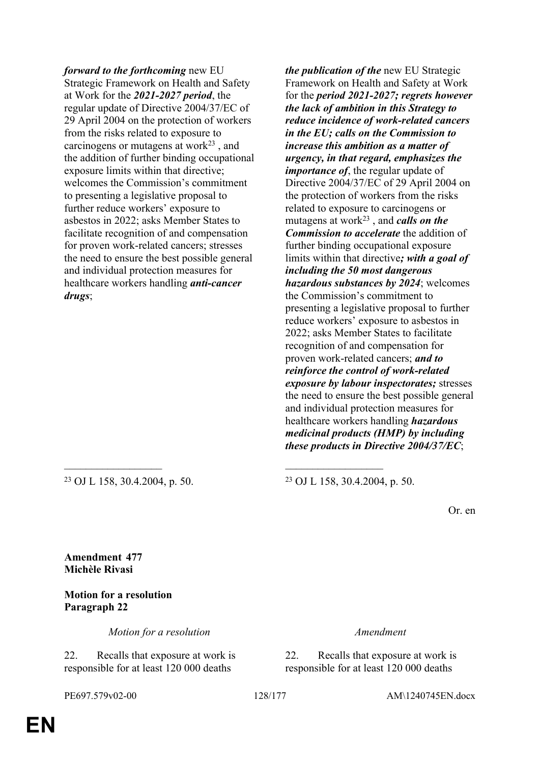*forward to the forthcoming* new EU Strategic Framework on Health and Safety at Work for the *2021-2027 period*, the regular update of Directive 2004/37/EC of 29 April 2004 on the protection of workers from the risks related to exposure to carcinogens or mutagens at work $23$ , and the addition of further binding occupational exposure limits within that directive; welcomes the Commission's commitment to presenting a legislative proposal to further reduce workers' exposure to asbestos in 2022; asks Member States to facilitate recognition of and compensation for proven work-related cancers; stresses the need to ensure the best possible general and individual protection measures for healthcare workers handling *anti-cancer drugs*;

*the publication of the* new EU Strategic Framework on Health and Safety at Work for the *period 2021-2027; regrets however the lack of ambition in this Strategy to reduce incidence of work-related cancers in the EU; calls on the Commission to increase this ambition as a matter of urgency, in that regard, emphasizes the importance of*, the regular update of Directive 2004/37/EC of 29 April 2004 on the protection of workers from the risks related to exposure to carcinogens or mutagens at work<sup>23</sup> , and *calls on the Commission to accelerate* the addition of further binding occupational exposure limits within that directive*; with a goal of including the 50 most dangerous hazardous substances by 2024*; welcomes the Commission's commitment to presenting a legislative proposal to further reduce workers' exposure to asbestos in 2022; asks Member States to facilitate recognition of and compensation for proven work-related cancers; *and to reinforce the control of work-related exposure by labour inspectorates;* stresses the need to ensure the best possible general and individual protection measures for healthcare workers handling *hazardous medicinal products (HMP) by including these products in Directive 2004/37/EC*;

 $\mathcal{L}_\mathcal{L}$  , and the contribution of the contribution of the contribution of the contribution of the contribution of the contribution of the contribution of the contribution of the contribution of the contribution of

<sup>23</sup> OJ L 158, 30.4.2004, p. 50. <sup>23</sup> OJ L 158, 30.4.2004, p. 50.

Or. en

**Amendment 477 Michèle Rivasi**

**Motion for a resolution Paragraph 22**

*Motion for a resolution Amendment*

22. Recalls that exposure at work is responsible for at least 120 000 deaths

22. Recalls that exposure at work is responsible for at least 120 000 deaths

PE697.579v02-00 128/177 AM\1240745EN.docx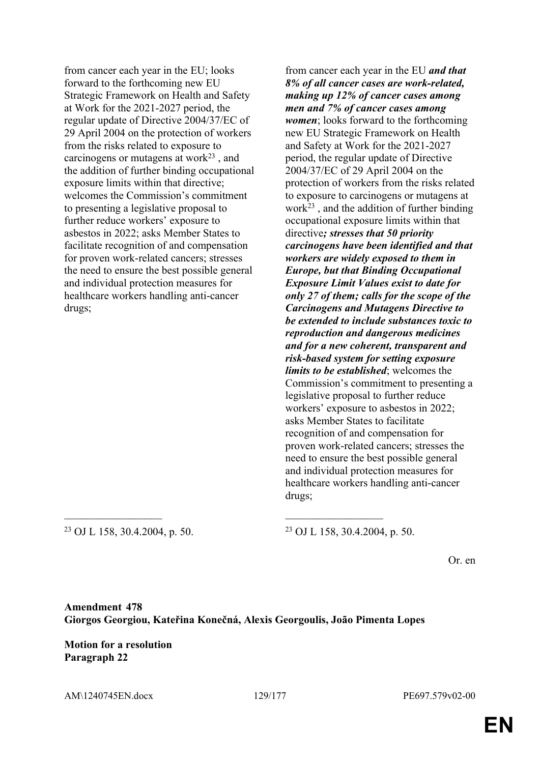from cancer each year in the EU; looks forward to the forthcoming new EU Strategic Framework on Health and Safety at Work for the 2021-2027 period, the regular update of Directive 2004/37/EC of 29 April 2004 on the protection of workers from the risks related to exposure to carcinogens or mutagens at work<sup>23</sup> , and the addition of further binding occupational exposure limits within that directive; welcomes the Commission's commitment to presenting a legislative proposal to further reduce workers' exposure to asbestos in 2022; asks Member States to facilitate recognition of and compensation for proven work-related cancers; stresses the need to ensure the best possible general and individual protection measures for healthcare workers handling anti-cancer drugs;

from cancer each year in the EU *and that 8% of all cancer cases are work-related, making up 12% of cancer cases among men and 7% of cancer cases among women*; looks forward to the forthcoming new EU Strategic Framework on Health and Safety at Work for the 2021-2027 period, the regular update of Directive 2004/37/EC of 29 April 2004 on the protection of workers from the risks related to exposure to carcinogens or mutagens at work $^{23}$ , and the addition of further binding occupational exposure limits within that directive*; stresses that 50 priority carcinogens have been identified and that workers are widely exposed to them in Europe, but that Binding Occupational Exposure Limit Values exist to date for only 27 of them; calls for the scope of the Carcinogens and Mutagens Directive to be extended to include substances toxic to reproduction and dangerous medicines and for a new coherent, transparent and risk-based system for setting exposure limits to be established*; welcomes the Commission's commitment to presenting a legislative proposal to further reduce workers' exposure to asbestos in 2022; asks Member States to facilitate recognition of and compensation for proven work-related cancers; stresses the need to ensure the best possible general and individual protection measures for healthcare workers handling anti-cancer drugs;

<sup>23</sup> OJ L 158, 30.4.2004, p. 50. <sup>23</sup> OJ L 158, 30.4.2004, p. 50.

Or. en

**Amendment 478 Giorgos Georgiou, Kateřina Konečná, Alexis Georgoulis, João Pimenta Lopes**

 $\mathcal{L}_\mathcal{L}$  , and the contribution of the contribution of the contribution of the contribution of the contribution of the contribution of the contribution of the contribution of the contribution of the contribution of

**Motion for a resolution Paragraph 22**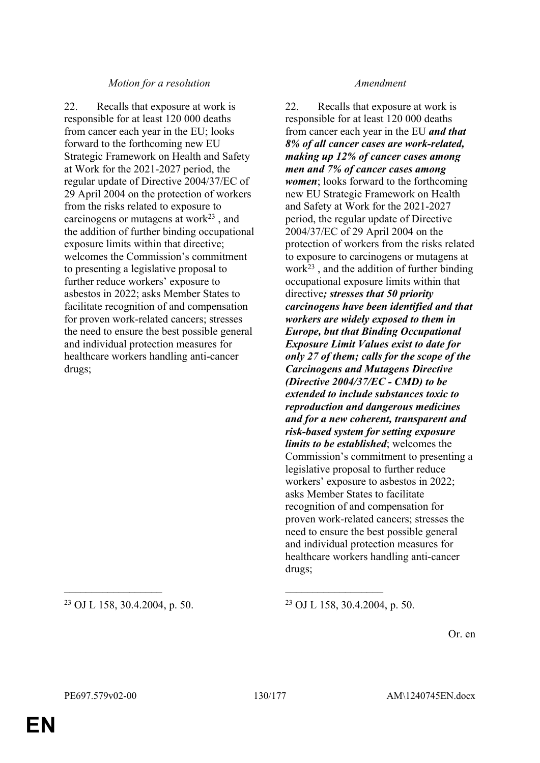### *Motion for a resolution Amendment*

22. Recalls that exposure at work is responsible for at least 120 000 deaths from cancer each year in the EU; looks forward to the forthcoming new EU Strategic Framework on Health and Safety at Work for the 2021-2027 period, the regular update of Directive 2004/37/EC of 29 April 2004 on the protection of workers from the risks related to exposure to carcinogens or mutagens at work $^{23}$ , and the addition of further binding occupational exposure limits within that directive; welcomes the Commission's commitment to presenting a legislative proposal to further reduce workers' exposure to asbestos in 2022; asks Member States to facilitate recognition of and compensation for proven work-related cancers; stresses the need to ensure the best possible general and individual protection measures for healthcare workers handling anti-cancer drugs;

<sup>23</sup> OJ L 158, 30.4.2004, p. 50. <sup>23</sup> OJ L 158, 30.4.2004, p. 50.

22. Recalls that exposure at work is responsible for at least 120 000 deaths from cancer each year in the EU *and that 8% of all cancer cases are work-related, making up 12% of cancer cases among men and 7% of cancer cases among women*; looks forward to the forthcoming new EU Strategic Framework on Health and Safety at Work for the 2021-2027 period, the regular update of Directive 2004/37/EC of 29 April 2004 on the protection of workers from the risks related to exposure to carcinogens or mutagens at  $work<sup>23</sup>$ , and the addition of further binding occupational exposure limits within that directive*; stresses that 50 priority carcinogens have been identified and that workers are widely exposed to them in Europe, but that Binding Occupational Exposure Limit Values exist to date for only 27 of them; calls for the scope of the Carcinogens and Mutagens Directive (Directive 2004/37/EC - CMD) to be extended to include substances toxic to reproduction and dangerous medicines and for a new coherent, transparent and risk-based system for setting exposure limits to be established*; welcomes the Commission's commitment to presenting a legislative proposal to further reduce workers' exposure to asbestos in 2022; asks Member States to facilitate recognition of and compensation for proven work-related cancers; stresses the need to ensure the best possible general and individual protection measures for healthcare workers handling anti-cancer drugs;

Or. en

 $\mathcal{L}_\mathcal{L}$  , and the contribution of the contribution of the contribution of the contribution of the contribution of the contribution of the contribution of the contribution of the contribution of the contribution of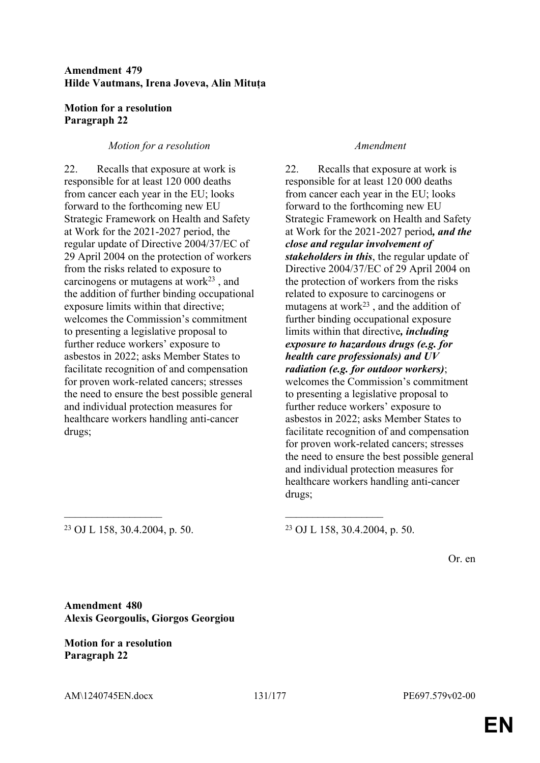## **Amendment 479 Hilde Vautmans, Irena Joveva, Alin Mituța**

## **Motion for a resolution Paragraph 22**

### *Motion for a resolution Amendment*

22. Recalls that exposure at work is responsible for at least 120 000 deaths from cancer each year in the EU; looks forward to the forthcoming new EU Strategic Framework on Health and Safety at Work for the 2021-2027 period, the regular update of Directive 2004/37/EC of 29 April 2004 on the protection of workers from the risks related to exposure to carcinogens or mutagens at work $^{23}$ , and the addition of further binding occupational exposure limits within that directive; welcomes the Commission's commitment to presenting a legislative proposal to further reduce workers' exposure to asbestos in 2022; asks Member States to facilitate recognition of and compensation for proven work-related cancers; stresses the need to ensure the best possible general and individual protection measures for healthcare workers handling anti-cancer drugs;

22. Recalls that exposure at work is responsible for at least 120 000 deaths from cancer each year in the EU; looks forward to the forthcoming new EU Strategic Framework on Health and Safety at Work for the 2021-2027 period*, and the close and regular involvement of stakeholders in this*, the regular update of Directive 2004/37/EC of 29 April 2004 on the protection of workers from the risks related to exposure to carcinogens or mutagens at work $23$ , and the addition of further binding occupational exposure limits within that directive*, including exposure to hazardous drugs (e.g. for health care professionals) and UV radiation (e.g. for outdoor workers)*; welcomes the Commission's commitment to presenting a legislative proposal to further reduce workers' exposure to asbestos in 2022; asks Member States to facilitate recognition of and compensation for proven work-related cancers; stresses the need to ensure the best possible general and individual protection measures for healthcare workers handling anti-cancer drugs;

<sup>23</sup> OJ L 158, 30.4.2004, p. 50. <sup>23</sup> OJ L 158, 30.4.2004, p. 50.

Or. en

**Amendment 480 Alexis Georgoulis, Giorgos Georgiou**

### **Motion for a resolution Paragraph 22**

 $\mathcal{L}_\mathcal{L}$  , and the contribution of the contribution of the contribution of the contribution of the contribution of the contribution of the contribution of the contribution of the contribution of the contribution of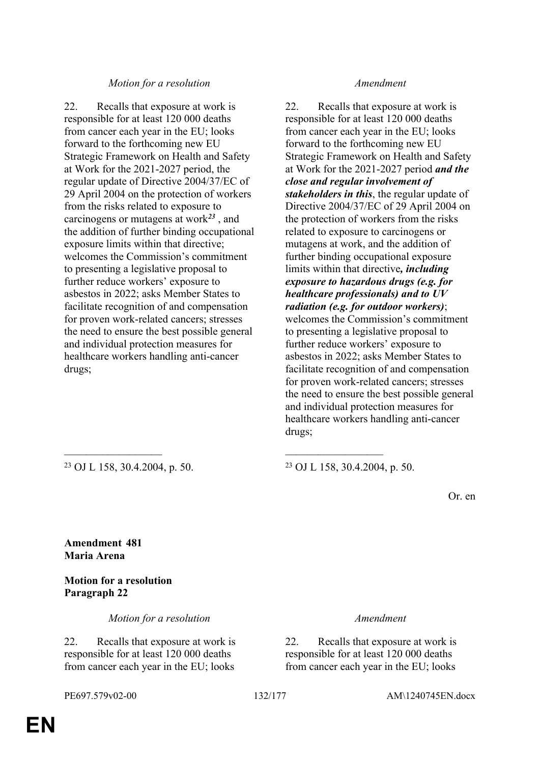### *Motion for a resolution Amendment*

22. Recalls that exposure at work is responsible for at least 120 000 deaths from cancer each year in the EU; looks forward to the forthcoming new EU Strategic Framework on Health and Safety at Work for the 2021-2027 period, the regular update of Directive 2004/37/EC of 29 April 2004 on the protection of workers from the risks related to exposure to carcinogens or mutagens at work*<sup>23</sup>* , and the addition of further binding occupational exposure limits within that directive; welcomes the Commission's commitment to presenting a legislative proposal to further reduce workers' exposure to asbestos in 2022; asks Member States to facilitate recognition of and compensation for proven work-related cancers; stresses the need to ensure the best possible general and individual protection measures for healthcare workers handling anti-cancer drugs;

22. Recalls that exposure at work is responsible for at least 120 000 deaths from cancer each year in the EU; looks forward to the forthcoming new EU Strategic Framework on Health and Safety at Work for the 2021-2027 period *and the close and regular involvement of stakeholders in this*, the regular update of Directive 2004/37/EC of 29 April 2004 on the protection of workers from the risks related to exposure to carcinogens or mutagens at work, and the addition of further binding occupational exposure limits within that directive*, including exposure to hazardous drugs (e.g. for healthcare professionals) and to UV radiation (e.g. for outdoor workers)*; welcomes the Commission's commitment to presenting a legislative proposal to further reduce workers' exposure to asbestos in 2022; asks Member States to facilitate recognition of and compensation for proven work-related cancers; stresses the need to ensure the best possible general and individual protection measures for healthcare workers handling anti-cancer drugs;

<sup>23</sup> OJ L 158, 30.4.2004, p. 50. <sup>23</sup> OJ L 158, 30.4.2004, p. 50.

Or. en

**Amendment 481 Maria Arena**

**Motion for a resolution Paragraph 22**

*Motion for a resolution Amendment*

22. Recalls that exposure at work is responsible for at least 120 000 deaths from cancer each year in the EU; looks

 $\mathcal{L}_\mathcal{L}$  , and the contribution of the contribution of the contribution of the contribution of the contribution of the contribution of the contribution of the contribution of the contribution of the contribution of

22. Recalls that exposure at work is responsible for at least 120 000 deaths from cancer each year in the EU; looks

PE697.579v02-00 132/177 AM\1240745EN.docx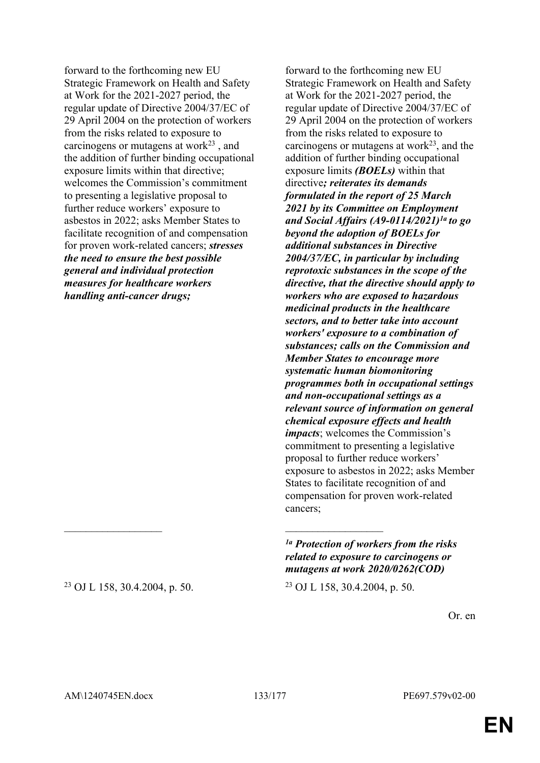forward to the forthcoming new EU Strategic Framework on Health and Safety at Work for the 2021-2027 period, the regular update of Directive 2004/37/EC of 29 April 2004 on the protection of workers from the risks related to exposure to carcinogens or mutagens at work $23$ , and the addition of further binding occupational exposure limits within that directive; welcomes the Commission's commitment to presenting a legislative proposal to further reduce workers' exposure to asbestos in 2022; asks Member States to facilitate recognition of and compensation for proven work-related cancers; *stresses the need to ensure the best possible general and individual protection measures for healthcare workers handling anti-cancer drugs;*

forward to the forthcoming new EU Strategic Framework on Health and Safety at Work for the 2021-2027 period, the regular update of Directive 2004/37/EC of 29 April 2004 on the protection of workers from the risks related to exposure to carcinogens or mutagens at work $2<sup>3</sup>$ , and the addition of further binding occupational exposure limits *(BOELs)* within that directive*; reiterates its demands formulated in the report of 25 March 2021 by its Committee on Employment and Social Affairs (A9-0114/2021)1a to go beyond the adoption of BOELs for additional substances in Directive 2004/37/EC, in particular by including reprotoxic substances in the scope of the directive, that the directive should apply to workers who are exposed to hazardous medicinal products in the healthcare sectors, and to better take into account workers' exposure to a combination of substances; calls on the Commission and Member States to encourage more systematic human biomonitoring programmes both in occupational settings and non-occupational settings as a relevant source of information on general chemical exposure effects and health impacts*; welcomes the Commission's commitment to presenting a legislative proposal to further reduce workers' exposure to asbestos in 2022; asks Member States to facilitate recognition of and compensation for proven work-related cancers;

*1a Protection of workers from the risks related to exposure to carcinogens or mutagens at work 2020/0262(COD)*

Or. en

<sup>23</sup> OJ L 158, 30.4.2004, p. 50. <sup>23</sup> OJ L 158, 30.4.2004, p. 50.

AM\1240745EN.docx 133/177 PE697.579v02-00

 $\mathcal{L}_\text{max}$  and  $\mathcal{L}_\text{max}$  and  $\mathcal{L}_\text{max}$  and  $\mathcal{L}_\text{max}$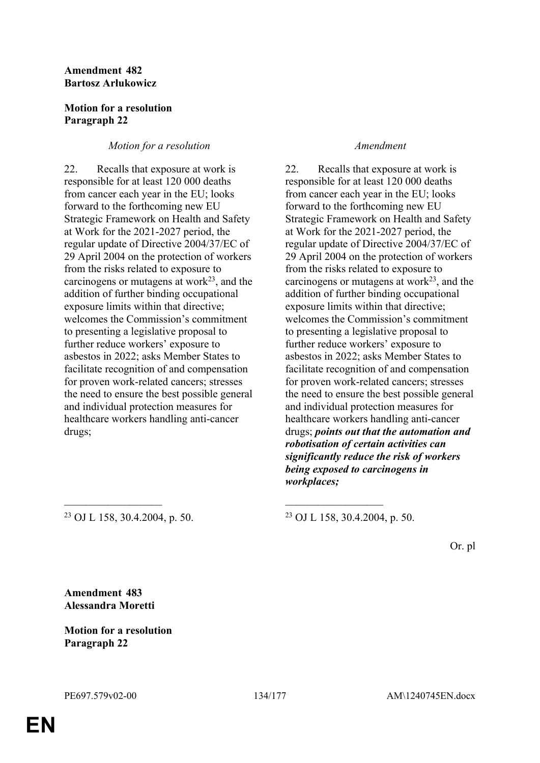### **Amendment 482 Bartosz Arłukowicz**

## **Motion for a resolution Paragraph 22**

## *Motion for a resolution Amendment*

22. Recalls that exposure at work is responsible for at least 120 000 deaths from cancer each year in the EU; looks forward to the forthcoming new EU Strategic Framework on Health and Safety at Work for the 2021-2027 period, the regular update of Directive 2004/37/EC of 29 April 2004 on the protection of workers from the risks related to exposure to carcinogens or mutagens at work $2<sup>3</sup>$ , and the addition of further binding occupational exposure limits within that directive; welcomes the Commission's commitment to presenting a legislative proposal to further reduce workers' exposure to asbestos in 2022; asks Member States to facilitate recognition of and compensation for proven work-related cancers; stresses the need to ensure the best possible general and individual protection measures for healthcare workers handling anti-cancer drugs;

22. Recalls that exposure at work is responsible for at least 120 000 deaths from cancer each year in the EU; looks forward to the forthcoming new EU Strategic Framework on Health and Safety at Work for the 2021-2027 period, the regular update of Directive 2004/37/EC of 29 April 2004 on the protection of workers from the risks related to exposure to carcinogens or mutagens at work $^{23}$ , and the addition of further binding occupational exposure limits within that directive; welcomes the Commission's commitment to presenting a legislative proposal to further reduce workers' exposure to asbestos in 2022; asks Member States to facilitate recognition of and compensation for proven work-related cancers; stresses the need to ensure the best possible general and individual protection measures for healthcare workers handling anti-cancer drugs; *points out that the automation and robotisation of certain activities can significantly reduce the risk of workers being exposed to carcinogens in workplaces;*

<sup>23</sup> OJ L 158, 30.4.2004, p. 50. <sup>23</sup> OJ L 158, 30.4.2004, p. 50.

Or. pl

**Amendment 483 Alessandra Moretti**

**Motion for a resolution Paragraph 22**

 $\mathcal{L}_\mathcal{L}$  , and the contribution of the contribution of the contribution of the contribution of the contribution of the contribution of the contribution of the contribution of the contribution of the contribution of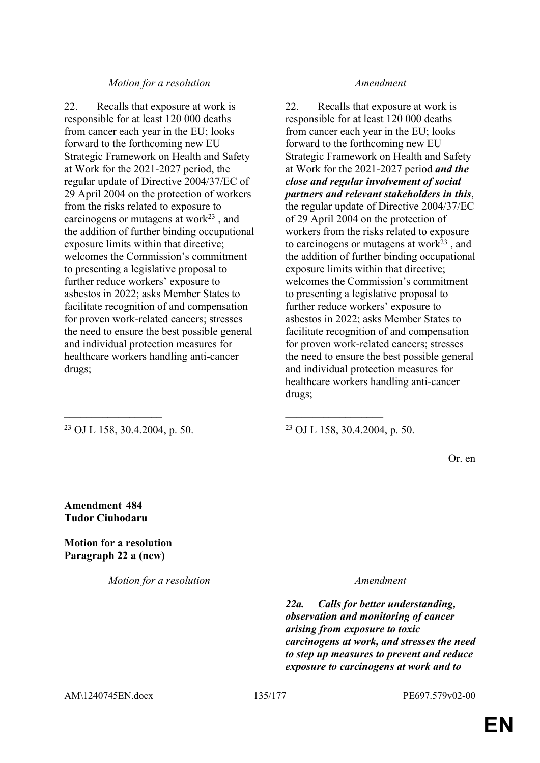### *Motion for a resolution Amendment*

22. Recalls that exposure at work is responsible for at least 120 000 deaths from cancer each year in the EU; looks forward to the forthcoming new EU Strategic Framework on Health and Safety at Work for the 2021-2027 period, the regular update of Directive 2004/37/EC of 29 April 2004 on the protection of workers from the risks related to exposure to carcinogens or mutagens at work $^{23}$ , and the addition of further binding occupational exposure limits within that directive; welcomes the Commission's commitment to presenting a legislative proposal to further reduce workers' exposure to asbestos in 2022; asks Member States to facilitate recognition of and compensation for proven work-related cancers; stresses the need to ensure the best possible general and individual protection measures for healthcare workers handling anti-cancer drugs;

### <sup>23</sup> OJ L 158, 30.4.2004, p. 50. <sup>23</sup> OJ L 158, 30.4.2004, p. 50.

22. Recalls that exposure at work is responsible for at least 120 000 deaths from cancer each year in the EU; looks forward to the forthcoming new EU Strategic Framework on Health and Safety at Work for the 2021-2027 period *and the close and regular involvement of social partners and relevant stakeholders in this*, the regular update of Directive 2004/37/EC of 29 April 2004 on the protection of workers from the risks related to exposure to carcinogens or mutagens at work $23$ , and the addition of further binding occupational exposure limits within that directive; welcomes the Commission's commitment to presenting a legislative proposal to further reduce workers' exposure to asbestos in 2022; asks Member States to facilitate recognition of and compensation for proven work-related cancers; stresses the need to ensure the best possible general and individual protection measures for healthcare workers handling anti-cancer drugs;

Or. en

**Amendment 484 Tudor Ciuhodaru**

**Motion for a resolution Paragraph 22 a (new)**

*Motion for a resolution Amendment*

 $\mathcal{L}_\mathcal{L}$  , and the contribution of the contribution of the contribution of the contribution of the contribution of the contribution of the contribution of the contribution of the contribution of the contribution of

*22a. Calls for better understanding, observation and monitoring of cancer arising from exposure to toxic carcinogens at work, and stresses the need to step up measures to prevent and reduce exposure to carcinogens at work and to* 

AM\1240745EN.docx 135/177 PE697.579v02-00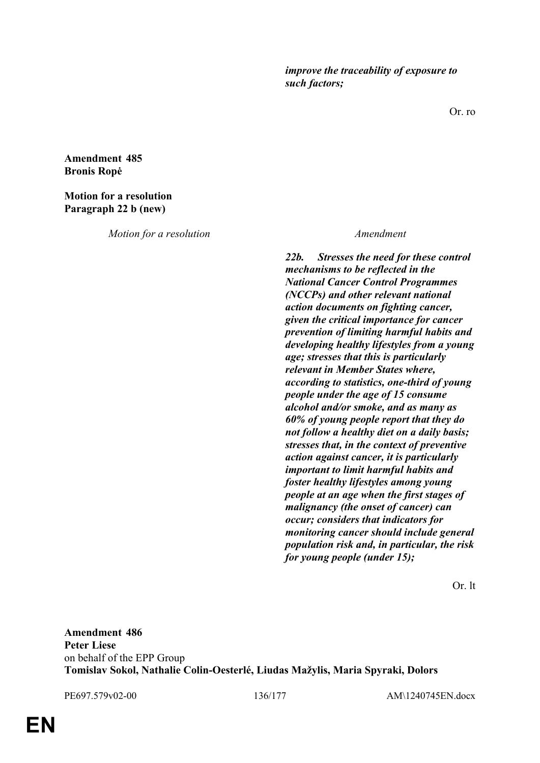*improve the traceability of exposure to such factors;*

Or. ro

**Amendment 485 Bronis Ropė**

### **Motion for a resolution Paragraph 22 b (new)**

*Motion for a resolution Amendment*

*22b. Stresses the need for these control mechanisms to be reflected in the National Cancer Control Programmes (NCCPs) and other relevant national action documents on fighting cancer, given the critical importance for cancer prevention of limiting harmful habits and developing healthy lifestyles from a young age; stresses that this is particularly relevant in Member States where, according to statistics, one-third of young people under the age of 15 consume alcohol and/or smoke, and as many as 60% of young people report that they do not follow a healthy diet on a daily basis; stresses that, in the context of preventive action against cancer, it is particularly important to limit harmful habits and foster healthy lifestyles among young people at an age when the first stages of malignancy (the onset of cancer) can occur; considers that indicators for monitoring cancer should include general population risk and, in particular, the risk for young people (under 15);*

Or. lt

**Amendment 486 Peter Liese** on behalf of the EPP Group **Tomislav Sokol, Nathalie Colin-Oesterlé, Liudas Mažylis, Maria Spyraki, Dolors** 

PE697.579v02-00 136/177 AM\1240745EN.docx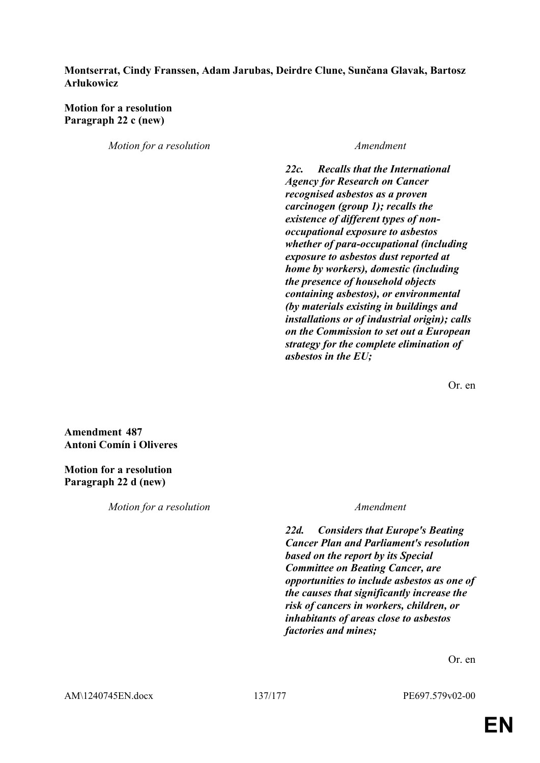### **Montserrat, Cindy Franssen, Adam Jarubas, Deirdre Clune, Sunčana Glavak, Bartosz Arłukowicz**

## **Motion for a resolution Paragraph 22 c (new)**

*Motion for a resolution Amendment*

*22c. Recalls that the International Agency for Research on Cancer recognised asbestos as a proven carcinogen (group 1); recalls the existence of different types of nonoccupational exposure to asbestos whether of para-occupational (including exposure to asbestos dust reported at home by workers), domestic (including the presence of household objects containing asbestos), or environmental (by materials existing in buildings and installations or of industrial origin); calls on the Commission to set out a European strategy for the complete elimination of asbestos in the EU;*

Or. en

**Amendment 487 Antoni Comín i Oliveres**

**Motion for a resolution Paragraph 22 d (new)**

*Motion for a resolution Amendment*

*22d. Considers that Europe's Beating Cancer Plan and Parliament's resolution based on the report by its Special Committee on Beating Cancer, are opportunities to include asbestos as one of the causes that significantly increase the risk of cancers in workers, children, or inhabitants of areas close to asbestos factories and mines;*

Or. en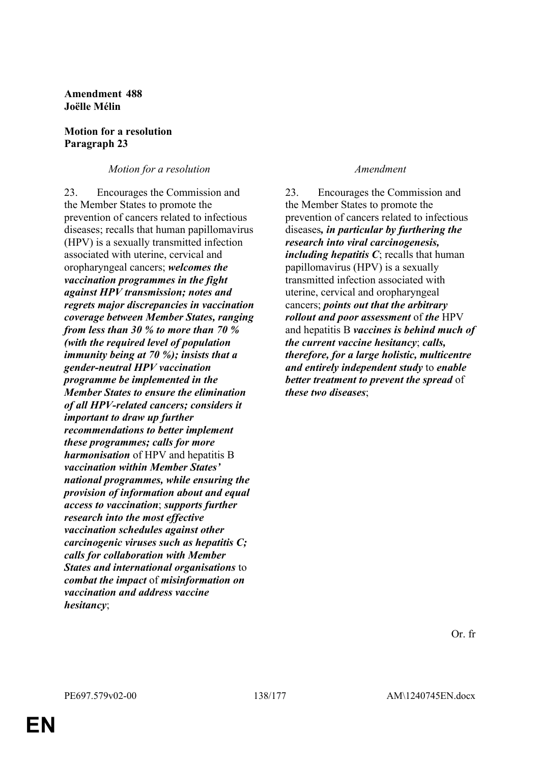**Amendment 488 Joëlle Mélin**

### **Motion for a resolution Paragraph 23**

## *Motion for a resolution Amendment*

23. Encourages the Commission and the Member States to promote the prevention of cancers related to infectious diseases; recalls that human papillomavirus (HPV) is a sexually transmitted infection associated with uterine, cervical and oropharyngeal cancers; *welcomes the vaccination programmes in the fight against HPV transmission; notes and regrets major discrepancies in vaccination coverage between Member States, ranging from less than 30 % to more than 70 % (with the required level of population immunity being at 70 %); insists that a gender-neutral HPV vaccination programme be implemented in the Member States to ensure the elimination of all HPV-related cancers; considers it important to draw up further recommendations to better implement these programmes; calls for more harmonisation* of HPV and hepatitis B *vaccination within Member States' national programmes, while ensuring the provision of information about and equal access to vaccination*; *supports further research into the most effective vaccination schedules against other carcinogenic viruses such as hepatitis C; calls for collaboration with Member States and international organisations* to *combat the impact* of *misinformation on vaccination and address vaccine hesitancy*;

23. Encourages the Commission and the Member States to promote the prevention of cancers related to infectious diseases*, in particular by furthering the research into viral carcinogenesis, including hepatitis C*; recalls that human papillomavirus (HPV) is a sexually transmitted infection associated with uterine, cervical and oropharyngeal cancers; *points out that the arbitrary rollout and poor assessment* of *the* HPV and hepatitis B *vaccines is behind much of the current vaccine hesitancy*; *calls, therefore, for a large holistic, multicentre and entirely independent study* to *enable better treatment to prevent the spread* of *these two diseases*;

Or. fr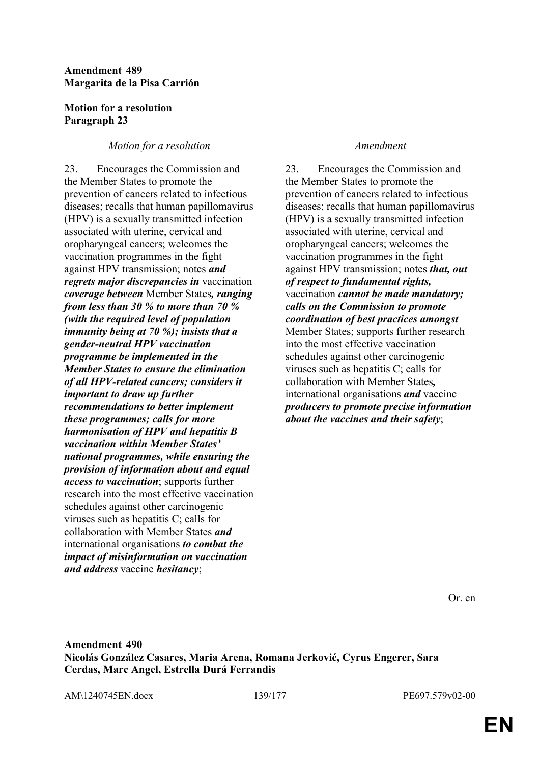## **Amendment 489 Margarita de la Pisa Carrión**

## **Motion for a resolution Paragraph 23**

## *Motion for a resolution Amendment*

23. Encourages the Commission and the Member States to promote the prevention of cancers related to infectious diseases; recalls that human papillomavirus (HPV) is a sexually transmitted infection associated with uterine, cervical and oropharyngeal cancers; welcomes the vaccination programmes in the fight against HPV transmission; notes *and regrets major discrepancies in* vaccination *coverage between* Member States*, ranging from less than 30 % to more than 70 % (with the required level of population immunity being at 70 %); insists that a gender-neutral HPV vaccination programme be implemented in the Member States to ensure the elimination of all HPV-related cancers; considers it important to draw up further recommendations to better implement these programmes; calls for more harmonisation of HPV and hepatitis B vaccination within Member States' national programmes, while ensuring the provision of information about and equal access to vaccination*; supports further research into the most effective vaccination schedules against other carcinogenic viruses such as hepatitis C; calls for collaboration with Member States *and* international organisations *to combat the impact of misinformation on vaccination and address* vaccine *hesitancy*;

23. Encourages the Commission and the Member States to promote the prevention of cancers related to infectious diseases; recalls that human papillomavirus (HPV) is a sexually transmitted infection associated with uterine, cervical and oropharyngeal cancers; welcomes the vaccination programmes in the fight against HPV transmission; notes *that, out of respect to fundamental rights,* vaccination *cannot be made mandatory; calls on the Commission to promote coordination of best practices amongst* Member States; supports further research into the most effective vaccination schedules against other carcinogenic viruses such as hepatitis C; calls for collaboration with Member States*,* international organisations *and* vaccine *producers to promote precise information about the vaccines and their safety*;

Or. en

**Amendment 490 Nicolás González Casares, Maria Arena, Romana Jerković, Cyrus Engerer, Sara Cerdas, Marc Angel, Estrella Durá Ferrandis**

AM\1240745EN.docx 139/177 PE697.579v02-00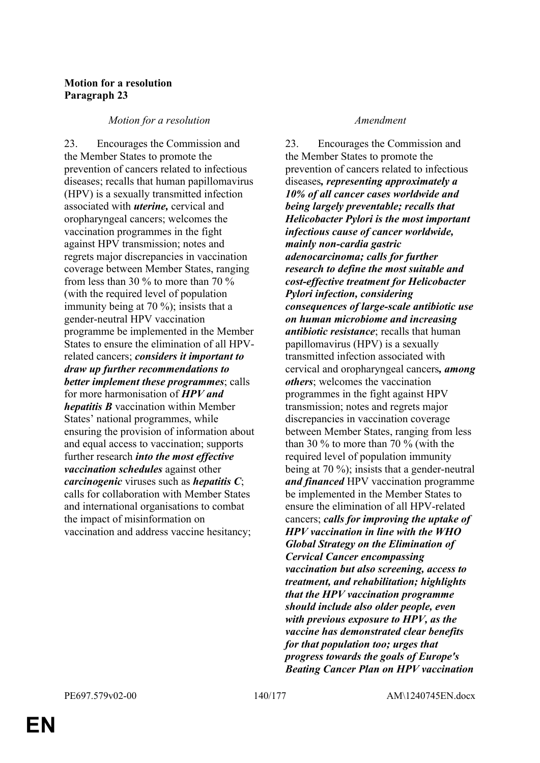# **Motion for a resolution Paragraph 23**

### *Motion for a resolution Amendment*

23. Encourages the Commission and the Member States to promote the prevention of cancers related to infectious diseases; recalls that human papillomavirus (HPV) is a sexually transmitted infection associated with *uterine,* cervical and oropharyngeal cancers; welcomes the vaccination programmes in the fight against HPV transmission; notes and regrets major discrepancies in vaccination coverage between Member States, ranging from less than 30 % to more than 70 % (with the required level of population immunity being at 70 %); insists that a gender-neutral HPV vaccination programme be implemented in the Member States to ensure the elimination of all HPVrelated cancers; *considers it important to draw up further recommendations to better implement these programmes*; calls for more harmonisation of *HPV and hepatitis B* vaccination within Member States' national programmes, while ensuring the provision of information about and equal access to vaccination; supports further research *into the most effective vaccination schedules* against other *carcinogenic* viruses such as *hepatitis C*; calls for collaboration with Member States and international organisations to combat the impact of misinformation on vaccination and address vaccine hesitancy;

23. Encourages the Commission and the Member States to promote the prevention of cancers related to infectious diseases*, representing approximately a 10% of all cancer cases worldwide and being largely preventable; recalls that Helicobacter Pylori is the most important infectious cause of cancer worldwide, mainly non-cardia gastric adenocarcinoma; calls for further research to define the most suitable and cost-effective treatment for Helicobacter Pylori infection, considering consequences of large-scale antibiotic use on human microbiome and increasing antibiotic resistance*; recalls that human papillomavirus (HPV) is a sexually transmitted infection associated with cervical and oropharyngeal cancers*, among others*; welcomes the vaccination programmes in the fight against HPV transmission; notes and regrets major discrepancies in vaccination coverage between Member States, ranging from less than 30 % to more than 70 % (with the required level of population immunity being at 70 %); insists that a gender-neutral *and financed* HPV vaccination programme be implemented in the Member States to ensure the elimination of all HPV-related cancers; *calls for improving the uptake of HPV vaccination in line with the WHO Global Strategy on the Elimination of Cervical Cancer encompassing vaccination but also screening, access to treatment, and rehabilitation; highlights that the HPV vaccination programme should include also older people, even with previous exposure to HPV, as the vaccine has demonstrated clear benefits for that population too; urges that progress towards the goals of Europe's Beating Cancer Plan on HPV vaccination*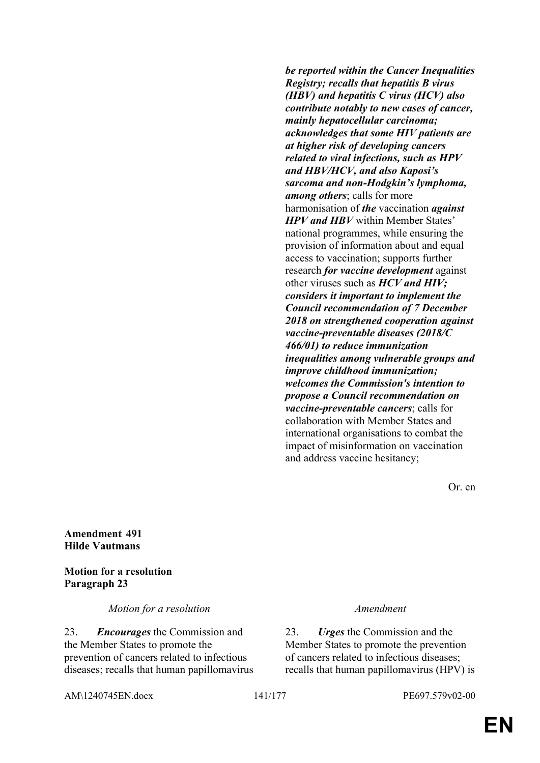*be reported within the Cancer Inequalities Registry; recalls that hepatitis B virus (HBV) and hepatitis C virus (HCV) also contribute notably to new cases of cancer, mainly hepatocellular carcinoma; acknowledges that some HIV patients are at higher risk of developing cancers related to viral infections, such as HPV and HBV/HCV, and also Kaposi's sarcoma and non-Hodgkin's lymphoma, among others*; calls for more harmonisation of *the* vaccination *against HPV and HBV* within Member States' national programmes, while ensuring the provision of information about and equal access to vaccination; supports further research *for vaccine development* against other viruses such as *HCV and HIV; considers it important to implement the Council recommendation of 7 December 2018 on strengthened cooperation against vaccine-preventable diseases (2018/C 466/01) to reduce immunization inequalities among vulnerable groups and improve childhood immunization; welcomes the Commission's intention to propose a Council recommendation on vaccine-preventable cancers*; calls for collaboration with Member States and international organisations to combat the impact of misinformation on vaccination and address vaccine hesitancy;

Or. en

**Amendment 491 Hilde Vautmans**

**Motion for a resolution Paragraph 23**

*Motion for a resolution Amendment*

23. *Encourages* the Commission and the Member States to promote the prevention of cancers related to infectious diseases; recalls that human papillomavirus

23. *Urges* the Commission and the Member States to promote the prevention of cancers related to infectious diseases; recalls that human papillomavirus (HPV) is

AM\1240745EN.docx 141/177 PE697.579v02-00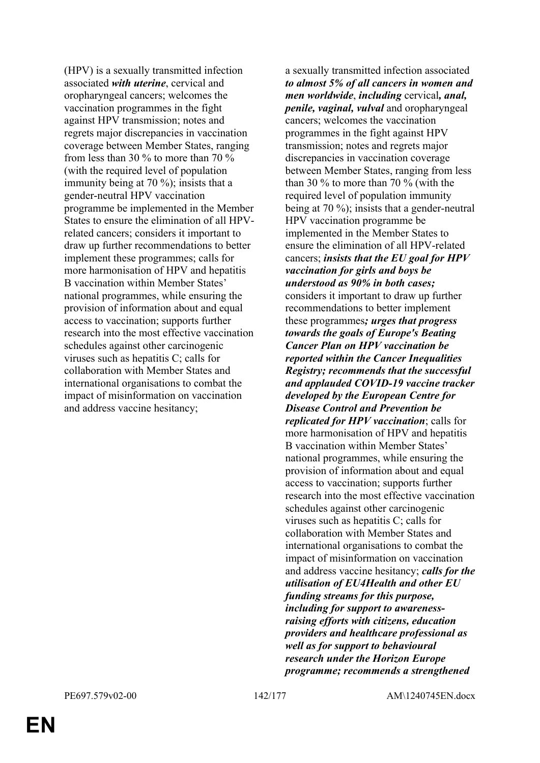(HPV) is a sexually transmitted infection associated *with uterine*, cervical and oropharyngeal cancers; welcomes the vaccination programmes in the fight against HPV transmission; notes and regrets major discrepancies in vaccination coverage between Member States, ranging from less than 30 % to more than 70 % (with the required level of population immunity being at 70 %); insists that a gender-neutral HPV vaccination programme be implemented in the Member States to ensure the elimination of all HPVrelated cancers; considers it important to draw up further recommendations to better implement these programmes; calls for more harmonisation of HPV and hepatitis B vaccination within Member States' national programmes, while ensuring the provision of information about and equal access to vaccination; supports further research into the most effective vaccination schedules against other carcinogenic viruses such as hepatitis C; calls for collaboration with Member States and international organisations to combat the impact of misinformation on vaccination and address vaccine hesitancy;

a sexually transmitted infection associated *to almost 5% of all cancers in women and men worldwide*, *including* cervical*, anal, penile, vaginal, vulval* and oropharyngeal cancers; welcomes the vaccination programmes in the fight against HPV transmission; notes and regrets major discrepancies in vaccination coverage between Member States, ranging from less than 30 % to more than 70 % (with the required level of population immunity being at 70 %); insists that a gender-neutral HPV vaccination programme be implemented in the Member States to ensure the elimination of all HPV-related cancers; *insists that the EU goal for HPV vaccination for girls and boys be understood as 90% in both cases;* considers it important to draw up further recommendations to better implement these programmes*; urges that progress towards the goals of Europe's Beating Cancer Plan on HPV vaccination be reported within the Cancer Inequalities Registry; recommends that the successful and applauded COVID-19 vaccine tracker developed by the European Centre for Disease Control and Prevention be replicated for HPV vaccination*; calls for more harmonisation of HPV and hepatitis B vaccination within Member States' national programmes, while ensuring the provision of information about and equal access to vaccination; supports further research into the most effective vaccination schedules against other carcinogenic viruses such as hepatitis C; calls for collaboration with Member States and international organisations to combat the impact of misinformation on vaccination and address vaccine hesitancy; *calls for the utilisation of EU4Health and other EU funding streams for this purpose, including for support to awarenessraising efforts with citizens, education providers and healthcare professional as well as for support to behavioural research under the Horizon Europe programme; recommends a strengthened*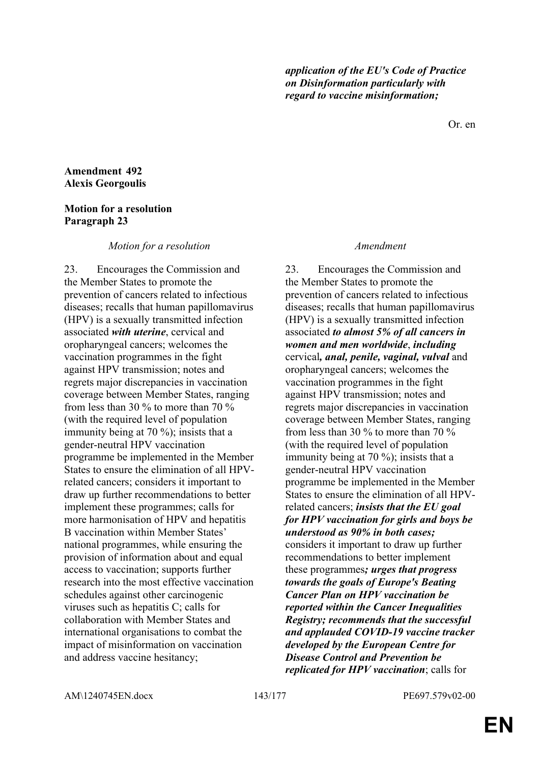Or. en

## **Amendment 492 Alexis Georgoulis**

# **Motion for a resolution Paragraph 23**

# *Motion for a resolution Amendment*

23. Encourages the Commission and the Member States to promote the prevention of cancers related to infectious diseases; recalls that human papillomavirus (HPV) is a sexually transmitted infection associated *with uterine*, cervical and oropharyngeal cancers; welcomes the vaccination programmes in the fight against HPV transmission; notes and regrets major discrepancies in vaccination coverage between Member States, ranging from less than 30 % to more than 70 % (with the required level of population immunity being at 70 %); insists that a gender-neutral HPV vaccination programme be implemented in the Member States to ensure the elimination of all HPVrelated cancers; considers it important to draw up further recommendations to better implement these programmes; calls for more harmonisation of HPV and hepatitis B vaccination within Member States' national programmes, while ensuring the provision of information about and equal access to vaccination; supports further research into the most effective vaccination schedules against other carcinogenic viruses such as hepatitis C; calls for collaboration with Member States and international organisations to combat the impact of misinformation on vaccination and address vaccine hesitancy;

23. Encourages the Commission and the Member States to promote the prevention of cancers related to infectious diseases; recalls that human papillomavirus (HPV) is a sexually transmitted infection associated *to almost 5% of all cancers in women and men worldwide*, *including* cervical*, anal, penile, vaginal, vulval* and oropharyngeal cancers; welcomes the vaccination programmes in the fight against HPV transmission; notes and regrets major discrepancies in vaccination coverage between Member States, ranging from less than 30 % to more than 70 % (with the required level of population immunity being at 70 %); insists that a gender-neutral HPV vaccination programme be implemented in the Member States to ensure the elimination of all HPVrelated cancers; *insists that the EU goal for HPV vaccination for girls and boys be understood as 90% in both cases;* considers it important to draw up further recommendations to better implement these programmes*; urges that progress towards the goals of Europe's Beating Cancer Plan on HPV vaccination be reported within the Cancer Inequalities Registry; recommends that the successful and applauded COVID-19 vaccine tracker developed by the European Centre for Disease Control and Prevention be replicated for HPV vaccination*; calls for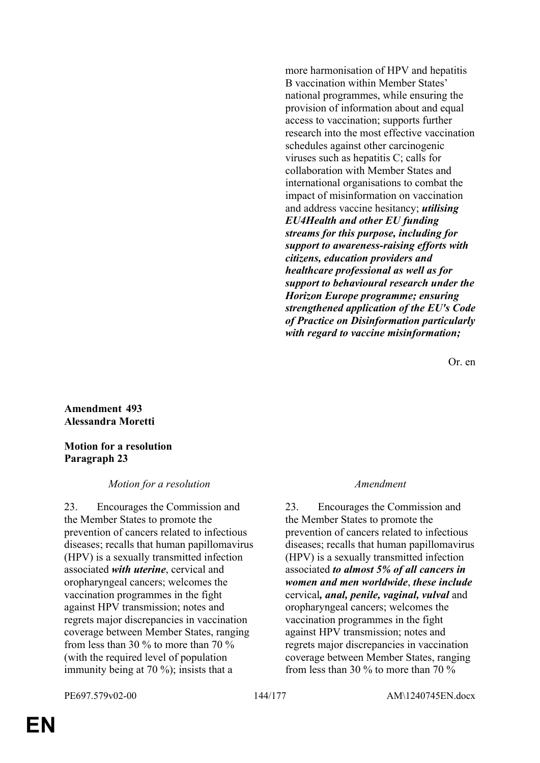more harmonisation of HPV and hepatitis B vaccination within Member States' national programmes, while ensuring the provision of information about and equal access to vaccination; supports further research into the most effective vaccination schedules against other carcinogenic viruses such as hepatitis C; calls for collaboration with Member States and international organisations to combat the impact of misinformation on vaccination and address vaccine hesitancy; *utilising EU4Health and other EU funding streams for this purpose, including for support to awareness-raising efforts with citizens, education providers and healthcare professional as well as for support to behavioural research under the Horizon Europe programme; ensuring strengthened application of the EU's Code of Practice on Disinformation particularly with regard to vaccine misinformation;*

Or. en

**Amendment 493 Alessandra Moretti**

### **Motion for a resolution Paragraph 23**

### *Motion for a resolution Amendment*

23. Encourages the Commission and the Member States to promote the prevention of cancers related to infectious diseases; recalls that human papillomavirus (HPV) is a sexually transmitted infection associated *with uterine*, cervical and oropharyngeal cancers; welcomes the vaccination programmes in the fight against HPV transmission; notes and regrets major discrepancies in vaccination coverage between Member States, ranging from less than 30 % to more than 70 % (with the required level of population immunity being at 70 %); insists that a

23. Encourages the Commission and the Member States to promote the prevention of cancers related to infectious diseases; recalls that human papillomavirus (HPV) is a sexually transmitted infection associated *to almost 5% of all cancers in women and men worldwide*, *these include* cervical*, anal, penile, vaginal, vulval* and oropharyngeal cancers; welcomes the vaccination programmes in the fight against HPV transmission; notes and regrets major discrepancies in vaccination coverage between Member States, ranging from less than 30 % to more than 70 %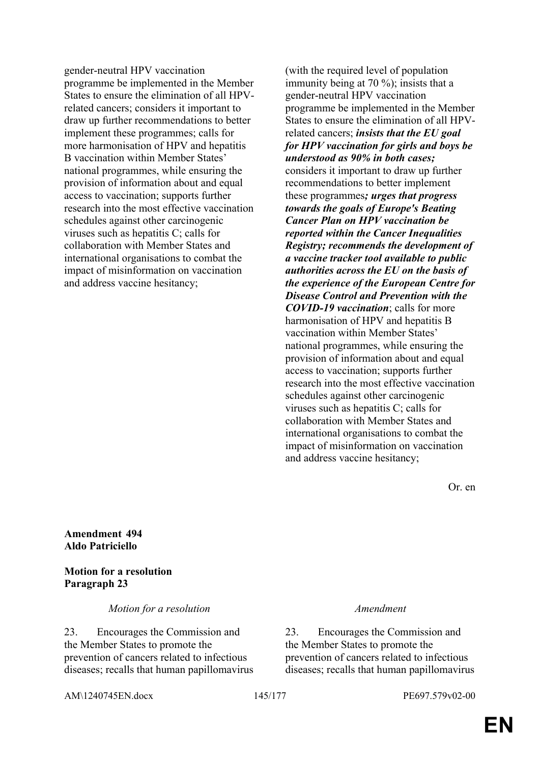gender-neutral HPV vaccination programme be implemented in the Member States to ensure the elimination of all HPVrelated cancers; considers it important to draw up further recommendations to better implement these programmes; calls for more harmonisation of HPV and hepatitis B vaccination within Member States' national programmes, while ensuring the provision of information about and equal access to vaccination; supports further research into the most effective vaccination schedules against other carcinogenic viruses such as hepatitis C; calls for collaboration with Member States and international organisations to combat the impact of misinformation on vaccination and address vaccine hesitancy;

(with the required level of population immunity being at 70 %); insists that a gender-neutral HPV vaccination programme be implemented in the Member States to ensure the elimination of all HPVrelated cancers; *insists that the EU goal for HPV vaccination for girls and boys be understood as 90% in both cases;* considers it important to draw up further recommendations to better implement these programmes*; urges that progress towards the goals of Europe's Beating Cancer Plan on HPV vaccination be reported within the Cancer Inequalities Registry; recommends the development of a vaccine tracker tool available to public authorities across the EU on the basis of the experience of the European Centre for Disease Control and Prevention with the COVID-19 vaccination*; calls for more harmonisation of HPV and hepatitis B vaccination within Member States' national programmes, while ensuring the provision of information about and equal access to vaccination; supports further research into the most effective vaccination schedules against other carcinogenic viruses such as hepatitis C; calls for collaboration with Member States and international organisations to combat the impact of misinformation on vaccination and address vaccine hesitancy;

Or. en

**Amendment 494 Aldo Patriciello**

**Motion for a resolution Paragraph 23**

*Motion for a resolution Amendment*

23. Encourages the Commission and the Member States to promote the prevention of cancers related to infectious diseases; recalls that human papillomavirus

23. Encourages the Commission and the Member States to promote the prevention of cancers related to infectious diseases; recalls that human papillomavirus

AM\1240745EN.docx 145/177 PE697.579v02-00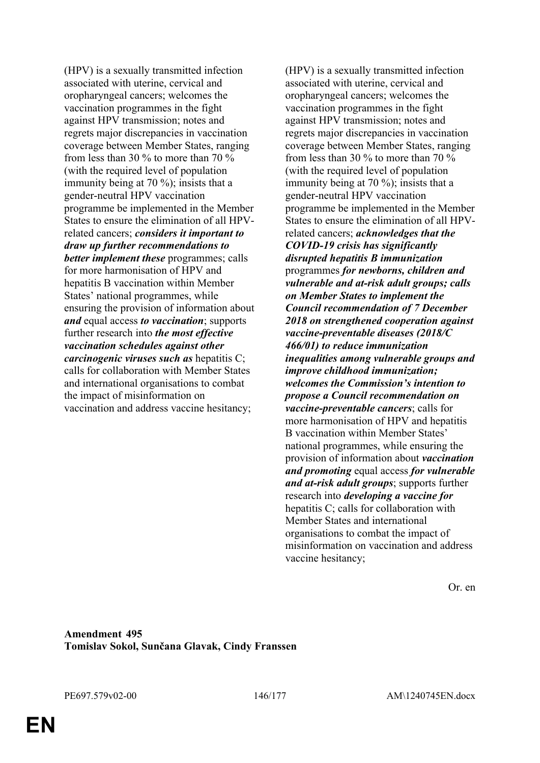(HPV) is a sexually transmitted infection associated with uterine, cervical and oropharyngeal cancers; welcomes the vaccination programmes in the fight against HPV transmission; notes and regrets major discrepancies in vaccination coverage between Member States, ranging from less than 30 % to more than 70 % (with the required level of population immunity being at 70 %); insists that a gender-neutral HPV vaccination programme be implemented in the Member States to ensure the elimination of all HPVrelated cancers; *considers it important to draw up further recommendations to better implement these* programmes; calls for more harmonisation of HPV and hepatitis B vaccination within Member States' national programmes, while ensuring the provision of information about *and* equal access *to vaccination*; supports further research into *the most effective vaccination schedules against other carcinogenic viruses such as* hepatitis C; calls for collaboration with Member States and international organisations to combat the impact of misinformation on vaccination and address vaccine hesitancy;

(HPV) is a sexually transmitted infection associated with uterine, cervical and oropharyngeal cancers; welcomes the vaccination programmes in the fight against HPV transmission; notes and regrets major discrepancies in vaccination coverage between Member States, ranging from less than 30 % to more than 70 % (with the required level of population immunity being at 70 %); insists that a gender-neutral HPV vaccination programme be implemented in the Member States to ensure the elimination of all HPVrelated cancers; *acknowledges that the COVID-19 crisis has significantly disrupted hepatitis B immunization* programmes *for newborns, children and vulnerable and at-risk adult groups; calls on Member States to implement the Council recommendation of 7 December 2018 on strengthened cooperation against vaccine-preventable diseases (2018/C 466/01) to reduce immunization inequalities among vulnerable groups and improve childhood immunization; welcomes the Commission's intention to propose a Council recommendation on vaccine-preventable cancers*; calls for more harmonisation of HPV and hepatitis B vaccination within Member States' national programmes, while ensuring the provision of information about *vaccination and promoting* equal access *for vulnerable and at-risk adult groups*; supports further research into *developing a vaccine for* hepatitis C; calls for collaboration with Member States and international organisations to combat the impact of misinformation on vaccination and address vaccine hesitancy;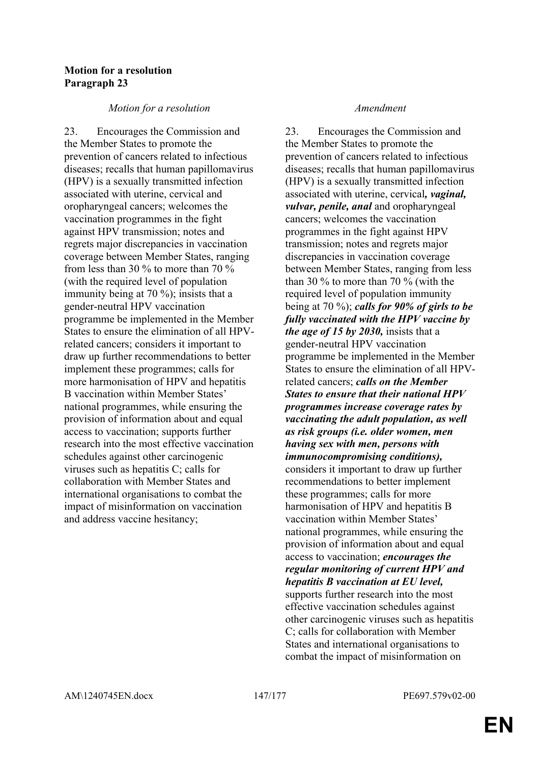## **Motion for a resolution Paragraph 23**

## *Motion for a resolution Amendment*

23. Encourages the Commission and the Member States to promote the prevention of cancers related to infectious diseases; recalls that human papillomavirus (HPV) is a sexually transmitted infection associated with uterine, cervical and oropharyngeal cancers; welcomes the vaccination programmes in the fight against HPV transmission; notes and regrets major discrepancies in vaccination coverage between Member States, ranging from less than 30 % to more than 70 % (with the required level of population immunity being at 70 %); insists that a gender-neutral HPV vaccination programme be implemented in the Member States to ensure the elimination of all HPVrelated cancers; considers it important to draw up further recommendations to better implement these programmes; calls for more harmonisation of HPV and hepatitis B vaccination within Member States' national programmes, while ensuring the provision of information about and equal access to vaccination; supports further research into the most effective vaccination schedules against other carcinogenic viruses such as hepatitis C; calls for collaboration with Member States and international organisations to combat the impact of misinformation on vaccination and address vaccine hesitancy;

23. Encourages the Commission and the Member States to promote the prevention of cancers related to infectious diseases; recalls that human papillomavirus (HPV) is a sexually transmitted infection associated with uterine, cervical*, vaginal, vulvar, penile, anal* and oropharyngeal cancers; welcomes the vaccination programmes in the fight against HPV transmission; notes and regrets major discrepancies in vaccination coverage between Member States, ranging from less than 30 % to more than 70 % (with the required level of population immunity being at 70 %); *calls for 90% of girls to be fully vaccinated with the HPV vaccine by the age of 15 by 2030,* insists that a gender-neutral HPV vaccination programme be implemented in the Member States to ensure the elimination of all HPVrelated cancers; *calls on the Member States to ensure that their national HPV programmes increase coverage rates by vaccinating the adult population, as well as risk groups (i.e. older women, men having sex with men, persons with immunocompromising conditions),* considers it important to draw up further recommendations to better implement these programmes; calls for more harmonisation of HPV and hepatitis B vaccination within Member States' national programmes, while ensuring the provision of information about and equal access to vaccination; *encourages the regular monitoring of current HPV and hepatitis B vaccination at EU level,* supports further research into the most effective vaccination schedules against other carcinogenic viruses such as hepatitis C; calls for collaboration with Member States and international organisations to combat the impact of misinformation on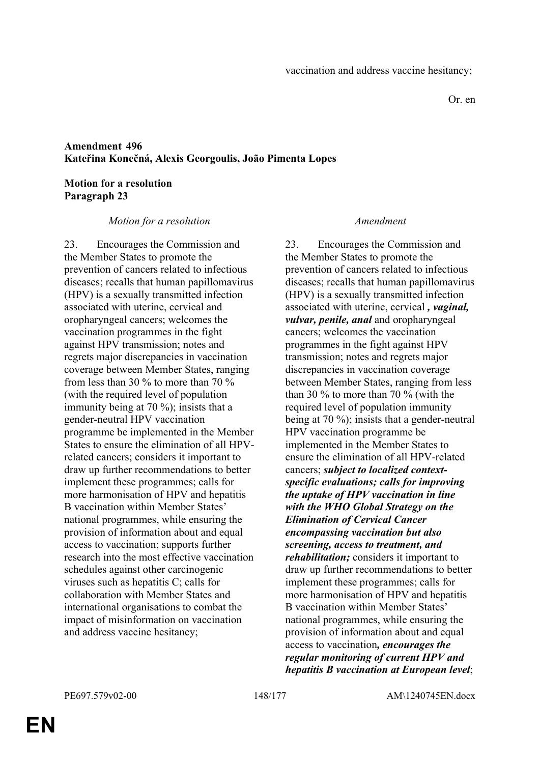Or. en

# **Amendment 496 Kateřina Konečná, Alexis Georgoulis, João Pimenta Lopes**

## **Motion for a resolution Paragraph 23**

## *Motion for a resolution Amendment*

23. Encourages the Commission and the Member States to promote the prevention of cancers related to infectious diseases; recalls that human papillomavirus (HPV) is a sexually transmitted infection associated with uterine, cervical and oropharyngeal cancers; welcomes the vaccination programmes in the fight against HPV transmission; notes and regrets major discrepancies in vaccination coverage between Member States, ranging from less than 30 % to more than 70 % (with the required level of population immunity being at 70 %); insists that a gender-neutral HPV vaccination programme be implemented in the Member States to ensure the elimination of all HPVrelated cancers; considers it important to draw up further recommendations to better implement these programmes; calls for more harmonisation of HPV and hepatitis B vaccination within Member States' national programmes, while ensuring the provision of information about and equal access to vaccination; supports further research into the most effective vaccination schedules against other carcinogenic viruses such as hepatitis C; calls for collaboration with Member States and international organisations to combat the impact of misinformation on vaccination and address vaccine hesitancy;

23. Encourages the Commission and the Member States to promote the prevention of cancers related to infectious diseases; recalls that human papillomavirus (HPV) is a sexually transmitted infection associated with uterine, cervical *, vaginal, vulvar, penile, anal* and oropharyngeal cancers; welcomes the vaccination programmes in the fight against HPV transmission; notes and regrets major discrepancies in vaccination coverage between Member States, ranging from less than 30 % to more than 70 % (with the required level of population immunity being at 70 %); insists that a gender-neutral HPV vaccination programme be implemented in the Member States to ensure the elimination of all HPV-related cancers; *subject to localized contextspecific evaluations; calls for improving the uptake of HPV vaccination in line with the WHO Global Strategy on the Elimination of Cervical Cancer encompassing vaccination but also screening, access to treatment, and rehabilitation;* considers it important to draw up further recommendations to better implement these programmes; calls for more harmonisation of HPV and hepatitis B vaccination within Member States' national programmes, while ensuring the provision of information about and equal access to vaccination*, encourages the regular monitoring of current HPV and hepatitis B vaccination at European level*;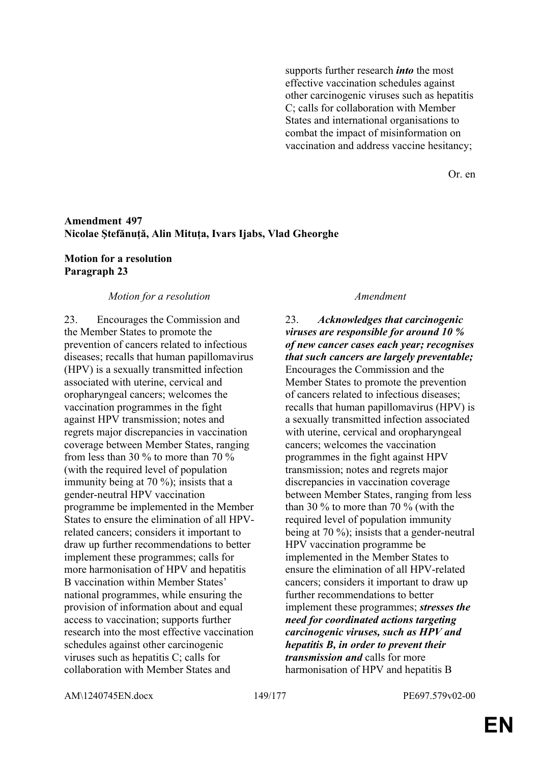supports further research *into* the most effective vaccination schedules against other carcinogenic viruses such as hepatitis C; calls for collaboration with Member States and international organisations to combat the impact of misinformation on vaccination and address vaccine hesitancy;

Or. en

## **Amendment 497 Nicolae Ştefănuță, Alin Mituța, Ivars Ijabs, Vlad Gheorghe**

## **Motion for a resolution Paragraph 23**

## *Motion for a resolution Amendment*

23. Encourages the Commission and the Member States to promote the prevention of cancers related to infectious diseases; recalls that human papillomavirus (HPV) is a sexually transmitted infection associated with uterine, cervical and oropharyngeal cancers; welcomes the vaccination programmes in the fight against HPV transmission; notes and regrets major discrepancies in vaccination coverage between Member States, ranging from less than 30 % to more than 70 % (with the required level of population immunity being at 70 %); insists that a gender-neutral HPV vaccination programme be implemented in the Member States to ensure the elimination of all HPVrelated cancers; considers it important to draw up further recommendations to better implement these programmes; calls for more harmonisation of HPV and hepatitis B vaccination within Member States' national programmes, while ensuring the provision of information about and equal access to vaccination; supports further research into the most effective vaccination schedules against other carcinogenic viruses such as hepatitis C; calls for collaboration with Member States and

23. *Acknowledges that carcinogenic viruses are responsible for around 10 % of new cancer cases each year; recognises that such cancers are largely preventable;* Encourages the Commission and the Member States to promote the prevention of cancers related to infectious diseases; recalls that human papillomavirus (HPV) is a sexually transmitted infection associated with uterine, cervical and oropharyngeal cancers; welcomes the vaccination programmes in the fight against HPV transmission; notes and regrets major discrepancies in vaccination coverage between Member States, ranging from less than 30 % to more than 70 % (with the required level of population immunity being at 70 %); insists that a gender-neutral HPV vaccination programme be implemented in the Member States to ensure the elimination of all HPV-related cancers; considers it important to draw up further recommendations to better implement these programmes; *stresses the need for coordinated actions targeting carcinogenic viruses, such as HPV and hepatitis B, in order to prevent their transmission and* calls for more harmonisation of HPV and hepatitis B

AM\1240745EN.docx 149/177 PE697.579v02-00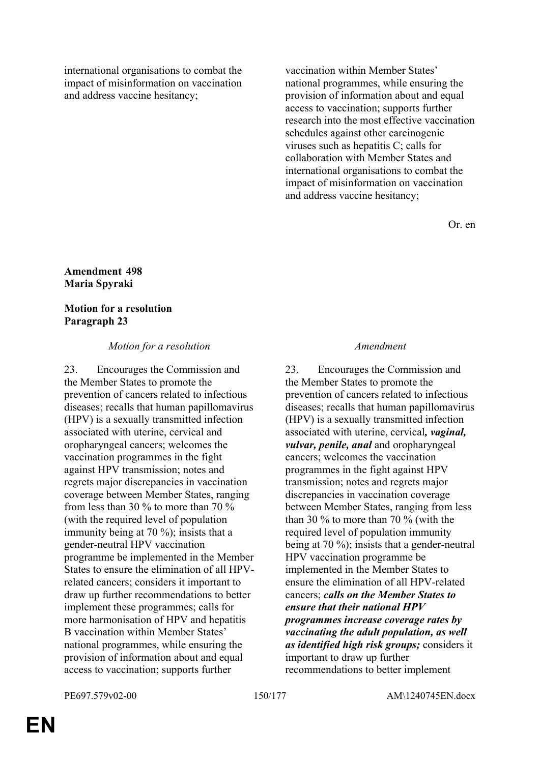international organisations to combat the impact of misinformation on vaccination and address vaccine hesitancy;

vaccination within Member States' national programmes, while ensuring the provision of information about and equal access to vaccination; supports further research into the most effective vaccination schedules against other carcinogenic viruses such as hepatitis C; calls for collaboration with Member States and international organisations to combat the impact of misinformation on vaccination and address vaccine hesitancy;

Or. en

## **Amendment 498 Maria Spyraki**

## **Motion for a resolution Paragraph 23**

## *Motion for a resolution Amendment*

23. Encourages the Commission and the Member States to promote the prevention of cancers related to infectious diseases; recalls that human papillomavirus (HPV) is a sexually transmitted infection associated with uterine, cervical and oropharyngeal cancers; welcomes the vaccination programmes in the fight against HPV transmission; notes and regrets major discrepancies in vaccination coverage between Member States, ranging from less than 30 % to more than 70 % (with the required level of population immunity being at 70 %); insists that a gender-neutral HPV vaccination programme be implemented in the Member States to ensure the elimination of all HPVrelated cancers; considers it important to draw up further recommendations to better implement these programmes; calls for more harmonisation of HPV and hepatitis B vaccination within Member States' national programmes, while ensuring the provision of information about and equal access to vaccination; supports further

23. Encourages the Commission and the Member States to promote the prevention of cancers related to infectious diseases; recalls that human papillomavirus (HPV) is a sexually transmitted infection associated with uterine, cervical*, vaginal, vulvar, penile, anal* and oropharyngeal cancers; welcomes the vaccination programmes in the fight against HPV transmission; notes and regrets major discrepancies in vaccination coverage between Member States, ranging from less than 30 % to more than 70 % (with the required level of population immunity being at 70 %); insists that a gender-neutral HPV vaccination programme be implemented in the Member States to ensure the elimination of all HPV-related cancers; *calls on the Member States to ensure that their national HPV programmes increase coverage rates by vaccinating the adult population, as well as identified high risk groups;* considers it important to draw up further recommendations to better implement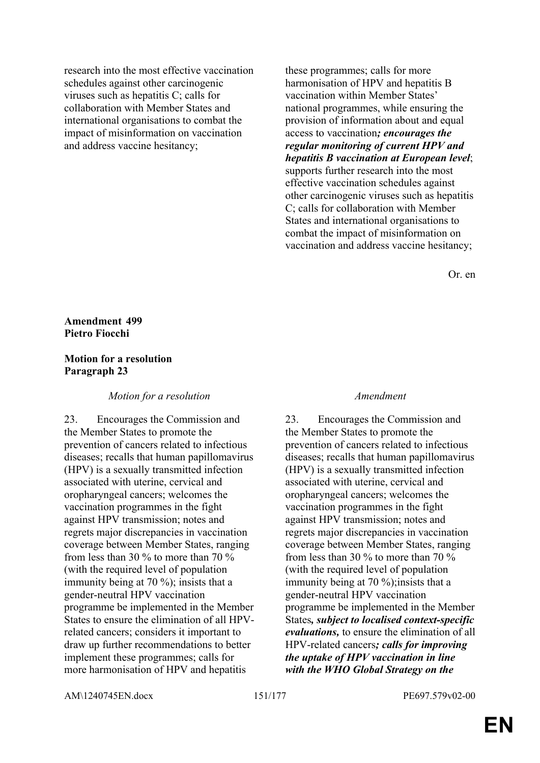research into the most effective vaccination schedules against other carcinogenic viruses such as hepatitis C; calls for collaboration with Member States and international organisations to combat the impact of misinformation on vaccination and address vaccine hesitancy;

these programmes; calls for more harmonisation of HPV and hepatitis B vaccination within Member States' national programmes, while ensuring the provision of information about and equal access to vaccination*; encourages the regular monitoring of current HPV and hepatitis B vaccination at European level*; supports further research into the most effective vaccination schedules against other carcinogenic viruses such as hepatitis C; calls for collaboration with Member States and international organisations to combat the impact of misinformation on vaccination and address vaccine hesitancy;

Or. en

### **Amendment 499 Pietro Fiocchi**

## **Motion for a resolution Paragraph 23**

*Motion for a resolution Amendment*

23. Encourages the Commission and the Member States to promote the prevention of cancers related to infectious diseases; recalls that human papillomavirus (HPV) is a sexually transmitted infection associated with uterine, cervical and oropharyngeal cancers; welcomes the vaccination programmes in the fight against HPV transmission; notes and regrets major discrepancies in vaccination coverage between Member States, ranging from less than 30 % to more than 70 % (with the required level of population immunity being at 70 %); insists that a gender-neutral HPV vaccination programme be implemented in the Member States to ensure the elimination of all HPVrelated cancers; considers it important to draw up further recommendations to better implement these programmes; calls for more harmonisation of HPV and hepatitis

23. Encourages the Commission and the Member States to promote the prevention of cancers related to infectious diseases; recalls that human papillomavirus (HPV) is a sexually transmitted infection associated with uterine, cervical and oropharyngeal cancers; welcomes the vaccination programmes in the fight against HPV transmission; notes and regrets major discrepancies in vaccination coverage between Member States, ranging from less than 30 % to more than 70 % (with the required level of population immunity being at 70 %); insists that a gender-neutral HPV vaccination programme be implemented in the Member States*, subject to localised context-specific evaluations,* to ensure the elimination of all HPV-related cancers*; calls for improving the uptake of HPV vaccination in line with the WHO Global Strategy on the* 

AM\1240745EN.docx 151/177 PE697.579v02-00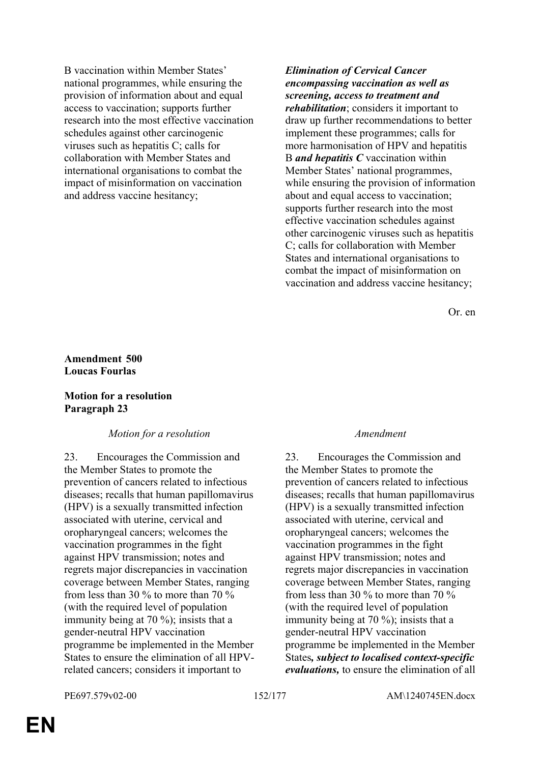B vaccination within Member States' national programmes, while ensuring the provision of information about and equal access to vaccination; supports further research into the most effective vaccination schedules against other carcinogenic viruses such as hepatitis C; calls for collaboration with Member States and international organisations to combat the impact of misinformation on vaccination and address vaccine hesitancy;

*Elimination of Cervical Cancer encompassing vaccination as well as screening, access to treatment and rehabilitation*; considers it important to draw up further recommendations to better implement these programmes; calls for more harmonisation of HPV and hepatitis B *and hepatitis C* vaccination within Member States' national programmes, while ensuring the provision of information about and equal access to vaccination; supports further research into the most effective vaccination schedules against other carcinogenic viruses such as hepatitis C; calls for collaboration with Member States and international organisations to combat the impact of misinformation on vaccination and address vaccine hesitancy;

Or. en

## **Amendment 500 Loucas Fourlas**

## **Motion for a resolution Paragraph 23**

### *Motion for a resolution Amendment*

23. Encourages the Commission and the Member States to promote the prevention of cancers related to infectious diseases; recalls that human papillomavirus (HPV) is a sexually transmitted infection associated with uterine, cervical and oropharyngeal cancers; welcomes the vaccination programmes in the fight against HPV transmission; notes and regrets major discrepancies in vaccination coverage between Member States, ranging from less than 30 % to more than 70 % (with the required level of population immunity being at 70 %); insists that a gender-neutral HPV vaccination programme be implemented in the Member States to ensure the elimination of all HPVrelated cancers; considers it important to

23. Encourages the Commission and the Member States to promote the prevention of cancers related to infectious diseases; recalls that human papillomavirus (HPV) is a sexually transmitted infection associated with uterine, cervical and oropharyngeal cancers; welcomes the vaccination programmes in the fight against HPV transmission; notes and regrets major discrepancies in vaccination coverage between Member States, ranging from less than 30 % to more than 70 % (with the required level of population immunity being at 70 %); insists that a gender-neutral HPV vaccination programme be implemented in the Member States*, subject to localised context-specific evaluations,* to ensure the elimination of all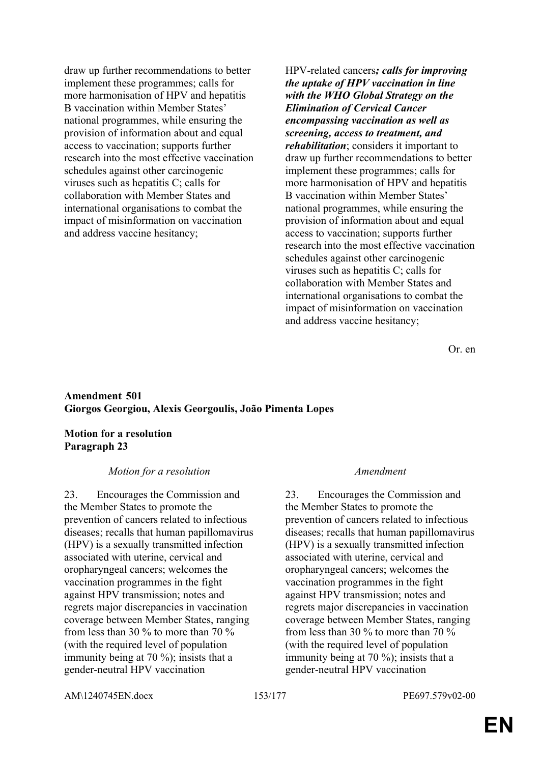draw up further recommendations to better implement these programmes; calls for more harmonisation of HPV and hepatitis B vaccination within Member States' national programmes, while ensuring the provision of information about and equal access to vaccination; supports further research into the most effective vaccination schedules against other carcinogenic viruses such as hepatitis C; calls for collaboration with Member States and international organisations to combat the impact of misinformation on vaccination and address vaccine hesitancy;

HPV-related cancers*; calls for improving the uptake of HPV vaccination in line with the WHO Global Strategy on the Elimination of Cervical Cancer encompassing vaccination as well as screening, access to treatment, and rehabilitation*; considers it important to draw up further recommendations to better implement these programmes; calls for more harmonisation of HPV and hepatitis B vaccination within Member States' national programmes, while ensuring the provision of information about and equal access to vaccination; supports further research into the most effective vaccination schedules against other carcinogenic viruses such as hepatitis C; calls for collaboration with Member States and international organisations to combat the impact of misinformation on vaccination and address vaccine hesitancy;

Or. en

## **Amendment 501 Giorgos Georgiou, Alexis Georgoulis, João Pimenta Lopes**

### **Motion for a resolution Paragraph 23**

### *Motion for a resolution Amendment*

23. Encourages the Commission and the Member States to promote the prevention of cancers related to infectious diseases; recalls that human papillomavirus (HPV) is a sexually transmitted infection associated with uterine, cervical and oropharyngeal cancers; welcomes the vaccination programmes in the fight against HPV transmission; notes and regrets major discrepancies in vaccination coverage between Member States, ranging from less than 30 % to more than 70 % (with the required level of population immunity being at 70 %); insists that a gender-neutral HPV vaccination

23. Encourages the Commission and the Member States to promote the prevention of cancers related to infectious diseases; recalls that human papillomavirus (HPV) is a sexually transmitted infection associated with uterine, cervical and oropharyngeal cancers; welcomes the vaccination programmes in the fight against HPV transmission; notes and regrets major discrepancies in vaccination coverage between Member States, ranging from less than 30 % to more than 70 % (with the required level of population immunity being at 70 %); insists that a gender-neutral HPV vaccination

AM\1240745EN.docx 153/177 PE697.579v02-00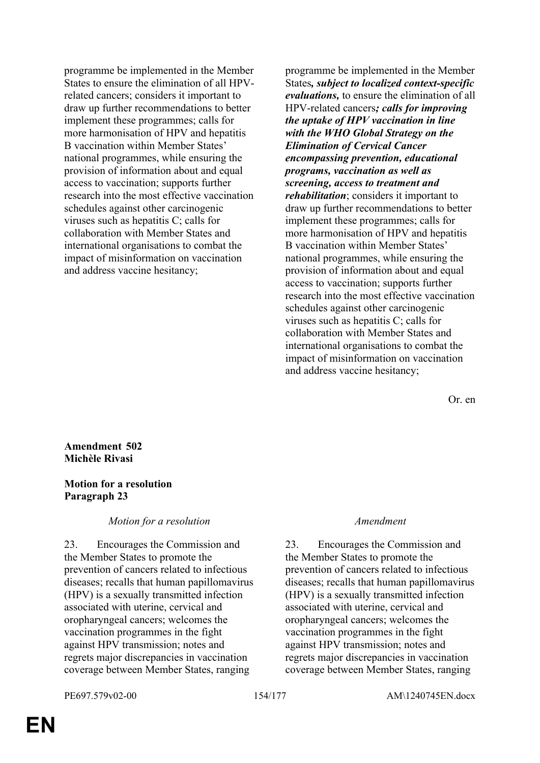programme be implemented in the Member States to ensure the elimination of all HPVrelated cancers; considers it important to draw up further recommendations to better implement these programmes; calls for more harmonisation of HPV and hepatitis B vaccination within Member States' national programmes, while ensuring the provision of information about and equal access to vaccination; supports further research into the most effective vaccination schedules against other carcinogenic viruses such as hepatitis C; calls for collaboration with Member States and international organisations to combat the impact of misinformation on vaccination and address vaccine hesitancy;

programme be implemented in the Member States*, subject to localized context-specific evaluations,* to ensure the elimination of all HPV-related cancers*; calls for improving the uptake of HPV vaccination in line with the WHO Global Strategy on the Elimination of Cervical Cancer encompassing prevention, educational programs, vaccination as well as screening, access to treatment and rehabilitation*; considers it important to draw up further recommendations to better implement these programmes; calls for more harmonisation of HPV and hepatitis B vaccination within Member States' national programmes, while ensuring the provision of information about and equal access to vaccination; supports further research into the most effective vaccination schedules against other carcinogenic viruses such as hepatitis C; calls for collaboration with Member States and international organisations to combat the impact of misinformation on vaccination and address vaccine hesitancy;

Or. en

## **Amendment 502 Michèle Rivasi**

## **Motion for a resolution Paragraph 23**

### *Motion for a resolution Amendment*

23. Encourages the Commission and the Member States to promote the prevention of cancers related to infectious diseases; recalls that human papillomavirus (HPV) is a sexually transmitted infection associated with uterine, cervical and oropharyngeal cancers; welcomes the vaccination programmes in the fight against HPV transmission; notes and regrets major discrepancies in vaccination coverage between Member States, ranging

23. Encourages the Commission and the Member States to promote the prevention of cancers related to infectious diseases; recalls that human papillomavirus (HPV) is a sexually transmitted infection associated with uterine, cervical and oropharyngeal cancers; welcomes the vaccination programmes in the fight against HPV transmission; notes and regrets major discrepancies in vaccination coverage between Member States, ranging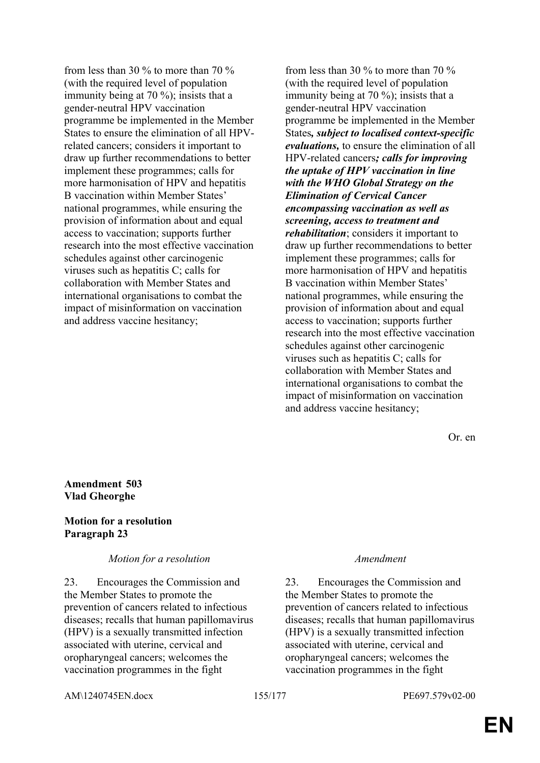from less than 30 % to more than 70 % (with the required level of population immunity being at 70 %); insists that a gender-neutral HPV vaccination programme be implemented in the Member States to ensure the elimination of all HPVrelated cancers; considers it important to draw up further recommendations to better implement these programmes; calls for more harmonisation of HPV and hepatitis B vaccination within Member States' national programmes, while ensuring the provision of information about and equal access to vaccination; supports further research into the most effective vaccination schedules against other carcinogenic viruses such as hepatitis C; calls for collaboration with Member States and international organisations to combat the impact of misinformation on vaccination and address vaccine hesitancy;

from less than 30 % to more than 70 % (with the required level of population immunity being at 70 %); insists that a gender-neutral HPV vaccination programme be implemented in the Member States*, subject to localised context-specific evaluations,* to ensure the elimination of all HPV-related cancers*; calls for improving the uptake of HPV vaccination in line with the WHO Global Strategy on the Elimination of Cervical Cancer encompassing vaccination as well as screening, access to treatment and rehabilitation*; considers it important to draw up further recommendations to better implement these programmes; calls for more harmonisation of HPV and hepatitis B vaccination within Member States' national programmes, while ensuring the provision of information about and equal access to vaccination; supports further research into the most effective vaccination schedules against other carcinogenic viruses such as hepatitis C; calls for collaboration with Member States and international organisations to combat the impact of misinformation on vaccination and address vaccine hesitancy;

Or. en

## **Amendment 503 Vlad Gheorghe**

## **Motion for a resolution Paragraph 23**

### *Motion for a resolution Amendment*

23. Encourages the Commission and the Member States to promote the prevention of cancers related to infectious diseases; recalls that human papillomavirus (HPV) is a sexually transmitted infection associated with uterine, cervical and oropharyngeal cancers; welcomes the vaccination programmes in the fight

23. Encourages the Commission and the Member States to promote the prevention of cancers related to infectious diseases; recalls that human papillomavirus (HPV) is a sexually transmitted infection associated with uterine, cervical and oropharyngeal cancers; welcomes the vaccination programmes in the fight

AM\1240745EN.docx 155/177 PE697.579v02-00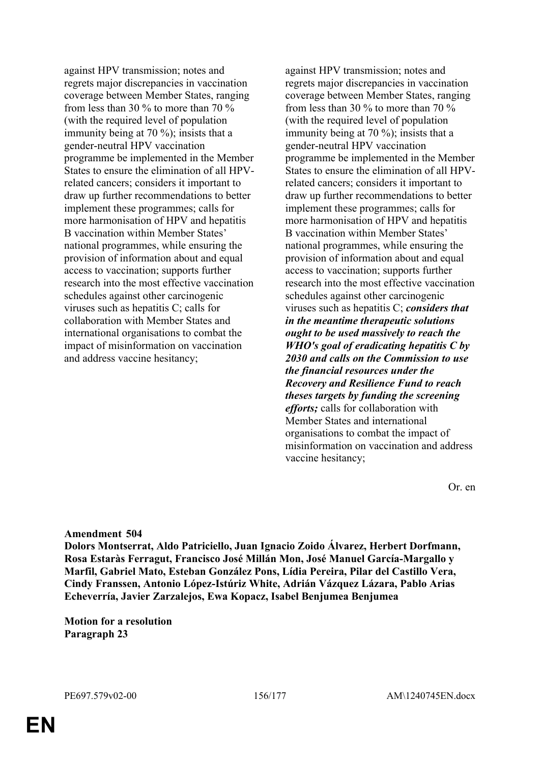against HPV transmission; notes and regrets major discrepancies in vaccination coverage between Member States, ranging from less than 30 % to more than 70 % (with the required level of population immunity being at 70 %); insists that a gender-neutral HPV vaccination programme be implemented in the Member States to ensure the elimination of all HPVrelated cancers; considers it important to draw up further recommendations to better implement these programmes; calls for more harmonisation of HPV and hepatitis B vaccination within Member States' national programmes, while ensuring the provision of information about and equal access to vaccination; supports further research into the most effective vaccination schedules against other carcinogenic viruses such as hepatitis C; calls for collaboration with Member States and international organisations to combat the impact of misinformation on vaccination and address vaccine hesitancy;

against HPV transmission; notes and regrets major discrepancies in vaccination coverage between Member States, ranging from less than 30 % to more than 70 % (with the required level of population immunity being at 70 %); insists that a gender-neutral HPV vaccination programme be implemented in the Member States to ensure the elimination of all HPVrelated cancers; considers it important to draw up further recommendations to better implement these programmes; calls for more harmonisation of HPV and hepatitis B vaccination within Member States' national programmes, while ensuring the provision of information about and equal access to vaccination; supports further research into the most effective vaccination schedules against other carcinogenic viruses such as hepatitis C; *considers that in the meantime therapeutic solutions ought to be used massively to reach the WHO's goal of eradicating hepatitis C by 2030 and calls on the Commission to use the financial resources under the Recovery and Resilience Fund to reach theses targets by funding the screening efforts;* calls for collaboration with Member States and international organisations to combat the impact of misinformation on vaccination and address vaccine hesitancy;

Or. en

### **Amendment 504**

**Dolors Montserrat, Aldo Patriciello, Juan Ignacio Zoido Álvarez, Herbert Dorfmann, Rosa Estaràs Ferragut, Francisco José Millán Mon, José Manuel García-Margallo y Marfil, Gabriel Mato, Esteban González Pons, Lídia Pereira, Pilar del Castillo Vera, Cindy Franssen, Antonio López-Istúriz White, Adrián Vázquez Lázara, Pablo Arias Echeverría, Javier Zarzalejos, Ewa Kopacz, Isabel Benjumea Benjumea**

**Motion for a resolution Paragraph 23**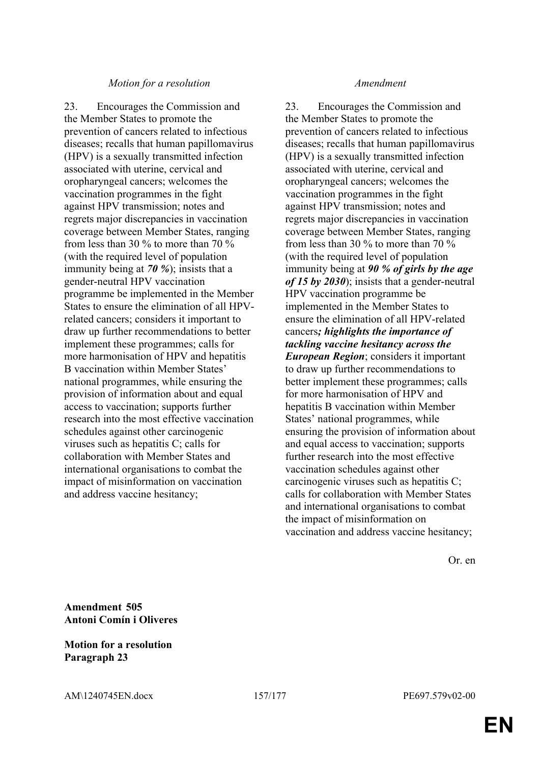23. Encourages the Commission and the Member States to promote the prevention of cancers related to infectious diseases; recalls that human papillomavirus (HPV) is a sexually transmitted infection associated with uterine, cervical and oropharyngeal cancers; welcomes the vaccination programmes in the fight against HPV transmission; notes and regrets major discrepancies in vaccination coverage between Member States, ranging from less than 30 % to more than 70 % (with the required level of population immunity being at *70 %*); insists that a gender-neutral HPV vaccination programme be implemented in the Member States to ensure the elimination of all HPVrelated cancers; considers it important to draw up further recommendations to better implement these programmes; calls for more harmonisation of HPV and hepatitis B vaccination within Member States' national programmes, while ensuring the provision of information about and equal access to vaccination; supports further research into the most effective vaccination schedules against other carcinogenic viruses such as hepatitis C; calls for collaboration with Member States and international organisations to combat the impact of misinformation on vaccination and address vaccine hesitancy;

23. Encourages the Commission and the Member States to promote the prevention of cancers related to infectious diseases; recalls that human papillomavirus (HPV) is a sexually transmitted infection associated with uterine, cervical and oropharyngeal cancers; welcomes the vaccination programmes in the fight against HPV transmission; notes and regrets major discrepancies in vaccination coverage between Member States, ranging from less than 30 % to more than 70 % (with the required level of population immunity being at *90 % of girls by the age of 15 by 2030*); insists that a gender-neutral HPV vaccination programme be implemented in the Member States to ensure the elimination of all HPV-related cancers*; highlights the importance of tackling vaccine hesitancy across the European Region*; considers it important to draw up further recommendations to better implement these programmes; calls for more harmonisation of HPV and hepatitis B vaccination within Member States' national programmes, while ensuring the provision of information about and equal access to vaccination; supports further research into the most effective vaccination schedules against other carcinogenic viruses such as hepatitis C; calls for collaboration with Member States and international organisations to combat the impact of misinformation on vaccination and address vaccine hesitancy;

Or. en

**Amendment 505 Antoni Comín i Oliveres**

## **Motion for a resolution Paragraph 23**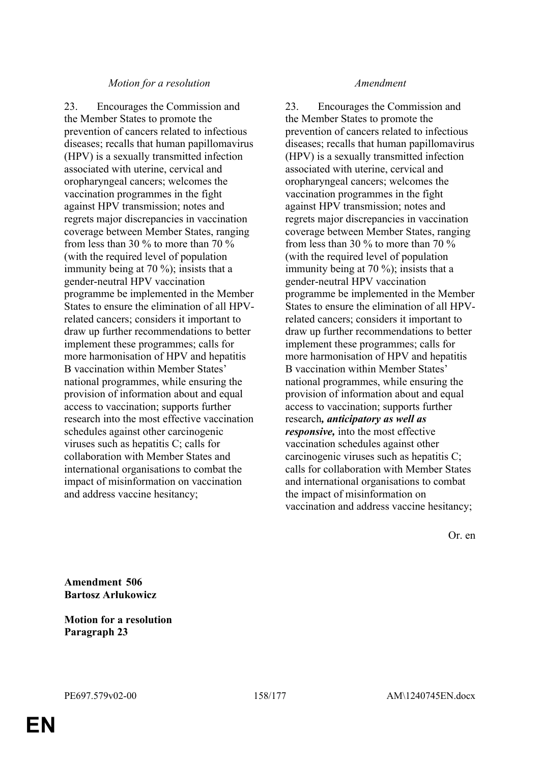23. Encourages the Commission and the Member States to promote the prevention of cancers related to infectious diseases; recalls that human papillomavirus (HPV) is a sexually transmitted infection associated with uterine, cervical and oropharyngeal cancers; welcomes the vaccination programmes in the fight against HPV transmission; notes and regrets major discrepancies in vaccination coverage between Member States, ranging from less than 30 % to more than 70 % (with the required level of population immunity being at 70 %); insists that a gender-neutral HPV vaccination programme be implemented in the Member States to ensure the elimination of all HPVrelated cancers; considers it important to draw up further recommendations to better implement these programmes; calls for more harmonisation of HPV and hepatitis B vaccination within Member States' national programmes, while ensuring the provision of information about and equal access to vaccination; supports further research into the most effective vaccination schedules against other carcinogenic viruses such as hepatitis C; calls for collaboration with Member States and international organisations to combat the impact of misinformation on vaccination and address vaccine hesitancy;

23. Encourages the Commission and the Member States to promote the prevention of cancers related to infectious diseases; recalls that human papillomavirus (HPV) is a sexually transmitted infection associated with uterine, cervical and oropharyngeal cancers; welcomes the vaccination programmes in the fight against HPV transmission; notes and regrets major discrepancies in vaccination coverage between Member States, ranging from less than 30 % to more than 70 % (with the required level of population immunity being at 70 %); insists that a gender-neutral HPV vaccination programme be implemented in the Member States to ensure the elimination of all HPVrelated cancers; considers it important to draw up further recommendations to better implement these programmes; calls for more harmonisation of HPV and hepatitis B vaccination within Member States' national programmes, while ensuring the provision of information about and equal access to vaccination; supports further research*, anticipatory as well as responsive,* into the most effective vaccination schedules against other carcinogenic viruses such as hepatitis C; calls for collaboration with Member States and international organisations to combat the impact of misinformation on vaccination and address vaccine hesitancy;

Or. en

**Amendment 506 Bartosz Arłukowicz**

**Motion for a resolution Paragraph 23**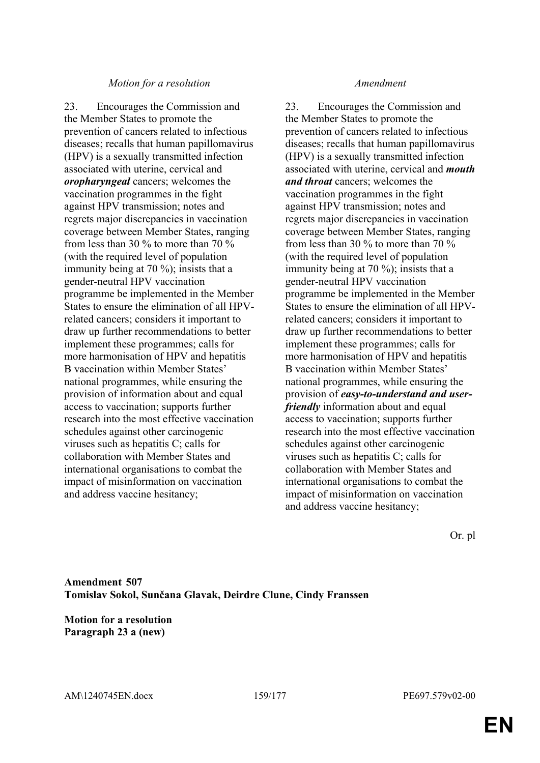23. Encourages the Commission and the Member States to promote the prevention of cancers related to infectious diseases; recalls that human papillomavirus (HPV) is a sexually transmitted infection associated with uterine, cervical and *oropharyngeal* cancers; welcomes the vaccination programmes in the fight against HPV transmission; notes and regrets major discrepancies in vaccination coverage between Member States, ranging from less than 30 % to more than 70 % (with the required level of population immunity being at 70 %); insists that a gender-neutral HPV vaccination programme be implemented in the Member States to ensure the elimination of all HPVrelated cancers; considers it important to draw up further recommendations to better implement these programmes; calls for more harmonisation of HPV and hepatitis B vaccination within Member States' national programmes, while ensuring the provision of information about and equal access to vaccination; supports further research into the most effective vaccination schedules against other carcinogenic viruses such as hepatitis C; calls for collaboration with Member States and international organisations to combat the impact of misinformation on vaccination and address vaccine hesitancy;

23. Encourages the Commission and the Member States to promote the prevention of cancers related to infectious diseases; recalls that human papillomavirus (HPV) is a sexually transmitted infection associated with uterine, cervical and *mouth and throat* cancers; welcomes the vaccination programmes in the fight against HPV transmission; notes and regrets major discrepancies in vaccination coverage between Member States, ranging from less than 30 % to more than 70 % (with the required level of population immunity being at 70 %); insists that a gender-neutral HPV vaccination programme be implemented in the Member States to ensure the elimination of all HPVrelated cancers; considers it important to draw up further recommendations to better implement these programmes; calls for more harmonisation of HPV and hepatitis B vaccination within Member States' national programmes, while ensuring the provision of *easy-to-understand and userfriendly* information about and equal access to vaccination; supports further research into the most effective vaccination schedules against other carcinogenic viruses such as hepatitis C; calls for collaboration with Member States and international organisations to combat the impact of misinformation on vaccination and address vaccine hesitancy;

Or. pl

**Amendment 507 Tomislav Sokol, Sunčana Glavak, Deirdre Clune, Cindy Franssen**

**Motion for a resolution Paragraph 23 a (new)**

AM\1240745EN.docx 159/177 PE697.579v02-00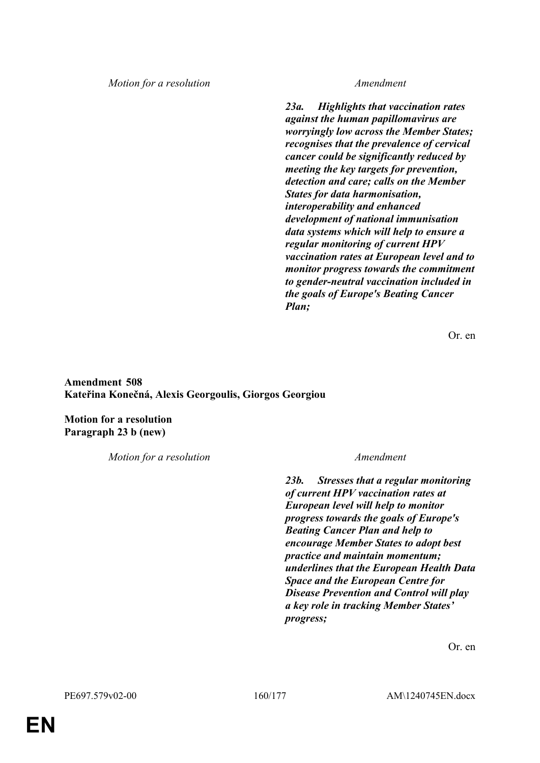*23a. Highlights that vaccination rates against the human papillomavirus are worryingly low across the Member States; recognises that the prevalence of cervical cancer could be significantly reduced by meeting the key targets for prevention, detection and care; calls on the Member States for data harmonisation, interoperability and enhanced development of national immunisation data systems which will help to ensure a regular monitoring of current HPV vaccination rates at European level and to monitor progress towards the commitment to gender-neutral vaccination included in the goals of Europe's Beating Cancer Plan;*

Or. en

**Amendment 508 Kateřina Konečná, Alexis Georgoulis, Giorgos Georgiou**

**Motion for a resolution Paragraph 23 b (new)**

*Motion for a resolution Amendment*

*23b. Stresses that a regular monitoring of current HPV vaccination rates at European level will help to monitor progress towards the goals of Europe's Beating Cancer Plan and help to encourage Member States to adopt best practice and maintain momentum; underlines that the European Health Data Space and the European Centre for Disease Prevention and Control will play a key role in tracking Member States' progress;*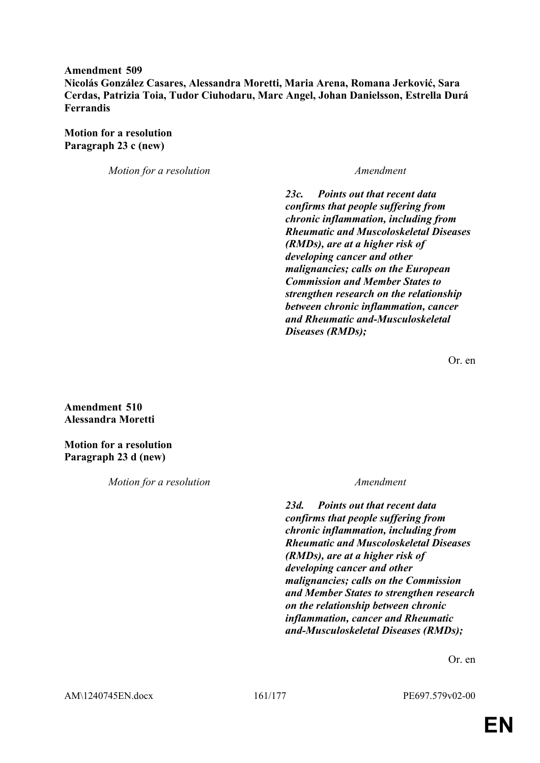# **Amendment 509**

**Nicolás González Casares, Alessandra Moretti, Maria Arena, Romana Jerković, Sara Cerdas, Patrizia Toia, Tudor Ciuhodaru, Marc Angel, Johan Danielsson, Estrella Durá Ferrandis**

**Motion for a resolution Paragraph 23 c (new)**

*Motion for a resolution Amendment*

*23c. Points out that recent data confirms that people suffering from chronic inflammation, including from Rheumatic and Muscoloskeletal Diseases (RMDs), are at a higher risk of developing cancer and other malignancies; calls on the European Commission and Member States to strengthen research on the relationship between chronic inflammation, cancer and Rheumatic and-Musculoskeletal Diseases (RMDs);*

Or. en

**Amendment 510 Alessandra Moretti**

**Motion for a resolution Paragraph 23 d (new)**

*Motion for a resolution Amendment*

*23d. Points out that recent data confirms that people suffering from chronic inflammation, including from Rheumatic and Muscoloskeletal Diseases (RMDs), are at a higher risk of developing cancer and other malignancies; calls on the Commission and Member States to strengthen research on the relationship between chronic inflammation, cancer and Rheumatic and-Musculoskeletal Diseases (RMDs);*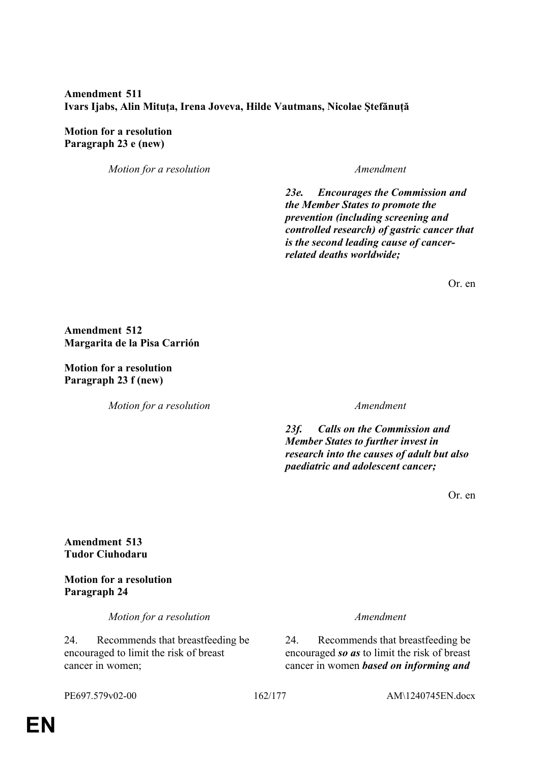# **Amendment 511 Ivars Ijabs, Alin Mituța, Irena Joveva, Hilde Vautmans, Nicolae Ştefănuță**

## **Motion for a resolution Paragraph 23 e (new)**

*Motion for a resolution Amendment*

*23e. Encourages the Commission and the Member States to promote the prevention (including screening and controlled research) of gastric cancer that is the second leading cause of cancerrelated deaths worldwide;*

Or. en

## **Amendment 512 Margarita de la Pisa Carrión**

**Motion for a resolution Paragraph 23 f (new)**

*Motion for a resolution Amendment*

*23f. Calls on the Commission and Member States to further invest in research into the causes of adult but also paediatric and adolescent cancer;*

Or. en

**Amendment 513 Tudor Ciuhodaru**

**Motion for a resolution Paragraph 24**

*Motion for a resolution Amendment*

24. Recommends that breastfeeding be encouraged to limit the risk of breast cancer in women;

24. Recommends that breastfeeding be encouraged *so as* to limit the risk of breast cancer in women *based on informing and* 

PE697.579v02-00 162/177 AM\1240745EN.docx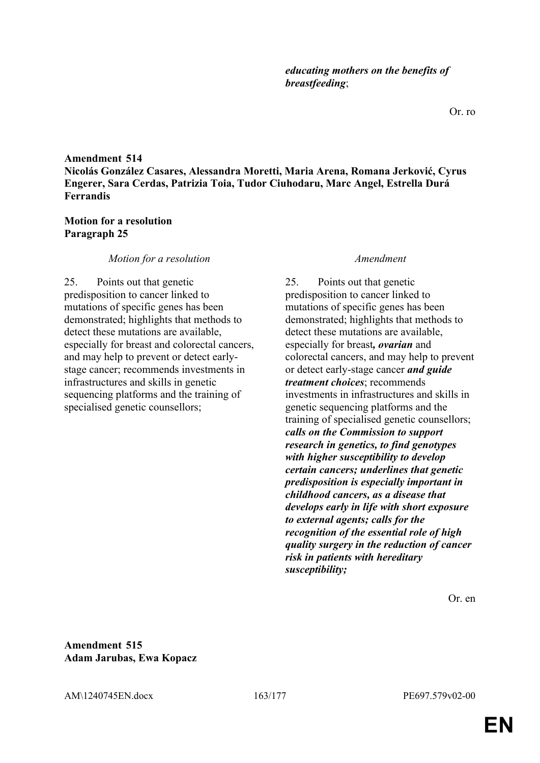# **Amendment 514 Nicolás González Casares, Alessandra Moretti, Maria Arena, Romana Jerković, Cyrus Engerer, Sara Cerdas, Patrizia Toia, Tudor Ciuhodaru, Marc Angel, Estrella Durá Ferrandis**

## **Motion for a resolution Paragraph 25**

## *Motion for a resolution Amendment*

25. Points out that genetic predisposition to cancer linked to mutations of specific genes has been demonstrated; highlights that methods to detect these mutations are available, especially for breast and colorectal cancers, and may help to prevent or detect earlystage cancer; recommends investments in infrastructures and skills in genetic sequencing platforms and the training of specialised genetic counsellors;

25. Points out that genetic predisposition to cancer linked to mutations of specific genes has been demonstrated; highlights that methods to detect these mutations are available, especially for breast*, ovarian* and colorectal cancers, and may help to prevent or detect early-stage cancer *and guide treatment choices*; recommends investments in infrastructures and skills in genetic sequencing platforms and the training of specialised genetic counsellors; *calls on the Commission to support research in genetics, to find genotypes with higher susceptibility to develop certain cancers; underlines that genetic predisposition is especially important in childhood cancers, as a disease that develops early in life with short exposure to external agents; calls for the recognition of the essential role of high quality surgery in the reduction of cancer risk in patients with hereditary susceptibility;*

Or. en

**Amendment 515 Adam Jarubas, Ewa Kopacz**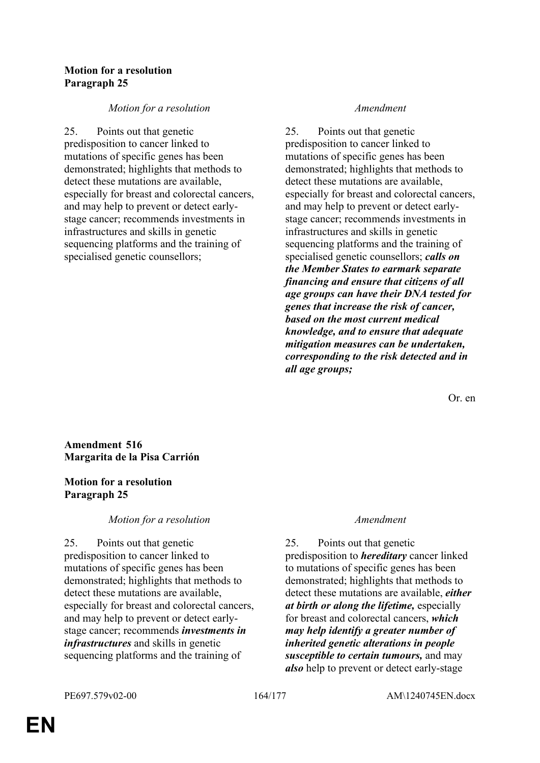## **Motion for a resolution Paragraph 25**

## *Motion for a resolution Amendment*

25. Points out that genetic predisposition to cancer linked to mutations of specific genes has been demonstrated; highlights that methods to detect these mutations are available, especially for breast and colorectal cancers, and may help to prevent or detect earlystage cancer; recommends investments in infrastructures and skills in genetic sequencing platforms and the training of specialised genetic counsellors;

25. Points out that genetic predisposition to cancer linked to mutations of specific genes has been demonstrated; highlights that methods to detect these mutations are available, especially for breast and colorectal cancers, and may help to prevent or detect earlystage cancer; recommends investments in infrastructures and skills in genetic sequencing platforms and the training of specialised genetic counsellors; *calls on the Member States to earmark separate financing and ensure that citizens of all age groups can have their DNA tested for genes that increase the risk of cancer, based on the most current medical knowledge, and to ensure that adequate mitigation measures can be undertaken, corresponding to the risk detected and in all age groups;*

Or. en

## **Amendment 516 Margarita de la Pisa Carrión**

## **Motion for a resolution Paragraph 25**

## *Motion for a resolution Amendment*

25. Points out that genetic predisposition to cancer linked to mutations of specific genes has been demonstrated; highlights that methods to detect these mutations are available, especially for breast and colorectal cancers, and may help to prevent or detect earlystage cancer; recommends *investments in infrastructures* and skills in genetic sequencing platforms and the training of

25. Points out that genetic predisposition to *hereditary* cancer linked to mutations of specific genes has been demonstrated; highlights that methods to detect these mutations are available, *either at birth or along the lifetime,* especially for breast and colorectal cancers, *which may help identify a greater number of inherited genetic alterations in people susceptible to certain tumours,* and may *also* help to prevent or detect early-stage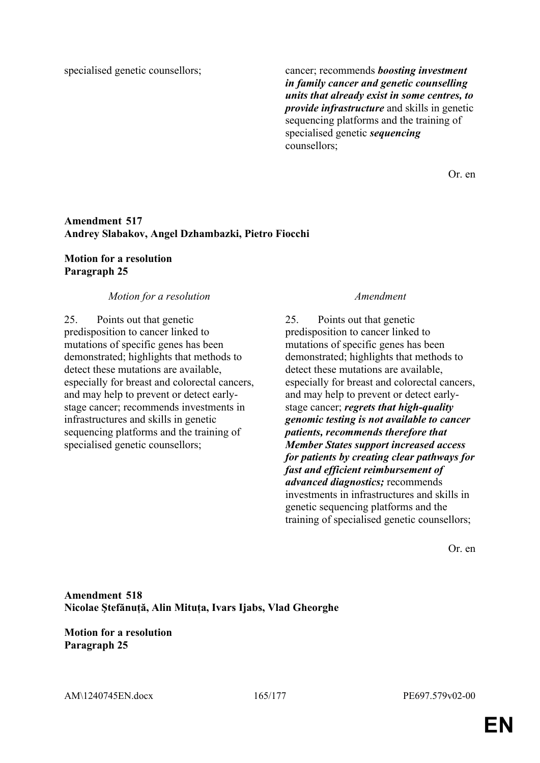specialised genetic counsellors; cancer; recommends *boosting investment in family cancer and genetic counselling units that already exist in some centres, to provide infrastructure* and skills in genetic sequencing platforms and the training of specialised genetic *sequencing* counsellors;

Or. en

## **Amendment 517 Andrey Slabakov, Angel Dzhambazki, Pietro Fiocchi**

## **Motion for a resolution Paragraph 25**

## *Motion for a resolution Amendment*

25. Points out that genetic predisposition to cancer linked to mutations of specific genes has been demonstrated; highlights that methods to detect these mutations are available, especially for breast and colorectal cancers, and may help to prevent or detect earlystage cancer; recommends investments in infrastructures and skills in genetic sequencing platforms and the training of specialised genetic counsellors;

25. Points out that genetic predisposition to cancer linked to mutations of specific genes has been demonstrated; highlights that methods to detect these mutations are available, especially for breast and colorectal cancers, and may help to prevent or detect earlystage cancer; *regrets that high-quality genomic testing is not available to cancer patients, recommends therefore that Member States support increased access for patients by creating clear pathways for fast and efficient reimbursement of advanced diagnostics;* recommends investments in infrastructures and skills in genetic sequencing platforms and the training of specialised genetic counsellors;

Or. en

**Amendment 518 Nicolae Ştefănuță, Alin Mituța, Ivars Ijabs, Vlad Gheorghe**

**Motion for a resolution Paragraph 25**

AM\1240745EN.docx 165/177 PE697.579v02-00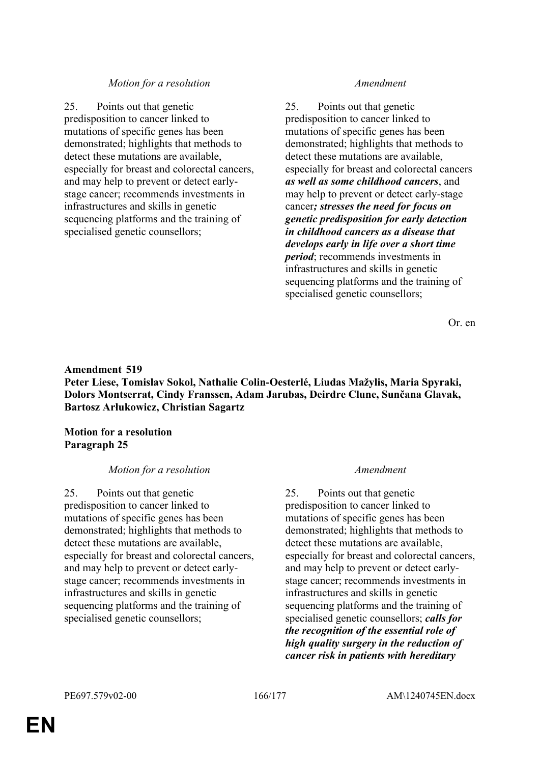25. Points out that genetic predisposition to cancer linked to mutations of specific genes has been demonstrated; highlights that methods to detect these mutations are available, especially for breast and colorectal cancers, and may help to prevent or detect earlystage cancer; recommends investments in infrastructures and skills in genetic sequencing platforms and the training of specialised genetic counsellors;

25. Points out that genetic predisposition to cancer linked to mutations of specific genes has been demonstrated; highlights that methods to detect these mutations are available, especially for breast and colorectal cancers *as well as some childhood cancers*, and may help to prevent or detect early-stage cancer*; stresses the need for focus on genetic predisposition for early detection in childhood cancers as a disease that develops early in life over a short time period*; recommends investments in infrastructures and skills in genetic sequencing platforms and the training of specialised genetic counsellors;

Or. en

## **Amendment 519 Peter Liese, Tomislav Sokol, Nathalie Colin-Oesterlé, Liudas Mažylis, Maria Spyraki, Dolors Montserrat, Cindy Franssen, Adam Jarubas, Deirdre Clune, Sunčana Glavak, Bartosz Arłukowicz, Christian Sagartz**

**Motion for a resolution Paragraph 25**

### *Motion for a resolution Amendment*

25. Points out that genetic predisposition to cancer linked to mutations of specific genes has been demonstrated; highlights that methods to detect these mutations are available, especially for breast and colorectal cancers, and may help to prevent or detect earlystage cancer; recommends investments in infrastructures and skills in genetic sequencing platforms and the training of specialised genetic counsellors;

25. Points out that genetic predisposition to cancer linked to mutations of specific genes has been demonstrated; highlights that methods to detect these mutations are available, especially for breast and colorectal cancers, and may help to prevent or detect earlystage cancer; recommends investments in infrastructures and skills in genetic sequencing platforms and the training of specialised genetic counsellors; *calls for the recognition of the essential role of high quality surgery in the reduction of cancer risk in patients with hereditary*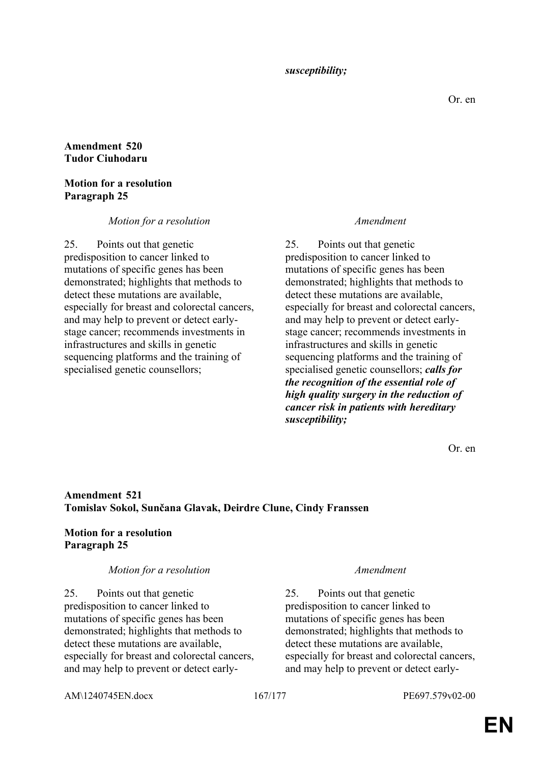*susceptibility;*

## **Amendment 520 Tudor Ciuhodaru**

## **Motion for a resolution Paragraph 25**

## *Motion for a resolution Amendment*

25. Points out that genetic predisposition to cancer linked to mutations of specific genes has been demonstrated; highlights that methods to detect these mutations are available, especially for breast and colorectal cancers, and may help to prevent or detect earlystage cancer; recommends investments in infrastructures and skills in genetic sequencing platforms and the training of specialised genetic counsellors;

25. Points out that genetic predisposition to cancer linked to mutations of specific genes has been demonstrated; highlights that methods to detect these mutations are available, especially for breast and colorectal cancers, and may help to prevent or detect earlystage cancer; recommends investments in infrastructures and skills in genetic sequencing platforms and the training of specialised genetic counsellors; *calls for the recognition of the essential role of high quality surgery in the reduction of cancer risk in patients with hereditary susceptibility;*

Or. en

## **Amendment 521 Tomislav Sokol, Sunčana Glavak, Deirdre Clune, Cindy Franssen**

# **Motion for a resolution Paragraph 25**

### *Motion for a resolution Amendment*

25. Points out that genetic predisposition to cancer linked to mutations of specific genes has been demonstrated; highlights that methods to detect these mutations are available, especially for breast and colorectal cancers, and may help to prevent or detect early-

25. Points out that genetic predisposition to cancer linked to mutations of specific genes has been demonstrated; highlights that methods to detect these mutations are available, especially for breast and colorectal cancers, and may help to prevent or detect early-

AM\1240745EN.docx 167/177 PE697.579v02-00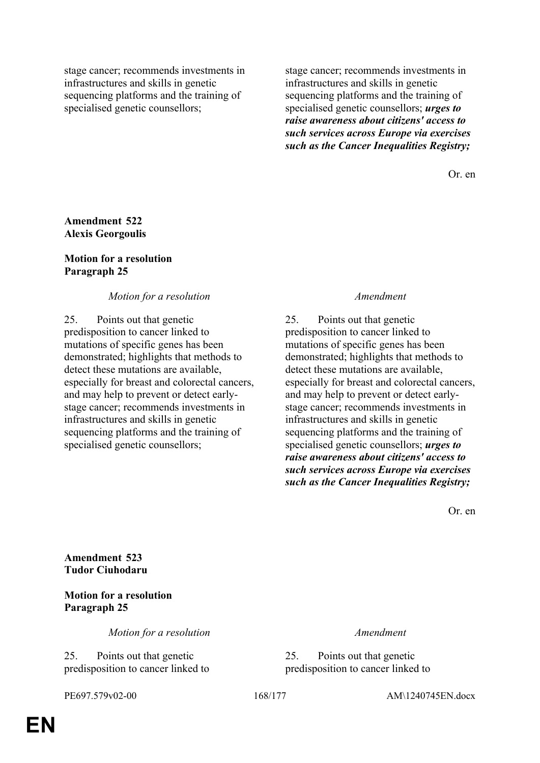stage cancer; recommends investments in infrastructures and skills in genetic sequencing platforms and the training of specialised genetic counsellors;

stage cancer; recommends investments in infrastructures and skills in genetic sequencing platforms and the training of specialised genetic counsellors; *urges to raise awareness about citizens' access to such services across Europe via exercises such as the Cancer Inequalities Registry;*

Or. en

## **Amendment 522 Alexis Georgoulis**

## **Motion for a resolution Paragraph 25**

## *Motion for a resolution Amendment*

25. Points out that genetic predisposition to cancer linked to mutations of specific genes has been demonstrated; highlights that methods to detect these mutations are available, especially for breast and colorectal cancers, and may help to prevent or detect earlystage cancer; recommends investments in infrastructures and skills in genetic sequencing platforms and the training of specialised genetic counsellors;

25. Points out that genetic predisposition to cancer linked to mutations of specific genes has been demonstrated; highlights that methods to detect these mutations are available, especially for breast and colorectal cancers, and may help to prevent or detect earlystage cancer; recommends investments in infrastructures and skills in genetic sequencing platforms and the training of specialised genetic counsellors; *urges to raise awareness about citizens' access to such services across Europe via exercises such as the Cancer Inequalities Registry;*

Or. en

**Amendment 523 Tudor Ciuhodaru**

**Motion for a resolution Paragraph 25**

*Motion for a resolution Amendment*

25. Points out that genetic predisposition to cancer linked to

25. Points out that genetic predisposition to cancer linked to

PE697.579v02-00 168/177 AM\1240745EN.docx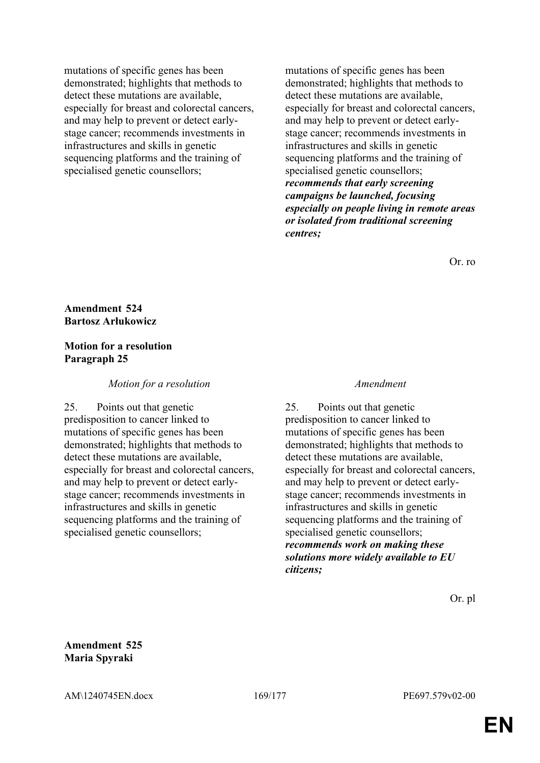mutations of specific genes has been demonstrated; highlights that methods to detect these mutations are available, especially for breast and colorectal cancers, and may help to prevent or detect earlystage cancer; recommends investments in infrastructures and skills in genetic sequencing platforms and the training of specialised genetic counsellors;

mutations of specific genes has been demonstrated; highlights that methods to detect these mutations are available, especially for breast and colorectal cancers, and may help to prevent or detect earlystage cancer; recommends investments in infrastructures and skills in genetic sequencing platforms and the training of specialised genetic counsellors; *recommends that early screening campaigns be launched, focusing especially on people living in remote areas or isolated from traditional screening centres;*

Or. ro

## **Amendment 524 Bartosz Arłukowicz**

## **Motion for a resolution Paragraph 25**

## *Motion for a resolution Amendment*

25. Points out that genetic predisposition to cancer linked to mutations of specific genes has been demonstrated; highlights that methods to detect these mutations are available, especially for breast and colorectal cancers, and may help to prevent or detect earlystage cancer; recommends investments in infrastructures and skills in genetic sequencing platforms and the training of specialised genetic counsellors;

25. Points out that genetic predisposition to cancer linked to mutations of specific genes has been demonstrated; highlights that methods to detect these mutations are available, especially for breast and colorectal cancers, and may help to prevent or detect earlystage cancer; recommends investments in infrastructures and skills in genetic sequencing platforms and the training of specialised genetic counsellors; *recommends work on making these solutions more widely available to EU citizens;*

Or. pl

**Amendment 525 Maria Spyraki**

AM\1240745EN.docx 169/177 PE697.579v02-00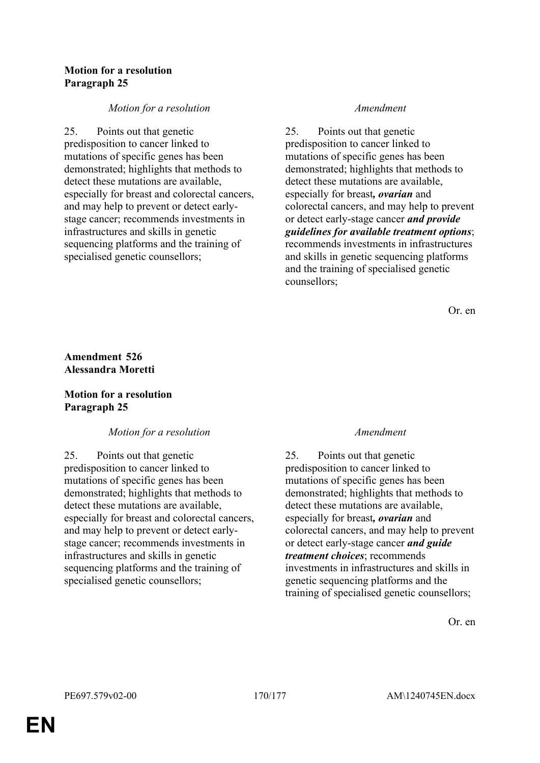## **Motion for a resolution Paragraph 25**

## *Motion for a resolution Amendment*

25. Points out that genetic predisposition to cancer linked to mutations of specific genes has been demonstrated; highlights that methods to detect these mutations are available, especially for breast and colorectal cancers, and may help to prevent or detect earlystage cancer; recommends investments in infrastructures and skills in genetic sequencing platforms and the training of specialised genetic counsellors;

25. Points out that genetic predisposition to cancer linked to mutations of specific genes has been demonstrated; highlights that methods to detect these mutations are available, especially for breast*, ovarian* and colorectal cancers, and may help to prevent or detect early-stage cancer *and provide guidelines for available treatment options*; recommends investments in infrastructures and skills in genetic sequencing platforms and the training of specialised genetic counsellors;

Or. en

# **Amendment 526 Alessandra Moretti**

## **Motion for a resolution Paragraph 25**

# *Motion for a resolution Amendment*

25. Points out that genetic predisposition to cancer linked to mutations of specific genes has been demonstrated; highlights that methods to detect these mutations are available, especially for breast and colorectal cancers, and may help to prevent or detect earlystage cancer; recommends investments in infrastructures and skills in genetic sequencing platforms and the training of specialised genetic counsellors;

25. Points out that genetic predisposition to cancer linked to mutations of specific genes has been demonstrated; highlights that methods to detect these mutations are available, especially for breast*, ovarian* and colorectal cancers, and may help to prevent or detect early-stage cancer *and guide treatment choices*; recommends investments in infrastructures and skills in genetic sequencing platforms and the training of specialised genetic counsellors;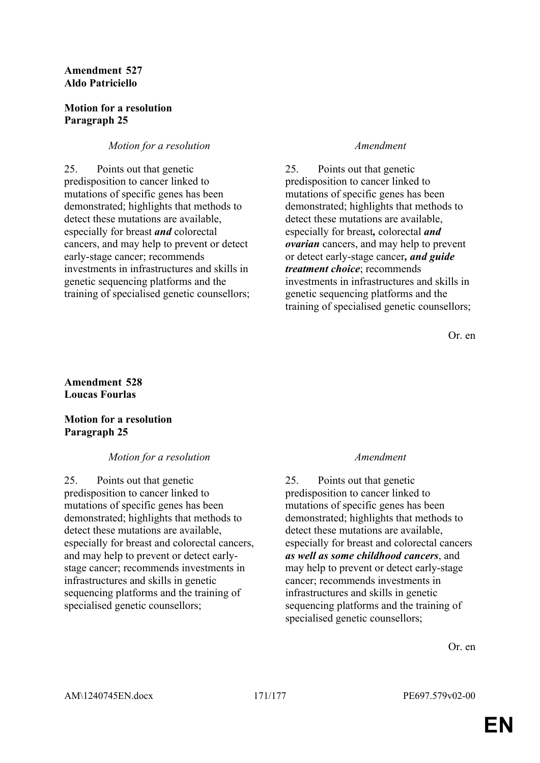## **Amendment 527 Aldo Patriciello**

## **Motion for a resolution Paragraph 25**

## *Motion for a resolution Amendment*

25. Points out that genetic predisposition to cancer linked to mutations of specific genes has been demonstrated; highlights that methods to detect these mutations are available, especially for breast *and* colorectal cancers, and may help to prevent or detect early-stage cancer; recommends investments in infrastructures and skills in genetic sequencing platforms and the training of specialised genetic counsellors;

25. Points out that genetic predisposition to cancer linked to mutations of specific genes has been demonstrated; highlights that methods to detect these mutations are available, especially for breast*,* colorectal *and ovarian* cancers, and may help to prevent or detect early-stage cancer*, and guide treatment choice*; recommends investments in infrastructures and skills in genetic sequencing platforms and the training of specialised genetic counsellors;

Or. en

## **Amendment 528 Loucas Fourlas**

## **Motion for a resolution Paragraph 25**

## *Motion for a resolution Amendment*

25. Points out that genetic predisposition to cancer linked to mutations of specific genes has been demonstrated; highlights that methods to detect these mutations are available, especially for breast and colorectal cancers, and may help to prevent or detect earlystage cancer; recommends investments in infrastructures and skills in genetic sequencing platforms and the training of specialised genetic counsellors;

25. Points out that genetic predisposition to cancer linked to mutations of specific genes has been demonstrated; highlights that methods to detect these mutations are available, especially for breast and colorectal cancers *as well as some childhood cancers*, and may help to prevent or detect early-stage cancer; recommends investments in infrastructures and skills in genetic sequencing platforms and the training of specialised genetic counsellors;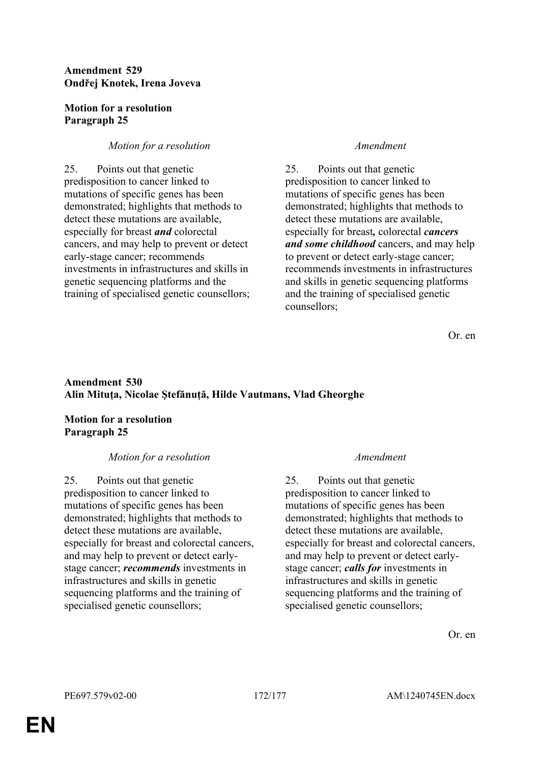## **Amendment 529 Ondřej Knotek, Irena Joveva**

## **Motion for a resolution Paragraph 25**

# *Motion for a resolution Amendment*

25. Points out that genetic predisposition to cancer linked to mutations of specific genes has been demonstrated; highlights that methods to detect these mutations are available, especially for breast *and* colorectal cancers, and may help to prevent or detect early-stage cancer; recommends investments in infrastructures and skills in genetic sequencing platforms and the training of specialised genetic counsellors;

25. Points out that genetic predisposition to cancer linked to mutations of specific genes has been demonstrated; highlights that methods to detect these mutations are available, especially for breast*,* colorectal *cancers and some childhood* cancers, and may help to prevent or detect early-stage cancer; recommends investments in infrastructures and skills in genetic sequencing platforms and the training of specialised genetic counsellors;

Or. en

# **Amendment 530 Alin Mituța, Nicolae Ştefănuță, Hilde Vautmans, Vlad Gheorghe**

## **Motion for a resolution Paragraph 25**

## *Motion for a resolution Amendment*

25. Points out that genetic predisposition to cancer linked to mutations of specific genes has been demonstrated; highlights that methods to detect these mutations are available, especially for breast and colorectal cancers, and may help to prevent or detect earlystage cancer; *recommends* investments in infrastructures and skills in genetic sequencing platforms and the training of specialised genetic counsellors;

25. Points out that genetic predisposition to cancer linked to mutations of specific genes has been demonstrated; highlights that methods to detect these mutations are available, especially for breast and colorectal cancers, and may help to prevent or detect earlystage cancer; *calls for* investments in infrastructures and skills in genetic sequencing platforms and the training of specialised genetic counsellors;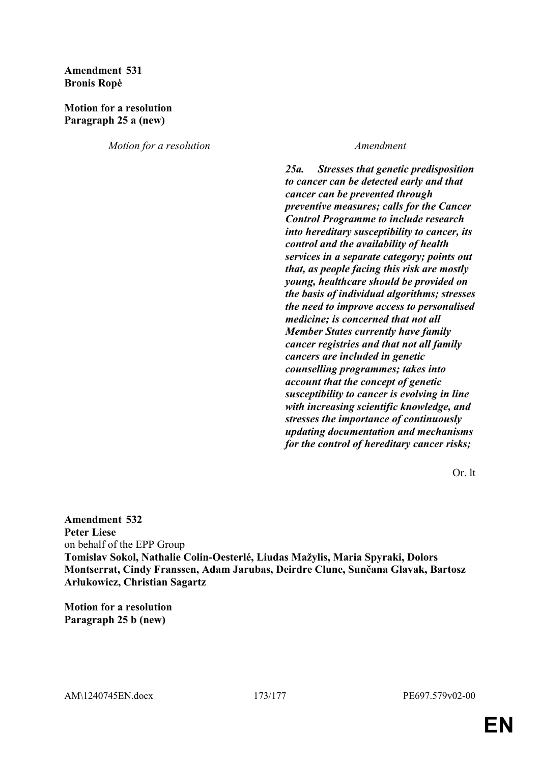## **Amendment 531 Bronis Ropė**

## **Motion for a resolution Paragraph 25 a (new)**

*Motion for a resolution Amendment*

*25a. Stresses that genetic predisposition to cancer can be detected early and that cancer can be prevented through preventive measures; calls for the Cancer Control Programme to include research into hereditary susceptibility to cancer, its control and the availability of health services in a separate category; points out that, as people facing this risk are mostly young, healthcare should be provided on the basis of individual algorithms; stresses the need to improve access to personalised medicine; is concerned that not all Member States currently have family cancer registries and that not all family cancers are included in genetic counselling programmes; takes into account that the concept of genetic susceptibility to cancer is evolving in line with increasing scientific knowledge, and stresses the importance of continuously updating documentation and mechanisms for the control of hereditary cancer risks;*

Or. lt

**Amendment 532 Peter Liese** on behalf of the EPP Group **Tomislav Sokol, Nathalie Colin-Oesterlé, Liudas Mažylis, Maria Spyraki, Dolors Montserrat, Cindy Franssen, Adam Jarubas, Deirdre Clune, Sunčana Glavak, Bartosz Arłukowicz, Christian Sagartz**

**Motion for a resolution Paragraph 25 b (new)**

AM\1240745EN.docx 173/177 PE697.579v02-00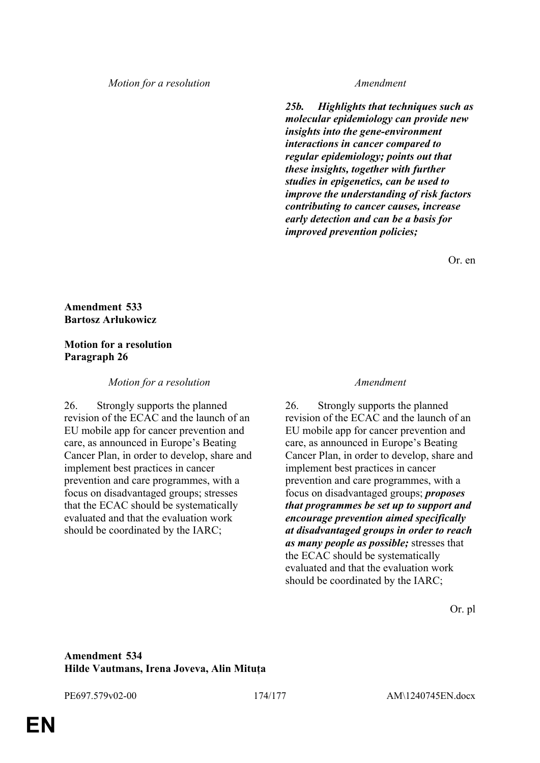*25b. Highlights that techniques such as molecular epidemiology can provide new insights into the gene-environment interactions in cancer compared to regular epidemiology; points out that these insights, together with further studies in epigenetics, can be used to improve the understanding of risk factors contributing to cancer causes, increase early detection and can be a basis for improved prevention policies;*

Or. en

## **Amendment 533 Bartosz Arłukowicz**

## **Motion for a resolution Paragraph 26**

*Motion for a resolution Amendment*

26. Strongly supports the planned revision of the ECAC and the launch of an EU mobile app for cancer prevention and care, as announced in Europe's Beating Cancer Plan, in order to develop, share and implement best practices in cancer prevention and care programmes, with a focus on disadvantaged groups; stresses that the ECAC should be systematically evaluated and that the evaluation work should be coordinated by the IARC;

26. Strongly supports the planned revision of the ECAC and the launch of an EU mobile app for cancer prevention and care, as announced in Europe's Beating Cancer Plan, in order to develop, share and implement best practices in cancer prevention and care programmes, with a focus on disadvantaged groups; *proposes that programmes be set up to support and encourage prevention aimed specifically at disadvantaged groups in order to reach as many people as possible;* stresses that the ECAC should be systematically evaluated and that the evaluation work should be coordinated by the IARC;

Or. pl

## **Amendment 534 Hilde Vautmans, Irena Joveva, Alin Mituța**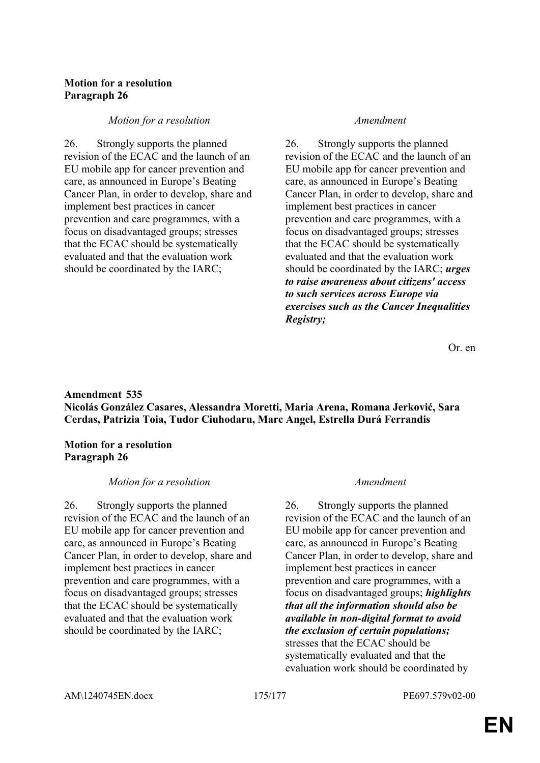## **Motion for a resolution Paragraph 26**

### *Motion for a resolution Amendment*

26. Strongly supports the planned revision of the ECAC and the launch of an EU mobile app for cancer prevention and care, as announced in Europe's Beating Cancer Plan, in order to develop, share and implement best practices in cancer prevention and care programmes, with a focus on disadvantaged groups; stresses that the ECAC should be systematically evaluated and that the evaluation work should be coordinated by the IARC;

26. Strongly supports the planned revision of the ECAC and the launch of an EU mobile app for cancer prevention and care, as announced in Europe's Beating Cancer Plan, in order to develop, share and implement best practices in cancer prevention and care programmes, with a focus on disadvantaged groups; stresses that the ECAC should be systematically evaluated and that the evaluation work should be coordinated by the IARC; *urges to raise awareness about citizens' access to such services across Europe via exercises such as the Cancer Inequalities Registry;*

Or. en

## **Amendment 535 Nicolás González Casares, Alessandra Moretti, Maria Arena, Romana Jerković, Sara Cerdas, Patrizia Toia, Tudor Ciuhodaru, Marc Angel, Estrella Durá Ferrandis**

### **Motion for a resolution Paragraph 26**

### *Motion for a resolution Amendment*

26. Strongly supports the planned revision of the ECAC and the launch of an EU mobile app for cancer prevention and care, as announced in Europe's Beating Cancer Plan, in order to develop, share and implement best practices in cancer prevention and care programmes, with a focus on disadvantaged groups; stresses that the ECAC should be systematically evaluated and that the evaluation work should be coordinated by the IARC;

26. Strongly supports the planned revision of the ECAC and the launch of an EU mobile app for cancer prevention and care, as announced in Europe's Beating Cancer Plan, in order to develop, share and implement best practices in cancer prevention and care programmes, with a focus on disadvantaged groups; *highlights that all the information should also be available in non-digital format to avoid the exclusion of certain populations;* stresses that the ECAC should be systematically evaluated and that the evaluation work should be coordinated by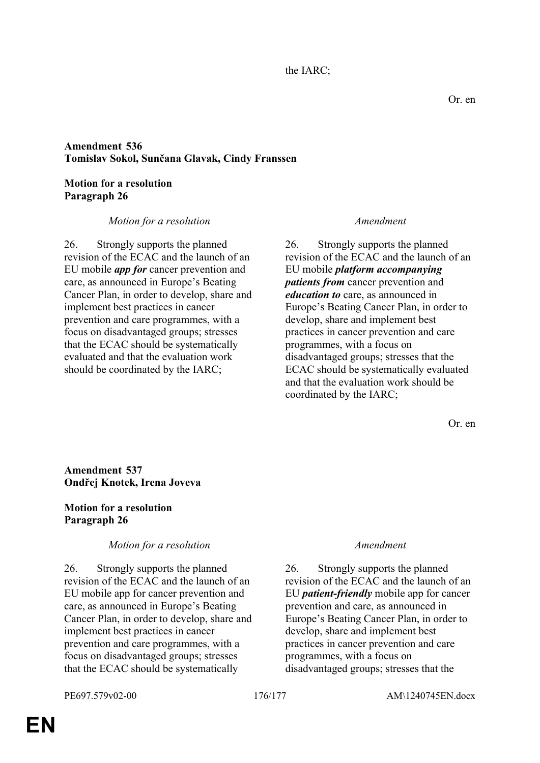the IARC;

# **Amendment 536 Tomislav Sokol, Sunčana Glavak, Cindy Franssen**

**Motion for a resolution Paragraph 26**

### *Motion for a resolution Amendment*

26. Strongly supports the planned revision of the ECAC and the launch of an EU mobile *app for* cancer prevention and care, as announced in Europe's Beating Cancer Plan, in order to develop, share and implement best practices in cancer prevention and care programmes, with a focus on disadvantaged groups; stresses that the ECAC should be systematically evaluated and that the evaluation work should be coordinated by the IARC;

26. Strongly supports the planned revision of the ECAC and the launch of an EU mobile *platform accompanying patients from* cancer prevention and *education to* care, as announced in Europe's Beating Cancer Plan, in order to develop, share and implement best practices in cancer prevention and care programmes, with a focus on disadvantaged groups; stresses that the ECAC should be systematically evaluated and that the evaluation work should be coordinated by the IARC;

Or. en

# **Amendment 537 Ondřej Knotek, Irena Joveva**

## **Motion for a resolution Paragraph 26**

### *Motion for a resolution Amendment*

26. Strongly supports the planned revision of the ECAC and the launch of an EU mobile app for cancer prevention and care, as announced in Europe's Beating Cancer Plan, in order to develop, share and implement best practices in cancer prevention and care programmes, with a focus on disadvantaged groups; stresses that the ECAC should be systematically

26. Strongly supports the planned revision of the ECAC and the launch of an EU *patient-friendly* mobile app for cancer prevention and care, as announced in Europe's Beating Cancer Plan, in order to develop, share and implement best practices in cancer prevention and care programmes, with a focus on disadvantaged groups; stresses that the